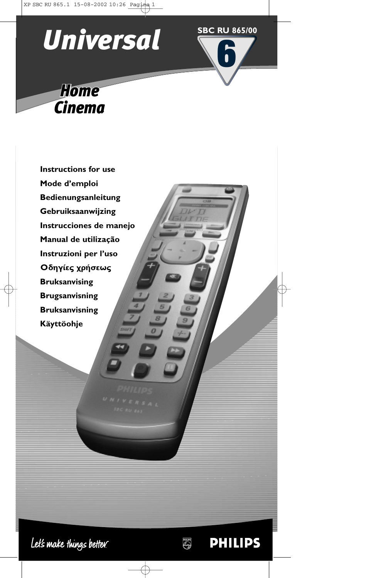

**6**

**PHILIPS** 

**ANDS** 

**SBC RU 865/00**

*Home Cinema*

**Instructions for use Mode d'emploi Bedienungsanleitung Gebruiksaanwijzing Instrucciones de manejo Manual de utilização Instruzioni per l'uso** Οδηγίες χρήσεως **Bruksanvising Brugsanvisning Bruksanvisning Käyttöohje**

Let's make things better.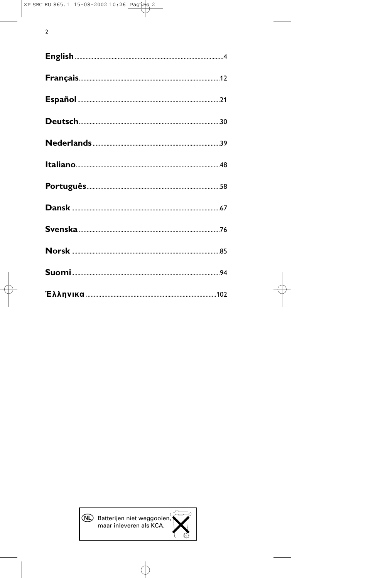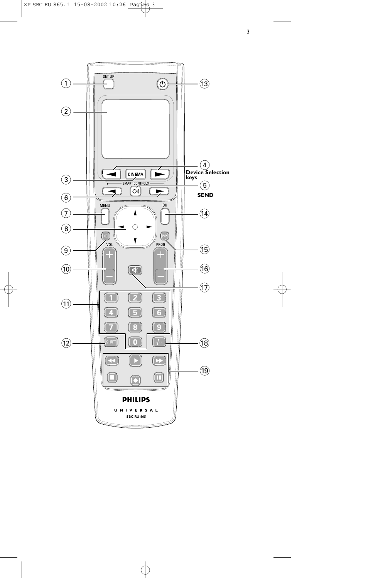

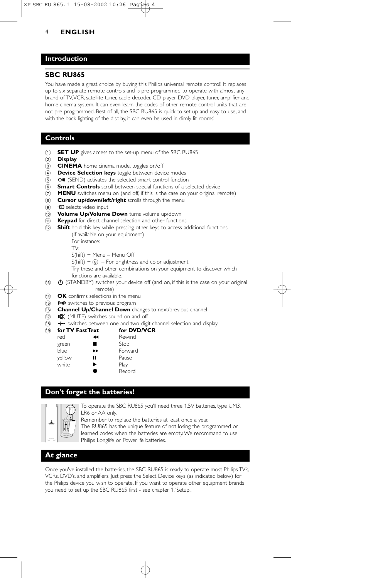## **Introduction**

### **SBC RU865**

You have made a great choice by buying this Philips universal remote control! It replaces up to six separate remote controls and is pre-programmed to operate with almost any brand of TV,VCR, satellite tuner, cable decoder, CD-player, DVD-player, tuner, amplifier and home cinema system. It can even learn the codes of other remote control units that are not pre-programmed. Best of all, the SBC RU865 is quick to set up and easy to use, and with the back-lighting of the display, it can even be used in dimly lit rooms!

### **Controls**

- 1 **SET UP** gives access to the set-up menu of the SBC RU865
- 2 **Display**
- 3 **CINEMA** home cinema mode, toggles on/off
- 4 **Device Selection keys** toggle between device modes
- (5) **OII** (SEND) activates the selected smart control function
- 6 **Smart Controls** scroll between special functions of a selected device
- 7 **MENU** switches menu on (and off, if this is the case on your original remote)
- 8 **Cursor up/down/left/right** scrolls through the menu
- **9 +** selects video input
- 0 **Volume Up/Volume Down** turns volume up/down
- ! **Keypad** for direct channel selection and other functions
- @ **Shift** hold this key while pressing other keys to access additional functions

(if available on your equipment)

For instance: TV:

- S(hift) + Menu Menu Off
- $S(hift) + (8)$  For brightness and color adjustment

Try these and other combinations on your equipment to discover which functions are available.

- $\theta$  (STANDBY) switches your device off (and on, if this is the case on your original remote)
- **14 OK** confirms selections in the menu
- (is) P-P switches to previous program
- (6) **Channel Up/Channel Down** changes to next/previous channel
- $\mathbb{R}$  (MUTE) switches sound on and off
- $\overline{18}$   $\overline{1}$  switches between one and two-digit channel selection and display

| (19 | for TV FastText |    | for DVD/VCR |  |
|-----|-----------------|----|-------------|--|
|     | red             | ↤  | Rewind      |  |
|     | green           |    | Stop        |  |
|     | blue            | ►► | Forward     |  |
|     | yellow          | н  | Pause       |  |
|     | white           | ▶  | Play        |  |
|     |                 |    | Record      |  |

## **Don't forget the batteries!**



To operate the SBC RU865 you'll need three 1.5V batteries, type UM3, LR6 or AA only.

Remember to replace the batteries at least once a year.

The RU865 has the unique feature of not losing the programmed or learned codes when the batteries are empty.We recommand to use Philips Longlife or Powerlife batteries.

## **At glance**

Once you've installed the batteries, the SBC RU865 is ready to operate most Philips TV's, VCRs, DVD's, and amplifiers. Just press the Select Device keys (as indicated below) for the Philips device you wish to operate. If you want to operate other equipment brands you need to set up the SBC RU865 first - see chapter 1.'Setup'.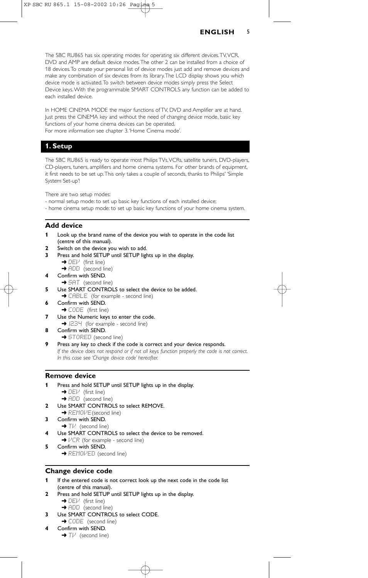The SBC RU865 has six operating modes for operating six different devices.TV,VCR, DVD and AMP are default device modes.The other 2 can be installed from a choice of 18 devices.To create your personal list of device modes just add and remove devices and make any combination of six devices from its library.The LCD display shows you which device mode is activated.To switch between device modes simply press the Select Device keys. With the programmable SMART CONTROLS any function can be added to each installed device.

In HOME CINEMA MODE the major functions of TV, DVD and Amplifier are at hand. Just press the CINEMA key and without the need of changing device mode, basic key functions of your home cinema devices can be operated. For more information see chapter 3.'Home Cinema mode'.

## **1. Setup**

The SBC RU865 is ready to operate most Philips TVs,VCRs, satellite tuners, DVD-players, CD-players, tuners, amplifiers and home cinema systems. For other brands of equipment, it first needs to be set up.This only takes a couple of seconds, thanks to Philips' 'Simple System Set-up'!

There are two setup modes:

- normal setup mode: to set up basic key functions of each installed device;
- home cinema setup mode: to set up basic key functions of your home cinema system.

### **Add device**

- **1** Look up the brand name of the device you wish to operate in the code list (centre of this manual).
- **2** Switch on the device you wish to add.
- **3** Press and hold SETUP until SETUP lights up in the display.
	- → DEV (first line)
	- → ADD (second line)
- **4** Confirm with SEND.
	- → SAT (second line)
- **5** Use SMART CONTROLS to select the device to be added. → CABLE (for example - second line)
- **6** Confirm with SEND. → CODE (first line)
- **7** Use the Numeric keys to enter the code.  $\rightarrow$   $1234$  (for example - second line)
- **8** Confirm with SEND.
	- → STORED (second line)
- **9** Press any key to check if the code is correct and your device responds. *If the device does not respond or if not all keys function properly the code is not correct. In this case see 'Change device code' hereafter.*

#### **Remove device**

- **1** Press and hold SETUP until SETUP lights up in the display.
	- $\rightarrow$  DEV (first line)  $\rightarrow$  ADD (second line)
- **2** Use SMART CONTROLS to select REMOVE.
- → REMOVE (second line)
- **3** Confirm with SEND.  $\rightarrow$  TM (second line)
	- Use SMART CONTROLS to select the device to be removed.
- **→**  $VCR$  (for example second line)
- **5** Confirm with SEND. **→ REMOVED** (second line)

## **Change device code**

- **1** If the entered code is not correct look up the next code in the code list
- (centre of this manual).
- **2** Press and hold SETUP until SETUP lights up in the display.  $\rightarrow$  DEV (first line)
	- → ADD (second line)
- **3** Use SMART CONTROLS to select CODE. → CODE (second line)
- **4** Confirm with SEND.
	- $\rightarrow$  T $\nu$  (second line)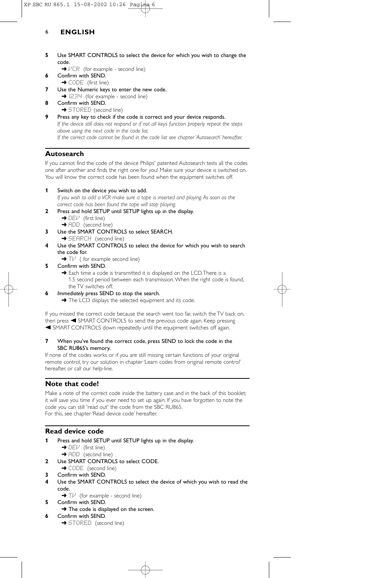- **5** Use SMART CONTROLS to select the device for which you wish to change the code.
	- $\rightarrow$   $VCR$  (for example second line)
- **6** Confirm with SEND.
- → CODE (first line)
- **7** Use the Numeric keys to enter the new code.
- → 1234 (for example second line)
- **8** Confirm with SEND. **→ STORED** (second line)
- **9** Press any key to check if the code is correct and your device responds. *If the device still does not respond or if not all keys function properly repeat the steps above using the next code in the code list. If the correct code cannot be found in the code list see chapter 'Autosearch' hereafter.*

## **Autosearch**

If you cannot find the code of the device Philips' patented Autosearch tests all the codes one after another and finds the right one for you! Make sure your device is switched on. You will know the correct code has been found when the equipment switches off.

**1** Switch on the device you wish to add.

*If you wish to add a VCR make sure a tape is inserted and playing. As soon as the correct code has been found the tape will stop playing.*

- **2** Press and hold SETUP until SETUP lights up in the display.
	- → DEV (first line) **→ ADD** (second line)
- **3** Use the SMART CONTROLS to select SEARCH.
- → SEARCH (second line) **4** Use the SMART CONTROLS to select the device for which you wish to search the code for.
	- $\rightarrow$  T $\nu$  ( for example second line)
- **5** Confirm with SEND.
	- → Each time a code is transmitted it is displayed on the LCD. There is a 1.5 second period between each transmission.When the right code is found, the TV switches off.
- **6** *Immediately* press SEND to stop the search.
	- → The LCD displays the selected equipment and its code.

If you missed the correct code because the search went too far, switch the TV back on, then press < SMART CONTROLS to send the previous code again. Keep pressing A SMART CONTROLS down repeatedly until the equipment switches off again.

#### **7** When you've found the correct code, press SEND to lock the code in the SBC RU865's memory.

If none of the codes works or if you are still missing certain functions of your original remote control, try our solution in chapter 'Learn codes from original remote control' hereafter, or call our help-line.

## **Note that code!**

Make a note of the correct code inside the battery case and in the back of this booklet; it will save you time if you ever need to set up again. If you have forgotten to note the code you can still 'read out' the code from the SBC RU865. For this, see chapter 'Read device code' hereafter.

## **Read device code**

- **1** Press and hold SETUP until SETUP lights up in the display.
	- $\rightarrow$  DEV (first line) → ADD (second line)
- **2** Use SMART CONTROLS to select CODE.
- → CODE (second line)
- **3** Confirm with SEND.
- **4** Use the SMART CONTROLS to select the device of which you wish to read the code.
	- → Tl<sup>,i</sup> (for example second line)
- **5** Confirm with SEND.
- $\rightarrow$  The code is displayed on the screen. **6** Confirm with SEND.
	- **→ STORED** (second line)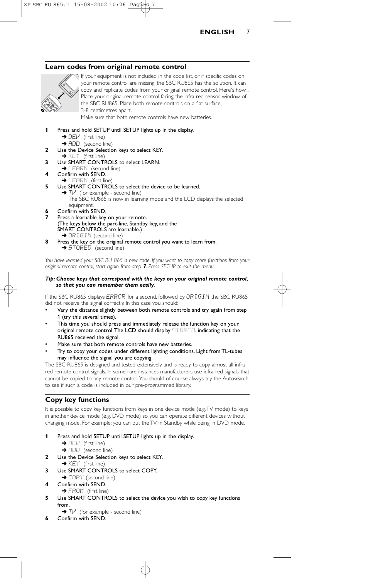

## **Learn codes from original remote control**



If your equipment is not included in the code list, or if specific codes on your remote control are missing, the SBC RU865 has the solution. It can copy and replicate codes from your original remote control. Here's how... Place your original remote control facing the infra-red sensor window of the SBC RU865. Place both remote controls on a flat surface, 3-8 centimetres apart.

Make sure that both remote controls have new batteries.



- $\rightarrow$  DEV (first line)
- → ADD (second line)
- **2** Use the Device Selection keys to select KEY.
	- $\rightarrow$  KEY (first line)
- **3** Use SMART CONTROLS to select LEARN. **→ LEARN** (second line)
- 
- **4** Confirm with SEND. → LEARN (first line
- **5** Use SMART CONTROLS to select the device to be learned.  $\rightarrow$  T $\mu$ <sup>t</sup> (for example - second line) The SBC RU865 is now in learning mode and the LCD displays the selected
- equipment. **6** Confirm with SEND.
- **7** Press a learnable key on your remote. (The keys below the part-line, Standby key, and the SMART CONTROLS are learnable.) → ORIGIN (second line)
- **8** Press the key on the original remote control you want to learn from. → STORÉD (second line)

*You have learned your SBC RU 865 a new code. If you want to copy more functions from your original remote control, start again from step 7. Press SETUP to exit the menu.*

#### *Tip: Choose keys that correspond with the keys on your original remote control, so that you can remember them easily.*

If the SBC RU865 displays ERROR for a second, followed by ORIGIN the SBC RU865 did not receive the signal correctly. In this case you should:

- Vary the distance slightly between both remote controls and try again from step 1 (try this several times).
- This time you should press and immediately release the function key on your original remote control. The LCD should display  $\text{STORED}$ , indicating that the RU865 received the signal.
- Make sure that both remote controls have new batteries.
- Try to copy your codes under different lighting conditions. Light from TL-tubes may influence the signal you are copying.

The SBC RU865 is designed and tested extensively and is ready to copy almost all infrared remote control signals. In some rare instances manufacturers use infra-red signals that cannot be copied to any remote control.You should of course always try the Autosearch to see if such a code is included in our pre-programmed library.

## **Copy key functions**

It is possible to copy key functions from keys in one device mode (e.g.TV mode) to keys in another device mode (e.g. DVD mode) so you can operate different devices without changing mode. For example: you can put the TV in Standby while being in DVD mode.

- **1** Press and hold SETUP until SETUP lights up in the display.
	- $\rightarrow$  DEV (first line)
	- → ADD (second line)
- **2** Use the Device Selection keys to select KEY.
- $\rightarrow$  KEY (first line)
- **3** Use SMART CONTROLS to select COPY. ◆ COPY (second line)
- **4** Confirm with SEND.
- → FROM (first line)
- **5** Use SMART CONTROLS to select the device you wish to copy key functions from.
	- $\rightarrow$  T $\nu$ <sup></sup> (for example second line)
- **6** Confirm with SEND.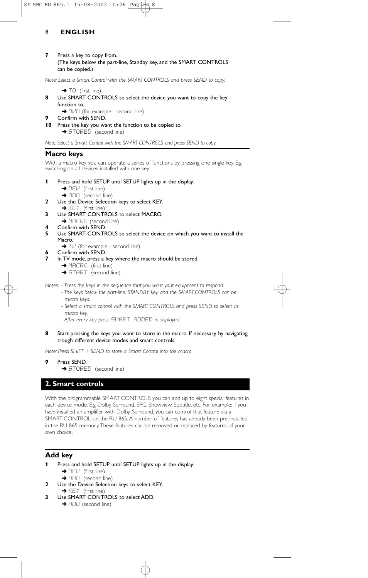**7** Press a key to copy from. (The keys below the part-line, Standby key, and the SMART CONTROLS can be copied.)

*Note: Select a Smart Control with the SMART CONTROLS and press SEND to copy.*

- $\rightarrow$  TO (first line)
- **8** Use SMART CONTROLS to select the device you want to copy the key function to. → DIVD (for example - second line)
	- **9** Confirm with SEND.
- **10** Press the key you want the function to be copied to.

→ STORED (second line)

*Note: Select a Smart Control with the SMART CONTROLS and press SEND to copy.*

#### **Macro keys**

With a macro key you can operate a series of functions by pressing one single key. E.g. switching on all devices installed with one key.

- **1** Press and hold SETUP until SETUP lights up in the display.
	- $\rightarrow$  DEV (first line)
	- → ADD (second line)
- **2** Use the Device Selection keys to select KEY.
	- → KEY (first line)
- **3** Use SMART CONTROLS to select MACRO.
	- → MACRO (second line)
- **4** Confirm with SEND.<br>**5** Use SMART CONTE
- **5** Use SMART CONTROLS to select the device on which you want to install the Macro.
	- $\rightarrow$  T $\overline{V}$  (for example second line)
- **6** Confirm with SEND.
- **7** In TV mode, press a key where the macro should be stored.
	- → MACRO (first line)
	- **→ START** (second line)

*Notes: - Press the keys in the sequence that you want your equipment to respond.*

- *The keys below the part-line, STANDBY key, and the SMART CONTROLS can be macro keys.*
- *Select a smart control with the SMART CONTROLS and press SEND to select as macro key.*
- *After every key press* SMART ADDED *is displayed.*
- **8** Start pressing the keys you want to store in the macro. If necessary by navigating trough different device modes and smart controls.

*Note: Press SHIFT + SEND to store a Smart Control into the macro.*

- **9** Press SEND.
	- **→ STORED** (second line)

#### **2. Smart controls**

With the programmable SMART CONTROLS you can add up to eight special features in each device mode. E.g Dolby Surround, EPG, Showview, Subtitle, etc. For example: if you have installed an amplifier with Dolby Surround, you can control that feature via a SMART CONTROL on the RU 865. A number of features has already been pre-installed in the RU 865 memory.These features can be removed or replaced by features of your own choice.

### **Add key**

- **1** Press and hold SETUP until SETUP lights up in the display.
	- → DEI<sup>J</sup> (first line)
	- **→** ADD (second line)
- **2** Use the Device Selection keys to select KEY.
- $\rightarrow$  KEY (first line)
- **3** Use SMART CONTROLS to select ADD. **→** ADD (second line)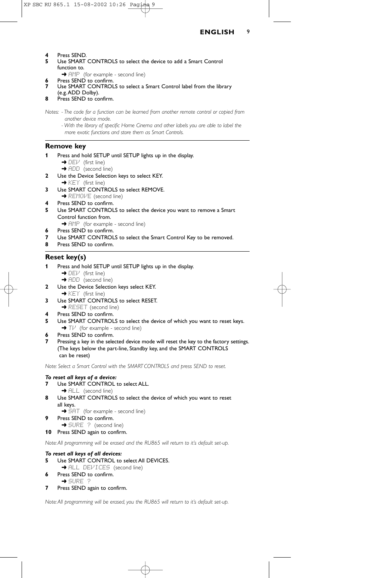**4** Press SEND.<br>**5** Lise SMART

- **5** Use SMART CONTROLS to select the device to add a Smart Control function to.
	- → FIMP (for example second line)
- Press SEND to confirm. Use SMART CONTROLS to select a Smart Control label from the library
- (e.g.ADD Dolby).
- **8** Press SEND to confirm.

*Notes: - The code for a function can be learned from another remote control or copied from another device mode.*

*- With the library of specific Home Cinema and other labels you are able to label the more exotic functions and store them as Smart Controls.*

#### **Remove key**

- **1** Press and hold SETUP until SETUP lights up in the display.
	- $\rightarrow$  DEV (first line)
	- → ADD (second line)
- **2** Use the Device Selection keys to select KEY. → KEY (first line)
- **3** Use SMART CONTROLS to select REMOVE. → REMOI*VE* (second line)
- **4** Press SEND to confirm.
- **5** Use SMART CONTROLS to select the device you want to remove a Smart Control function from.
- → AMP (for example second line)
- **6** Press SEND to confirm.
- **7** Use SMART CONTROLS to select the Smart Control Key to be removed.
- **8** Press SEND to confirm.

### **Reset key(s)**

- **1** Press and hold SETUP until SETUP lights up in the display.
	- $\rightarrow$  DEV (first line)
- **→** ADD (second line) **2** Use the Device Selection keys select KEY.
- → KEY (first line)
- **3** Use SMART CONTROLS to select RESET.
	- **→ RESET** (second line)
- **4** Press SEND to confirm.
- **5** Use SMART CONTROLS to select the device of which you want to reset keys. → Tl<sup>,*i*</sup> (for example - second line)
- **6** Press SEND to confirm.
- **7** Pressing a key in the selected device mode will reset the key to the factory settings. (The keys below the part-line, Standby key, and the SMART CONTROLS can be reset)

*Note: Select a Smart Control with the SMART CONTROLS and press SEND to reset.*

#### *To reset all keys of a device:*

- **7** Use SMART CONTROL to select ALL.
- → ALL (second line)
- **8** Use SMART CONTROLS to select the device of which you want to reset all keys.
- → SAT (for example second line) Press SEND to confirm.
- 
- → SURE ? (second line) **10** Press SEND again to confirm.

*Note:All programming will be erased and the RU865 will return to it's default set-up.*

#### *To reset all keys of all devices:*

- **5** Use SMART CONTROL to select All DEVICES.
- **→ ALL DEVICES** (second line)
- **6** Press SEND to confirm. ➜ SURE ?
- **7** Press SEND again to confirm.

*Note:All programming will be erased, you the RU865 will return to it's default set-up.*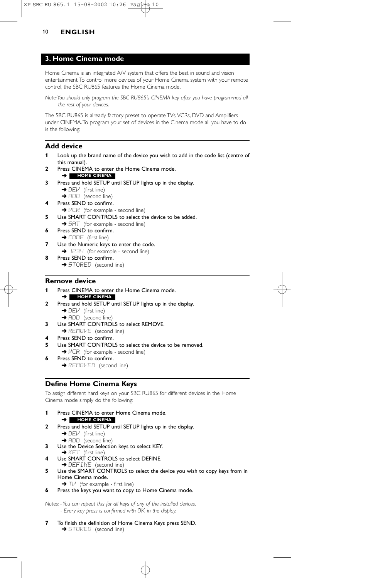## **3. Home Cinema mode**

Home Cinema is an integrated A/V system that offers the best in sound and vision entertainment.To control more devices of your Home Cinema system with your remote control, the SBC RU865 features the Home Cinema mode.

*Note:You should only program the SBC RU865's CINEMA key after you have programmed all the rest of your devices.*

The SBC RU865 is already factory preset to operate TVs, VCRs, DVD and Amplifiers under CINEMA.To program your set of devices in the Cinema mode all you have to do is the following:

## **Add device**

- **1** Look up the brand name of the device you wish to add in the code list (centre of this manual).
- **2** Press CINEMA to enter the Home Cinema mode. ➜ **HOME CINEMA**
- **3** Press and hold SETUP until SETUP lights up in the display.  $\rightarrow$  DEV (first line)
	- → ADD (second line)
- **4** Press SEND to confirm.
- $\rightarrow$   $VCR$  (for example second line)
- **5** Use SMART CONTROLS to select the device to be added.
- → SAT (for example second line) **6** Press SEND to confirm.
- → CODE (first line) **7** Use the Numeric keys to enter the code.
- → I234 (for example second line)
- **8** Press SEND to confirm. → STORED (second line)
- 

### **Remove device**

- **1** Press CINEMA to enter the Home Cinema mode. ➜ **HOME CINEMA**
- **2** Press and hold SETUP until SETUP lights up in the display. → DEV (first line)
	- **→ ADD** (second line)
- **3** Use SMART CONTROLS to select REMOVE.
- **→ REMOVE** (second line)
- **4** Press SEND to confirm.<br>**5** Use SMART CONTROL
- **5** Use SMART CONTROLS to select the device to be removed. **→**  $VCR$  (for example - second line)
- **6** Press SEND to confirm. **→ REMOVED** (second line)

## **Define Home Cinema Keys**

To assign different hard keys on your SBC RU865 for different devices in the Home Cinema mode simply do the following:

- **1** Press CINEMA to enter Home Cinema mode. ➜ **HOME CINEMA**
- **2** Press and hold SETUP until SETUP lights up in the display.  $\rightarrow$  DEV (first line)
	- **→ ADD** (second line)
- **3** Use the Device Selection keys to select KEY.
- $\rightarrow$  KEY (first line)
- **4** Use SMART CONTROLS to select DEFINE.<br>→ DEFINE (second line)
- **5** Use the SMART CONTROLS to select the device you wish to copy keys from in Home Cinema mode.
	- $\rightarrow$  T $\nu$  (for example first line)
- **6** Press the keys you want to copy to Home Cinema mode.

*Notes: - You can repeat this for all keys of any of the installed devices. - Every key press is confirmed with* OK *in the display.*

**7** To finish the definition of Home Cinema Keys press SEND. **→ STORED** (second line)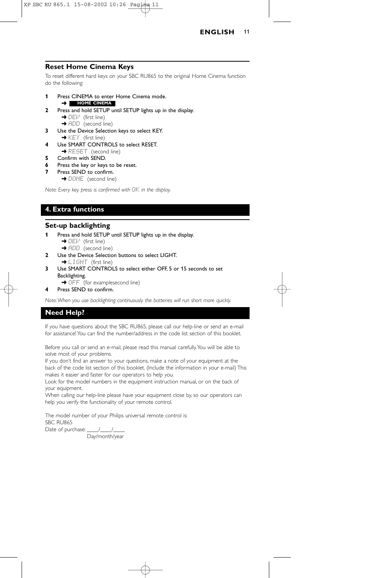

### **Reset Home Cinema Keys**

To reset different hard keys on your SBC RU865 to the original Home Cinema function do the following:

- **1** Press CINEMA to enter Home Cinema mode. ➜ **HOME CINEMA**
- **2** Press and hold SETUP until SETUP lights up in the display.  $\rightarrow$  DEV (first line)
	- **→ ADD** (second line)
- **3** Use the Device Selection keys to select KEY. → KEY (first line)
- **4** Use SMART CONTROLS to select RESET.
- **→ RESET** (second line)
- **5** Confirm with SEND.
- **6** Press the key or keys to be reset.
- **7** Press SEND to confirm. → DONE (second line)

*Note: Every key press is confirmed with* OK *in the display.*

## **4. Extra functions**

## **Set-up backlighting**

- **1** Press and hold SETUP until SETUP lights up in the display.
	- $\rightarrow$  DEV (first line)
	- → ADD (second line)
- **2** Use the Device Selection buttons to select LIGHT. → LIGHT (first line)
- **3** Use SMART CONTROLS to select either OFF, 5 or 15 seconds to set Backlighting.
	- → OFF (for examplesecond line)
- **4** Press SEND to confirm.

*Note:When you use backlighting continuously the batteries will run short more quickly.*

## **Need Help?**

If you have questions about the SBC RU865, please call our help-line or send an e-mail for assistance! You can find the number/address in the code list section of this booklet.

Before you call or send an e-mail, please read this manual carefully.You will be able to solve most of your problems.

If you don't find an answer to your questions, make a note of your equipment at the back of the code list section of this booklet. (Include the information in your e-mail) This makes it easier and faster for our operators to help you.

Look for the model numbers in the equipment instruction manual, or on the back of your equipment.

When calling our help-line please have your equipment close by, so our operators can help you verify the functionality of your remote control.

The model number of your Philips universal remote control is: SBC RU865

Date of purchase:  $\frac{1}{2}$ 

Day/month/year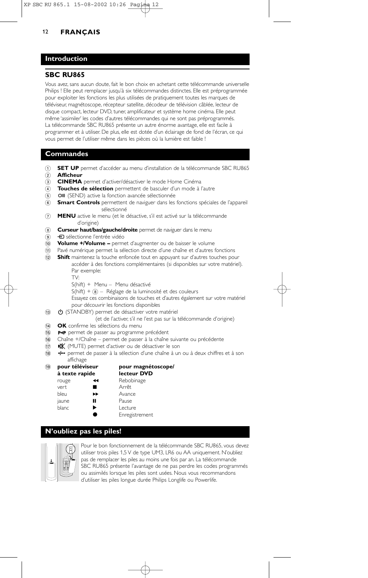## **Introduction**

## **SBC RU865**

Vous avez, sans aucun doute, fait le bon choix en achetant cette télécommande universelle Philips ! Elle peut remplacer jusqu'à six télécommandes distinctes. Elle est préprogrammée pour exploiter les fonctions les plus utilisées de pratiquement toutes les marques de téléviseur, magnétoscope, récepteur satellite, décodeur de télévision câblée, lecteur de disque compact, lecteur DVD, tuner, amplificateur et système home cinéma. Elle peut même 'assimiler' les codes d'autres télécommandes qui ne sont pas préprogrammés. La télécommande SBC RU865 présente un autre énorme avantage, elle est facile à programmer et à utiliser. De plus, elle est dotée d'un éclairage de fond de l'écran, ce qui vous permet de l'utiliser même dans les pièces où la lumière est faible !

### **Commandes**

- 1 **SET UP** permet d'accéder au menu d'installation de la télécommande SBC RU865
- 2 **Afficheur**
- 3 **CINEMA** permet d'activer/désactiver le mode Home Cinéma
- 4 **Touches de sélection** permettent de basculer d'un mode à l'autre
- 6 OII (SEND) active la fonction avancée sélectionnée
- 6 **Smart Controls** permettent de naviguer dans les fonctions spéciales de l'appareil sélectionné
- 7 **MENU** active le menu (et le désactive, s'il est activé sur la télécommande d'origine)
- 8 **Curseur haut/bas/gauche/droite** permet de naviguer dans le menu
- <sup>9</sup> + sélectionne l'entrée vidéo
- 0 **Volume +/Volume –** permet d'augmenter ou de baisser le volume
- ! Pavé numérique permet la sélection directe d'une chaîne et d'autres fonctions
- @ **Shift** maintenez la touche enfoncée tout en appuyant sur d'autres touches pour accéder à des fonctions complémentaires (si disponibles sur votre matériel). Par exemple:
	- TV:
	- S(hift) + Menu Menu désactivé
	- $S(hift) + (8) Réglage de la luminosité et des couleurs$
	- Essayez ces combinaisons de touches et d'autres également sur votre matériel pour découvrir les fonctions disponibles
- (i3) (STANDBY) permet de désactiver votre matériel
	- (et de l'activer, s'il ne l'est pas sur la télécommande d'origine)
- **14 OK** confirme les sélections du menu
- <sup>(15</sup>) P<P permet de passer au programme précédent
- ^ Chaîne +/Chaîne permet de passer à la chaîne suivante ou précédente
- <sup>(17)</sup>  $\mathbb{R}$  (MUTE) permet d'activer ou de désactiver le son
- (18  $\rightarrow$  permet de passer à la sélection d'une chaîne à un ou à deux chiffres et à son

# affichage<br>**pour téléviseur**

### ( **pour téléviseur pour magnétoscope/ lecteur DVD**

| rouge | ◀◀ | Rebobinage     |
|-------|----|----------------|
| vert  | ■  | Arrêt          |
| bleu  | ▶▶ | Avance         |
| jaune | П  | Pause          |
| blanc | ▶  | Lecture        |
|       |    | Enregistrement |

### **N'oubliez pas les piles!**



Pour le bon fonctionnement de la télécommande SBC RU865, vous devez utiliser trois piles 1,5 V de type UM3, LR6 ou AA uniquement. N'oubliez pas de remplacer les piles au moins une fois par an. La télécommande SBC RU865 présente l'avantage de ne pas perdre les codes programmés ou assimilés lorsque les piles sont usées. Nous vous recommandons d'utiliser les piles longue durée Philips Longlife ou Powerlife.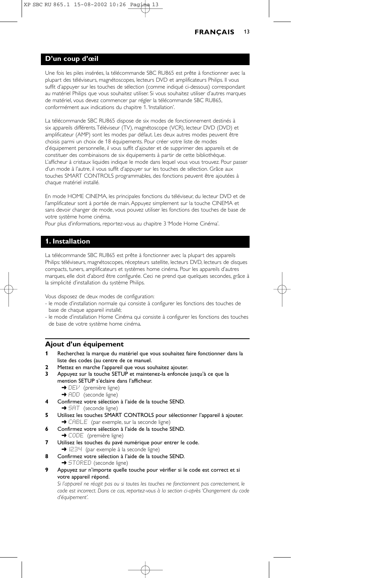### **D'un coup d'œil**

Une fois les piles insérées, la télécommande SBC RU865 est prête à fonctionner avec la plupart des téléviseurs, magnétoscopes, lecteurs DVD et amplificateurs Philips. Il vous suffit d'appuyer sur les touches de sélection (comme indiqué ci-dessous) correspondant au matériel Philips que vous souhaitez utiliser. Si vous souhaitez utiliser d'autres marques de matériel, vous devez commencer par régler la télécommande SBC RU865, conformément aux indications du chapitre 1.'Installation'.

La télécommande SBC RU865 dispose de six modes de fonctionnement destinés à six appareils différents.Téléviseur (TV), magnétoscope (VCR), lecteur DVD (DVD) et amplificateur (AMP) sont les modes par défaut. Les deux autres modes peuvent être choisis parmi un choix de 18 équipements. Pour créer votre liste de modes d'équipement personnelle, il vous suffit d'ajouter et de supprimer des appareils et de constituer des combinaisons de six équipements à partir de cette bibliothèque. L'afficheur à cristaux liquides indique le mode dans lequel vous vous trouvez. Pour passer d'un mode à l'autre, il vous suffit d'appuyer sur les touches de sélection. Grâce aux touches SMART CONTROLS programmables, des fonctions peuvent être ajoutées à chaque matériel installé.

En mode HOME CINEMA, les principales fonctions du téléviseur, du lecteur DVD et de l'amplificateur sont à portée de main. Appuyez simplement sur la touche CINEMA et sans devoir changer de mode, vous pouvez utiliser les fonctions des touches de base de votre système home cinéma.

Pour plus d'informations, reportez-vous au chapitre 3 'Mode Home Cinéma'.

### **1. Installation**

La télécommande SBC RU865 est prête à fonctionner avec la plupart des appareils Philips: téléviseurs, magnétoscopes, récepteurs satellite, lecteurs DVD, lecteurs de disques compacts, tuners, amplificateurs et systèmes home cinéma. Pour les appareils d'autres marques, elle doit d'abord être configurée. Ceci ne prend que quelques secondes, grâce à la simplicité d'installation du système Philips.

Vous disposez de deux modes de configuration:

- le mode d'installation normale qui consiste à configurer les fonctions des touches de base de chaque appareil installé;
- le mode d'installation Home Cinéma qui consiste à configurer les fonctions des touches de base de votre système home cinéma.

### **Ajout d'un équipement**

- **1** Recherchez la marque du matériel que vous souhaitez faire fonctionner dans la liste des codes (au centre de ce manuel.
- **2** Mettez en marche l'appareil que vous souhaitez ajouter.
- **3** Appuyez sur la touche SETUP et maintenez-la enfoncée jusqu'à ce que la mention SETUP s'éclaire dans l'afficheur.
	- → DEI<sup>, i</sup> (première ligne)
	- → ADD (seconde ligne)
- **4** Confirmez votre sélection à l'aide de la touche SEND.
- → SAT (seconde ligne)
- **5** Utilisez les touches SMART CONTROLS pour sélectionner l'appareil à ajouter. → CABLE (par exemple, sur la seconde ligne)
- **6** Confirmez votre sélection à l'aide de la touche SEND.
- → CODE (première ligne)
- **7** Utilisez les touches du pavé numérique pour entrer le code. **→** 1234 (par exemple à la seconde ligne)
- **8** Confirmez votre sélection à l'aide de la touche SEND.
- **→** STORED (seconde ligne)
- **9** Appuyez sur n'importe quelle touche pour vérifier si le code est correct et si votre appareil répond.

*Si l'appareil ne réagit pas ou si toutes les touches ne fonctionnent pas correctement, le code est incorrect. Dans ce cas, reportez-vous à la section ci-après 'Changement du code d'équipement'.*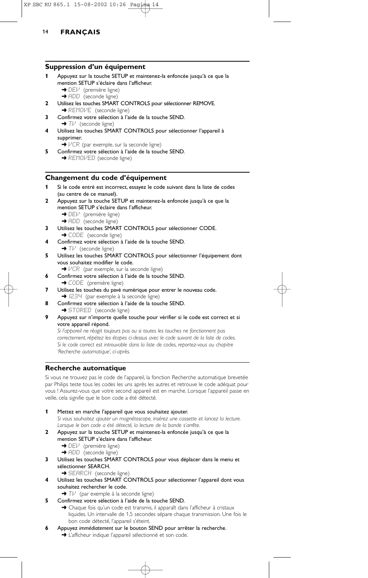#### **Suppression d'un équipement**

- **1** Appuyez sur la touche SETUP et maintenez-la enfoncée jusqu'à ce que la mention SETUP s'éclaire dans l'afficheur.
	- → DEI<sup>J</sup> (première ligne)
		- → ADD (seconde ligne)
- **2** Utilisez les touches SMART CONTROLS pour sélectionner REMOVE. → REMOVE (seconde ligne)
- **3** Confirmez votre sélection à l'aide de la touche SEND. → Tl<sup>3</sup> (seconde ligne)
- **4** Utilisez les touches SMART CONTROLS pour sélectionner l'appareil à supprimer.
- $\rightarrow$   $VCR$  (par exemple, sur la seconde ligne) **5** Confirmez votre sélection à l'aide de la touche SEND. **→ REMOVED** (seconde ligne)

## **Changement du code d'équipement**

- **1** Si le code entré est incorrect, essayez le code suivant dans la liste de codes (au centre de ce manuel).
- **2** Appuyez sur la touche SETUP et maintenez-la enfoncée jusqu'à ce que la mention SETUP s'éclaire dans l'afficheur.
	- → DEI<sup>J</sup> (première ligne)
	- **→ ADD** (seconde ligne)
- **3** Utilisez les touches SMART CONTROLS pour sélectionner CODE.
	- → CODE (seconde ligne)
- **4** Confirmez votre sélection à l'aide de la touche SEND. → TV (seconde ligne)
- **5** Utilisez les touches SMART CONTROLS pour sélectionner l'équipement dont vous souhaitez modifier le code.
	- →  $VCR$  (par exemple, sur la seconde ligne)
- **6** Confirmez votre sélection à l'aide de la touche SEND.
- → CODE (première ligne)
- **7** Utilisez les touches du pavé numérique pour entrer le nouveau code. → 1234 (par exemple à la seconde ligne)
- **8** Confirmez votre sélection à l'aide de la touche SEND. → STORED (seconde ligne)
- **9** Appuyez sur n'importe quelle touche pour vérifier si le code est correct et si votre appareil répond.

*Si l'appareil ne réagit toujours pas ou si toutes les touches ne fonctionnent pas correctement, répétez les étapes ci-dessus avec le code suivant de la liste de codes. Si le code correct est introuvable dans la liste de codes, reportez-vous au chapitre 'Recherche automatique', ci-après.*

## **Recherche automatique**

Si vous ne trouvez pas le code de l'appareil, la fonction Recherche automatique brevetée par Philips teste tous les codes les uns après les autres et retrouve le code adéquat pour vous ! Assurez-vous que votre second appareil est en marche. Lorsque l'appareil passe en veille, cela signifie que le bon code a été détecté.

**1** Mettez en marche l'appareil que vous souhaitez ajouter. *Si vous souhaitez ajouter un magnétoscope, insérez une cassette et lancez la lecture. Lorsque le bon code a été détecté, la lecture de la bande s'arrête.*

- **2** Appuyez sur la touche SETUP et maintenez-la enfoncée jusqu'à ce que la mention SETUP s'éclaire dans l'afficheur. → DEI<sup>J</sup> (première ligne)
	- → ADD (seconde ligne)
- **3** Utilisez les touches SMART CONTROLS pour vous déplacer dans le menu et sélectionner SEARCH.
	- **→ SEARCH** (seconde ligne)
- **4** Utilisez les touches SMART CONTROLS pour sélectionner l'appareil dont vous souhaitez rechercher le code.
	- ➜ TV (par exemple à la seconde ligne)
- **5** Confirmez votre sélection à l'aide de la touche SEND.
	- → Chaque fois qu'un code est transmis, il apparaît dans l'afficheur à cristaux liquides. Un intervalle de 1,5 secondes sépare chaque transmission. Une fois le bon code détecté, l'appareil s'éteint.
- **6** Appuyez *immédiatement* sur le bouton SEND pour arrêter la recherche.
	- → L'afficheur indique l'appareil sélectionné et son code.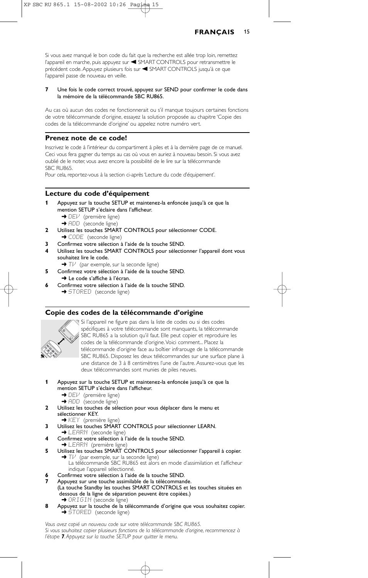Si vous avez manqué le bon code du fait que la recherche est allée trop loin, remettez l'appareil en marche, puis appuyez sur < SMART CONTROLS pour retransmettre le précédent code. Appuyez plusieurs fois sur < SMART CONTROLS jusqu'à ce que l'appareil passe de nouveau en veille.

#### **7** Une fois le code correct trouvé, appuyez sur SEND pour confirmer le code dans la mémoire de la télécommande SBC RU865.

Au cas où aucun des codes ne fonctionnerait ou s'il manque toujours certaines fonctions de votre télécommande d'origine, essayez la solution proposée au chapitre 'Copie des codes de la télécommande d'origine' ou appelez notre numéro vert.

## **Prenez note de ce code!**

Inscrivez le code à l'intérieur du compartiment à piles et à la dernière page de ce manuel. Ceci vous fera gagner du temps au cas où vous en auriez à nouveau besoin. Si vous avez oublié de le noter, vous avez encore la possibilité de le lire sur la télécommande SBC RU865.

Pour cela, reportez-vous à la section ci-après 'Lecture du code d'équipement'.

## **Lecture du code d'équipement**

- **1** Appuyez sur la touche SETUP et maintenez-la enfoncée jusqu'à ce que la mention SETUP s'éclaire dans l'afficheur.
	- → DEI<sup>J</sup> (première ligne)
	- **→ ADD** (seconde ligne)
- **2** Utilisez les touches SMART CONTROLS pour sélectionner CODE. → CODE (seconde ligne)
- **3** Confirmez votre sélection à l'aide de la touche SEND.
- **4** Utilisez les touches SMART CONTROLS pour sélectionner l'appareil dont vous souhaitez lire le code.

→ T $V$  (par exemple, sur la seconde ligne)

- **5** Confirmez votre sélection à l'aide de la touche SEND. ➜ Le code s'affiche à l'écran.
- **6** Confirmez votre sélection à l'aide de la touche SEND. → STORED (seconde ligne)

### **Copie des codes de la télécommande d'origine**



Si l'appareil ne figure pas dans la liste de codes ou si des codes spécifiques à votre télécommande sont manquants, la télécommande SBC RU865 a la solution qu'il faut. Elle peut copier et reproduire les codes de la télécommande d'origine.Voici comment... Placez la télécommande d'origine face au boîtier infrarouge de la télécommande SBC RU865. Disposez les deux télécommandes sur une surface plane à une distance de 3 à 8 centimètres l'une de l'autre. Assurez-vous que les deux télécommandes sont munies de piles neuves.

- **1** Appuyez sur la touche SETUP et maintenez-la enfoncée jusqu'à ce que la mention SETUP s'éclaire dans l'afficheur.
	- → DEI<sup>J</sup> (première ligne)
	- → ADD (seconde ligne)
- **2** Utilisez les touches de sélection pour vous déplacer dans le menu et sélectionner KEY.
- → KEY (première ligne)
- **3** Utilisez les touches SMART CONTROLS pour sélectionner LEARN. **→ LEARN** (seconde ligne)
- **4** Confirmez votre sélection à l'aide de la touche SEND.
- **→ LEARN** (première ligne)
- **5** Utilisez les touches SMART CONTROLS pour sélectionner l'appareil à copier. → T $\nu$  (par exemple, sur la seconde ligne)
	- La télécommande SBC RU865 est alors en mode d'assimilation et l'afficheur indique l'appareil sélectionné.
- **6** Confirmez votre sélection à l'aide de la touche SEND.
- **7** Appuyez sur une touche assimilable de la télécommande. (La touche Standby les touches SMART CONTROLS et les touches situées en dessous de la ligne de séparation peuvent être copiées.) → ORIGIN (seconde ligne)
- **8** Appuyez sur la touche de la télécommande d'origine que vous souhaitez copier. **→ STORED** (seconde ligne)

*Vous avez copié un nouveau code sur votre télécommande SBC RU865. Si vous souhaitez copier plusieurs fonctions de la télécommande d'origine, recommencez à l'étape 7. Appuyez sur la touche SETUP pour quitter le menu.*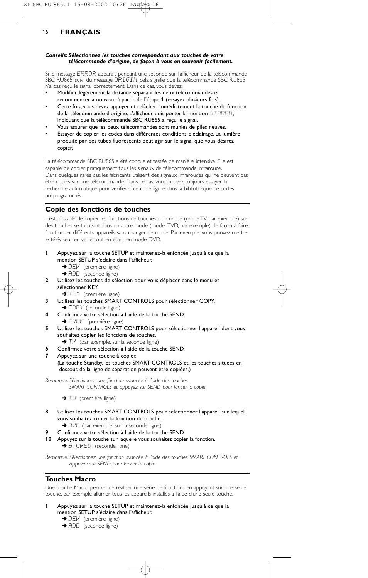#### *Conseils: Sélectionnez les touches correspondant aux touches de votre télécommande d'origine, de façon à vous en souvenir facilement.*

Si le message ERROR apparaît pendant une seconde sur l'afficheur de la télécommande SBC RU865, suivi du message ORIGIN, cela signifie que la télécommande SBC RU865 n'a pas reçu le signal correctement. Dans ce cas, vous devez:

- Modifier légèrement la distance séparant les deux télécommandes et recommencer à nouveau à partir de l'étape 1 (essayez plusieurs fois).
- Cette fois, vous devez appuyer et relâcher immédiatement la touche de fonction de la télécommande d'origine. L'afficheur doit porter la mention STORED, indiquant que la télécommande SBC RU865 a reçu le signal.
- Vous assurer que les deux télécommandes sont munies de piles neuves.
- Essayer de copier les codes dans différentes conditions d'éclairage. La lumière produite par des tubes fluorescents peut agir sur le signal que vous désirez copier.

La télécommande SBC RU865 a été conçue et testée de manière intensive. Elle est capable de copier pratiquement tous les signaux de télécommande infrarouge. Dans quelques rares cas, les fabricants utilisent des signaux infrarouges qui ne peuvent pas être copiés sur une télécommande. Dans ce cas, vous pouvez toujours essayer la recherche automatique pour vérifier si ce code figure dans la bibliothèque de codes préprogrammés.

## **Copie des fonctions de touches**

Il est possible de copier les fonctions de touches d'un mode (mode TV, par exemple) sur des touches se trouvant dans un autre mode (mode DVD, par exemple) de façon à faire fonctionner différents appareils sans changer de mode. Par exemple, vous pouvez mettre le téléviseur en veille tout en étant en mode DVD.

- **1** Appuyez sur la touche SETUP et maintenez-la enfoncée jusqu'à ce que la mention SETUP s'éclaire dans l'afficheur.
	- → DEI<sup>J</sup> (première ligne)
	- **→** ADD (seconde ligne)
- **2** Utilisez les touches de sélection pour vous déplacer dans le menu et sélectionner KEY.
	- **→ KEY** (première ligne)
- **3** Utilisez les touches SMART CONTROLS pour sélectionner COPY.
	- → COPY (seconde ligne)
- **4** Confirmez votre sélection à l'aide de la touche SEND. → FROM (première ligne)
- **5** Utilisez les touches SMART CONTROLS pour sélectionner l'appareil dont vous souhaitez copier les fonctions de touches.
	- → Tl<sup>/</sup> (par exemple, sur la seconde ligne)
- **6** Confirmez votre sélection à l'aide de la touche SEND.
- **7** Appuyez sur une touche à copier.
	- (La touche Standby, les touches SMART CONTROLS et les touches situées en dessous de la ligne de séparation peuvent être copiées.)

*Remarque: Sélectionnez une fonction avancée à l'aide des touches SMART CONTROLS et appuyez sur SEND pour lancer la copie.*

→ TÜ (première ligne)

- **8** Utilisez les touches SMART CONTROLS pour sélectionner l'appareil sur lequel vous souhaitez copier la fonction de touche. → DIVD (par exemple, sur la seconde ligne)
	- **9** Confirmez votre sélection à l'aide de la touche SEND.
- **10** Appuyez sur la touche sur laquelle vous souhaitez copier la fonction.

➜ STORED (seconde ligne)

*Remarque: Sélectionnez une fonction avancée à l'aide des touches SMART CONTROLS et appuyez sur SEND pour lancer la copie.*

### **Touches Macro**

Une touche Macro permet de réaliser une série de fonctions en appuyant sur une seule touche, par exemple allumer tous les appareils installés à l'aide d'une seule touche.

- **1** Appuyez sur la touche SETUP et maintenez-la enfoncée jusqu'à ce que la mention SETUP s'éclaire dans l'afficheur.
	- ➜ DEV (première ligne)
	- → ADD (seconde ligne)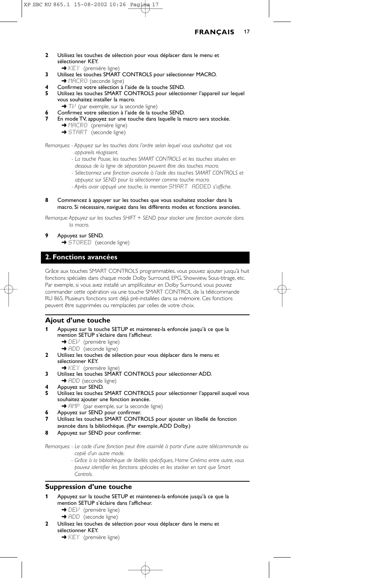- **2** Utilisez les touches de sélection pour vous déplacer dans le menu et sélectionner KEY.
- → KEY (première ligne) **3** Utilisez les touches SMART CONTROLS pour sélectionner MACRO. → MACRO (seconde ligne)
- **4** Confirmez votre sélection à l'aide de la touche SEND.
- **5** Utilisez les touches SMART CONTROLS pour sélectionner l'appareil sur lequel vous souhaitez installer la macro.
- → Tl<sup>J</sup> (par exemple, sur la seconde ligne)
- **6** Confirmez votre sélection à l'aide de la touche SEND.
- **7** En mode TV, appuyez sur une touche dans laquelle la macro sera stockée.
	- ➜ MACRO (première ligne)
	- → START (seconde ligne)

*Remarques: - Appuyez sur les touches dans l'ordre selon lequel vous souhaitez que vos appareils réagissent.*

- *La touche Pause, les touches SMART CONTROLS et les touches situées en*
- *dessous de la ligne de séparation peuvent être des touches macro. - Sélectionnez une fonction avancée à l'aide des touches SMART CONTROLS et*
- *appuyez sur SEND pour la sélectionner comme touche macro.*
- *Après avoir appuyé une touche, la mention* SMART ADDED *s'affiche.*
- **8** Commencez à appuyer sur les touches que vous souhaitez stocker dans la macro. Si nécessaire, naviguez dans les différents modes et fonctions avancées.

*Remarque:Appuyez sur les touches SHIFT + SEND pour stocker une fonction avancée dans la macro.*

### **9** Appuyez sur SEND.

**→ STORED** (seconde ligne)

## **2. Fonctions avancées**

Grâce aux touches SMART CONTROLS programmables, vous pouvez ajouter jusqu'à huit fonctions spéciales dans chaque mode Dolby Surround, EPG, Showview, Sous-titrage, etc. Par exemple, si vous avez installé un amplificateur en Dolby Surround, vous pouvez commander cette opération via une touche SMART CONTROL de la télécommande RU 865. Plusieurs fonctions sont déjà pré-installées dans sa mémoire. Ces fonctions peuvent être supprimées ou remplacées par celles de votre choix.

### **Ajout d'une touche**

- **1** Appuyez sur la touche SETUP et maintenez-la enfoncée jusqu'à ce que la mention SETUP s'éclaire dans l'afficheur.
	- → DEI<sup>,</sup> (première ligne)
	- → ADD (seconde ligne)
- **2** Utilisez les touches de sélection pour vous déplacer dans le menu et sélectionner KEY.
- ◆ KEY (première ligne) **3** Utilisez les touches SMART CONTROLS pour sélectionner ADD.
- → ADD (seconde ligne)
- **4** Appuyez sur SEND.
- **5** Utilisez les touches SMART CONTROLS pour sélectionner l'appareil auquel vous souhaitez ajouter une fonction avancée.
- **→** AMP (par exemple, sur la seconde ligne)
- **6** Appuyez sur SEND pour confirmer.
- **7** Utilisez les touches SMART CONTROLS pour ajouter un libellé de fonction avancée dans la bibliothèque. (Par exemple,ADD Dolby.)
- **8** Appuyez sur SEND pour confirmer.

*Remarques: - Le code d'une fonction peut être assimilé à partir d'une autre télécommande ou copié d'un autre mode.*

> *- Grâce à la bibliothèque de libellés spécifiques, Home Cinéma entre autre, vous pouvez identifier les fonctions spéciales et les stocker en tant que Smart Controls.*

### **Suppression d'une touche**

- **1** Appuyez sur la touche SETUP et maintenez-la enfoncée jusqu'à ce que la mention SETUP s'éclaire dans l'afficheur.
	- → DEI<sup>J</sup> (première ligne)
	- **→ ADD** (seconde ligne)
- **2** Utilisez les touches de sélection pour vous déplacer dans le menu et sélectionner KEY.
	- → KEY (première ligne)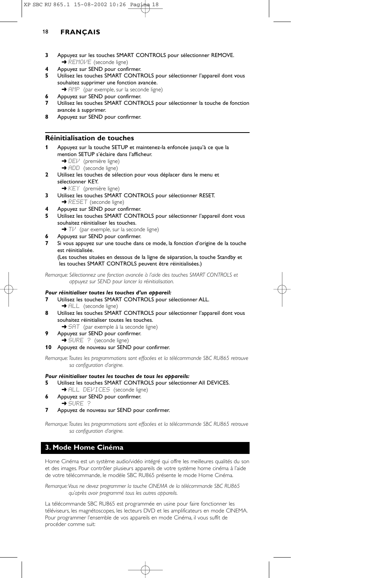- **3** Appuyez sur les touches SMART CONTROLS pour sélectionner REMOVE. **→ REMOVE** (seconde ligne)
- **4** Appuyez sur SEND pour confirmer.
- **5** Utilisez les touches SMART CONTROLS pour sélectionner l'appareil dont vous souhaitez supprimer une fonction avancée.
- → AMP (par exemple, sur la seconde ligne) **6** Appuyez sur SEND pour confirmer.
- **7** Utilisez les touches SMART CONTROLS pour sélectionner la touche de fonction avancée à supprimer.
- **8** Appuyez sur SEND pour confirmer.

## **Réinitialisation de touches**

- **1** Appuyez sur la touche SETUP et maintenez-la enfoncée jusqu'à ce que la mention SETUP s'éclaire dans l'afficheur.
	- → DEV (première ligne)
	- → ADD (seconde ligne)
- **2** Utilisez les touches de sélection pour vous déplacer dans le menu et sélectionner KEY.
	- ➜ KEY (première ligne)
- **3** Utilisez les touches SMART CONTROLS pour sélectionner RESET.
	- **→ RESET** (seconde ligne)
- **4** Appuyez sur SEND pour confirmer.
- **5** Utilisez les touches SMART CONTROLS pour sélectionner l'appareil dont vous souhaitez réinitialiser les touches.
- → Tl<sup>,i</sup> (par exemple, sur la seconde ligne)
- **6** Appuyez sur SEND pour confirmer.
- **7** Si vous appuyez sur une touche dans ce mode, la fonction d'origine de la touche est réinitialisée.

(Les touches situées en dessous de la ligne de séparation, la touche Standby et les touches SMART CONTROLS peuvent être réinitialisées.)

*Remarque: Sélectionnez une fonction avancée à l'aide des touches SMART CONTROLS et appuyez sur SEND pour lancer la réinitialisation.*

#### *Pour réinitialiser toutes les touches d'un appareil:*

- **7** Utilisez les touches SMART CONTROLS pour sélectionner ALL. **→** ALL (seconde ligne)
- **8** Utilisez les touches SMART CONTROLS pour sélectionner l'appareil dont vous souhaitez réinitialiser toutes les touches.
- → 5HT (par exemple à la seconde ligne) **9** Appuyez sur SEND pour confirmer.
	- → SURE ? (seconde ligne)

### **10** Appuyez de nouveau sur SEND pour confirmer.

*Remarque:Toutes les programmations sont effacées et la télécommande SBC RU865 retrouve sa configuration d'origine.*

## *Pour réinitialiser toutes les touches de tous les appareils:*

- **5** Utilisez les touches SMART CONTROLS pour sélectionner All DEVICES.
- → ALL DEVICES (seconde ligne)
- **6** Appuyez sur SEND pour confirmer.
- ➜ SURE ?
- **7** Appuyez de nouveau sur SEND pour confirmer.

*Remarque:Toutes les programmations sont effacées et la télécommande SBC RU865 retrouve sa configuration d'origine.*

## **3. Mode Home Cinéma**

Home Cinéma est un système audio/vidéo intégré qui offre les meilleures qualités du son et des images. Pour contrôler plusieurs appareils de votre système home cinéma à l'aide de votre télécommande, le modèle SBC RU865 présente le mode Home Cinéma.

*Remarque:Vous ne devez programmer la touche CINEMA de la télécommande SBC RU865 qu'après avoir programmé tous les autres appareils.*

La télécommande SBC RU865 est programmée en usine pour faire fonctionner les téléviseurs, les magnétoscopes, les lecteurs DVD et les amplificateurs en mode CINEMA. Pour programmer l'ensemble de vos appareils en mode Cinéma, il vous suffit de procéder comme suit: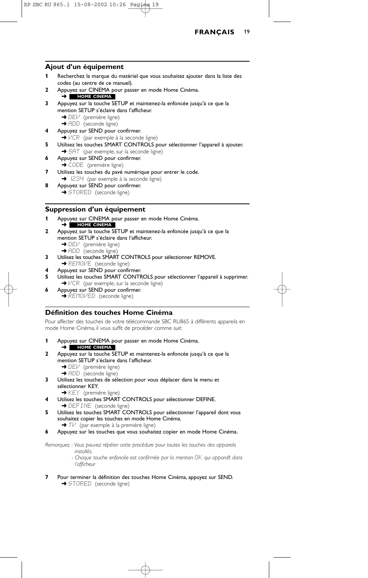

### **Ajout d'un équipement**

- **1** Recherchez la marque du matériel que vous souhaitez ajouter dans la liste des codes (au centre de ce manuel).
- **2** Appuyez sur CINEMA pour passer en mode Home Cinéma. ➜ **HOME CINEMA**
- **3** Appuyez sur la touche SETUP et maintenez-la enfoncée jusqu'à ce que la mention SETUP s'éclaire dans l'afficheur.
	- **→** DEV (première ligne)
	- → ADD (seconde ligne)
- **4** Appuyez sur SEND pour confirmer.
- ➜ VCR (par exemple à la seconde ligne)
- **5** Utilisez les touches SMART CONTROLS pour sélectionner l'appareil à ajouter. → 5AT (par exemple, sur la seconde ligne)
- **6** Appuyez sur SEND pour confirmer.
- → CODE (première ligne) **7** Utilisez les touches du pavé numérique pour entrer le code.
- **→**  $E34$  (par exemple à la seconde ligne)
- **8** Appuyez sur SEND pour confirmer. → STORED (seconde ligne)

## **Suppression d'un équipement**

- **1** Appuyez sur CINEMA pour passer en mode Home Cinéma. ➜ **HOME CINEMA**
- **2** Appuyez sur la touche SETUP et maintenez-la enfoncée jusqu'à ce que la mention SETUP s'éclaire dans l'afficheur.
	- → DEI<sup>J</sup> (première ligne)
	- → ADD (seconde ligne)
- **3** Utilisez les touches SMART CONTROLS pour sélectionner REMOVE. **→ REMOVE** (seconde ligne)
- **4** Appuyez sur SEND pour confirmer.
- **5** Utilisez les touches SMART CONTROLS pour sélectionner l'appareil à supprimer. →  $VCF$  (par exemple, sur la seconde ligne)
- **6** Appuyez sur SEND pour confirmer. **→ REMOVED** (seconde ligne)

## **Définition des touches Home Cinéma**

Pour affecter des touches de votre télécommande SBC RU865 à différents appareils en mode Home Cinéma, il vous suffit de procéder comme suit:

- **1** Appuyez sur CINEMA pour passer en mode Home Cinéma. ➜ **HOME CINEMA**
- **2** Appuyez sur la touche SETUP et maintenez-la enfoncée jusqu'à ce que la mention SETUP s'éclaire dans l'afficheur.
	- → DEI<sup>J</sup> (première ligne)
	- → ADD (seconde ligne)
- **3** Utilisez les touches de sélection pour vous déplacer dans le menu et sélectionner KEY.
	- ➜ KEY (première ligne)
- **4** Utilisez les touches SMART CONTROLS pour sélectionner DEFINE. → DEFINE (seconde ligne)
- **5** Utilisez les touches SMART CONTROLS pour sélectionner l'appareil dont vous souhaitez copier les touches en mode Home Cinéma. → Tl<sup>,1</sup> (par exemple à la première ligne)
- **6** Appuyez sur les touches que vous souhaitez copier en mode Home Cinéma.

*Remarques: - Vous pouvez répéter cette procédure pour toutes les touches des appareils*

- *installés. - Chaque touche enfoncée est confirmée par la mention* OK *qui apparaît dans l'afficheur*
- **7** Pour terminer la définition des touches Home Cinéma, appuyez sur SEND. → STORED (seconde ligne)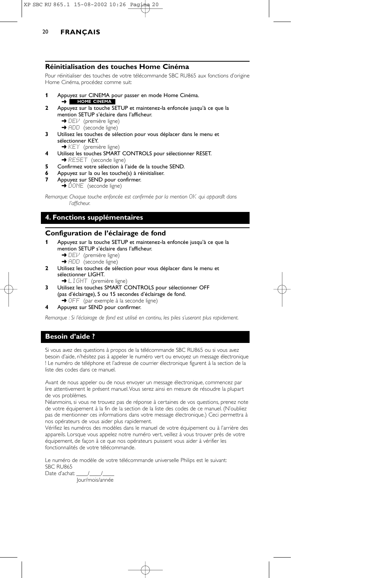### **Réinitialisation des touches Home Cinéma**

Pour réinitialiser des touches de votre télécommande SBC RU865 aux fonctions d'origine Home Cinéma, procédez comme suit:

- **1** Appuyez sur CINEMA pour passer en mode Home Cinéma.
- ➜ **HOME CINEMA**
- **2** Appuyez sur la touche SETUP et maintenez-la enfoncée jusqu'à ce que la mention SETUP s'éclaire dans l'afficheur.
	- → DEI<sup>J</sup> (première ligne)
	- → ADD (seconde ligne)
- **3** Utilisez les touches de sélection pour vous déplacer dans le menu et sélectionner KEY.
	- **→ KEY** (première ligne)
- **4** Utilisez les touches SMART CONTROLS pour sélectionner RESET.
- → RESET (seconde ligne)
- **5** Confirmez votre sélection à l'aide de la touche SEND.
- **6** Appuyez sur la ou les touche(s) à réinitialiser.
	- **7** Appuyez sur SEND pour confirmer.
		- → DONE (seconde ligne)

*Remarque: Chaque touche enfoncée est confirmée par la mention*  $\Box$ *K qui apparaît dans l'afficheur.*

## **4. Fonctions supplémentaires**

## **Configuration de l'éclairage de fond**

- **1** Appuyez sur la touche SETUP et maintenez-la enfoncée jusqu'à ce que la mention SETUP s'éclaire dans l'afficheur.
	- **→** DEI<sup>J</sup> (première ligne)
	- → ADD (seconde ligne)
- **2** Utilisez les touches de sélection pour vous déplacer dans le menu et sélectionner LIGHT.
	- **→ LIGHT** (première ligne)
- **3** Utilisez les touches SMART CONTROLS pour sélectionner OFF (pas d'éclairage), 5 ou 15 secondes d'éclairage de fond. **→ OFF** (par exemple à la seconde ligne)
- 
- **4** Appuyez sur SEND pour confirmer.

*Remarque : Si l'éclairage de fond est utilisé en continu, les piles s'useront plus rapidement.*

### **Besoin d'aide ?**

Si vous avez des questions à propos de la télécommande SBC RU865 ou si vous avez besoin d'aide, n'hésitez pas à appeler le numéro vert ou envoyez un message électronique ! Le numéro de téléphone et l'adresse de courrier électronique figurent à la section de la liste des codes dans ce manuel.

Avant de nous appeler ou de nous envoyer un message électronique, commencez par lire attentivement le présent manuel.Vous serez ainsi en mesure de résoudre la plupart de vos problèmes.

Néanmoins, si vous ne trouvez pas de réponse à certaines de vos questions, prenez note de votre équipement à la fin de la section de la liste des codes de ce manuel. (N'oubliez pas de mentionner ces informations dans votre message électronique.) Ceci permettra à nos opérateurs de vous aider plus rapidement.

Vérifiez les numéros des modèles dans le manuel de votre équipement ou à l'arrière des appareils. Lorsque vous appelez notre numéro vert, veillez à vous trouver près de votre équipement, de façon à ce que nos opérateurs puissent vous aider à vérifier les fonctionnalités de votre télécommande.

Le numéro de modèle de votre télécommande universelle Philips est le suivant: SBC RU865

Date d'achat: / Jour/mois/année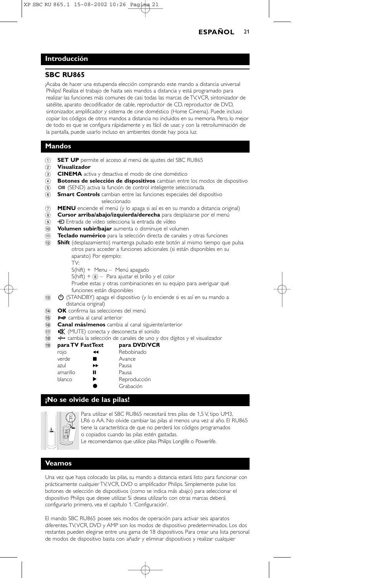## **Introducción**

## **SBC RU865**

¡Acaba de hacer una estupenda elección comprando este mando a distancia universal Philips! Realiza el trabajo de hasta seis mandos a distancia y está programado para realizar las funciones más comunes de casi todas las marcas de TV,VCR, sintonizador de satélite, aparato decodificador de cable, reproductor de CD, reproductor de DVD, sintonizador, amplificador y sistema de cine doméstico (Home Cinema). Puede incluso copiar los códigos de otros mandos a distancia no incluidos en su memoria. Pero, lo mejor de todo es que se configura rápidamente y es fácil de usar, y con la retroiluminación de la pantalla, puede usarlo incluso en ambientes donde hay poca luz.

## **Mandos**

- 1 **SET UP** permite el acceso al menú de ajustes del SBC RU865
- 2 **Visualizador**
- 3 **CINEMA** activa y desactiva el modo de cine doméstico
- 4 **Botones de selección de dispositivos** cambian entre los modos de dispositivo
- 6 **OII** (SEND) activa la función de control inteligente seleccionada
- 6 **Smart Controls** cambian entre las funciones especiales del dispositivo seleccionado
- 7 **MENU** enciende el menú (y lo apaga si así es en su mando a distancia original)
- 8 **Cursor arriba/abajo/izquierda/derecha** para desplazarse por el menú
- 9 b Entrada de vídeo selecciona la entrada de vídeo
- 0 **Volumen subir/bajar** aumenta o disminuye el volumen
- ! **Teclado numérico** para la selección directa de canales y otras funciones
- @ **Shift** (desplazamiento) mantenga pulsado este botón al mismo tiempo que pulsa otros para acceder a funciones adicionales (si están disponibles en su
	- aparato) Por ejemplo:
	- TV:
	- S(hift) + Menu Menú apagado
	- $S(hift) +  $\circledast$  Para ajustar el brillo y el color$
	- Pruebe estas y otras combinaciones en su equipo para averiguar qué funciones están disponibles
- $\bigcirc$  (STANDBY) apaga el dispositivo (y lo enciende si es así en su mando a distancia original)
- **14 OK** confirma las selecciones del menú
- (15) P<P cambia al canal anterior
- ^ **Canal más/menos** cambia al canal siguiente/anterior
- $\overrightarrow{17}$   $\overrightarrow{18}$  (MUTE) conecta y desconecta el sonido
- \* 3 cambia la selección de canales de uno y dos dígitos y el visualizador
- $\widehat{19}$  para TV FastText

| rojo     | $\blacktriangleleft$ | Rebobinado   |
|----------|----------------------|--------------|
| verde    | ٠                    | Avance       |
| azul     | ▸                    | Pausa        |
| amarillo | "                    | Pausa        |
| blanco   | ▶                    | Reproducción |
|          |                      | Grabación    |
|          |                      |              |

## **¡No se olvide de las pilas!**



Para utilizar el SBC RU865 necesitará tres pilas de 1,5 V, tipo UM3, LR6 o AA. No olvide cambiar las pilas al menos una vez al año. El RU865 tiene la característica de que no perderá los códigos programados o copiados cuando las pilas estén gastadas. Le recomendamos que utilice pilas Philips Longlife o Powerlife.

#### **Veamos**

Una vez que haya colocado las pilas, su mando a distancia estará listo para funcionar con prácticamente cualquier TV,VCR, DVD o amplificador Philips. Simplemente pulse los botones de selección de dispositivos (como se indica más abajo) para seleccionar el dispositivo Philips que desee utilizar. Si desea utilizarlo con otras marcas deberá configurarlo primero, vea el capítulo 1.'Configuración'.

El mando SBC RU865 posee seis modos de operación para activar seis aparatos diferentes.TV,VCR, DVD y AMP son los modos de dispositivo predeterminados. Los dos restantes pueden elegirse entre una gama de 18 dispositivos. Para crear una lista personal de modos de dispositivo basta con añadir y eliminar dispositivos y realizar cualquier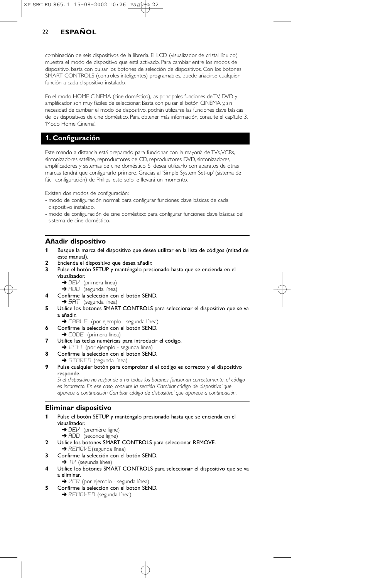combinación de seis dispositivos de la librería. El LCD (visualizador de cristal líquido) muestra el modo de dispositivo que está activado. Para cambiar entre los modos de dispositivo, basta con pulsar los botones de selección de dispositivos. Con los botones SMART CONTROLS (controles inteligentes) programables, puede añadirse cualquier función a cada dispositivo instalado.

En el modo HOME CINEMA (cine doméstico), las principales funciones de TV, DVD y amplificador son muy fáciles de seleccionar. Basta con pulsar el botón CINEMA y, sin necesidad de cambiar el modo de dispositivo, podrán utilizarse las funciones clave básicas de los dispositivos de cine doméstico. Para obtener más información, consulte el capítulo 3. 'Modo Home Cinema'.

## **1. Configuración**

Este mando a distancia está preparado para funcionar con la mayoría de TVs, VCRs, sintonizadores satélite, reproductores de CD, reproductores DVD, sintonizadores, amplificadores y sistemas de cine doméstico. Si desea utilizarlo con aparatos de otras marcas tendrá que configurarlo primero. Gracias al 'Simple System Set-up' (sistema de fácil configuración) de Philips, esto solo le llevará un momento.

Existen dos modos de configuración:

- modo de configuración normal: para configurar funciones clave básicas de cada dispositivo instalado.
- modo de configuración de cine doméstico: para configurar funciones clave básicas del sistema de cine doméstico.

#### **Añadir dispositivo**

- **1** Busque la marca del dispositivo que desea utilizar en la lista de códigos (mitad de este manual).
- **2** Encienda el dispositivo que desea añadir.
- **3** Pulse el botón SETUP y manténgalo presionado hasta que se encienda en el visualizador.
	- → DEl<sup>J</sup> (primera línea) ➜ ADD (segunda línea)
- **4** Confirme la selección con el botón SEND. → SAT (segunda línea)
- **5** Utilice los botones SMART CONTROLS para seleccionar el dispositivo que se va a añadir.
	- **→** CABLE (por ejemplo segunda línea)
- **6** Confirme la selección con el botón SEND.
- → CODE (primera línea)
- **7** Utilice las teclas numéricas para introducir el código.
- **→** 1234 (por ejemplo segunda línea) **8** Confirme la selección con el botón SEND.
	- → STORED (segunda línea)
- **9** Pulse cualquier botón para comprobar si el código es correcto y el dispositivo responde.

*Si el dispositivo no responde o no todos los botones funcionan correctamente, el código es incorrecto. En ese caso, consulte la sección 'Cambiar código de dispositivo' que aparece a continuación Cambiar código de dispositivo' que aparece a continuación.*

### **Eliminar dispositivo**

- **1** Pulse el botón SETUP y manténgalo presionado hasta que se encienda en el visualizador.
	- → DEI<sup>J</sup> (première ligne)
	- **→** ADD (seconde ligne)
- **2** Utilice los botones SMART CONTROLS para seleccionar REMOVE.
- → REMOI/E (segunda línea) **3** Confirme la selección con el botón SEND.
- $\blacktriangleright$  T $\nvdash$  (segunda línea)
- **4** Utilice los botones SMART CONTROLS para seleccionar el dispositivo que se va a eliminar.
- ➜ VCR (por ejemplo segunda línea)
- **5** Confirme la selección con el botón SEND.
	- → REMOVED (segunda línea)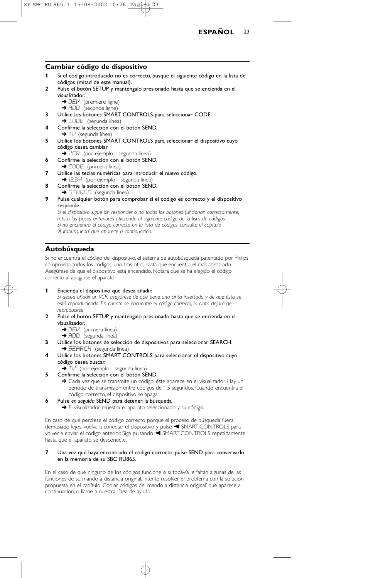

#### **Cambiar código de dispositivo**

- **1** Si el código introducido no es correcto, busque el siguiente código en la lista de códigos (mitad de este manual).
- **2** Pulse el botón SETUP y manténgalo presionado hasta que se encienda en el visualizador.
	- → DEl<sup>J</sup> (première ligne)
	- → ADD (seconde ligne)
- **3** Utilice los botones SMART CONTROLS para seleccionar CODE.
- → CODE (segunda línea)
- **4** Confirme la selección con el botón SEND. → Tl<sup>,i</sup> (segunda línea)
- **5** Utilice los botones SMART CONTROLS para seleccionar el dispositivo cuyo código desea cambiar.
	- ➜ VCR (por ejemplo segunda línea)
- **6** Confirme la selección con el botón SEND.
- → CODE (primera línea)
- **7** Utilice las teclas numéricas para introducir el nuevo código. → I234 (por ejemplo - segunda línea)
- **8** Confirme la selección con el botón SEND.
- **→ STORED** (segunda línea)
- **9** Pulse cualquier botón para comprobar si el código es correcto y el dispositivo responde.

*Si el dispositivo sigue sin responder o no todos los botones funcionan correctamente, repita los pasos anteriores utilizando el siguiente código de la lista de códigos. Si no encuentra el código correcto en la lista de códigos, consulte el capítulo 'Autobúsqueda' que aparece a continuación.*

### **Autobúsqueda**

Si no encuentra el código del dispositivo, el sistema de autobúsqueda patentado por Philips comprueba todos los códigos, uno tras otro, hasta que encuentra el más apropiado. Asegúrese de que el dispositivo está encendido. Notará que se ha elegido el código correcto al apagarse el aparato.

#### **1** Encienda el dispositivo que desea añadir.

*Si desea añadir un VCR, asegúrese de que tiene una cinta insertada y de que ésta se está reproduciendo. En cuanto se encuentre el código correcto, la cinta dejará de reproducirse.*

- **2** Pulse el botón SETUP y manténgalo presionado hasta que se encienda en el visualizador.
	- → DEl<sup>J</sup> (primera línea)
	- → ADD (segunda línea)
- **3** Utilice los botones de selección de dispositivos para seleccionar SEARCH. **→ SEARCH** (segunda línea)
- **4** Utilice los botones SMART CONTROLS para seleccionar el dispositivo cuyo código desea buscar.
	- **→ T** $\vee$  (por ejemplo segunda línea)
- **5** Confirme la selección con el botón SEND. → Cada vez que se transmite un código, éste aparece en el visualizador. Hay un período de transmisión entre códigos de 1,5 segundos. Cuando encuentra el código correcto, el dispositivo se apaga.
- **6** Pulse *en seguida* SEND para detener la búsqueda
	- → El visualizador muestra el aparato seleccionado y su código.

En caso de que perdiese el código correcto porque el proceso de búsqueda fuera demasiado lejos, vuelva a conectar el dispositivo y pulse < SMART CONTROLS para volver a enviar el código anterior. Siga pulsando <SMART CONTROLS repetidamente hasta que el aparato se desconecte.

#### **7** Una vez que haya encontrado el código correcto, pulse SEND para conservarlo en la memoria de su SBC RU865.

En el caso de que ninguno de los códigos funcione o si todavía le faltan algunas de las funciones de su mando a distancia original, intente resolver el problema con la solución propuesta en el capítulo 'Copiar códigos del mando a distancia original' que aparece a continuación, o llame a nuestra línea de ayuda.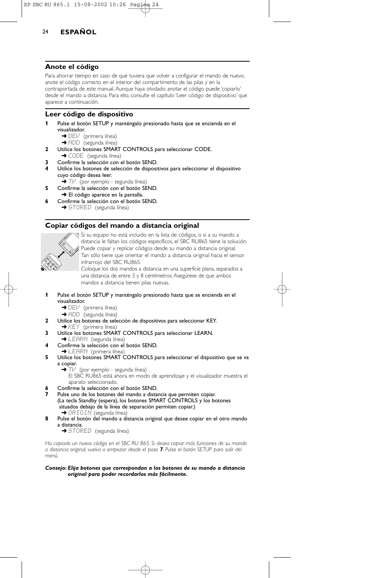### **Anote el código**

Para ahorrar tiempo en caso de que tuviera que volver a configurar el mando de nuevo, anote el código correcto en el interior del compartimento de las pilas y en la contraportada de este manual. Aunque haya olvidado anotar el código puede 'copiarlo' desde el mando a distancia. Para ello, consulte el capítulo 'Leer código de dispositivo' que aparece a continuación.

## **Leer código de dispositivo**

- **1** Pulse el botón SETUP y manténgalo presionado hasta que se encienda en el visualizador.
	- → DEI<sup>J</sup> (primera línea)
	- ➜ ADD (segunda línea)
- **2** Utilice los botones SMART CONTROLS para seleccionar CODE. → CODE (segunda línea)
- **3** Confirme la selección con el botón SEND.
- **4** Utilice los botones de selección de dispositivos para seleccionar el dispositivo cuyo código desea leer.
	- → Tl<sup>J</sup> (por ejemplo segunda línea)
- **5** Confirme la selección con el botón SEND. → El código aparece en la pantalla.
- **6** Confirme la selección con el botón SEND. → STORED (segunda línea)

## **Copiar códigos del mando a distancia original**



Si su equipo no está incluido en la lista de códigos, o si a su mando a distancia le faltan los códigos específicos, el SBC RU865 tiene la solución. Puede copiar y replicar códigos desde su mando a distancia original. Tan sólo tiene que orientar el mando a distancia original hacia el sensor infrarrojo del SBC RU865. Coloque los dos mandos a distancia en una superficie plana, separados a

una distancia de entre 3 y 8 centímetros. Asegúrese de que ambos mandos a distancia tienen pilas nuevas.

- **1** Pulse el botón SETUP y manténgalo presionado hasta que se encienda en el visualizador.
	- → DEl<sup>J</sup> (primera línea)
	- ➜ ADD (segunda línea)
- **2** Utilice los botones de selección de dispositivos para seleccionar KEY. ◆ KEY (primera línea)
- **3** Utilice los botones SMART CONTROLS para seleccionar LEARN.
- → LEARN (segunda línea)
- **4** Confirme la selección con el botón SEND.<br>→ LEARN (primera línea)
- **5** Utilice los botones SMART CONTROLS para seleccionar el dispositivo que se va a copiar.<br>  $\rightarrow$  TV
	- (por ejemplo segunda línea)
		- El SBC RU865 está ahora en modo de aprendizaje y el visualizador muestra el aparato seleccionado.
- **6** Confirme la selección con el botón SEND.
- **7** Pulse uno de los botones del mando a distancia que permiten copiar. (La tecla Standby (espera), los botones SMART CONTROLS y los botones situados debajo de la línea de separación permiten copiar.)
- ➜ ORIGIN (segunda línea) **8** Pulse el botón del mando a distancia original que desee copiar en el otro mando
	- a distancia.

→ STORED (segunda línea)

*Ha copiado un nuevo código en el SBC RU 865. Si desea copiar más funciones de su mando a distancia original, vuelva a empezar desde el paso 7. Pulse el botón SETUP para salir del menú.*

#### *Consejo: Elija botones que correspondan a los botones de su mando a distancia original para poder recordarlos más fácilmente.*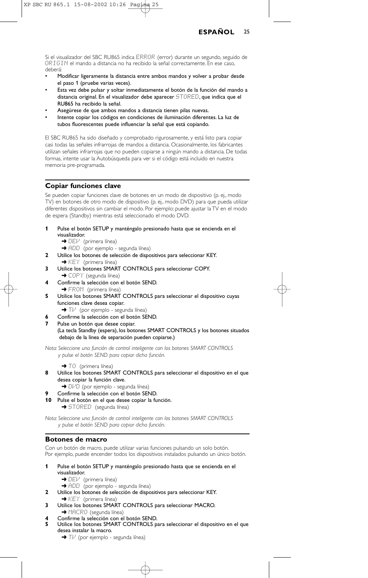Si el visualizador del SBC RU865 indica ERROR (error) durante un segundo, seguido de ORIGIN el mando a distancia no ha recibido la señal correctamente. En ese caso, deberá:

- Modificar ligeramente la distancia entre ambos mandos y volver a probar desde el paso 1 (pruebe varias veces).
- Esta vez debe pulsar y soltar inmediatamente el botón de la función del mando a distancia original. En el visualizador debe aparecer STORED, que indica que el RU865 ha recibido la señal.
- Asegúrese de que ambos mandos a distancia tienen pilas nuevas.
- Intente copiar los códigos en condiciones de iluminación diferentes. La luz de tubos fluorescentes puede influenciar la señal que está copiando.

El SBC RU865 ha sido diseñado y comprobado rigurosamente, y está listo para copiar casi todas las señales infrarrojas de mandos a distancia. Ocasionalmente, los fabricantes utilizan señales infrarrojas que no pueden copiarse a ningún mando a distancia. De todas formas, intente usar la Autobúsqueda para ver si el código está incluido en nuestra memoria pre-programada.

## **Copiar funciones clave**

Se pueden copiar funciones clave de botones en un modo de dispositivo (p. ej., modo TV) en botones de otro modo de dispositivo (p. ej., modo DVD) para que pueda utilizar diferentes dispositivos sin cambiar el modo. Por ejemplo: puede ajustar la TV en el modo de espera (Standby) mientras está seleccionado el modo DVD.

- **1** Pulse el botón SETUP y manténgalo presionado hasta que se encienda en el visualizador.
	- → DEl<sup>J</sup> (primera línea)
	- → ADD (por ejemplo segunda línea)
- **2** Utilice los botones de selección de dispositivos para seleccionar KEY. → KEY (primera línea)
- **3** Utilice los botones SMART CONTROLS para seleccionar COPY. → COPY (segunda línea)
- **4** Confirme la selección con el botón SEND. → FROM (primera línea)
- **5** Utilice los botones SMART CONTROLS para seleccionar el dispositivo cuyas funciones clave desea copiar.
	- **→** T $\vee$  (por ejemplo segunda línea)
- **6** Confirme la selección con el botón SEND.
- **7** Pulse un botón que desee copiar. (La tecla Standby (espera), los botones SMART CONTROLS y los botones situados debajo de la línea de separación pueden copiarse.)

*Nota: Seleccione una función de control inteligente con los botones SMART CONTROLS y pulse el botón SEND para copiar dicha función.*

→ TO (primera línea)

- **8** Utilice los botones SMART CONTROLS para seleccionar el dispositivo en el que desea copiar la función clave.
	- → DI/D (por ejemplo segunda línea)
- **9** Confirme la selección con el botón SEND.
- **10** Pulse el botón en el que desee copiar la función.

→ STORED (segunda línea)

*Nota: Seleccione una función de control inteligente con los botones SMART CONTROLS y pulse el botón SEND para copiar dicha función.*

### **Botones de macro**

Con un botón de macro, puede utilizar varias funciones pulsando un solo botón. Por ejemplo, puede encender todos los dispositivos instalados pulsando un único botón.

- **1** Pulse el botón SETUP y manténgalo presionado hasta que se encienda en el visualizador.
	- → DEI<sup>J</sup> (primera línea)
	- → ADD (por ejemplo segunda línea)
- **2** Utilice los botones de selección de dispositivos para seleccionar KEY.
- $\rightarrow$  KEY (primera línea)
- **3** Utilice los botones SMART CONTROLS para seleccionar MACRO.
- **→ MACRO** (segunda línea) **4** Confirme la selección con el botón SEND.
- **5** Utilice los botones SMART CONTROLS para seleccionar el dispositivo en el que
	- desea instalar la macro. → Tl<sup>,1</sup> (por ejemplo - segunda línea)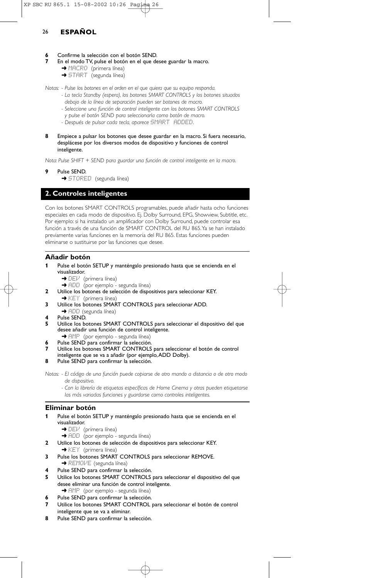## **6** Confirme la selección con el botón SEND.

- **7** En el modo TV, pulse el botón en el que desee guardar la macro.
	- → MACRO (primera línea)
	- **→ START** (segunda línea)

*Notas: - Pulse los botones en el orden en el que quiera que su equipo responda.*

- *La tecla Standby (espera), los botones SMART CONTROLS y los botones situados debajo de la línea de separación pueden ser botones de macro.*
- *Seleccione una función de control inteligente con los botones SMART CONTROLS y pulse el botón SEND para seleccionarla como botón de macro.*
- *Después de pulsar cada tecla, aparece* SMART ADDED*.*
- **8** Empiece a pulsar los botones que desee guardar en la macro. Si fuera necesario, desplácese por los diversos modos de dispositivo y funciones de control inteligente.

*Nota: Pulse SHIFT + SEND para guardar una función de control inteligente en la macro.*

- **9** Pulse SEND.
	- → STORED (segunda línea)

## **2. Controles inteligentes**

Con los botones SMART CONTROLS programables, puede añadir hasta ocho funciones especiales en cada modo de dispositivo. Ej. Dolby Surround, EPG, Showview, Subtitle, etc. Por ejemplo: si ha instalado un amplificador con Dolby Surround, puede controlar esa función a través de una función de SMART CONTROL del RU 865.Ya se han instalado previamente varias funciones en la memoria del RU 865. Estas funciones pueden eliminarse o sustituirse por las funciones que desee.

### **Añadir botón**

- **1** Pulse el botón SETUP y manténgalo presionado hasta que se encienda en el visualizador.
	- → DEV (primera línea)
	- → ADD (por ejemplo segunda línea)
- **2** Utilice los botones de selección de dispositivos para seleccionar KEY.  $\rightarrow$  KEY (primera línea)
- **3** Utilice los botones SMART CONTROLS para seleccionar ADD. → ADD (segunda línea)
- 
- **4** Pulse SEND. **5** Utilice los botones SMART CONTROLS para seleccionar el dispositivo del que desee añadir una función de control inteligente.
- → AMP (por ejemplo segunda línea)
- Pulse SEND para confirmar la selección.
- **7** Utilice los botones SMART CONTROLS para seleccionar el botón de control
- inteligente que se va a añadir (por ejemplo,ADD Dolby).
- **8** Pulse SEND para confirmar la selección.

*Notas: - El código de una función puede copiarse de otro mando a distancia o de otro modo de dispositivo.*

*- Con la librería de etiquetas específicas de Home Cinema y otras pueden etiquetarse las más variadas funciones y guardarse como controles inteligentes.*

### **Eliminar botón**

- **1** Pulse el botón SETUP y manténgalo presionado hasta que se encienda en el visualizador.
	- $\rightarrow$  DEV (primera línea)
	- → ADD (por ejemplo segunda línea)
- **2** Utilice los botones de selección de dispositivos para seleccionar KEY.
- **→ KEY** (primera línea)
- **3** Pulse los botones SMART CONTROLS para seleccionar REMOVE.
- **→ REMOVE** (segunda línea)
- **4** Pulse SEND para confirmar la selección.
- **5** Utilice los botones SMART CONTROLS para seleccionar el dispositivo del que desee eliminar una función de control inteligente.
- **→** AMP (por ejemplo segunda línea)
- **6** Pulse SEND para confirmar la selección.
- **7** Utilice los botones SMART CONTROL para seleccionar el botón de control inteligente que se va a eliminar.
- **8** Pulse SEND para confirmar la selección.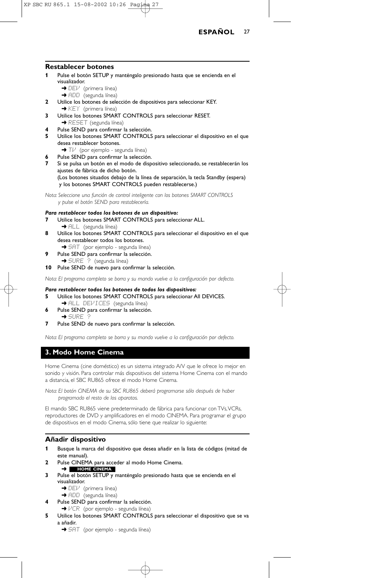

#### **Restablecer botones**

- **1** Pulse el botón SETUP y manténgalo presionado hasta que se encienda en el visualizador.
	- → DEI<sup>J</sup> (primera línea)
	- → ADD (segunda línea)
- **2** Utilice los botones de selección de dispositivos para seleccionar KEY. **→ KEY** (primera línea)
- **3** Utilice los botones SMART CONTROLS para seleccionar RESET. → RESET (segunda línea)
- **4** Pulse SEND para confirmar la selección.
- **5** Utilice los botones SMART CONTROLS para seleccionar el dispositivo en el que desea restablecer botones.
	- → Tl<sup>,1</sup> (por ejemplo segunda línea)
- **6** Pulse SEND para confirmar la selección.
- **7** Si se pulsa un botón en el modo de dispositivo seleccionado, se restablecerán los ajustes de fábrica de dicho botón. (Los botones situados debajo de la línea de separación, la tecla Standby (espera) y los botones SMART CONTROLS pueden restablecerse.)

*Nota: Seleccione una función de control inteligente con los botones SMART CONTROLS y pulse el botón SEND para restablecerla.*

#### *Para restablecer todos los botones de un dispositivo:*

- **7** Utilice los botones SMART CONTROLS para seleccionar ALL. → FILL (segunda línea)
- **8** Utilice los botones SMART CONTROLS para seleccionar el dispositivo en el que desea restablecer todos los botones.
	- → SAT (por ejemplo segunda línea)
- **9** Pulse SEND para confirmar la selección. → SURE ? (segunda línea)
- **10** Pulse SEND de nuevo para confirmar la selección.

*Nota: El programa completo se borra y su mando vuelve a la configuración por defecto.*

#### *Para restablecer todos los botones de todos los dispositivos:*

- **5** Utilice los botones SMART CONTROLS para seleccionar All DEVICES.
- → ALL DEVICES (segunda línea) **6** Pulse SEND para confirmar la selección.  $\rightarrow$  SURE
- **7** Pulse SEND de nuevo para confirmar la selección.

*Nota: El programa completo se borra y su mando vuelve a la configuración por defecto.*

## **3. Modo Home Cinema**

Home Cinema (cine doméstico) es un sistema integrado A/V que le ofrece lo mejor en sonido y visión. Para controlar más dispositivos del sistema Home Cinema con el mando a distancia, el SBC RU865 ofrece el modo Home Cinema.

*Nota: El botón CINEMA de su SBC RU865 deberá programarse sólo después de haber programado el resto de los aparatos.*

El mando SBC RU865 viene predeterminado de fábrica para funcionar con TVs,VCRs, reproductores de DVD y amplificadores en el modo CINEMA. Para programar el grupo de dispositivos en el modo Cinema, sólo tiene que realizar lo siguiente:

### **Añadir dispositivo**

- **1** Busque la marca del dispositivo que desea añadir en la lista de códigos (mitad de este manual).
- **2** Pulse CINEMA para acceder al modo Home Cinema. ➜ **HOME CINEMA**
- **3** Pulse el botón SETUP y manténgalo presionado hasta que se encienda en el visualizador.
	- → DEI<sup>J</sup> (primera línea)

→ ADD (segunda línea)

- **4** Pulse SEND para confirmar la selección. → VCR (por ejemplo - segunda línea)
- **5** Utilice los botones SMART CONTROLS para seleccionar el dispositivo que se va a añadir.
	- → SAT (por ejemplo segunda línea)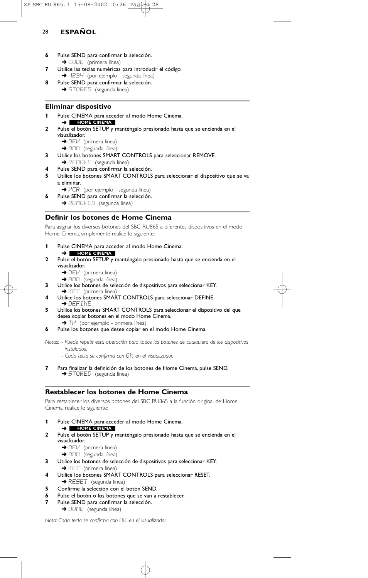- **6** Pulse SEND para confirmar la selección. → CODE (primera línea)
- **7** Utilice las teclas numéricas para introducir el código. → IZ3<sup>11</sup> (por ejemplo - segunda línea)
- **8** Pulse SEND para confirmar la selección. → STORED (segunda línea)

## **Eliminar dispositivo**

- **1** Pulse CINEMA para acceder al modo Home Cinema. ➜ **HOME CINEMA**
- **2** Pulse el botón SETUP y manténgalo presionado hasta que se encienda en el visualizador.
	- → DEI<sup>J</sup> (primera línea)
	- → ADD (segunda línea)
- **3** Utilice los botones SMART CONTROLS para seleccionar REMOVE.
	- → REMOVE (segunda línea)
- **4** Pulse SEND para confirmar la selección.
- **5** Utilice los botones SMART CONTROLS para seleccionar el dispositivo que se va a eliminar.
	- →  $VCR$  (por ejemplo segunda línea)
- **6** Pulse SEND para confirmar la selección.
	- → REMOVED (segunda línea)

## **Definir los botones de Home Cinema**

Para asignar los diversos botones del SBC RU865 a diferentes dispositivos en el modo Home Cinema, simplemente realice lo siguiente:

- **1** Pulse CINEMA para acceder al modo Home Cinema. ➜ **HOME CINEMA**
- **2** Pulse el botón SETUP y manténgalo presionado hasta que se encienda en el visualizador.
	- → DEl<sup>.</sup> (primera línea)
	- **→** ADD (segunda línea)
- **3** Utilice los botones de selección de dispositivos para seleccionar KEY.
	- → KEY (primera línea)
- **4** Utilice los botones SMART CONTROLS para seleccionar DEFINE. ➜ DEFINE
- **5** Utilice los botones SMART CONTROLS para seleccionar el dispositivo del que desea copiar botones en el modo Home Cinema.
- $\rightarrow$  T $\nu$  (por ejemplo primera línea)
- **6** Pulse los botones que desee copiar en el modo Home Cinema.

*Notas: - Puede repetir esta operación para todos los botones de cualquiera de los dispositivos instalados.*

- *Cada tecla se confirma con* OK *en el visualizador.*
- **7** Para finalizar la definición de los botones de Home Cinema, pulse SEND. ◆ STORED (segunda línea)

### **Restablecer los botones de Home Cinema**

Para restablecer los diversos botones del SBC RU865 a la función original de Home Cinema, realice lo siguiente:

- **1** Pulse CINEMA para acceder al modo Home Cinema.
- ➜ **HOME CINEMA**
- **2** Pulse el botón SETUP y manténgalo presionado hasta que se encienda en el visualizador.
	- → DEV (primera línea)
	- → ADD (segunda línea)
- **3** Utilice los botones de selección de dispositivos para seleccionar KEY.  $\rightarrow$  KEY (primera línea)
- **4** Utilice los botones SMART CONTROLS para seleccionar RESET. **→ RESET** (segunda línea)
- **5** Confirme la selección con el botón SEND.
- **6** Pulse el botón o los botones que se van a restablecer.
- **7** Pulse SEND para confirmar la selección.
	- → DONE (segunda línea)

*Nota: Cada tecla se confirma con* OK *en el visualizador.*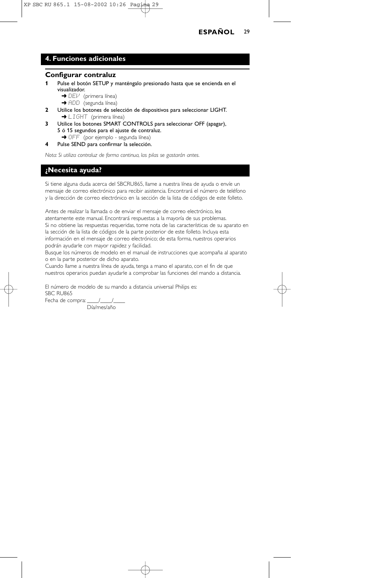## **4. Funciones adicionales**

## **Configurar contraluz**

- **1** Pulse el botón SETUP y manténgalo presionado hasta que se encienda en el visualizador.
	- **→** DEV (primera línea)
	- → ADD (segunda línea)
- **2** Utilice los botones de selección de dispositivos para seleccionar LIGHT. → LIGHT (primera línea)
- **3** Utilice los botones SMART CONTROLS para seleccionar OFF (apagar), 5 ó 15 segundos para el ajuste de contraluz.
	- → OFF (por ejemplo segunda línea)
- **4** Pulse SEND para confirmar la selección.

*Nota: Si utiliza contraluz de forma continua, las pilas se gastarán antes.*

## **¿Necesita ayuda?**

Si tiene alguna duda acerca del SBCRU865, llame a nuestra línea de ayuda o envíe un mensaje de correo electrónico para recibir asistencia. Encontrará el número de teléfono y la dirección de correo electrónico en la sección de la lista de códigos de este folleto.

Antes de realizar la llamada o de enviar el mensaje de correo electrónico, lea atentamente este manual. Encontrará respuestas a la mayoría de sus problemas. Si no obtiene las respuestas requeridas, tome nota de las características de su aparato en la sección de la lista de códigos de la parte posterior de este folleto. Incluya esta información en el mensaje de correo electrónico; de esta forma, nuestros operarios podrán ayudarle con mayor rapidez y facilidad.

Busque los números de modelo en el manual de instrucciones que acompaña al aparato o en la parte posterior de dicho aparato.

Cuando llame a nuestra línea de ayuda, tenga a mano el aparato, con el fin de que nuestros operarios puedan ayudarle a comprobar las funciones del mando a distancia.

El número de modelo de su mando a distancia universal Philips es: SBC RU865

Fecha de compra: \_\_\_\_\_/\_

Día/mes/año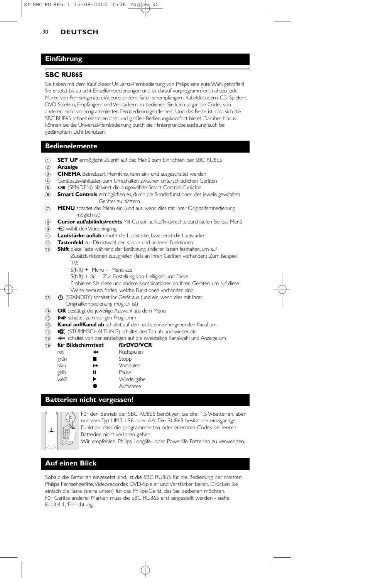## **Einführung**

## **SBC RU865**

Sie haben mit dem Kauf dieser Universal-Fernbedienung von Philips eine gute Wahl getroffen! Sie ersetzt bis zu acht Einzelfernbedienungen und ist darauf vorprogrammiert, nahezu jede Marke von Fernsehgeräten,Videorecordern, Satellitenempfängern, Kabeldecodern, CD-Spielern, DVD-Spielern, Empfängern und Verstärkern zu bedienen. Sie kann sogar die Codes von anderen, nicht vorprogrammierten Fernbedienungen 'lernen'. Und das Beste ist, dass sich die SBC RU865 schnell einstellen lässt und großen Bedienungskomfort bietet. Darüber hinaus können Sie die Universal-Fernbedienung durch die Hintergrundbeleuchtung auch bei gedämpftem Licht benutzen!

### **Bedienelemente**

- 1 **SET UP** ermöglicht Zugriff auf das Menü zum Einrichten der SBC RU865
- 2 **Anzeige**
- 3 **CINEMA** Betriebsart Heimkino, kann ein- und ausgeschaltet werden
- $\overline{4}$  Geräteauswahltasten zum Umschalten zwischen unterschiedlichen Geräten
- 6 **OII** (SENDEN) aktiviert die ausgewählte Smart Controls-Funktion
- 6 **Smart Controls** ermöglichen es, durch die Sonderfunktionen des jeweils gewählten Gerätes zu blättern
- 7 **MENU** schaltet das Menü ein (und aus, wenn dies mit Ihrer Originalfernbedienung möglich ist)
- 8 **Cursor auf/ab/links/rechts** Mit Cursor auf/ab/links/rechts durchlaufen Sie das Menü
- 9 **+D** wählt den Videoeingang
- 0 **Lautstärke auf/ab** erhöht die Lautstärke, bzw. senkt die Lautstärke
- ! **Tastenfeld** zur Direktwahl der Kanäle und anderer Funktionen
- @ **Shift** diese Taste während der Betätigung anderer Tasten festhalten, um auf Zusatzfunktionen zuzugreifen (falls an Ihren Geräten vorhanden) Zum Beispiel: TV:
	- S(hift) + Menu Menü aus
	- $S(hift) +  $\circledast$  Zur Einstelling von Helligkeit und Farbe$
	- Probieren Sie diese und andere Kombinationen an Ihren Geräten, um auf diese Weise herauszufinden, welche Funktionen vorhanden sind.
- **(3) CO** (STANDBY) schaltet Ihr Gerät aus (und ein, wenn dies mit Ihrer Originalfernbedienung möglich ist)
- **14 OK** bestätigt die jeweilige Auswahl aus dem Menü
- (15) **P-P** schaltet zum vorigen Programm
- ^ **Kanal auf/Kanal ab** schaltet auf den nächsten/vorhergehenden Kanal um
- (iii)  $\mathbf{R}$  (STUMMSCHALTUNG) schaltet den Ton ab und wieder ein
- (18) Her schaltet von der einstelligen auf die zweistellige Kanalwahl und Anzeige um<br>(19) **für Bildschirmtext fürDVD/VCR**
- $\widehat{19}$  **für Bildschirmtext**

| ни ровясно песас |    |            |
|------------------|----|------------|
| rot              | ◀◀ | Rückspulen |
| grün             | ■  | Stopp      |
| blau             | ▶▶ | Vorspulen  |
| gelb             | п  | Pause      |
| weiß             | ▶  | Wiedergabe |
|                  |    | Aufnahme   |
|                  |    |            |

## **Batterien nicht vergessen!**



Für den Betrieb der SBC RU865 benötigen Sie drei 1,5 V-Batterien, aber nur vom Typ UM3, LR6 oder AA. Die RU865 besitzt die einzigartige Funktion, dass die programmierten oder erlernten Codes bei leeren Batterien nicht verloren gehen.

Wir empfehlen, Philips Longlife- oder Powerlife-Batterien zu verwenden.

## **Auf einen Blick**

Sobald die Batterien eingesetzt sind, ist die SBC RU865 für die Bedienung der meisten Philips Fernsehgeräte,Videorecorder, DVD-Spieler und Verstärker bereit. Drücken Sie einfach die Taste (siehe unten) für das Philips-Gerät, das Sie bedienen möchten. Für Geräte anderer Marken muss die SBC RU865 erst eingestellt werden - siehe Kapitel 1,'Einrichtung'.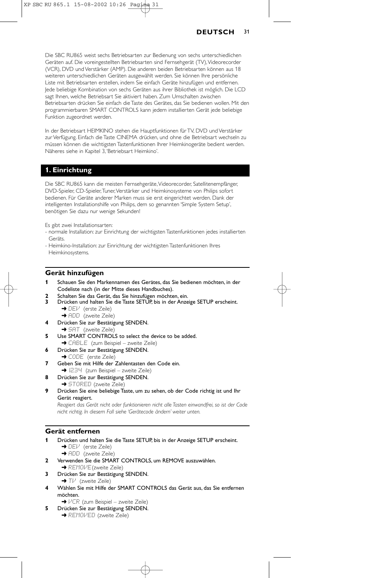Die SBC RU865 weist sechs Betriebsarten zur Bedienung von sechs unterschiedlichen Geräten auf. Die voreingestellten Betriebsarten sind Fernsehgerät (TV),Videorecorder (VCR), DVD und Verstärker (AMP). Die anderen beiden Betriebsarten können aus 18 weiteren unterschiedlichen Geräten ausgewählt werden. Sie können Ihre persönliche Liste mit Betriebsarten erstellen, indem Sie einfach Geräte hinzufügen und entfernen. Jede beliebige Kombination von sechs Geräten aus ihrer Bibliothek ist möglich. Die LCD sagt Ihnen, welche Betriebsart Sie aktiviert haben. Zum Umschalten zwischen Betriebsarten drücken Sie einfach die Taste des Gerätes, das Sie bedienen wollen. Mit den programmierbaren SMART CONTROLS kann jedem installierten Gerät jede beliebige Funktion zugeordnet werden.

In der Betriebsart HEIMKINO stehen die Hauptfunktionen für TV, DVD und Verstärker zur Verfügung. Einfach die Taste CINEMA drücken, und ohne die Betriebsart wechseln zu müssen können die wichtigsten Tastenfunktionen Ihrer Heimkinogeräte bedient werden. Näheres siehe in Kapitel 3,'Betriebsart Heimkino'.

## **1. Einrichtung**

Die SBC RU865 kann die meisten Fernsehgeräte,Videorecorder, Satellitenempfänger, DVD-Spieler, CD-Spieler,Tuner,Verstärker und Heimkinosysteme von Philips sofort bedienen. Für Geräte anderer Marken muss sie erst eingerichtet werden. Dank der intelligenten Installationshilfe von Philips, dem so genannten 'Simple System Setup', benötigen Sie dazu nur wenige Sekunden!

Es gibt zwei Installationsarten:

- normale Installation: zur Einrichtung der wichtigsten Tastenfunktionen jedes installierten Geräts.
- Heimkino-Installation: zur Einrichtung der wichtigsten Tastenfunktionen Ihres Heimkinosystems.

#### **Gerät hinzufügen**

- **1** Schauen Sie den Markennamen des Gerätes, das Sie bedienen möchten, in der Codeliste nach (in der Mitte dieses Handbuches).
- **2** Schalten Sie das Gerät, das Sie hinzufügen möchten, ein.
- **3** Drücken und halten Sie die Taste SETUP, bis in der Anzeige SETUP erscheint. → DEI<sup>J</sup> (erste Zeile)
	- → ADD (zweite Zeile)
- **4** Drücken Sie zur Bestätigung SENDEN. → SAT (zweite Zeile)
- **5** Use SMART CONTROLS to select the device to be added. **→ CABLE** (zum Beispiel – zweite Zeile)
- **6** Drücken Sie zur Bestätigung SENDEN.
- → CODE (erste Zeile) **7** Geben Sie mit Hilfe der Zahlentasten den Code ein.
- **→** 1234 (zum Beispiel zweite Zeile)
- **8** Drücken Sie zur Bestätigung SENDEN. ➜ STORED (zweite Zeile)
- **9** Drücken Sie eine beliebige Taste, um zu sehen, ob der Code richtig ist und Ihr Gerät reagiert.

*Reagiert das Gerät nicht oder funktionieren nicht alle Tasten einwandfrei, so ist der Code nicht richtig. In diesem Fall siehe 'Gerätecode ändern' weiter unten.*

#### **Gerät entfernen**

**1** Drücken und halten Sie die Taste SETUP, bis in der Anzeige SETUP erscheint. → DEV (erste Zeile)

→ ADD (zweite Zeile)

- **2** Verwenden Sie die SMART CONTROLS, um REMOVE auszuwählen. **→ REMOVE (zweite Zeile)**
- **3** Drücken Sie zur Bestätigung SENDEN. → Tl<sup>,</sup> (zweite Zeile)
- **4** Wählen Sie mit Hilfe der SMART CONTROLS das Gerät aus, das Sie entfernen möchten.
	- → VCR (zum Beispiel zweite Zeile)
- **5** Drücken Sie zur Bestätigung SENDEN.
	- **→ REMOVED** (zweite Zeile)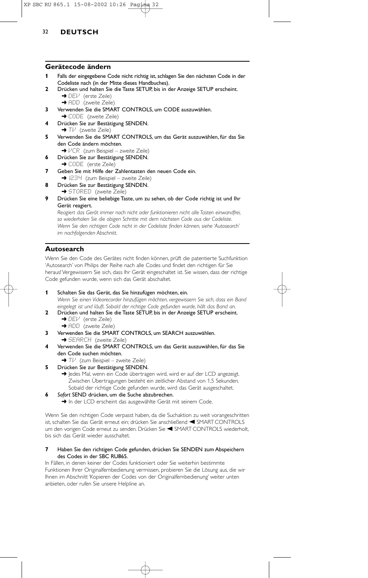#### **Gerätecode ändern**

- **1** Falls der eingegebene Code nicht richtig ist, schlagen Sie den nächsten Code in der Codeliste nach (in der Mitte dieses Handbuches).
- **2** Drücken und halten Sie die Taste SETUP, bis in der Anzeige SETUP erscheint. → DEV (erste Zeile)
	- → ADD (zweite Zeile)
- **3** Verwenden Sie die SMART CONTROLS, um CODE auszuwählen.
	- **→ CODE** (zweite Zeile)
- **4** Drücken Sie zur Bestätigung SENDEN.  $\rightarrow$  Tl $\prime$  (zweite Zeile)
- **5** Verwenden Sie die SMART CONTROLS, um das Gerät auszuwählen, für das Sie den Code ändern möchten.
	- **→ VCR** (zum Beispiel zweite Zeile)
- **6** Drücken Sie zur Bestätigung SENDEN. → CODE (erste Zeile)
- **7** Geben Sie mit Hilfe der Zahlentasten den neuen Code ein. → I234 (zum Beispiel – zweite Zeile)
- **8** Drücken Sie zur Bestätigung SENDEN.
- ➜ STORED (zweite Zeile)
- **9** Drücken Sie eine beliebige Taste, um zu sehen, ob der Code richtig ist und Ihr Gerät reagiert.

*Reagiert das Gerät immer noch nicht oder funktionieren nicht alle Tasten einwandfrei, so wiederholen Sie die obigen Schritte mit dem nächsten Code aus der Codeliste. Wenn Sie den richtigen Code nicht in der Codeliste finden können, siehe 'Autosearch' im nachfolgenden Abschnitt.*

### **Autosearch**

Wenn Sie den Code des Gerätes nicht finden können, prüft die patentierte Suchfunktion 'Autosearch' von Philips der Reihe nach alle Codes und findet den richtigen für Sie heraus! Vergewissern Sie sich, dass Ihr Gerät eingeschaltet ist. Sie wissen, dass der richtige Code gefunden wurde, wenn sich das Gerät abschaltet.

- **1** Schalten Sie das Gerät, das Sie hinzufügen möchten, ein. *Wenn Sie einen Videorecorder hinzufügen möchten, vergewissern Sie sich, dass ein Band eingelegt ist und läuft. Sobald der richtige Code gefunden wurde, hält das Band an.*
- **2** Drücken und halten Sie die Taste SETUP, bis in der Anzeige SETUP erscheint. ➜ DEV (erste Zeile)
	- → ADD (zweite Zeile)
- **3** Verwenden Sie die SMART CONTROLS, um SEARCH auszuwählen. **→ SEARCH** (zweite Zeile)
- **4** Verwenden Sie die SMART CONTROLS, um das Gerät auszuwählen, für das Sie den Code suchen möchten.
	- → Tl<sup>J</sup> (zum Beispiel zweite Zeile)
- **5** Drücken Sie zur Bestätigung SENDEN.
	- → Jedes Mal, wenn ein Code übertragen wird, wird er auf der LCD angezeigt. Zwischen Übertragungen besteht ein zeitlicher Abstand von 1,5 Sekunden. Sobald der richtige Code gefunden wurde, wird das Gerät ausgeschaltet.
- **6** *Sofort* SEND drücken, um die Suche abzubrechen.
	- → In der LCD erscheint das ausgewählte Gerät mit seinem Code.

Wenn Sie den richtigen Code verpasst haben, da die Suchaktion zu weit vorangeschritten ist, schalten Sie das Gerät erneut ein; drücken Sie anschließend < SMART CONTROLS um den vorigen Code erneut zu senden. Drücken Sie < SMART CONTROLS wiederholt, bis sich das Gerät wieder ausschaltet.

#### **7** Haben Sie den richtigen Code gefunden, drücken Sie SENDEN zum Abspeichern des Codes in der SBC RU865.

In Fällen, in denen keiner der Codes funktioniert oder Sie weiterhin bestimmte Funktionen Ihrer Originalfernbedienung vermissen, probieren Sie die Lösung aus, die wir Ihnen im Abschnitt 'Kopieren der Codes von der Originalfernbedienung' weiter unten anbieten, oder rufen Sie unsere Helpline an.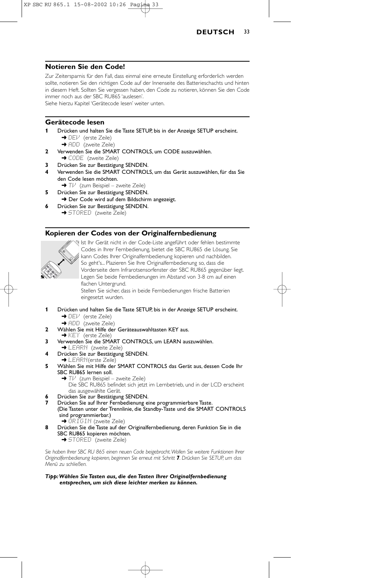

#### **Notieren Sie den Code!**

Zur Zeitersparnis für den Fall, dass einmal eine erneute Einstellung erforderlich werden sollte, notieren Sie den richtigen Code auf der Innenseite des Batterieschachts und hinten in diesem Heft. Sollten Sie vergessen haben, den Code zu notieren, können Sie den Code immer noch aus der SBC RU865 'auslesen'.

Siehe hierzu Kapitel 'Gerätecode lesen' weiter unten.

### **Gerätecode lesen**

- **1** Drücken und halten Sie die Taste SETUP, bis in der Anzeige SETUP erscheint. → DEI<sup>J</sup> (erste Zeile)
	- → ADD (zweite Zeile)
- **2** Verwenden Sie die SMART CONTROLS, um CODE auszuwählen. → CODE (zweite Zeile)
- **3** Drücken Sie zur Bestätigung SENDEN.
- **4** Verwenden Sie die SMART CONTROLS, um das Gerät auszuwählen, für das Sie den Code lesen möchten.
	- → Tl<sup>,</sup> (zum Beispiel zweite Zeile)
- **5** Drücken Sie zur Bestätigung SENDEN.
- → Der Code wird auf dem Bildschirm angezeigt. **6** Drücken Sie zur Bestätigung SENDEN.
	- → STORED (zweite Zeile)

### **Kopieren der Codes von der Originalfernbedienung**



Ist Ihr Gerät nicht in der Code-Liste angeführt oder fehlen bestimmte Codes in Ihrer Fernbedienung, bietet die SBC RU865 die Lösung. Sie kann Codes Ihrer Originalfernbedienung kopieren und nachbilden. So geht's... Plazieren Sie Ihre Originalfernbedienung so, dass die Vorderseite dem Infrarotsensorfenster der SBC RU865 gegenüber liegt. Legen Sie beide Fernbedienungen im Abstand von 3-8 cm auf einen flachen Untergrund. Stellen Sie sicher, dass in beide Fernbedienungen frische Batterien

eingesetzt wurden.

- **1** Drücken und halten Sie die Taste SETUP, bis in der Anzeige SETUP erscheint. → DEI<sup>J</sup> (erste Zeile)
	- → ADD (zweite Zeile)
- **2** Wählen Sie mit Hilfe der Geräteauswahltasten KEY aus.
- → KEY (erste Zeile)
- **3** Verwenden Sie die SMART CONTROLS, um LEARN auszuwählen.
- ➜ LEARN (zweite Zeile) **4** Drücken Sie zur Bestätigung SENDEN.
- ➜ LEARN(erste Zeile)
- **5** Wählen Sie mit Hilfe der SMART CONTROLS das Gerät aus, dessen Code Ihr
- SBC RU865 lernen soll.
	- **→** Tl<sup>,</sup> (zum Beispiel zweite Zeile)

Die SBC RU865 befindet sich jetzt im Lernbetrieb, und in der LCD erscheint das ausgewählte Gerät.

- **6** Drücken Sie zur Bestätigung SENDEN.
- **7** Drücken Sie auf Ihrer Fernbedienung eine programmierbare Taste. (Die Tasten unter der Trennlinie, die Standby-Taste und die SMART CONTROLS sind programmierbar.) ➜ ORIGIN (zweite Zeile)
- **8** Drücken Sie die Taste auf der Originalfernbedienung, deren Funktion Sie in die SBC RU865 kopieren möchten.
	- **→ STORED** (zweite Zeile)

*Sie haben Ihrer SBC RU 865 einen neuen Code beigebracht.Wollen Sie weitere Funktionen Ihrer Originalfernbedienung kopieren, beginnen Sie erneut mit Schritt 7. Drücken Sie SETUP, um das Menü zu schließen.*

#### *Tipp:Wählen Sie Tasten aus, die den Tasten Ihrer Originalfernbedienung entsprechen, um sich diese leichter merken zu können.*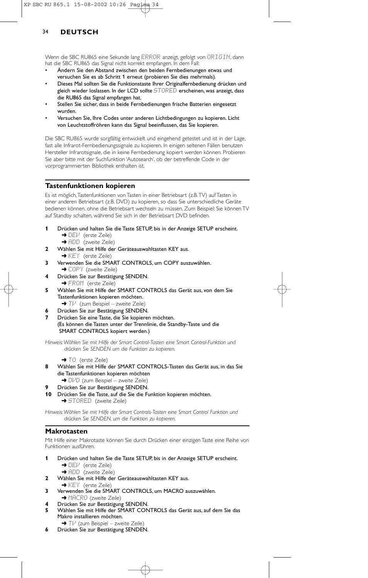Wenn die SBC RU865 eine Sekunde lang ERROR anzeigt, gefolgt von ORIGIN, dann hat die SBC RU865 das Signal nicht korrekt empfangen. In dem Fall:

- Ändern Sie den Abstand zwischen den beiden Fernbedienungen etwas und versuchen Sie es ab Schritt 1 erneut (probieren Sie dies mehrmals).
- Dieses Mal sollten Sie die Funktionstaste Ihrer Originalfernbedienung drücken und gleich wieder loslassen. In der LCD sollte STORED erscheinen, was anzeigt, dass die RU865 das Signal empfangen hat.
- Stellen Sie sicher, dass in beide Fernbedienungen frische Batterien eingesetzt wurden.
- Versuchen Sie, Ihre Codes unter anderen Lichtbedingungen zu kopieren. Licht von Leuchtstoffröhren kann das Signal beeinflussen, das Sie kopieren.

Die SBC RU865 wurde sorgfältig entwickelt und eingehend getestet und ist in der Lage, fast alle Infrarot-Fernbedienungssignale zu kopieren. In einigen seltenen Fällen benutzen Hersteller Infrarotsignale, die in keine Fernbedienung kopiert werden können. Probieren Sie aber bitte mit der Suchfunktion 'Autosearch', ob der betreffende Code in der vorprogrammierten Bibliothek enthalten ist.

## **Tastenfunktionen kopieren**

Es ist möglich,Tastenfunktionen von Tasten in einer Betriebsart (z.B.TV) auf Tasten in einer anderen Betriebsart (z.B. DVD) zu kopieren, so dass Sie unterschiedliche Geräte bedienen können, ohne die Betriebsart wechseln zu müssen. Zum Beispiel: Sie können TV auf Standby schalten, während Sie sich in der Betriebsart DVD befinden.

- **1** Drücken und halten Sie die Taste SETUP, bis in der Anzeige SETUP erscheint. → DEM (erste Zeile)
- → ADD (zweite Zeile) **2** Wählen Sie mit Hilfe der Geräteauswahltasten KEY aus.
	- → KEY (erste Zeile)
- **3** Verwenden Sie die SMART CONTROLS, um COPY auszuwählen. **→ COPY** (zweite Zeile)
- **4** Drücken Sie zur Bestätigung SENDEN. → FROM (erste Zeile)
- **5** Wählen Sie mit Hilfe der SMART CONTROLS das Gerät aus, von dem Sie Tastenfunktionen kopieren möchten.  $\rightarrow$  T $\nu$  (zum Beispiel – zweite Zeile)
- **6** Drücken Sie zur Bestätigung SENDEN.
- **7** Drücken Sie eine Taste, die Sie kopieren möchten. (Es können die Tasten unter der Trennlinie, die Standby-Taste und die SMART CONTROLS kopiert werden.)

*Hinweis:Wählen Sie mit Hilfe der Smart Control-Tasten eine Smart Control-Funktion und drücken Sie SENDEN um die Funktion zu kopieren.*

#### → TÜ (erste Zeile)

- **8** Wählen Sie mit Hilfe der SMART CONTROLS-Tasten das Gerät aus, in das Sie die Tastenfunktionen kopieren möchten
- → DI/D (zum Beispiel zweite Zeile)
- **9** Drücken Sie zur Bestätigung SENDEN.
- **10** Drücken Sie die Taste, auf die Sie die Funktion kopieren möchten. **→ STORED** (zweite Zeile)

*Hinweis:Wählen Sie mit Hilfe der Smart Controls-Tasten eine Smart Control Funktion und drücken Sie SENDEN, um die Funktion zu kopieren.*

#### **Makrotasten**

Mit Hilfe einer Makrotaste können Sie durch Drücken einer einzigen Taste eine Reihe von Funktionen ausführen.

- **1** Drücken und halten Sie die Taste SETUP, bis in der Anzeige SETUP erscheint. → DEV (erste Zeile)
- **→ ADD** (zweite Zeile) **2** Wählen Sie mit Hilfe der Geräteauswahltasten KEY aus.
- ➜ KEY (erste Zeile)
- **3** Verwenden Sie die SMART CONTROLS, um MACRO auszuwählen. → MACRO (zweite Zeile)
- **4** Drücken Sie zur Bestätigung SENDEN.
- **5** Wählen Sie mit Hilfe der SMART CONTROLS das Gerät aus, auf dem Sie das Makro installieren möchten.
	- → TI<sup>J</sup> (zum Beispiel zweite Zeile)
- **6** Drücken Sie zur Bestätigung SENDEN.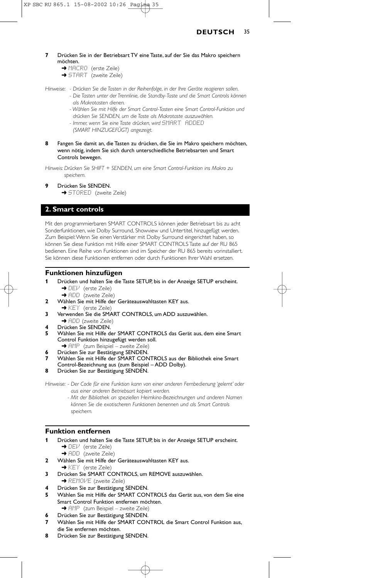- **7** Drücken Sie in der Betriebsart TV eine Taste, auf der Sie das Makro speichern möchten.
	- → MACRO (erste Zeile)
	- → START (zweite Zeile)

*Hinweise: - Drücken Sie die Tasten in der Reihenfolge, in der Ihre Geräte reagieren sollen.*

- *Die Tasten unter der Trennlinie, die Standby-Taste und die Smart Controls können als Makrotasten dienen.*
- *Wählen Sie mit Hilfe der Smart Control-Tasten eine Smart Control-Funktion und drücken Sie SENDEN, um die Taste als Makrotaste auszuwählen.*
- *Immer, wenn Sie eine Taste drücken, wird* SMART ADDED
- *(SMART HINZUGEFÜGT) angezeigt.*
- **8** Fangen Sie damit an, die Tasten zu drücken, die Sie im Makro speichern möchten, wenn nötig, indem Sie sich durch unterschiedliche Betriebsarten und Smart Controls bewegen.

*Hinweis: Drücken Sie SHIFT + SENDEN, um eine Smart Control-Funktion ins Makro zu speichern.*

**9** Drücken Sie SENDEN.

**→ STORED** (zweite Zeile)

### **2. Smart controls**

Mit den programmierbaren SMART CONTROLS können jeder Betriebsart bis zu acht Sonderfunktionen, wie Dolby Surround, Showview und Untertitel, hinzugefügt werden. Zum Beispiel:Wenn Sie einen Verstärker mit Dolby Surround eingerichtet haben, so können Sie diese Funktion mit Hilfe einer SMART CONTROLS Taste auf der RU 865 bedienen. Eine Reihe von Funktionen sind im Speicher der RU 865 bereits vorinstalliert. Sie können diese Funktionen entfernen oder durch Funktionen Ihrer Wahl ersetzen.

#### **Funktionen hinzufügen**

- **1** Drücken und halten Sie die Taste SETUP, bis in der Anzeige SETUP erscheint. ➜ DEV (erste Zeile)
	- ➜ ADD (zweite Zeile)
- **2** Wählen Sie mit Hilfe der Geräteauswahltasten KEY aus.
	- ◆ KEY (erste Zeile)
- **3** Verwenden Sie die SMART CONTROLS, um ADD auszuwählen.
- → ADD (zweite Zeile)
- **4** Drücken Sie SENDEN. **5** Wählen Sie mit Hilfe der SMART CONTROLS das Gerät aus, dem eine Smart Control Funktion hinzugefügt werden soll.
- **→** AMP (zum Beispiel zweite Zeile)
- **6** Drücken Sie zur Bestätigung SENDEN.
- **7** Wählen Sie mit Hilfe der SMART CONTROLS aus der Bibliothek eine Smart
- Control-Bezeichnung aus (zum Beispiel ADD Dolby). **8** Drücken Sie zur Bestätigung SENDEN.

*Hinweise: - Der Code für eine Funktion kann von einer anderen Fernbedienung 'gelernt' oder aus einer anderen Betriebsart kopiert werden.*

> *- Mit der Bibliothek an speziellen Heimkino-Bezeichnungen und anderen Namen können Sie die exotischeren Funktionen benennen und als Smart Controls speichern.*

### **Funktion entfernen**

- **1** Drücken und halten Sie die Taste SETUP, bis in der Anzeige SETUP erscheint. → DEV (erste Zeile)
	- → ADD (zweite Zeile)
- **2** Wählen Sie mit Hilfe der Geräteauswahltasten KEY aus.
- **→ KEY** (erste Zeile) **3** Drücken Sie SMART CONTROLS, um REMOVE auszuwählen.
- → REMOME (zweite Zeile)
- **4** Drücken Sie zur Bestätigung SENDEN.
- **5** Wählen Sie mit Hilfe der SMART CONTROLS das Gerät aus, von dem Sie eine Smart Control Funktion entfernen möchten. **→** AMP (zum Beispiel – zweite Zeile)
	- **6** Drücken Sie zur Bestätigung SENDEN.
- **7** Wählen Sie mit Hilfe der SMART CONTROL die Smart Control Funktion aus, die Sie entfernen möchten.
- **8** Drücken Sie zur Bestätigung SENDEN.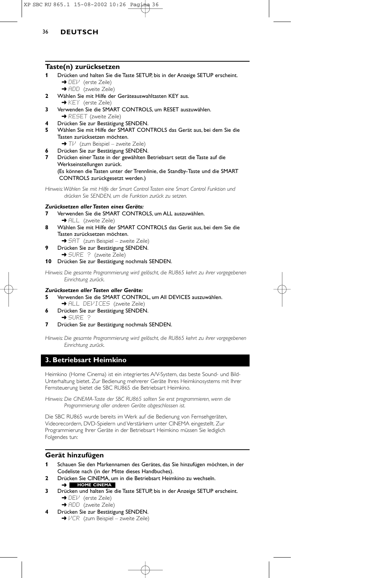### **Taste(n) zurücksetzen**

- **1** Drücken und halten Sie die Taste SETUP, bis in der Anzeige SETUP erscheint. → DEI<sup>J</sup> (erste Zeile)
	- **→** ADD (zweite Zeile)
- **2** Wählen Sie mit Hilfe der Geräteauswahltasten KEY aus. → KEY (erste Zeile)
- **3** Verwenden Sie die SMART CONTROLS, um RESET auszuwählen. **→ RESET** (zweite Zeile)
- **4** Drücken Sie zur Bestätigung SENDEN.
- **5** Wählen Sie mit Hilfe der SMART CONTROLS das Gerät aus, bei dem Sie die Tasten zurücksetzen möchten.
- → Tl<sup>,</sup> (zum Beispiel zweite Zeile)
- **6** Drücken Sie zur Bestätigung SENDEN.
- **7** Drücken einer Taste in der gewählten Betriebsart setzt die Taste auf die Werkseinstellungen zurück. (Es können die Tasten unter der Trennlinie, die Standby-Taste und die SMART

CONTROLS zurückgesetzt werden.)

*Hinweis:Wählen Sie mit Hilfe der Smart Control Tasten eine Smart Control Funktion und drücken Sie SENDEN, um die Funktion zurück zu setzen.*

### *Zurücksetzen aller Tasten eines Geräts:*

- **7** Verwenden Sie die SMART CONTROLS, um ALL auszuwählen. → ALL (zweite Zeile)
- **8** Wählen Sie mit Hilfe der SMART CONTROLS das Gerät aus, bei dem Sie die Tasten zurücksetzen möchten.
- → SAT (zum Beispiel zweite Zeile)
- **9** Drücken Sie zur Bestätigung SENDEN. **→ SURE ?** (zweite Zeile)

### **10** Drücken Sie zur Bestätigung nochmals SENDEN.

*Hinweis: Die gesamte Programmierung wird gelöscht, die RU865 kehrt zu ihrer vorgegebenen Einrichtung zurück.*

#### *Zurücksetzen aller Tasten aller Geräte:*

- **5** Verwenden Sie die SMART CONTROL, um All DEVICES auszuwählen.
- → ALL DEVICES (zweite Zeile) **6** Drücken Sie zur Bestätigung SENDEN.
- ➜ SURE ?
- **7** Drücken Sie zur Bestätigung nochmals SENDEN.

*Hinweis: Die gesamte Programmierung wird gelöscht, die RU865 kehrt zu ihrer vorgegebenen Einrichtung zurück.*

## **3. Betriebsart Heimkino**

Heimkino (Home Cinema) ist ein integriertes A/V-System, das beste Sound- und Bild-Unterhaltung bietet. Zur Bedienung mehrerer Geräte Ihres Heimkinosystems mit Ihrer Fernsteuerung bietet die SBC RU865 die Betriebsart Heimkino.

*Hinweis: Die CINEMA-Taste der SBC RU865 sollten Sie erst programmieren, wenn die Programmierung aller anderen Geräte abgeschlossen ist.*

Die SBC RU865 wurde bereits im Werk auf die Bedienung von Fernsehgeräten, Videorecordern, DVD-Spielern und Verstärkern unter CINEMA eingestellt. Zur Programmierung Ihrer Geräte in der Betriebsart Heimkino müssen Sie lediglich Folgendes tun:

## **Gerät hinzufügen**

- **1** Schauen Sie den Markennamen des Gerätes, das Sie hinzufügen möchten, in der Codeliste nach (in der Mitte dieses Handbuches).
- **2** Drücken Sie CINEMA, um in die Betriebsart Heimkino zu wechseln. ➜ **HOME CINEMA**
- **3** Drücken und halten Sie die Taste SETUP, bis in der Anzeige SETUP erscheint. → DEI<sup>J</sup> (erste Zeile)
	- → ADD (zweite Zeile)
- **4** Drücken Sie zur Bestätigung SENDEN. →  $VCR$  (zum Beispiel – zweite Zeile)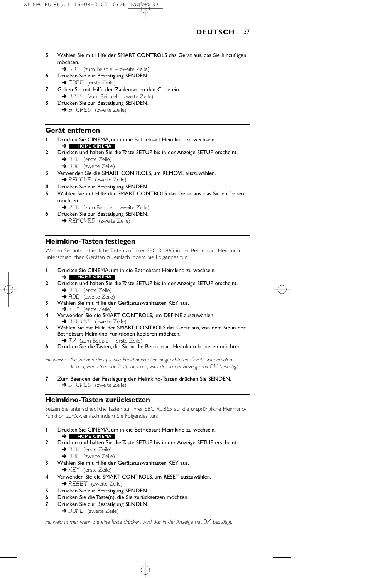## **DEUTSCH** 37

- **5** Wählen Sie mit Hilfe der SMART CONTROLS das Gerät aus, das Sie hinzufügen möchten.
	- → 5AT (zum Beispiel zweite Zeile)
- **6** Drücken Sie zur Bestätigung SENDEN. → CODE (erste Zeile)
- **7** Geben Sie mit Hilfe der Zahlentasten den Code ein. → 1234 (zum Beispiel – zweite Zeile)
- **8** Drücken Sie zur Bestätigung SENDEN. **→** STORED (zweite Zeile)

#### **Gerät entfernen**

- **1** Drücken Sie CINEMA, um in die Betriebsart Heimkino zu wechseln. ➜ **HOME CINEMA**
- **2** Drücken und halten Sie die Taste SETUP, bis in der Anzeige SETUP erscheint. → DEI<sup>J</sup> (erste Zeile)
	- → ADD (zweite Zeile)
- **3** Verwenden Sie die SMART CONTROLS, um REMOVE auszuwählen. → REMOVE (zweite Zeile)
- **4** Drücken Sie zur Bestätigung SENDEN.
- **5** Wählen Sie mit Hilfe der SMART CONTROLS das Gerät aus, das Sie entfernen möchten.
- → VCR (zum Beispiel zweite Zeile)
- **6** Drücken Sie zur Bestätigung SENDEN. → REMOVED (zweite Zeile)

#### **Heimkino-Tasten festlegen**

Weisen Sie unterschiedliche Tasten auf Ihrer SBC RU865 in der Betriebsart Heimkino unterschiedlichen Geräten zu, einfach indem Sie Folgendes tun:

- **1** Drücken Sie CINEMA, um in die Betriebsart Heimkino zu wechseln. ➜ **HOME CINEMA**
- **2** Drücken und halten Sie die Taste SETUP, bis in der Anzeige SETUP erscheint. → DEI<sup>J</sup> (erste Zeile)
	- **→** ADD (zweite Zeile)
- **3** Wählen Sie mit Hilfe der Geräteauswahltasten KEY aus.
- → KEY (erste Zeile) **4** Verwenden Sie die SMART CONTROLS, um DEFINE auszuwählen. → DEFINE (zweite Zeile)
- **5** Wählen Sie mit Hilfe der SMART CONTROLS das Gerät aus, von dem Sie in der Betriebsart Heimkino Funktionen kopieren möchten. → Tl<sup>,</sup> (zum Beispiel – erste Zeile)
- **6** Drücken Sie die Tasten, die Sie in die Betriebsart Heimkino kopieren möchten.

*Hinweise: - Sie können dies für alle Funktionen aller eingerichteten Geräte wiederholen. - Immer, wenn Sie eine Taste drücken, wird das in der Anzeige mit* OK *bestätigt.*

**7** Zum Beenden der Festlegung der Heimkino-Tasten drücken Sie SENDEN. → STORED (zweite Zeile)

## **Heimkino-Tasten zurücksetzen**

Setzen Sie unterschiedliche Tasten auf Ihrer SBC RU865 auf die ursprüngliche Heimkino-Funktion zurück, einfach indem Sie Folgendes tun:

- **1** Drücken Sie CINEMA, um in die Betriebsart Heimkino zu wechseln. ➜ **HOME CINEMA**
- **2** Drücken und halten Sie die Taste SETUP, bis in der Anzeige SETUP erscheint. → DEI<sup>J</sup> (erste Zeile)
	- → ADD (zweite Zeile)
- **3** Wählen Sie mit Hilfe der Geräteauswahltasten KEY aus. → KEY (erste Zeile)
- **4** Verwenden Sie die SMART CONTROLS, um RESET auszuwählen. → RESET (zweite Zeile)
- **5** Drücken Sie zur Bestätigung SENDEN.
- **6** Drücken Sie die Taste(n), die Sie zurücksetzen möchten.
- **7** Drücken Sie zur Bestätigung SENDEN. → DONE (zweite Zeile)

*Hinweis: Immer, wenn Sie eine Taste drücken, wird das in der Anzeige mit OK bestätigt.* 

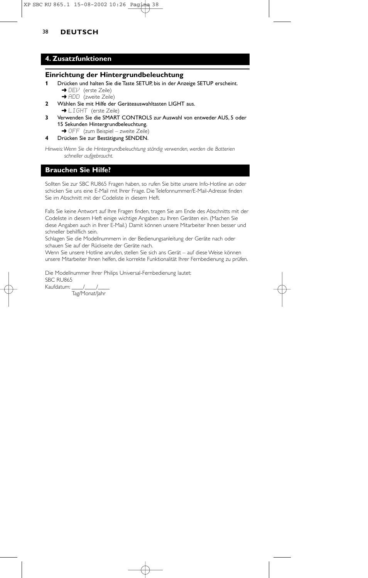## 38 **DEUTSCH**

## **4. Zusatzfunktionen**

#### **Einrichtung der Hintergrundbeleuchtung**

- **1** Drücken und halten Sie die Taste SETUP, bis in der Anzeige SETUP erscheint. → DEV (erste Zeile)
	- → ADD (zweite Zeile)
- **2** Wählen Sie mit Hilfe der Geräteauswahltasten LIGHT aus. → LIGHT (erste Zeile)
- **3** Verwenden Sie die SMART CONTROLS zur Auswahl von entweder AUS, 5 oder 15 Sekunden Hintergrundbeleuchtung.
- → OFF (zum Beispiel zweite Zeile)
- **4** Drücken Sie zur Bestätigung SENDEN.

*Hinweis:Wenn Sie die Hintergrundbeleuchtung ständig verwenden, werden die Batterien schneller aufgebraucht.*

## **Brauchen Sie Hilfe?**

Sollten Sie zur SBC RU865 Fragen haben, so rufen Sie bitte unsere Info-Hotline an oder schicken Sie uns eine E-Mail mit Ihrer Frage. Die Telefonnummer/E-Mail-Adresse finden Sie im Abschnitt mit der Codeliste in diesem Heft.

Falls Sie keine Antwort auf Ihre Fragen finden, tragen Sie am Ende des Abschnitts mit der Codeliste in diesem Heft einige wichtige Angaben zu Ihren Geräten ein. (Machen Sie diese Angaben auch in Ihrer E-Mail.) Damit können unsere Mitarbeiter Ihnen besser und schneller behilflich sein.

Schlagen Sie die Modellnummern in der Bedienungsanleitung der Geräte nach oder schauen Sie auf der Rückseite der Geräte nach.

Wenn Sie unsere Hotline anrufen, stellen Sie sich ans Gerät – auf diese Weise können unsere Mitarbeiter Ihnen helfen, die korrekte Funktionalität Ihrer Fernbedienung zu prüfen.

Die Modellnummer Ihrer Philips Universal-Fernbedienung lautet: SBC RU865 Kaufdatum: / /

Tag/Monat/Jahr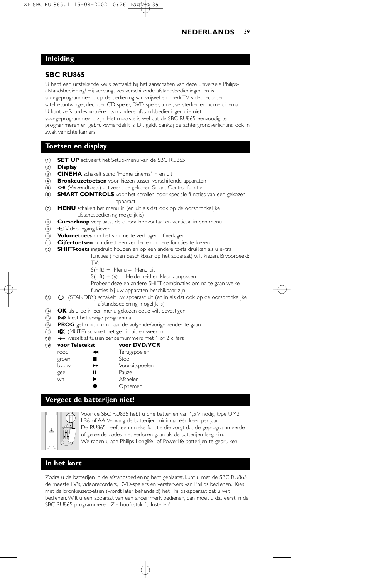## **Inleiding**

#### **SBC RU865**

U hebt een uitstekende keus gemaakt bij het aanschaffen van deze universele Philipsafstandsbediening! Hij vervangt zes verschillende afstandsbedieningen en is voorgeprogrammeerd op de bediening van vrijwel elk merk TV, videorecorder, satellietontvanger, decoder, CD-speler, DVD-speler, tuner, versterker en home cinema. U kunt zelfs codes kopiëren van andere afstandsbedieningen die niet voorgeprogrammeerd zijn. Het mooiste is wel dat de SBC RU865 eenvoudig te programmeren en gebruiksvriendelijk is. Dit geldt dankzij de achtergrondverlichting ook in zwak verlichte kamers!

## **Toetsen en display**

- 1 **SET UP** activeert het Setup-menu van de SBC RU865
- 2 **Display**
- 3 **CINEMA** schakelt stand 'Home cinema' in en uit (4) **Bronkeuzetoetsen** voor kiezen tussen verschille
- **Bronkeuzetoetsen** voor kiezen tussen verschillende apparaten
- 6 OII (Verzendtoets) activeert de gekozen Smart Control-functie
- 6 **SMART CONTROLS** voor het scrollen door speciale functies van een gekozen apparaat
- 7 **MENU** schakelt het menu in (en uit als dat ook op de oorspronkelijke afstandsbediening mogelijk is)
- 8 **Cursorknop** verplaatst de cursor horizontaal en verticaal in een menu
- 9 **+D** Video-ingang kiezen
- 0 **Volumetoets** om het volume te verhogen of verlagen
- ! **Cijfertoetsen** om direct een zender en andere functies te kiezen
- @ **SHIFT-toets** ingedrukt houden en op een andere toets drukken als u extra
	- functies (indien beschikbaar op het apparaat) wilt kiezen. Bijvoorbeeld: TV:
		- S(hift) + Menu Menu uit
		- $S(hift) +  $\circledast$  Helderheid en kleur aanpassen$
		- Probeer deze en andere SHIFT-combinaties om na te gaan welke
		- functies bij uw apparaten beschikbaar zijn.
- **(3) CO** (STANDBY) schakelt uw apparaat uit (en in als dat ook op de oorspronkelijke afstandsbediening mogelijk is)
- **14 OK** als u de in een menu gekozen optie wilt bevestigen
- (15) P-P kiest het vorige programma
- ^ **PROG** gebruikt u om naar de volgende/vorige zender te gaan
- (17) **NK** (MUTE) schakelt het geluid uit en weer in
- \* 3 wisselt af tussen zendernummers met 1 of 2 cijfers
- ( **voor Teletekst voor DVD/VCR**

| rood  | ↤  | Terugspoelen   |
|-------|----|----------------|
| groen |    | Stop           |
| blauw | ▶▶ | Vooruitspoelen |
| geel  | п  | Pauze          |
| wit   | ▶  | Afspelen       |
|       |    | Opnemen        |

## **Vergeet de batterijen niet!**



Voor de SBC RU865 hebt u drie batterijen van 1,5 V nodig, type UM3, LR6 of AA.Vervang de batterijen minimaal één keer per jaar. De RU865 heeft een unieke functie die zorgt dat de geprogrammeerde of geleerde codes niet verloren gaan als de batterijen leeg zijn. We raden u aan Philips Longlife- of Powerlife-batterijen te gebruiken.

#### **In het kort**

Zodra u de batterijen in de afstandsbediening hebt geplaatst, kunt u met de SBC RU865 de meeste TV's, videorecorders, DVD-spelers en versterkers van Philips bedienen. Kies met de bronkeuzetoetsen (wordt later behandeld) het Philips-apparaat dat u wilt bedienen.Wilt u een apparaat van een ander merk bedienen, dan moet u dat eerst in de SBC RU865 programmeren. Zie hoofdstuk 1, 'Instellen'.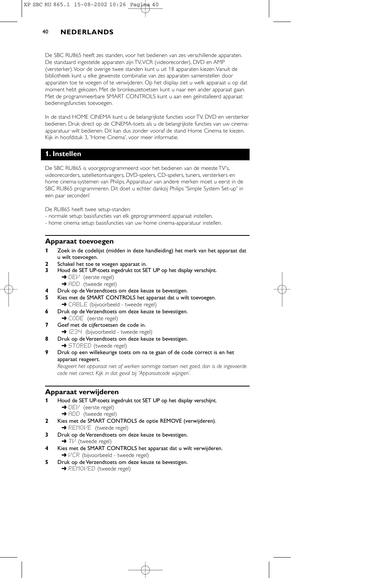De SBC RU865 heeft zes standen, voor het bedienen van zes verschillende apparaten. De standaard ingestelde apparaten zijn TV,VCR (videorecorder), DVD en AMP (versterker).Voor de overige twee standen kunt u uit 18 apparaten kiezen.Vanuit de bibliotheek kunt u elke gewenste combinatie van zes apparaten samenstellen door apparaten toe te voegen of te verwijderen. Op het display ziet u welk apparaat u op dat moment hebt gekozen. Met de bronkeuzetoetsen kunt u naar een ander apparaat gaan. Met de programmeerbare SMART CONTROLS kunt u aan een geïnstalleerd apparaat bedieningsfuncties toevoegen.

In de stand HOME CINEMA kunt u de belangrijkste functies voor TV, DVD en versterker bedienen. Druk direct op de CINEMA-toets als u de belangrijkste functies van uw cinemaapparatuur wilt bedienen. Dit kan dus zonder vooraf de stand Home Cinema te kiezen. Kijk in hoofdstuk 3, 'Home Cinema', voor meer informatie.

## **1. Instellen**

De SBC RU865 is voorgeprogrammeerd voor het bedienen van de meeste TV's, videorecorders, satellietontvangers, DVD-spelers, CD-spelers, tuners, versterkers en home cinema-systemen van Philips. Apparatuur van andere merken moet u eerst in de SBC RU865 programmeren. Dit doet u echter dankzij Philips 'Simple System Set-up' in een paar seconden!

De RU865 heeft twee setup-standen:

- normale setup: basisfuncties van elk geprogrammeerd apparaat instellen.
- home cinema setup: basisfuncties van uw home cinema-apparatuur instellen.

#### **Apparaat toevoegen**

- **1** Zoek in de codelijst (midden in deze handleiding) het merk van het apparaat dat u wilt toevoegen.
- **2** Schakel het toe te voegen apparaat in.
- **3** Houd de SET UP-toets ingedrukt tot SET UP op het display verschijnt.  $\rightarrow$  DEV (eerste regel)
	- **→** ADD (tweede regel)
- **4** Druk op de Verzendtoets om deze keuze te bevestigen.
- **5** Kies met de SMART CONTROLS het apparaat dat u wilt toevoegen. → CABLE (bijvoorbeeld - tweede regel)
- **6** Druk op de Verzendtoets om deze keuze te bevestigen.
- → CODE (eerste regel)
- **7** Geef met de cijfertoetsen de code in. → I234 (bijvoorbeeld - tweede regel)
- **8** Druk op de Verzendtoets om deze keuze te bevestigen.
- **→** STORED (tweede regel)
- **9** Druk op een willekeurige toets om na te gaan of de code correct is en het apparaat reageert.

*Reageert het apparaat niet of werken sommige toetsen niet goed, dan is de ingevoerde code niet correct. Kijk in dat geval bij 'Apparaatcode wijzigen'.*

## **Apparaat verwijderen**

- **1** Houd de SET UP-toets ingedrukt tot SET UP op het display verschijnt.
	- ➜ DEV (eerste regel)
	- → ADD (tweede regel)
- **2** Kies met de SMART CONTROLS de optie REMOVE (verwijderen).
	- → REMOVE (tweede regel)
- **3** Druk op de Verzendtoets om deze keuze te bevestigen. → Tl<sup>.</sup> (tweede regel)
- **4** Kies met de SMART CONTROLS het apparaat dat u wilt verwijderen.
- **→**  $VCR$  (bijvoorbeeld tweede regel)
- **5** Druk op de Verzendtoets om deze keuze te bevestigen. **→ REMOMED** (tweede regel)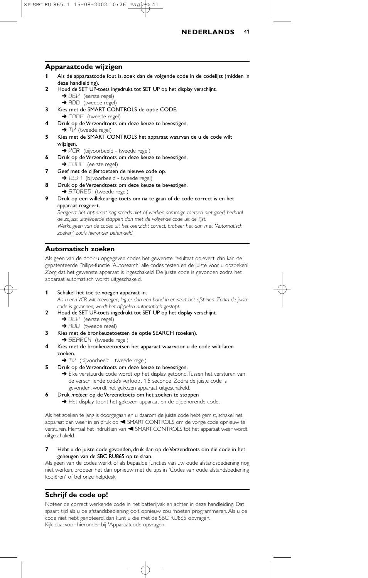

#### **Apparaatcode wijzigen**

- **1** Als de apparaatcode fout is, zoek dan de volgende code in de codelijst (midden in deze handleiding).
- **2** Houd de SET UP-toets ingedrukt tot SET UP op het display verschijnt. → DEI<sup>J</sup> (eerste regel)
	- → ADD (tweede regel)
- **3** Kies met de SMART CONTROLS de optie CODE.
- **→ CODE** (tweede regel) **4** Druk op de Verzendtoets om deze keuze te bevestigen.  $\rightarrow$  Tl $\prime$  (tweede regel)
- **5** Kies met de SMART CONTROLS het apparaat waarvan de u de code wilt wijzigen.
	- **→**  $VER$  (bijvoorbeeld tweede regel)
- **6** Druk op de Verzendtoets om deze keuze te bevestigen. → CODE (eerste regel)
- **7** Geef met de cijfertoetsen de nieuwe code op. **→** 1234 (bijvoorbeeld - tweede regel)
- **8** Druk op de Verzendtoets om deze keuze te bevestigen. **→ STORED** (tweede regel)
- **9** Druk op een willekeurige toets om na te gaan of de code correct is en het apparaat reageert.

*Reageert het apparaat nog steeds niet of werken sommige toetsen niet goed, herhaal de zojuist uitgevoerde stappen dan met de volgende code uit de lijst.*

*Werkt geen van de codes uit het overzicht correct, probeer het dan met 'Automatisch zoeken', zoals hieronder behandeld.*

## **Automatisch zoeken**

Als geen van de door u opgegeven codes het gewenste resultaat oplevert, dan kan de gepatenteerde Philips-functie 'Autosearch' alle codes testen en de juiste voor u opzoeken! Zorg dat het gewenste apparaat is ingeschakeld. De juiste code is gevonden zodra het apparaat automatisch wordt uitgeschakeld.

**1** Schakel het toe te voegen apparaat in.

*Als u een VCR wilt toevoegen, leg er dan een band in en start het afspelen. Zodra de juiste code is gevonden, wordt het afspelen automatisch gestopt.*

- **2** Houd de SET UP-toets ingedrukt tot SET UP op het display verschijnt. ➜ DEV (eerste regel)
	- → ADD (tweede regel)
- **3** Kies met de bronkeuzetoetsen de optie SEARCH (zoeken). **→ SEARCH** (tweede regel)
- **4** Kies met de bronkeuzetoetsen het apparaat waarvoor u de code wilt laten zoeken.
	- → Tl<sup>J</sup> (bijvoorbeeld tweede regel)
- **5** Druk op de Verzendtoets om deze keuze te bevestigen.
	- → Elke verstuurde code wordt op het display getoond. Tussen het versturen van de verschillende code's verloopt 1,5 seconde. Zodra de juiste code is gevonden, wordt het gekozen apparaat uitgeschakeld.
- **6** Druk *meteen* op de Verzendtoets om het zoeken te stoppen

**→** Het display toont het gekozen apparaat en de bijbehorende code.

Als het zoeken te lang is doorgegaan en u daarom de juiste code hebt gemist, schakel het apparaat dan weer in en druk op < SMART CONTROLS om de vorige code opnieuw te versturen. Herhaal het indrukken van < SMART CONTROLS tot het apparaat weer wordt uitgeschakeld.

**7** Hebt u de juiste code gevonden, druk dan op de Verzendtoets om die code in het geheugen van de SBC RU865 op te slaan.

Als geen van de codes werkt of als bepaalde functies van uw oude afstandsbediening nog niet werken, probeer het dan opnieuw met de tips in 'Codes van oude afstandsbediening kopiëren' of bel onze helpdesk.

## **Schrijf de code op!**

Noteer de correct werkende code in het batterijvak en achter in deze handleiding. Dat spaart tijd als u de afstandsbediening ooit opnieuw zou moeten programmeren. Als u de code niet hebt genoteerd, dan kunt u die met de SBC RU865 opvragen. Kijk daarvoor hieronder bij 'Apparaatcode opvragen'.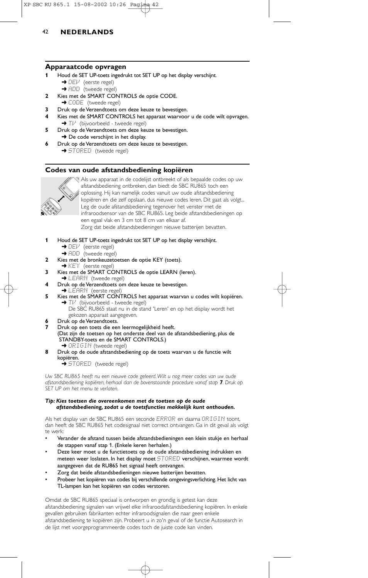## **Apparaatcode opvragen**

- **1** Houd de SET UP-toets ingedrukt tot SET UP op het display verschijnt.
	- → DEV (eerste regel)
	- → ADD (tweede regel)
- **2** Kies met de SMART CONTROLS de optie CODE. → CODE (tweede regel)
- **3** Druk op de Verzendtoets om deze keuze te bevestigen.
- **4** Kies met de SMART CONTROLS het apparaat waarvoor u de code wilt opvragen. → TV (bijvoorbeeld - tweede regel)
- **5** Druk op de Verzendtoets om deze keuze te bevestigen.
- → De code verschijnt in het display.
- **6** Druk op de Verzendtoets om deze keuze te bevestigen. → STORED (tweede regel)

## **Codes van oude afstandsbediening kopiëren**



Als uw apparaat in de codelijst ontbreekt of als bepaalde codes op uw afstandsbediening ontbreken, dan biedt de SBC RU865 toch een oplossing. Hij kan namelijk codes vanuit uw oude afstandsbediening kopiëren en die zelf opslaan, dus nieuwe codes leren. Dit gaat als volgt... Leg de oude afstandsbediening tegenover het venster met de infraroodsensor van de SBC RU865. Leg beide afstandsbedieningen op een egaal vlak en 3 cm tot 8 cm van elkaar af. Zorg dat beide afstandsbedieningen nieuwe batterijen bevatten.

- **1** Houd de SET UP-toets ingedrukt tot SET UP op het display verschijnt.
	- → DEV (eerste regel)
	- → ADD (tweede regel)
- **2** Kies met de bronkeuzetoetsen de optie KEY (toets).
- → KEY (eerste regel)
- **3** Kies met de SMART CONTROLS de optie LEARN (leren). **→ LEARN** (tweede regel)
- **4** Druk op de Verzendtoets om deze keuze te bevestigen. → LEARN (eerste regel)
- **5** Kies met de SMART CONTROLS het apparaat waarvan u codes wilt kopiëren. → Tl<sup>,1</sup> (bijvoorbeeld - tweede regel) De SBC RU865 staat nu in de stand 'Leren' en op het display wordt het
	- gekozen apparaat aangegeven.
- 
- **6** Druk op de Verzendtoets.<br>7 Druk op een toets die ee **7** Druk op een toets die een leermogelijkheid heeft. (Dat zijn de toetsen op het onderste deel van de afstandsbediening, plus de STANDBY-toets en de SMART CONTROLS.) **→** ORIGIN (tweede regel)
- **8** Druk op de oude afstandsbediening op de toets waarvan u de functie wilt kopiëren.
	- **→ STORED** (tweede regel)

*Uw SBC RU865 heeft nu een nieuwe code geleerd.Wilt u nog meer codes van uw oude afstandsbediening kopiëren, herhaal dan de bovenstaande procedure vanaf stap 7. Druk op SET UP om het menu te verlaten.*

#### *Tip: Kies toetsen die overeenkomen met de toetsen op de oude afstandsbediening, zodat u de toetsfuncties makkelijk kunt onthouden.*

Als het display van de SBC RU865 een seconde ERROR en daarna ORIGIN toont, dan heeft de SBC RU865 het codesignaal niet correct ontvangen. Ga in dit geval als volgt te werk:

- Verander de afstand tussen beide afstandsbedieningen een klein stukje en herhaal de stappen vanaf stap 1. (Enkele keren herhalen.)
- Deze keer moet u de functietoets op de oude afstandsbediening indrukken en meteen weer loslaten. In het display moet STORED verschijnen, waarmee wordt aangegeven dat de RU865 het signaal heeft ontvangen.
- Zorg dat beide afstandsbedieningen nieuwe batterijen bevatten.
- Probeer het kopiëren van codes bij verschillende omgevingsverlichting. Het licht van TL-lampen kan het kopiëren van codes verstoren.

Omdat de SBC RU865 speciaal is ontworpen en grondig is getest kan deze afstandsbediening signalen van vrijwel elke infraroodafstandsbediening kopiëren. In enkele gevallen gebruiken fabrikanten echter infraroodsignalen die naar geen enkele afstandsbediening te kopiëren zijn. Probeert u in zo'n geval of de functie Autosearch in de lijst met voorgeprogrammeerde codes toch de juiste code kan vinden.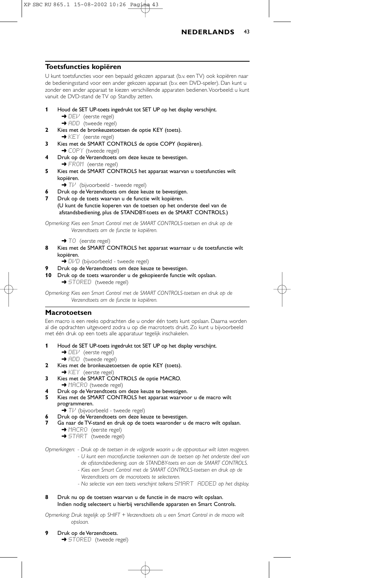

#### **Toetsfuncties kopiëren**

U kunt toetsfuncties voor een bepaald gekozen apparaat (b.v. een TV) ook kopiëren naar de bedieningsstand voor een ander gekozen apparaat (b.v. een DVD-speler). Dan kunt u zonder een ander apparaat te kiezen verschillende apparaten bedienen. Voorbeeld: u kunt vanuit de DVD-stand de TV op Standby zetten.

- **1** Houd de SET UP-toets ingedrukt tot SET UP op het display verschijnt.  $\rightarrow$  DEV (eerste regel)
	- $\rightarrow$  ADD (tweede regel)
- **2** Kies met de bronkeuzetoetsen de optie KEY (toets).
	- **→ KEY** (eerste regel)
- **3** Kies met de SMART CONTROLS de optie COPY (kopiëren).
- → COPY (tweede regel) **4** Druk op de Verzendtoets om deze keuze te bevestigen. → FROM (eerste regel)
- **5** Kies met de SMART CONTROLS het apparaat waarvan u toetsfuncties wilt kopiëren.
	- **→ T** $\vee$  (bijvoorbeeld tweede regel)
- **6** Druk op de Verzendtoets om deze keuze te bevestigen.
- **7** Druk op de toets waarvan u de functie wilt kopiëren. (U kunt de functie koperen van de toetsen op het onderste deel van de afstandsbediening, plus de STANDBY-toets en de SMART CONTROLS.)

*Opmerking: Kies een Smart Control met de SMART CONTROLS-toetsen en druk op de Verzendtoets om de functie te kopiëren.*

→ TO (eerste regel)

- **8** Kies met de SMART CONTROLS het apparaat waarnaar u de toetsfunctie wilt kopiëren.
	- → DI-'D (bijvoorbeeld tweede regel)
- **9** Druk op de Verzendtoets om deze keuze te bevestigen.
- **10** Druk op de toets waaronder u de gekopieerde functie wilt opslaan. → STORED (tweede regel)

*Opmerking: Kies een Smart Control met de SMART CONTROLS-toetsen en druk op de Verzendtoets om de functie te kopiëren.*

## **Macrotoetsen**

Een macro is een reeks opdrachten die u onder één toets kunt opslaan. Daarna worden al die opdrachten uitgevoerd zodra u op die macrotoets drukt. Zo kunt u bijvoorbeeld met één druk op een toets alle apparatuur tegelijk inschakelen.

- **1** Houd de SET UP-toets ingedrukt tot SET UP op het display verschijnt. → DEV (eerste regel)
	- → ADD (tweede regel)
- **2** Kies met de bronkeuzetoetsen de optie KEY (toets).
- → KEY (eerste regel)
- **3** Kies met de SMART CONTROLS de optie MACRO. → MACRO (tweede regel)
- **4** Druk op de Verzendtoets om deze keuze te bevestigen.
- **5** Kies met de SMART CONTROLS het apparaat waarvoor u de macro wilt programmeren.
	- ➜ TV (bijvoorbeeld tweede regel)
- **6** Druk op de Verzendtoets om deze keuze te bevestigen.
- **7** Ga naar de TV-stand en druk op de toets waaronder u de macro wilt opslaan. → MACRO (eerste regel)
	- → START (tweede regel)

*Opmerkingen: - Druk op de toetsen in de volgorde waarin u de apparatuur wilt laten reageren. - U kunt een macrofunctie toekennen aan de toetsen op het onderste deel van*

- *de afstandsbediening, aan de STANDBY-toets en aan de SMART CONTROLS. - Kies een Smart Control met de SMART CONTROLS-toetsen en druk op de*
	- *Verzendtoets om de macrotoets te selecteren.*
- Na selectie van een toets verschijnt telkens **SMART ADDED** op het display.
- **8** Druk nu op de toetsen waarvan u de functie in de macro wilt opslaan. Indien nodig selecteert u hierbij verschillende apparaten en Smart Controls.

*Opmerking: Druk tegelijk op SHIFT + Verzendtoets als u een Smart Control in de macro wilt opslaan.*

- **9** Druk op de Verzendtoets.
	- → STORED (tweede regel)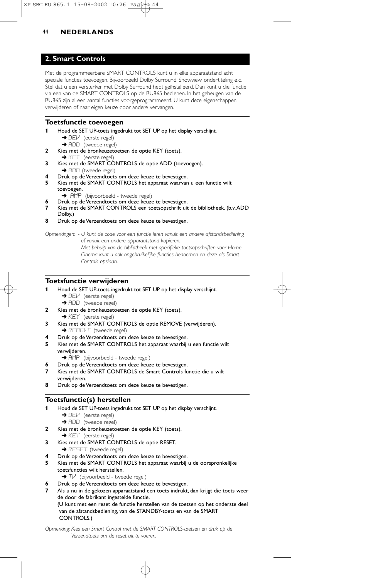## **2. Smart Controls**

Met de programmeerbare SMART CONTROLS kunt u in elke apparaatstand acht speciale functies toevoegen. Bijvoorbeeld Dolby Surround, Showview, ondertiteling e.d. Stel dat u een versterker met Dolby Surround hebt geïnstalleerd. Dan kunt u die functie via een van de SMART CONTROLS op de RU865 bedienen. In het geheugen van de RU865 zijn al een aantal functies voorgeprogrammeerd. U kunt deze eigenschappen verwijderen of naar eigen keuze door andere vervangen.

#### **Toetsfunctie toevoegen**

- **1** Houd de SET UP-toets ingedrukt tot SET UP op het display verschijnt. → DEl<sup>.</sup> (eerste regel)
- **→** ADD (tweede regel)
- **2** Kies met de bronkeuzetoetsen de optie KEY (toets). → KEY (eerste regel)
- **3** Kies met de SMART CONTROLS de optie ADD (toevoegen). **→** ADD (tweede regel)
- **4** Druk op de Verzendtoets om deze keuze te bevestigen.
- **5** Kies met de SMART CONTROLS het apparaat waarvan u een functie wilt toevoegen.
	- → AMP (bijvoorbeeld tweede regel)
	- **6** Druk op de Verzendtoets om deze keuze te bevestigen.
- **7** Kies met de SMART CONTROLS een toetsopschrift uit de bibliotheek. (b.v.ADD Dolby.)
- **8** Druk op de Verzendtoets om deze keuze te bevestigen.

*Opmerkingen: - U kunt de code voor een functie leren vanuit een andere afstandsbediening of vanuit een andere apparaatstand kopiëren.*

> *- Met behulp van de bibliotheek met specifieke toetsopschriften voor Home Cinema kunt u ook ongebruikelijke functies benoemen en deze als Smart Controls opslaan.*

## **Toetsfunctie verwijderen**

- **1** Houd de SET UP-toets ingedrukt tot SET UP op het display verschijnt.
	- → DEV (eerste regel) → ADD (tweede regel)
- **2** Kies met de bronkeuzetoetsen de optie KEY (toets).
- → KEY (eerste regel)
- **3** Kies met de SMART CONTROLS de optie REMOVE (verwijderen). → REMOVE (tweede regel)
- **4** Druk op de Verzendtoets om deze keuze te bevestigen.
- **5** Kies met de SMART CONTROLS het apparaat waarbij u een functie wilt verwijderen.
	- → FIMP (bijvoorbeeld tweede regel)
- **6** Druk op de Verzendtoets om deze keuze te bevestigen.
- **7** Kies met de SMART CONTROLS de Smart Controls functie die u wilt verwijderen.
- **8** Druk op de Verzendtoets om deze keuze te bevestigen.

## **Toetsfunctie(s) herstellen**

- **1** Houd de SET UP-toets ingedrukt tot SET UP op het display verschijnt. → DEl<sup>.</sup> (eerste regel) **→** ADD (tweede regel)
- **2** Kies met de bronkeuzetoetsen de optie KEY (toets).
- → KEY (eerste regel)
- **3** Kies met de SMART CONTROLS de optie RESET. → RESET (tweede regel)
- **4** Druk op de Verzendtoets om deze keuze te bevestigen.
- **5** Kies met de SMART CONTROLS het apparaat waarbij u de oorspronkelijke toetsfuncties wilt herstellen.
	- **→** Tl<sup>,*i*</sup> (bijvoorbeeld tweede regel)
- **6** Druk op de Verzendtoets om deze keuze te bevestigen.
- **7** Als u nu in de gekozen apparaatstand een toets indrukt, dan krijgt die toets weer de door de fabrikant ingestelde functie.
	- (U kunt met een reset de functie herstellen van de toetsen op het onderste deel van de afstandsbediening, van de STANDBY-toets en van de SMART CONTROLS.)

*Opmerking: Kies een Smart Control met de SMART CONTROLS-toetsen en druk op de Verzendtoets om de reset uit te voeren.*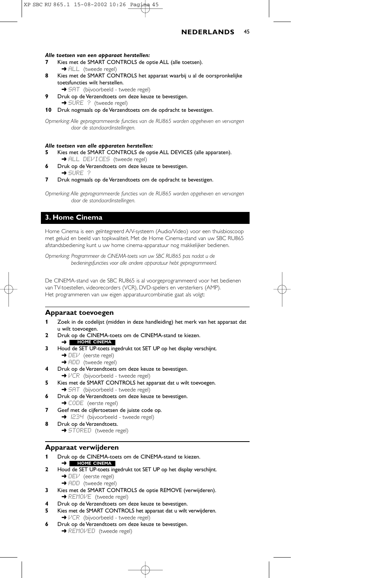

#### *Alle toetsen van een apparaat herstellen:*

- **7** Kies met de SMART CONTROLS de optie ALL (alle toetsen). → ALL (tweede regel)
- **8** Kies met de SMART CONTROLS het apparaat waarbij u al de oorspronkelijke toetsfuncties wilt herstellen.
	- → SAT (bijvoorbeeld tweede regel)
- **9** Druk op de Verzendtoets om deze keuze te bevestigen. → SURE ? (tweede regel)
- **10** Druk nogmaals op de Verzendtoets om de opdracht te bevestigen.

*Opmerking: Alle geprogrammeerde functies van de RU865 worden opgeheven en vervangen door de standaardinstellingen.*

#### *Alle toetsen van alle apparaten herstellen:*

- **5** Kies met de SMART CONTROLS de optie ALL DEVICES (alle apparaten).
- → ALL DEVICES (tweede regel)
- **6** Druk op de Verzendtoets om deze keuze te bevestigen. ➜ SURE ?
- **7** Druk nogmaals op de Verzendtoets om de opdracht te bevestigen.

*Opmerking: Alle geprogrammeerde functies van de RU865 worden opgeheven en vervangen door de standaardinstellingen.*

## **3. Home Cinema**

Home Cinema is een geïntegreerd A/V-systeem (Audio/Video) voor een thuisbioscoop met geluid en beeld van topkwaliteit. Met de Home Cinema-stand van uw SBC RU865 afstandsbediening kunt u uw home cinema-apparatuur nog makkelijker bedienen.

*Opmerking: Programmeer de CINEMA-toets van uw SBC RU865 pas nadat u de bedieningsfuncties voor alle andere apparatuur hebt geprogrammeerd.*

De CINEMA-stand van de SBC RU865 is al voorgeprogrammeerd voor het bedienen van TV-toestellen, videorecorders (VCR), DVD-spelers en versterkers (AMP). Het programmeren van uw eigen apparatuurcombinatie gaat als volgt:

#### **Apparaat toevoegen**

- **1** Zoek in de codelijst (midden in deze handleiding) het merk van het apparaat dat u wilt toevoegen.
- **2** Druk op de CINEMA-toets om de CINEMA-stand te kiezen.
- ➜ **HOME CINEMA**
- **3** Houd de SET UP-toets ingedrukt tot SET UP op het display verschijnt. → DEI<sup>J</sup> (eerste regel)
	- **→ ADD** (tweede regel)
- **4** Druk op de Verzendtoets om deze keuze te bevestigen.
- →  $VCR$  (bijvoorbeeld tweede regel)
- **5** Kies met de SMART CONTROLS het apparaat dat u wilt toevoegen.
- → SAT (bijvoorbeeld tweede regel)
- **6** Druk op de Verzendtoets om deze keuze te bevestigen.
- → CODE (eerste regel)
- **7** Geef met de cijfertoetsen de juiste code op. **→** 1234 (bijvoorbeeld - tweede regel)
- **8** Druk op de Verzendtoets. → STORED (tweede regel)

#### **Apparaat verwijderen**

- **1** Druk op de CINEMA-toets om de CINEMA-stand te kiezen.
- ➜ **HOME CINEMA 2** Houd de SET UP-toets ingedrukt tot SET UP op het display verschijnt.
	- $\rightarrow$  DEV (eerste regel) → ADD (tweede regel)
- **3** Kies met de SMART CONTROLS de optie REMOVE (verwijderen). → REMOME (tweede regel)
- **4** Druk op de Verzendtoets om deze keuze te bevestigen.
- **5** Kies met de SMART CONTROLS het apparaat dat u wilt verwijderen. →  $VCR$  (bijvoorbeeld - tweede regel)
- **6** Druk op de Verzendtoets om deze keuze te bevestigen.
	- **→ REMOVED** (tweede regel)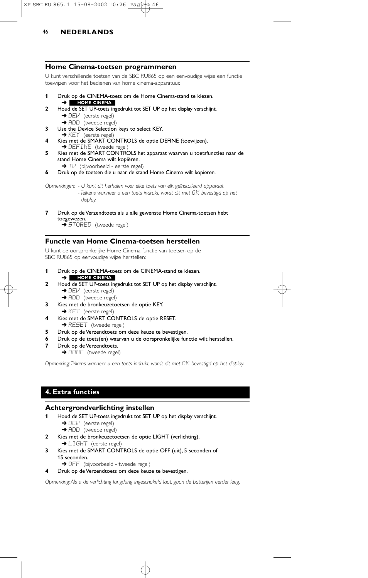

#### **Home Cinema-toetsen programmeren**

U kunt verschillende toetsen van de SBC RU865 op een eenvoudige wijze een functie toewijzen voor het bedienen van home cinema-apparatuur.

- **1** Druk op de CINEMA-toets om de Home Cinema-stand te kiezen. **HOME CINEMA**
- ➜ **2** Houd de SET UP-toets ingedrukt tot SET UP op het display verschijnt.  $\rightarrow$  DE $\nu$  (eerste regel)
	- → ADD (tweede regel)
- **3** Use the Device Selection keys to select KEY. → KEY (eerste regel)
- **4** Kies met de SMART CONTROLS de optie DEFINE (toewijzen).<br>→ DEFINE (tweede regel)
- **5** Kies met de SMART CONTROLS het apparaat waarvan u toetsfuncties naar de stand Home Cinema wilt kopiëren.
- → Tl<sup>,1</sup> (bijvoorbeeld eerste regel)
- **6** Druk op de toetsen die u naar de stand Home Cinema wilt kopiëren.

*Opmerkingen: - U kunt dit herhalen voor elke toets van elk geïnstalleerd apparaat. - Telkens wanneer u een toets indrukt, wordt dit met* OK *bevestigd op het display.*

**7** Druk op de Verzendtoets als u alle gewenste Home Cinema-toetsen hebt toegewezen. ➜ STORED (tweede regel)

## **Functie van Home Cinema-toetsen herstellen**

U kunt de oorspronkelijke Home Cinema-functie van toetsen op de SBC RU865 op eenvoudige wijze herstellen:

- **1** Druk op de CINEMA-toets om de CINEMA-stand te kiezen. ➜ **HOME CINEMA**
- **2** Houd de SET UP-toets ingedrukt tot SET UP op het display verschijnt. → DEV (eerste regel)
	- → ADD (tweede regel)
- **3** Kies met de bronkeuzetoetsen de optie KEY. → KEY (eerste regel)
- **4** Kies met de SMART CONTROLS de optie RESET. **→ RESET** (tweede regel)
- **5** Druk op de Verzendtoets om deze keuze te bevestigen.
- **6** Druk op de toets(en) waarvan u de oorspronkelijke functie wilt herstellen.
- **7** Druk op de Verzendtoets. → DONE (tweede regel)

*Opmerking: Telkens wanneer u een toets indrukt, wordt dit met DK bevestigd op het display.* 

# **4. Extra functies**

## **Achtergrondverlichting instellen**

- **1** Houd de SET UP-toets ingedrukt tot SET UP op het display verschijnt.
	- → DEV (eerste regel)
	- → ADD (tweede regel)
- **2** Kies met de bronkeuzetoetsen de optie LIGHT (verlichting). → LIGHT (eerste regel)
- **3** Kies met de SMART CONTROLS de optie OFF (uit), 5 seconden of 15 seconden.

→ OFF (bijvoorbeeld - tweede regel)

#### **4** Druk op de Verzendtoets om deze keuze te bevestigen.

*Opmerking: Als u de verlichting langdurig ingeschakeld laat, gaan de batterijen eerder leeg.*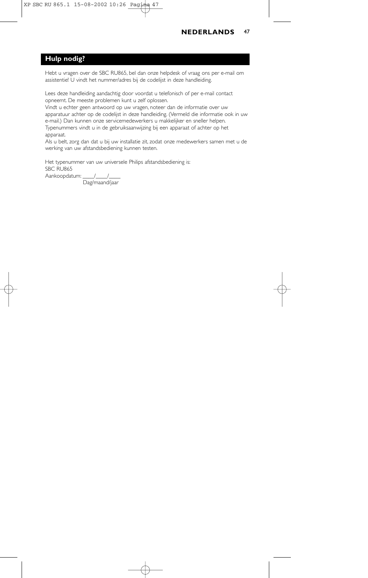## **Hulp nodig?**

Hebt u vragen over de SBC RU865, bel dan onze helpdesk of vraag ons per e-mail om assistentie! U vindt het nummer/adres bij de codelijst in deze handleiding.

Lees deze handleiding aandachtig door voordat u telefonisch of per e-mail contact opneemt. De meeste problemen kunt u zelf oplossen.

Vindt u echter geen antwoord op uw vragen, noteer dan de informatie over uw apparatuur achter op de codelijst in deze handleiding. (Vermeld die informatie ook in uw e-mail.) Dan kunnen onze servicemedewerkers u makkelijker en sneller helpen. Typenummers vindt u in de gebruiksaanwijzing bij een apparaat of achter op het apparaat.

Als u belt, zorg dan dat u bij uw installatie zit, zodat onze medewerkers samen met u de werking van uw afstandsbediening kunnen testen.

Het typenummer van uw universele Philips afstandsbediening is: SBC RU865 Aankoopdatum: //

Dag/maand/jaar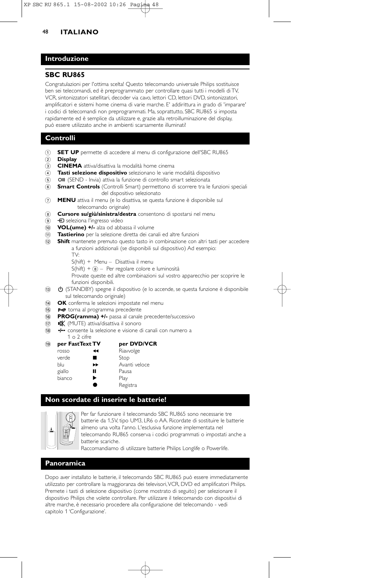## **Introduzione**

## **SBC RU865**

Congratulazioni per l'ottima scelta! Questo telecomando universale Philips sostituisce ben sei telecomandi, ed è preprogrammato per controllare quasi tutti i modelli di TV, VCR, sintonizzatori satellitari, decoder via cavo, lettori CD, lettori DVD, sintonizzatori, amplificatori e sistemi home cinema di varie marche. E' addirittura in grado di 'imparare' i codici di telecomandi non preprogrammati. Ma, soprattutto, SBC RU865 si imposta rapidamente ed è semplice da utilizzare e, grazie alla retroilluminazione del display, può essere utilizzato anche in ambienti scarsamente illuminati!

## **Controlli**

- 1 **SET UP** permette di accedere al menu di configurazione dell'SBC RU865
- 2 **Display**
- 3 **CINEMA** attiva/disattiva la modalità home cinema
- 4 **Tasti selezione dispositivo** selezionano le varie modalità dispositivo
- 5 **OII** (SEND Invia) attiva la funzione di controllo smart selezionata
- 6 **Smart Controls** (Controlli Smart) permettono di scorrere tra le funzioni speciali del dispositivo selezionato
- 7 **MENU** attiva il menu (e lo disattiva, se questa funzione è disponibile sul telecomando originale)
- 8 **Cursore su/giù/sinistra/destra** consentono di spostarsi nel menu
- <sup>9</sup>  $\Theta$  seleziona l'ingresso video
- 0 **VOL(ume) +/-** alza od abbassa il volume
- ! **Tastierino** per la selezione diretta dei canali ed altre funzioni
- @ **Shift** mantenete premuto questo tasto in combinazione con altri tasti per accedere a funzioni addizionali (se disponibili sul dispositivo) Ad esempio:
	- TV:
	- S(hift) + Menu Disattiva il menu
	- $S(hift) +  $(8)$  Per regolare colore e luminosità$
	- Provate queste ed altre combinazioni sul vostro apparecchio per scoprire le funzioni disponibili.
- $\overline{13}$   $\bullet$  (STANDBY) spegne il dispositivo (e lo accende, se questa funzione è disponibile sul telecomando originale)
- **(14) OK** conferma le selezioni impostate nel menu
- (i5) P<P torna al programma precedente
- **<sup>6</sup> PROG(ramma) +/-** passa al canale precedente/successivo
- (17) **x (MUTE)** attiva/disattiva il sonoro
- 18 - consente la selezione e visione di canali con numero a
- 1 o 2 cifre

#### ( **per FastText TV per DVD/VCR**

|        | . |               |
|--------|---|---------------|
| rosso  | ↤ | Riavvolge     |
| verde  |   | Stop          |
| blu    | ▸ | Avanti veloce |
| giallo | П | Pausa         |
| bianco | ▶ | Play          |
|        |   | Registra      |

## **Non scordate di inserire le batterie!**



Per far funzionare il telecomando SBC RU865 sono necessarie tre batterie da 1,5V, tipo UM3, LR6 o AA. Ricordate di sostituire le batterie almeno una volta l'anno. L'esclusiva funzione implementata nel telecomando RU865 conserva i codici programmati o impostati anche a batterie scariche.

Raccomandiamo di utilizzare batterie Philips Longlife o Powerlife.

#### **Panoramica**

Dopo aver installato le batterie, il telecomando SBC RU865 può essere immediatamente utilizzato per controllare la maggioranza dei televisori,VCR, DVD ed amplificatori Philips. Premete i tasti di selezione dispositivo (come mostrato di seguito) per selezionare il dispositivo Philips che volete controllare. Per utilizzare il telecomando con dispositivi di altre marche, è necessario procedere alla configurazione del telecomando - vedi capitolo 1 'Configurazione'.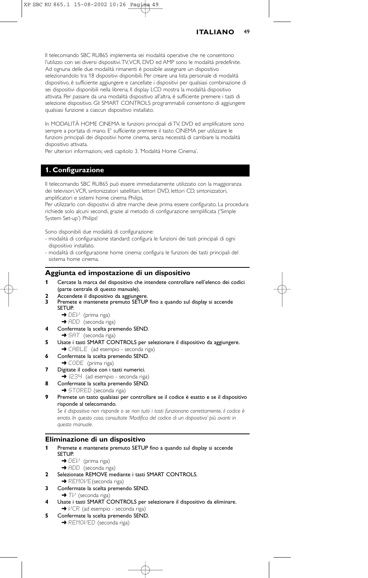| <b>ITALIANO</b> | 49 |
|-----------------|----|
|-----------------|----|

Il telecomando SBC RU865 implementa sei modalità operative che ne consentono l'utilizzo con sei diversi dispositivi.TV,VCR, DVD ed AMP sono le modalità predefinite. Ad ognuna delle due modalità rimanenti è possibile assegnare un dispositivo selezionandolo tra 18 dispositivi disponibili. Per creare una lista personale di modalità dispositivo, è sufficiente aggiungere e cancellate i dispositivi per qualsiasi combinazione di sei dispositivi disponibili nella libreria. Il display LCD mostra la modalità dispositivo attivata. Per passare da una modalità dispositivo all'altra, è sufficiente premere i tasti di selezione dispositivo. Gli SMART CONTROLS programmabili consentono di aggiungere qualsiasi funzione a ciascun dispositivo installato.

In MODALITÀ HOME CINEMA le funzioni principali di TV, DVD ed amplificatore sono sempre a portata di mano. E' sufficiente premere il tasto CINEMA per utilizzare le funzioni principali dei dispositivi home cinema, senza necessità di cambiare la modalità dispositivo attivata.

Per ulteriori informazioni, vedi capitolo 3. 'Modalità Home Cinema'.

## **1. Configurazione**

Il telecomando SBC RU865 può essere immediatamente utilizzato con la maggioranza dei televisori,VCR, sintonizzatori satellitari, lettori DVD, lettori CD, sintonizzatori, amplificatori e sistemi home cinema Philips.

Per utilizzarlo con dispositivi di altre marche deve prima essere configurato. La procedura richiede solo alcuni secondi, grazie al metodo di configurazione semplificata ('Simple System Set-up') Philips!

Sono disponibili due modalità di configurazione:

- modalità di configurazione standard: configura le funzioni dei tasti principali di ogni dispositivo installato.
- modalità di configurazione home cinema: configura le funzioni dei tasti principali del sistema home cinema.

#### **Aggiunta ed impostazione di un dispositivo**

- **1** Cercate la marca del dispositivo che intendete controllare nell'elenco dei codici (parte centrale di questo manuale).
- **2** Accendete il dispositivo da aggiungere.<br>**3** Premete e mantenete premuto SETUP
- **3** Premete e mantenete premuto SETUP fino a quando sul display si accende SETUP.
	- → DEV (prima riga)
	- → ADD (seconda riga)
- **4** Confermate la scelta premendo SEND.
- → SAT (seconda riga)
- **5** Usate i tasti SMART CONTROLS per selezionare il dispositivo da aggiungere. → CABLE (ad esempio - seconda riga)
- **6** Confermate la scelta premendo SEND.
	- → CODE (prima riga)
- **7** Digitate il codice con i tasti numerici.
- → I234 (ad esempio seconda riga) **8** Confermate la scelta premendo SEND.
- 
- → STORED (seconda riga)
- **9** Premete un tasto qualsiasi per controllare se il codice è esatto e se il dispositivo risponde al telecomando.

*Se il dispositivo non risponde o se non tutti i tasti funzionano correttamente, il codice è errato. In questo caso, consultate 'Modifica del codice di un dispositivo' più avanti in questo manuale.*

## **Eliminazione di un dispositivo**

- **1** Premete e mantenete premuto SETUP fino a quando sul display si accende SETUP.
	- → DEl<sup>.</sup> (prima riga)
	- → ADD (seconda riga)
- **2** Selezionate REMOVE mediante i tasti SMART CONTROLS. ➜ REMOVE(seconda riga)
- **3** Confermate la scelta premendo SEND.  $\rightarrow$  Tl $\prime$  (seconda riga)
- **4** Usate i tasti SMART CONTROLS per selezionare il dispositivo da eliminare. → VCR (ad esempio - seconda riga)
- **5** Confermate la scelta premendo SEND. → REMOVED (seconda riga)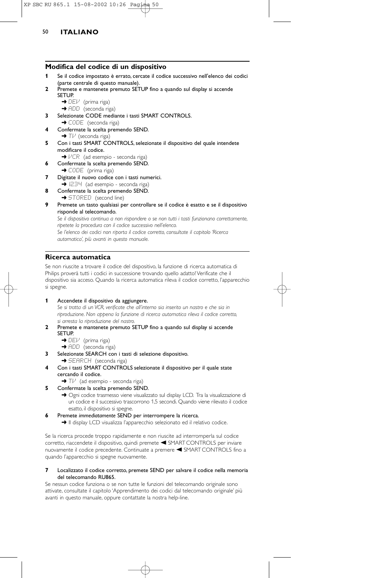#### **Modifica del codice di un dispositivo**

- **1** Se il codice impostato è errato, cercate il codice successivo nell'elenco dei codici (parte centrale di questo manuale).
- **2** Premete e mantenete premuto SETUP fino a quando sul display si accende SETUP.
	- $\rightarrow$  DEV (prima riga)
	- → ADD (seconda riga)
- **3** Selezionate CODE mediante i tasti SMART CONTROLS. → CODE (seconda riga)
- **4** Confermate la scelta premendo SEND. → Tl<sup>,i</sup> (seconda riga)
- **5** Con i tasti SMART CONTROLS, selezionate il dispositivo del quale intendete modificare il codice.
- →  $VCR$  (ad esempio seconda riga)
- **6** Confermate la scelta premendo SEND.
- $\rightarrow$  CODE (prima riga)
- **7** Digitate il nuovo codice con i tasti numerici. → I234 (ad esempio - seconda riga)
- **8** Confermate la scelta premendo SEND.
- → STORED (second line)
- **9** Premete un tasto qualsiasi per controllare se il codice è esatto e se il dispositivo risponde al telecomando.

*Se il dispositivo continua a non rispondere o se non tutti i tasti funzionano correttamente, ripetete la procedura con il codice successivo nell'elenco. Se l'elenco dei codici non riporta il codice corretto, consultate il capitolo 'Ricerca automatica', più avanti in questo manuale.*

## **Ricerca automatica**

Se non riuscite a trovare il codice del dispositivo, la funzione di ricerca automatica di Philips proverà tutti i codici in successione trovando quello adatto! Verificate che il dispositivo sia acceso. Quando la ricerca automatica rileva il codice corretto, l'apparecchio si spegne.

**1** Accendete il dispositivo da aggiungere.

*Se si tratta di un VCR, verificate che all'interno sia inserito un nastro e che sia in riproduzione. Non appena la funzione di ricerca automatica rileva il codice corretto, si arresta la riproduzione del nastro.*

- **2** Premete e mantenete premuto SETUP fino a quando sul display si accende SETUP.
	- → DEV (prima riga)
	- → ADD (seconda riga)
- **3** Selezionate SEARCH con i tasti di selezione dispositivo. → SEARCH (seconda riga)
- **4** Con i tasti SMART CONTROLS selezionate il dispositivo per il quale state cercando il codice.
	- $\rightarrow$  T $\nu$ <sup>'</sup> (ad esempio seconda riga)
- **5** Confermate la scelta premendo SEND.
	- → Ogni codice trasmesso viene visualizzato sul display LCD. Tra la visualizzazione di un codice e il successivo trascorrono 1,5 secondi. Quando viene rilevato il codice esatto, il dispositivo si spegne.
- **6** Premete *immediatamente* SEND per interrompere la ricerca.

➜ Il display LCD visualizza l'apparecchio selezionato ed il relativo codice.

Se la ricerca procede troppo rapidamente e non riuscite ad interromperla sul codice corretto, riaccendete il dispositivo, quindi premete < SMART CONTROLS per inviare nuovamente il codice precedente. Continuate a premere < SMART CONTROLS fino a quando l'apparecchio si spegne nuovamente.

#### **7** Localizzato il codice corretto, premete SEND per salvare il codice nella memoria del telecomando RU865.

Se nessun codice funziona o se non tutte le funzioni del telecomando originale sono attivate, consultate il capitolo 'Apprendimento dei codici dal telecomando originale' più avanti in questo manuale, oppure contattate la nostra help-line.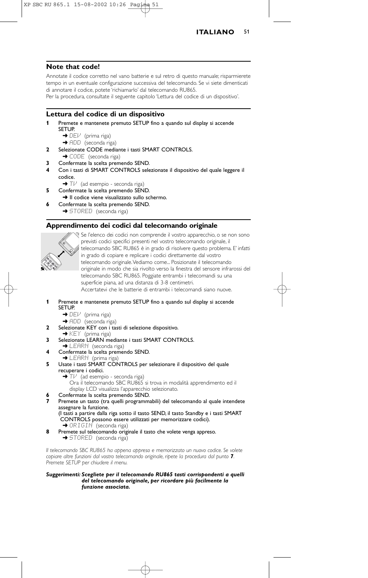

#### **Note that code!**

Annotate il codice corretto nel vano batterie e sul retro di questo manuale; risparmierete tempo in un eventuale configurazione successiva del telecomando. Se vi siete dimenticati di annotare il codice, potete 'richiamarlo' dal telecomando RU865.

Per la procedura, consultate il seguente capitolo 'Lettura del codice di un dispositivo'.

#### **Lettura del codice di un dispositivo**

- **1** Premete e mantenete premuto SETUP fino a quando sul display si accende SETUP.
	- → DEV (prima riga)
	- → ADD (seconda riga)
- **2** Selezionate CODE mediante i tasti SMART CONTROLS. → CODE (seconda riga)
- **3** Confermate la scelta premendo SEND.
- **4** Con i tasti di SMART CONTROLS selezionate il dispositivo del quale leggere il codice.
	- → Tl<sup>u</sup> (ad esempio seconda riga)
- **5** Confermate la scelta premendo SEND.
- → Il codice viene visualizzato sullo schermo.
- **6** Confermate la scelta premendo SEND. → STORED (seconda riga)

#### **Apprendimento dei codici dal telecomando originale**



Se l'elenco dei codici non comprende il vostro apparecchio, o se non sono previsti codici specifici presenti nel vostro telecomando originale, il telecomando SBC RU865 è in grado di risolvere questo problema. E' infatti in grado di copiare e replicare i codici direttamente dal vostro telecomando originale.Vediamo come... Posizionate il telecomando originale in modo che sia rivolto verso la finestra del sensore infrarossi del telecomando SBC RU865. Poggiate entrambi i telecomandi su una superficie piana, ad una distanza di 3-8 centimetri. Accertatevi che le batterie di entrambi i telecomandi siano nuove.

- **1** Premete e mantenete premuto SETUP fino a quando sul display si accende SETUP.
	- $\rightarrow$  DEV (prima riga)
	- → ADD (seconda riga)
- **2** Selezionate KEY con i tasti di selezione dispositivo.
- $\rightarrow$  KEY (prima riga) **3** Selezionate LEARN mediante i tasti SMART CONTROLS.
- → LEARN (seconda riga)
- **4** Confermate la scelta premendo SEND.
- → LEARN (prima riga)
- **5** Usate i tasti SMART CONTROLS per selezionare il dispositivo del quale recuperare i codici.
	- $\rightarrow$  T $\nu$  (ad esempio seconda riga)
	- Ora il telecomando SBC RU865 si trova in modalità apprendimento ed il display LCD visualizza l'apparecchio selezionato.
	- **6** Confermate la scelta premendo SEND.
- **7** Premete un tasto (tra quelli programmabili) del telecomando al quale intendete assegnare la funzione.

(I tasti a partire dalla riga sotto il tasto SEND, il tasto Standby e i tasti SMART CONTROLS possono essere utilizzati per memorizzare codici). → ORIGIN (seconda riga)

- **8** Premete sul telecomando originale il tasto che volete venga appreso.
- ◆ STORED (seconda riga)

*Il telecomando SBC RU865 ha appena appreso e memorizzato un nuovo codice. Se volete copiare altre funzioni dal vostro telecomando originale, ripete la procedura dal punto 7. Premete SETUP per chiudere il menu.*

*Suggerimenti: Scegliete per il telecomando RU865 tasti corrispondenti a quelli del telecomando originale, per ricordare più facilmente la funzione associata.*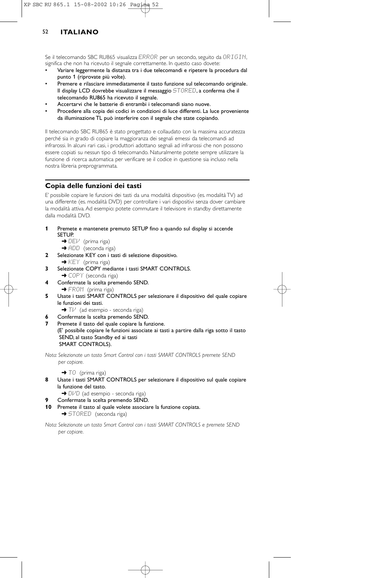Se il telecomando SBC RU865 visualizza ERROR per un secondo, seguito da ORIGIN, significa che non ha ricevuto il segnale correttamente. In questo caso dovete:

- Variare leggermente la distanza tra i due telecomandi e ripetere la procedura dal punto 1 (riprovate più volte).
- Premere e rilasciare immediatamente il tasto funzione sul telecomando originale. Il display LCD dovrebbe visualizzare il messaggio STORED, a conferma che il telecomando RU865 ha ricevuto il segnale.
- Accertarvi che le batterie di entrambi i telecomandi siano nuove.
- Procedere alla copia dei codici in condizioni di luce differenti. La luce proveniente da illuminazione TL può interferire con il segnale che state copiando.

Il telecomando SBC RU865 è stato progettato e collaudato con la massima accuratezza perché sia in grado di copiare la maggioranza dei segnali emessi da telecomandi ad infrarossi. In alcuni rari casi, i produttori adottano segnali ad infrarossi che non possono essere copiati su nessun tipo di telecomando. Naturalmente potete sempre utilizzare la funzione di ricerca automatica per verificare se il codice in questione sia incluso nella nostra libreria preprogrammata.

## **Copia delle funzioni dei tasti**

E' possibile copiare le funzioni dei tasti da una modalità dispositivo (es. modalità TV) ad una differente (es. modalità DVD) per controllare i vari dispositivi senza dover cambiare la modalità attiva. Ad esempio: potete commutare il televisore in standby direttamente dalla modalità DVD.

- **1** Premete e mantenete premuto SETUP fino a quando sul display si accende SETUP.
	- $\rightarrow$  DE $\nu$ <sup>'</sup> (prima riga)
	- → ADD (seconda riga)
- **2** Selezionate KEY con i tasti di selezione dispositivo. → KEY (prima riga)
- **3** Selezionate COPY mediante i tasti SMART CONTROLS. → COPY (seconda riga)
- **4** Confermate la scelta premendo SEND. → FROM (prima riga)
- **5** Usate i tasti SMART CONTROLS per selezionare il dispositivo del quale copiare le funzioni dei tasti.
- → Tl<sup>J</sup> (ad esempio seconda riga)
- **6** Confermate la scelta premendo SEND.
- **7** Premete il tasto del quale copiare la funzione. (E' possibile copiare le funzioni associate ai tasti a partire dalla riga sotto il tasto SEND, al tasto Standby ed ai tasti SMART CONTROLS).

*Nota: Selezionate un tasto Smart Control con i tasti SMART CONTROLS premete SEND per copiare.*

 $\rightarrow$  TO (prima riga)

- **8** Usate i tasti SMART CONTROLS per selezionare il dispositivo sul quale copiare la funzione del tasto.
	- → DIPI (ad esempio seconda riga)
- **9** Confermate la scelta premendo SEND.
- **10** Premete il tasto al quale volete associare la funzione copiata. → STORED (seconda riga)

*Nota: Selezionate un tasto Smart Control con i tasti SMART CONTROLS e premete SEND per copiare.*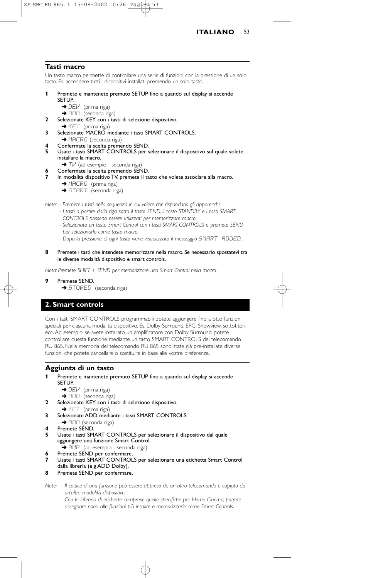

#### **Tasti macro**

Un tasto macro permette di controllare una serie di funzioni con la pressione di un solo tasto. Es. accendere tutti i dispositivi installati premendo un solo tasto.

#### **1** Premete e mantenete premuto SETUP fino a quando sul display si accende

- SETUP.
	- → DEl<sup>.</sup> (prima riga)
- → ADD (seconda riga) **2** Selezionate KEY con i tasti di selezione dispositivo.
- $\rightarrow$  KEY (prima riga)
- **3** Selezionate MACRO mediante i tasti SMART CONTROLS.
- → MACRO (seconda riga)
- **4** Confermate la scelta premendo SEND.
- **5** Usate i tasti SMART CONTROLS per selezionare il dispositivo sul quale volete installare la macro.
	- → Tl<sup>,</sup> (ad esempio seconda riga
- **6** Confermate la scelta premendo SEND.
- In modalità dispositivo TV, premete il tasto che volete associare alla macro. → MACRO (prima riga)
	- **→** START (seconda riga)

*Note: - Premete i tasti nella sequenza in cui volete che rispondano gli apparecchi.*

- *I tasti a partire dalla riga sotto il tasto SEND, il tasto STANDBY e i tasti SMART CONTROLS possono essere utilizzati per memorizzare macro.*
- *Selezionate un tasto Smart Control con i tasti SMART CONTROLS e premete SEND per selezionarlo come tasto macro.*
- *Dopo la pressione di ogni tasto viene visualizzato il messaggio* SMART ADDED*.*
- **8** Premete i tasti che intendete memorizzare nella macro. Se necessario spostatevi tra le diverse modalità dispositivo e smart controls.

*Nota: Premete SHIFT + SEND per memorizzare uno Smart Control nella macro.*

- **9** Premete SEND.
	- → STORED (seconda riga)

## **2. Smart controls**

Con i tasti SMART CONTROLS programmabili potete aggiungere fino a otto funzioni speciali per ciascuna modalità dispositivo. Es. Dolby Surround, EPG, Showview, sottotitoli, ecc. Ad esempio: se avete installato un amplificatore con Dolby Surround, potete controllare questa funzione mediante un tasto SMART CONTROLS del telecomando RU 865. Nella memoria del telecomando RU 865 sono state già pre-installate diverse funzioni che potete cancellare o sostituire in base alle vostre preferenze.

## **Aggiunta di un tasto**

- **1** Premete e mantenete premuto SETUP fino a quando sul display si accende SETUP.
	- $\rightarrow$  DEV (prima riga)
	- → ADD (seconda riga)
- **2** Selezionate KEY con i tasti di selezione dispositivo.
- $\rightarrow$  KEY (prima riga) **3** Selezionate ADD mediante i tasti SMART CONTROLS.
- → ADD (seconda riga)
- **4** Premete SEND.<br>**5 Lleate i** tasti SM
- **5** Usate i tasti SMART CONTROLS per selezionare il dispositivo dal quale aggiungere una funzione Smart Control. → AMP (ad esempio - seconda riga)
- **6** Premete SEND per confermare.
- **7** Usate i tasti SMART CONTROLS per selezionare una etichetta Smart Control dalla libreria (e.g ADD Dolby).
- **8** Premete SEND per confermare.

*Note: - Il codice di una funzione può essere appreso da un altro telecomando o copiato da un'altra modalità dispositivo.*

*- Con la Libreria di etichette comprese quelle specifiche per Home Cinema, potrete assegnare nomi alle funzioni più insolite e memorizzarle come Smart Controls.*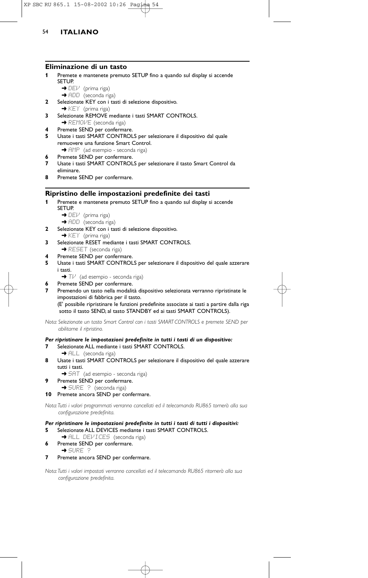#### **Eliminazione di un tasto**

- **1** Premete e mantenete premuto SETUP fino a quando sul display si accende SETUP.
	- $\rightarrow$  DEV (prima riga)
	- → ADD (seconda riga)
- **2** Selezionate KEY con i tasti di selezione dispositivo.  $\rightarrow$  KEY (prima riga)
- **3** Selezionate REMOVE mediante i tasti SMART CONTROLS. → REMOVE (seconda riga)
- **4** Premete SEND per confermare.
- **5** Usate i tasti SMART CONTROLS per selezionare il dispositivo dal quale remuovere una funzione Smart Control. → AMP (ad esempio - seconda riga)
- **6** Premete SEND per confermare.
- **7** Usate i tasti SMART CONTROLS per selezionare il tasto Smart Control da eliminare.
- **8** Premete SEND per confermare.

## **Ripristino delle impostazioni predefinite dei tasti**

- **1** Premete e mantenete premuto SETUP fino a quando sul display si accende SETUP.
	- $\rightarrow$  DEV (prima riga)
	- → ADD (seconda riga)
- **2** Selezionate KEY con i tasti di selezione dispositivo.
- → KEY (prima riga) **3** Selezionate RESET mediante i tasti SMART CONTROLS.
- → RESET (seconda riga)
- **4** Premete SEND per confermare.
- **5** Usate i tasti SMART CONTROLS per selezionare il dispositivo del quale azzerare i tasti.
	- $\rightarrow$  T $\mathcal{V}$  (ad esempio seconda riga)
- **6** Premete SEND per confermare. **7** Premendo un tasto nella modalità dispositivo selezionata verranno ripristinate le impostazioni di fabbrica per il tasto. (E' possibile ripristinare le funzioni predefinite associate ai tasti a partire dalla riga sotto il tasto SEND, al tasto STANDBY ed ai tasti SMART CONTROLS).

*Nota: Selezionate un tasto Smart Control con i tasti SMART CONTROLS e premete SEND per abilitarne il ripristino.*

## *Per ripristinare le impostazioni predefinite in tutti i tasti di un dispositivo:*

- **7** Selezionate ALL mediante i tasti SMART CONTROLS.
- → ALL (seconda riga)
- **8** Usate i tasti SMART CONTROLS per selezionare il dispositivo del quale azzerare tutti i tasti.
- → 5AT (ad esempio seconda riga)
- **9** Premete SEND per confermare. → SURE ? (seconda riga)
- **10** Premete ancora SEND per confermare.

*Nota:Tutti i valori programmati verranno cancellati ed il telecomando RU865 tornerà alla sua configurazione predefinita.*

## *Per ripristinare le impostazioni predefinite in tutti i tasti di tutti i dispositivi:*

- **5** Selezionate ALL DEVICES mediante i tasti SMART CONTROLS.
- → ALL DEVICES (seconda riga) **6** Premete SEND per confermare.
- ➜ SURE ?
- **7** Premete ancora SEND per confermare.

*Nota:Tutti i valori impostati verranno cancellati ed il telecomando RU865 ritornerà alla sua configurazione predefinita.*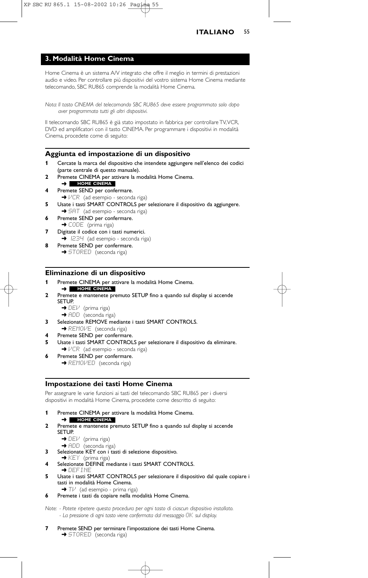## **3. Modalità Home Cinema**

Home Cinema è un sistema A/V integrato che offre il meglio in termini di prestazioni audio e video. Per controllare più dispositivi del vostro sistema Home Cinema mediante telecomando, SBC RU865 comprende la modalità Home Cinema.

*Nota: Il tasto CINEMA del telecomando SBC RU865 deve essere programmato solo dopo aver programmato tutti gli altri dispositivi.*

Il telecomando SBC RU865 è già stato impostato in fabbrica per controllare TV,VCR, DVD ed amplificatori con il tasto CINEMA. Per programmare i dispositivi in modalità Cinema, procedete come di seguito:

## **Aggiunta ed impostazione di un dispositivo**

- **1** Cercate la marca del dispositivo che intendete aggiungere nell'elenco dei codici (parte centrale di questo manuale).
- **2** Premete CINEMA per attivare la modalità Home Cinema.
- ➜ **HOME CINEMA**
- **4** Premete SEND per confermare.  $\rightarrow$   $VCR$  (ad esempio - seconda riga)
- **5** Usate i tasti SMART CONTROLS per selezionare il dispositivo da aggiungere.
- → 5HT (ad esempio seconda riga) **6** Premete SEND per confermare.
- → CODE (prima riga) **7** Digitate il codice con i tasti numerici.
- $\rightarrow$  1234 (ad esempio seconda riga) **8** Premete SEND per confermare.
	- → STORED (seconda riga)

#### **Eliminazione di un dispositivo**

- **1** Premete CINEMA per attivare la modalità Home Cinema. ➜ **HOME CINEMA**
- **2** Premete e mantenete premuto SETUP fino a quando sul display si accende SETUP.
	- $\rightarrow$  DEV (prima riga) → ADD (seconda riga)
- **3** Selezionate REMOVE mediante i tasti SMART CONTROLS. → REMOVE (seconda riga)
- 
- **4** Premete SEND per confermare.
- **5** Usate i tasti SMART CONTROLS per selezionare il dispositivo da eliminare. →  $VCR$  (ad esempio - seconda riga)
- Premete SEND per confermare.
	- **→ REMOVED** (seconda riga)

## **Impostazione dei tasti Home Cinema**

Per assegnare le varie funzioni ai tasti del telecomando SBC RU865 per i diversi dispositivi in modalità Home Cinema, procedete come descritto di seguito:

- **1** Premete CINEMA per attivare la modalità Home Cinema.
- ➜ **HOME CINEMA**
- **2** Premete e mantenete premuto SETUP fino a quando sul display si accende SETUP.
	- → DEI<sup>J</sup> (prima riga)
	- → ADD (seconda riga)
- **3** Selezionate KEY con i tasti di selezione dispositivo.
- ◆ KEY (prima riga)
- **4** Selezionate DEFINE mediante i tasti SMART CONTROLS. ➜ DEFINE
- **5** Usate i tasti SMART CONTROLS per selezionare il dispositivo dal quale copiare i tasti in modalità Home Cinema.
	- → Tl<sup>J</sup> (ad esempio prima riga)
- **6** Premete i tasti da copiare nella modalità Home Cinema.

*Note: - Potete ripetere questa procedura per ogni tasto di ciascun dispositivo installato. - La pressione di ogni tasto viene confermata dal messaggio* OK *sul display.*

**7** Premete SEND per terminare l'impostazione dei tasti Home Cinema. **→** STORED (seconda riga)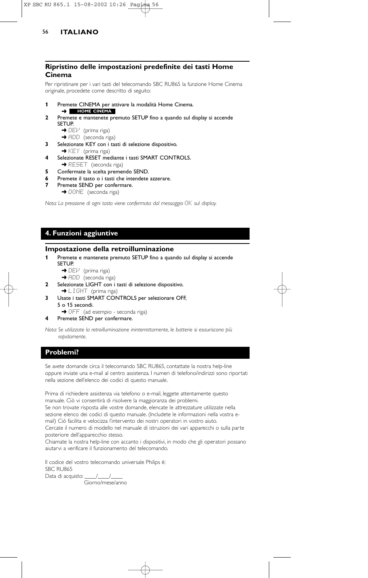## **Ripristino delle impostazioni predefinite dei tasti Home Cinema**

Per ripristinare per i vari tasti del telecomando SBC RU865 la funzione Home Cinema originale, procedete come descritto di seguito:

- **1** Premete CINEMA per attivare la modalità Home Cinema.
	- ➜ **HOME CINEMA**
- **2** Premete e mantenete premuto SETUP fino a quando sul display si accende **SETUP.** 
	- $\rightarrow$  DEV (prima riga)
	- → ADD (seconda riga)
- **3** Selezionate KEY con i tasti di selezione dispositivo.
- $\rightarrow$  KEY (prima riga)
- **4** Selezionate RESET mediante i tasti SMART CONTROLS. → RESET (seconda riga)
- **5** Confermate la scelta premendo SEND.
- Premete il tasto o i tasti che intendete azzerare.
- **7** Premete SEND per confermare.
	- → DONE (seconda riga)

*Nota: La pressione di ogni tasto viene confermata dal messaggio* OK *sul display.*

## **4. Funzioni aggiuntive**

#### **Impostazione della retroilluminazione**

- **1** Premete e mantenete premuto SETUP fino a quando sul display si accende SETUP.
	- → DEV (prima riga)
	- → ADD (seconda riga)
- **2** Selezionate LIGHT con i tasti di selezione dispositivo. → LIGHT (prima riga)
- **3** Usate i tasti SMART CONTROLS per selezionare OFF, 5 o 15 secondi.
- → OFF (ad esempio seconda riga)
- **4** Premete SEND per confermare.

*Nota: Se utilizzate la retroilluminazione ininterrottamente, le batterie si esauriscono più rapidamente.*

## **Problemi?**

Se avete domande circa il telecomando SBC RU865, contattate la nostra help-line oppure inviate una e-mail al centro assistenza. I numeri di telefono/indirizzi sono riportati nella sezione dell'elenco dei codici di questo manuale.

Prima di richiedere assistenza via telefono o e-mail, leggete attentamente questo manuale. Ciò vi consentirà di risolvere la maggioranza dei problemi.

Se non trovate risposta alle vostre domande, elencate le attrezzature utilizzate nella sezione elenco dei codici di questo manuale. (Includete le informazioni nella vostra email) Ciò facilita e velocizza l'intervento dei nostri operatori in vostro aiuto.

Cercate il numero di modello nel manuale di istruzioni dei vari apparecchi o sulla parte posteriore dell'apparecchio stesso.

Chiamate la nostra help-line con accanto i dispositivi, in modo che gli operatori possano aiutarvi a verificare il funzionamento del telecomando.

Il codice del vostro telecomando universale Philips è: SBC RU865

Data di acquisto: \_\_\_\_\_/\_\_\_\_\_/ Giorno/mese/anno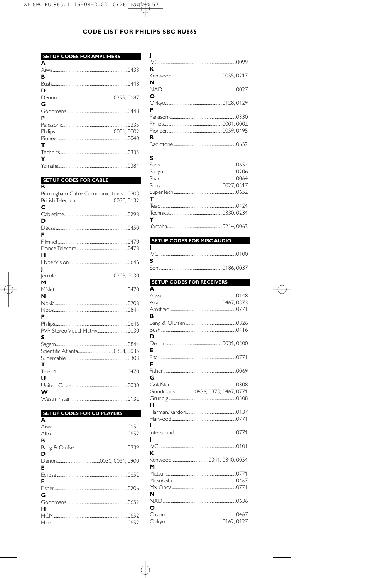| <b>SETUP CODES FOR AMPLIFIERS</b> |  |
|-----------------------------------|--|
| A                                 |  |
|                                   |  |
| в                                 |  |
|                                   |  |
| D                                 |  |
|                                   |  |
| G                                 |  |
|                                   |  |
| Р                                 |  |
|                                   |  |
|                                   |  |
|                                   |  |
| т                                 |  |
|                                   |  |
| Y                                 |  |
|                                   |  |

| <b>SETUP CODES FOR CABLE</b>        |  |
|-------------------------------------|--|
| R                                   |  |
| Birmingham Cable Communications0303 |  |
|                                     |  |
| с                                   |  |
|                                     |  |
| D                                   |  |
|                                     |  |
| F                                   |  |
|                                     |  |
|                                     |  |
| н                                   |  |
|                                     |  |
| J                                   |  |
| м                                   |  |
|                                     |  |
| N                                   |  |
|                                     |  |
|                                     |  |
| P                                   |  |
|                                     |  |
|                                     |  |
| S                                   |  |
|                                     |  |
|                                     |  |
|                                     |  |
| т                                   |  |
|                                     |  |
| U                                   |  |
|                                     |  |
| W                                   |  |
|                                     |  |

| SETUP CODES FOR CD PLATERS |  |  |  |
|----------------------------|--|--|--|
| A                          |  |  |  |
|                            |  |  |  |
|                            |  |  |  |
| в                          |  |  |  |
|                            |  |  |  |
| D                          |  |  |  |
|                            |  |  |  |
| Е                          |  |  |  |
|                            |  |  |  |
| F                          |  |  |  |
|                            |  |  |  |
| G                          |  |  |  |
|                            |  |  |  |
| н                          |  |  |  |
|                            |  |  |  |
|                            |  |  |  |
|                            |  |  |  |

| ĸ      |  |
|--------|--|
|        |  |
| N      |  |
|        |  |
| O      |  |
|        |  |
| P<br>R |  |
|        |  |
| S      |  |
|        |  |
|        |  |
|        |  |
|        |  |
|        |  |
| т      |  |
|        |  |
|        |  |
| Y      |  |
|        |  |
|        |  |

| <b>SETUP CODES FOR MISC AUDIO</b> |  |  |
|-----------------------------------|--|--|
|                                   |  |  |
|                                   |  |  |
| - 5                               |  |  |
|                                   |  |  |
|                                   |  |  |

| <b>SETUP CODES FOR RECEIVERS</b> |  |
|----------------------------------|--|
| Ā                                |  |
|                                  |  |
|                                  |  |
|                                  |  |
| В                                |  |
|                                  |  |
|                                  |  |
| מ                                |  |
|                                  |  |
| F                                |  |
| E                                |  |
|                                  |  |
| G                                |  |
|                                  |  |
| Goodmans0636, 0373, 0467, 0771   |  |
|                                  |  |
| н                                |  |
|                                  |  |
|                                  |  |
|                                  |  |
|                                  |  |
|                                  |  |
|                                  |  |
| ĸ                                |  |
|                                  |  |
| м                                |  |
|                                  |  |
|                                  |  |
|                                  |  |
| N                                |  |
|                                  |  |
| O                                |  |
|                                  |  |
|                                  |  |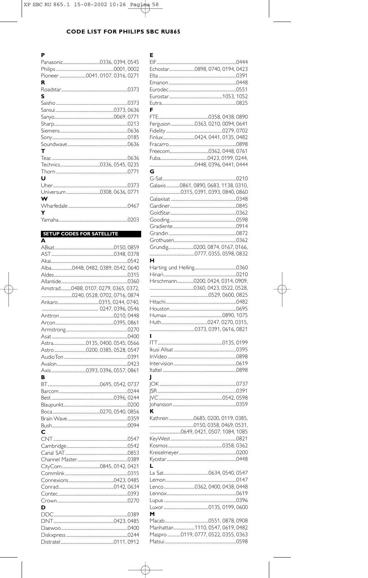| P |  |
|---|--|
|   |  |
|   |  |
|   |  |
| R |  |
|   |  |
| s |  |
|   |  |
|   |  |
|   |  |
|   |  |
|   |  |
|   |  |
|   |  |
| т |  |
|   |  |
|   |  |
|   |  |
| u |  |
|   |  |
|   |  |
| w |  |
|   |  |
| Y |  |
|   |  |

| <b>SETUP CODES FOR SATELLITE</b>     |  |
|--------------------------------------|--|
| A                                    |  |
|                                      |  |
|                                      |  |
|                                      |  |
| Alba0448, 0482, 0389, 0542, 0640     |  |
|                                      |  |
|                                      |  |
| Amstrad0488, 0107, 0279, 0365, 0372, |  |
|                                      |  |
|                                      |  |
|                                      |  |
|                                      |  |
|                                      |  |
|                                      |  |
|                                      |  |
|                                      |  |
|                                      |  |
|                                      |  |
|                                      |  |
|                                      |  |
| R                                    |  |
|                                      |  |
|                                      |  |
|                                      |  |
|                                      |  |
|                                      |  |
|                                      |  |
|                                      |  |
| C                                    |  |
|                                      |  |
|                                      |  |
|                                      |  |
|                                      |  |
|                                      |  |
|                                      |  |
|                                      |  |
|                                      |  |
|                                      |  |
|                                      |  |
| D                                    |  |
|                                      |  |
|                                      |  |
|                                      |  |
|                                      |  |
|                                      |  |

| Е                                    |  |
|--------------------------------------|--|
|                                      |  |
|                                      |  |
|                                      |  |
|                                      |  |
|                                      |  |
|                                      |  |
|                                      |  |
|                                      |  |
|                                      |  |
| F                                    |  |
|                                      |  |
|                                      |  |
| Ferguson 0363, 0210, 0094, 0641      |  |
|                                      |  |
|                                      |  |
|                                      |  |
|                                      |  |
|                                      |  |
|                                      |  |
|                                      |  |
| G                                    |  |
|                                      |  |
|                                      |  |
| Galaxis0861, 0890, 0683, 1138, 0310, |  |
|                                      |  |
|                                      |  |
|                                      |  |
|                                      |  |
|                                      |  |
|                                      |  |
|                                      |  |
|                                      |  |
|                                      |  |
|                                      |  |
|                                      |  |
|                                      |  |
|                                      |  |
| н                                    |  |
|                                      |  |
|                                      |  |
|                                      |  |
| Hirschmann0200, 0424, 0314, 0909,    |  |
|                                      |  |
|                                      |  |
|                                      |  |
|                                      |  |
|                                      |  |
|                                      |  |
|                                      |  |
|                                      |  |
|                                      |  |
| ı                                    |  |
|                                      |  |
|                                      |  |
|                                      |  |
|                                      |  |
|                                      |  |
|                                      |  |
| J                                    |  |
|                                      |  |
|                                      |  |
|                                      |  |
|                                      |  |
|                                      |  |
|                                      |  |
| к                                    |  |
|                                      |  |
|                                      |  |
|                                      |  |
|                                      |  |
|                                      |  |
|                                      |  |
|                                      |  |
|                                      |  |
|                                      |  |
|                                      |  |
| L                                    |  |
|                                      |  |
|                                      |  |
|                                      |  |
|                                      |  |
|                                      |  |
|                                      |  |
|                                      |  |
|                                      |  |
| M                                    |  |
|                                      |  |
|                                      |  |
| Manhattan 1110, 0547, 0619, 0482     |  |
| Maspro 0119, 0777, 0522, 0355, 0363  |  |
|                                      |  |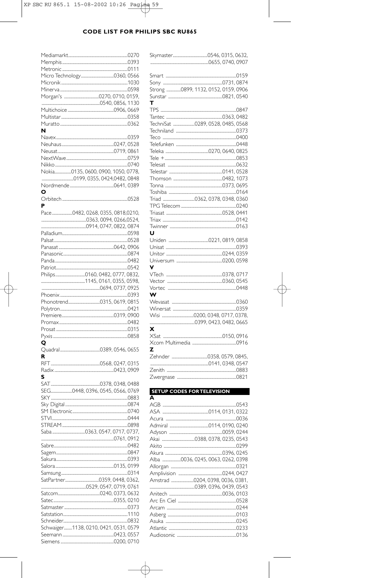| N                                     |  |
|---------------------------------------|--|
|                                       |  |
|                                       |  |
|                                       |  |
|                                       |  |
|                                       |  |
| Nokia0135, 0600, 0900, 1050, 0778,    |  |
|                                       |  |
|                                       |  |
| o                                     |  |
|                                       |  |
| P                                     |  |
| Pace0482, 0268, 0355, 0818,0210,      |  |
|                                       |  |
|                                       |  |
|                                       |  |
|                                       |  |
|                                       |  |
|                                       |  |
|                                       |  |
|                                       |  |
|                                       |  |
|                                       |  |
|                                       |  |
|                                       |  |
|                                       |  |
|                                       |  |
|                                       |  |
|                                       |  |
|                                       |  |
|                                       |  |
|                                       |  |
|                                       |  |
| o                                     |  |
|                                       |  |
| R                                     |  |
|                                       |  |
|                                       |  |
|                                       |  |
|                                       |  |
| SEG0448, 0396, 0545, 0566, 0769       |  |
|                                       |  |
|                                       |  |
|                                       |  |
|                                       |  |
|                                       |  |
|                                       |  |
|                                       |  |
|                                       |  |
|                                       |  |
|                                       |  |
|                                       |  |
|                                       |  |
|                                       |  |
|                                       |  |
|                                       |  |
|                                       |  |
|                                       |  |
|                                       |  |
|                                       |  |
|                                       |  |
| Schwaiger1138, 0210, 0421, 0531, 0579 |  |

| Strong 0899, 1132, 0152, 0159, 0906 |  |
|-------------------------------------|--|
|                                     |  |
| т                                   |  |
|                                     |  |
| TechniSat 0289, 0528, 0485, 0568    |  |
|                                     |  |
|                                     |  |
|                                     |  |
|                                     |  |
|                                     |  |
|                                     |  |
|                                     |  |
|                                     |  |
|                                     |  |
|                                     |  |
|                                     |  |
|                                     |  |
|                                     |  |
|                                     |  |
|                                     |  |
|                                     |  |
| U                                   |  |
|                                     |  |
|                                     |  |
|                                     |  |
| v                                   |  |
|                                     |  |
|                                     |  |
| Vortec                              |  |
| w                                   |  |
|                                     |  |
|                                     |  |
|                                     |  |
|                                     |  |
| x                                   |  |
|                                     |  |
|                                     |  |
| z                                   |  |
|                                     |  |
|                                     |  |
|                                     |  |
|                                     |  |
| <b>SETUP CODES FOR TELEVISION</b>   |  |
| A                                   |  |
|                                     |  |
|                                     |  |
|                                     |  |
|                                     |  |
|                                     |  |
|                                     |  |
|                                     |  |
|                                     |  |
| Alba 0036, 0245, 0063, 0262, 0398   |  |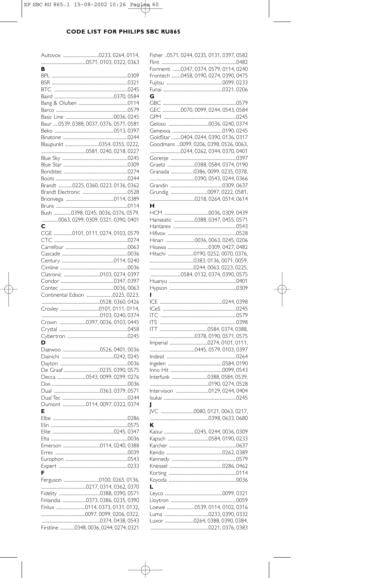| в                              |                                         |
|--------------------------------|-----------------------------------------|
|                                |                                         |
|                                |                                         |
|                                |                                         |
|                                |                                         |
|                                |                                         |
|                                |                                         |
|                                |                                         |
|                                |                                         |
|                                | Baur 0539, 0388, 0037, 0376, 0571, 0581 |
|                                |                                         |
|                                |                                         |
|                                |                                         |
|                                |                                         |
|                                |                                         |
|                                |                                         |
|                                |                                         |
|                                |                                         |
|                                |                                         |
|                                |                                         |
|                                | Brandt 0225, 0360, 0223, 0136, 0362     |
|                                |                                         |
|                                |                                         |
|                                |                                         |
|                                |                                         |
|                                | Bush 0398, 0245, 0036, 0376, 0579,      |
|                                |                                         |
|                                | 0063, 0299, 0309, 0321, 0390, 0401      |
| С                              |                                         |
|                                | CGE 0101.0111.0274.0103.0579            |
|                                |                                         |
|                                |                                         |
|                                |                                         |
|                                |                                         |
|                                |                                         |
|                                |                                         |
|                                |                                         |
|                                |                                         |
|                                |                                         |
|                                |                                         |
| Continental Edison 0225, 0223, |                                         |
|                                |                                         |
|                                |                                         |
|                                |                                         |
|                                |                                         |
|                                |                                         |
|                                |                                         |
|                                |                                         |
|                                |                                         |
|                                |                                         |
| D                              |                                         |
|                                |                                         |
|                                |                                         |
|                                |                                         |
|                                |                                         |
|                                |                                         |
|                                |                                         |
|                                |                                         |
|                                |                                         |
|                                |                                         |
|                                |                                         |
|                                |                                         |
| E                              |                                         |
|                                |                                         |
|                                |                                         |
|                                |                                         |
|                                |                                         |
|                                |                                         |
|                                |                                         |
|                                |                                         |
|                                |                                         |
|                                |                                         |
|                                |                                         |
| F                              |                                         |
|                                |                                         |
|                                |                                         |
|                                |                                         |
|                                |                                         |
|                                | Finlandia 0373, 0386, 0235, 0390        |
|                                |                                         |
|                                |                                         |
|                                |                                         |
|                                | Firstline 0348, 0036, 0244, 0274, 0321  |

|     | Fisher 0571, 0244, 0235, 0131, 0397, 0582 |
|-----|-------------------------------------------|
|     | Formenti 0347, 0374, 0579, 0114, 0240     |
|     | Frontech 0458, 0190, 0274, 0390, 0475     |
|     |                                           |
|     |                                           |
| G   |                                           |
|     |                                           |
|     | GEC 0070, 0099, 0244, 0543, 0584          |
|     |                                           |
|     |                                           |
|     |                                           |
|     | GoldStar 0404, 0244, 0390, 0136, 0317     |
|     | Goodmans  0099, 0206, 0398, 0526, 0063,   |
|     |                                           |
|     |                                           |
|     |                                           |
|     | Granada 0386, 0099, 0235, 0378,           |
|     |                                           |
|     |                                           |
|     |                                           |
| н   |                                           |
|     |                                           |
|     | Hanseatic 0388, 0347, 0455, 0571          |
|     |                                           |
|     |                                           |
|     |                                           |
|     |                                           |
|     |                                           |
|     |                                           |
|     |                                           |
|     |                                           |
|     |                                           |
|     |                                           |
|     |                                           |
|     |                                           |
| П   |                                           |
| ICE |                                           |
|     |                                           |
|     |                                           |
| ITS |                                           |
|     |                                           |
|     |                                           |
|     |                                           |
|     |                                           |
|     |                                           |
|     |                                           |
|     |                                           |
|     |                                           |
|     |                                           |
|     |                                           |
| J   |                                           |
|     |                                           |
|     |                                           |
| ĸ   |                                           |
|     | Kaisui 0245, 0244, 0036, 0309             |
|     |                                           |
|     |                                           |
|     |                                           |
|     |                                           |
|     |                                           |
|     |                                           |
|     |                                           |
| L   |                                           |
|     |                                           |
|     |                                           |
|     |                                           |
|     |                                           |
|     | Luxor 0264, 0388, 0390, 0384,             |
|     |                                           |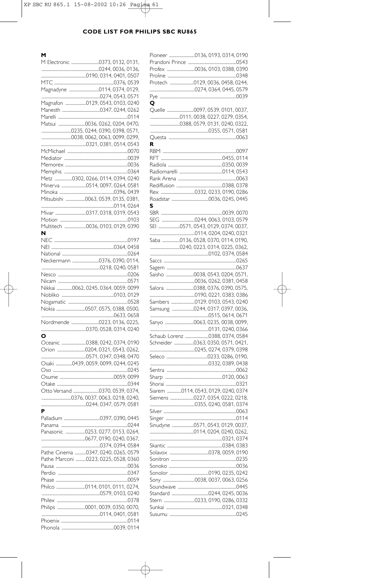| M Electronic 0373, 0132, 0131,       |  |
|--------------------------------------|--|
|                                      |  |
|                                      |  |
|                                      |  |
|                                      |  |
|                                      |  |
| Magnafon 0129, 0543, 0103, 0240      |  |
|                                      |  |
|                                      |  |
|                                      |  |
|                                      |  |
|                                      |  |
|                                      |  |
|                                      |  |
|                                      |  |
|                                      |  |
| Metz 0302, 0266, 0114, 0394, 0240    |  |
|                                      |  |
|                                      |  |
| Mitsubishi 0063, 0539, 0135, 0381,   |  |
|                                      |  |
|                                      |  |
|                                      |  |
|                                      |  |
| N                                    |  |
|                                      |  |
|                                      |  |
|                                      |  |
| Neckermann 0376, 0390, 0114,         |  |
|                                      |  |
|                                      |  |
|                                      |  |
| Nikkai 0062, 0245, 0364, 0059, 0099  |  |
|                                      |  |
|                                      |  |
|                                      |  |
|                                      |  |
|                                      |  |
|                                      |  |
| o                                    |  |
|                                      |  |
|                                      |  |
|                                      |  |
| Osaki 0439, 0059, 0099, 0244, 0245   |  |
|                                      |  |
|                                      |  |
|                                      |  |
|                                      |  |
|                                      |  |
|                                      |  |
|                                      |  |
| P                                    |  |
|                                      |  |
|                                      |  |
| Panasonic 0253, 0277, 0153, 0264,    |  |
|                                      |  |
|                                      |  |
| Pathe Cinema 0347, 0240, 0265, 0579  |  |
| Pathe Marconi 0223, 0225, 0528, 0360 |  |
|                                      |  |
|                                      |  |
|                                      |  |
|                                      |  |
|                                      |  |
|                                      |  |
|                                      |  |
|                                      |  |
|                                      |  |

| Q |                                     |
|---|-------------------------------------|
|   |                                     |
|   |                                     |
|   | 0388, 0579, 0131, 0240, 0322,       |
|   |                                     |
|   |                                     |
| R |                                     |
|   |                                     |
|   |                                     |
|   |                                     |
|   |                                     |
|   |                                     |
|   |                                     |
|   |                                     |
|   |                                     |
|   |                                     |
| S |                                     |
|   |                                     |
|   |                                     |
|   | SEI 0571, 0543, 0129, 0374, 0037,   |
|   |                                     |
|   | Saba 0136, 0528, 0370, 0114, 0190,  |
|   |                                     |
|   |                                     |
|   |                                     |
|   |                                     |
|   |                                     |
|   |                                     |
|   |                                     |
|   |                                     |
|   | Sambers 0129, 0103, 0543, 0240      |
|   | Samsung 0244, 0317, 0397, 0036,     |
|   |                                     |
|   |                                     |
|   |                                     |
|   | Schaub Lorenz 0388, 0374, 0584      |
|   | Schneider 0363, 0350, 0571, 0421,   |
|   |                                     |
|   |                                     |
|   |                                     |
|   |                                     |
|   |                                     |
|   |                                     |
|   |                                     |
|   | Siarem 0114, 0543, 0129, 0240, 0374 |
|   |                                     |
|   |                                     |
|   |                                     |
|   |                                     |
|   | Sinudyne 0571, 0543, 0129, 0037,    |
|   |                                     |
|   |                                     |
|   |                                     |
|   |                                     |
|   |                                     |
|   |                                     |
|   |                                     |
|   |                                     |
|   |                                     |
|   |                                     |
|   |                                     |
|   |                                     |
|   |                                     |
|   |                                     |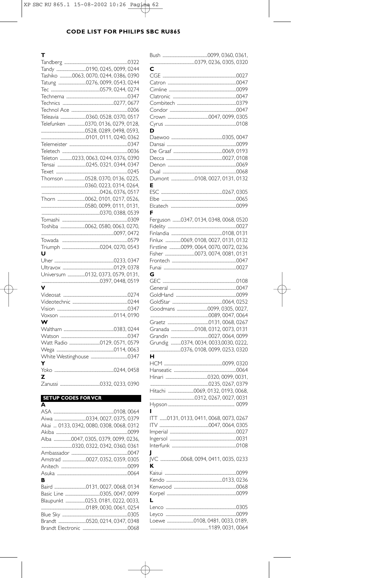| т                                    |
|--------------------------------------|
|                                      |
|                                      |
| Tashiko 0063, 0070, 0244, 0386, 0390 |
|                                      |
|                                      |
|                                      |
|                                      |
|                                      |
|                                      |
| Telefunken 0370, 0136, 0279, 0128,   |
|                                      |
|                                      |
|                                      |
|                                      |
| Teleton 0233, 0063, 0244, 0376, 0390 |
|                                      |
|                                      |
| Thomson 0528, 0370, 0136, 0225,      |
|                                      |
|                                      |
|                                      |
|                                      |
|                                      |
|                                      |
|                                      |
|                                      |
|                                      |
|                                      |
|                                      |
| Ü                                    |
|                                      |
|                                      |
| Universum 0132, 0373, 0579, 0131,    |
|                                      |
| v                                    |
|                                      |
|                                      |
|                                      |
|                                      |
| w                                    |
|                                      |
|                                      |
|                                      |
|                                      |
|                                      |
| Y                                    |
|                                      |
| z                                    |
|                                      |
|                                      |

# **SETUP CODES FORVCR**

|   | Akai  0133, 0342, 0080, 0308, 0068, 0312 |
|---|------------------------------------------|
|   |                                          |
|   | Alba 0047.0305.0379.0099.0236.           |
|   |                                          |
|   |                                          |
|   |                                          |
|   |                                          |
|   |                                          |
| в |                                          |
|   |                                          |
|   |                                          |
|   | Blaupunkt 0253, 0181, 0222, 0033         |
|   |                                          |
|   |                                          |
|   |                                          |
|   |                                          |
|   |                                          |

| c                                      |  |
|----------------------------------------|--|
|                                        |  |
|                                        |  |
|                                        |  |
|                                        |  |
|                                        |  |
|                                        |  |
| D                                      |  |
|                                        |  |
|                                        |  |
|                                        |  |
|                                        |  |
|                                        |  |
| Dumont 0108, 0027, 0131, 0132          |  |
| Е                                      |  |
|                                        |  |
|                                        |  |
|                                        |  |
| F                                      |  |
| Ferguson 0347, 0134, 0348, 0068, 0520  |  |
|                                        |  |
| Finlux 0069, 0108, 0027, 0131, 0132    |  |
| Firstline 0099, 0064, 0070, 0072, 0236 |  |
|                                        |  |
|                                        |  |
|                                        |  |
| G                                      |  |
|                                        |  |
|                                        |  |
|                                        |  |
|                                        |  |
|                                        |  |
|                                        |  |
|                                        |  |
| Granada 0108, 0312, 0073, 0131         |  |
|                                        |  |
| Grundig 0374, 0034, 0033,0030, 0222,   |  |
| н.                                     |  |
|                                        |  |
|                                        |  |
|                                        |  |
|                                        |  |
| Hitachi 0069, 0132, 0193, 0068,        |  |
|                                        |  |
| ı                                      |  |
| ITT 0131, 0133, 0411, 0068, 0073, 0267 |  |
|                                        |  |
|                                        |  |
|                                        |  |
| J                                      |  |
| JVC 0068, 0094, 0411, 0035, 0233       |  |
| к                                      |  |
|                                        |  |
|                                        |  |
|                                        |  |
|                                        |  |
|                                        |  |
|                                        |  |
| Loewe 0108, 0481, 0033, 0189,          |  |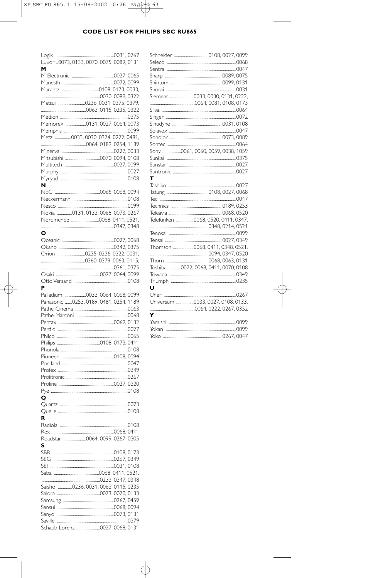| M                                               |  |
|-------------------------------------------------|--|
|                                                 |  |
|                                                 |  |
|                                                 |  |
|                                                 |  |
| Matsui 0236, 0031, 0375, 0379,                  |  |
|                                                 |  |
|                                                 |  |
| Memorex 0131, 0027, 0064, 0073                  |  |
|                                                 |  |
| Metz <sup>1</sup> 0033, 0030, 0374, 0222, 0481. |  |
|                                                 |  |
|                                                 |  |
|                                                 |  |
|                                                 |  |
|                                                 |  |
|                                                 |  |
|                                                 |  |
| N                                               |  |
|                                                 |  |
|                                                 |  |
|                                                 |  |
| Nokia 0131, 0133, 0068, 0073, 0267              |  |
| Nordmende 0068, 0411, 0521,                     |  |
|                                                 |  |
| O                                               |  |
|                                                 |  |
|                                                 |  |
|                                                 |  |
|                                                 |  |
|                                                 |  |
|                                                 |  |
|                                                 |  |
|                                                 |  |
| P                                               |  |
|                                                 |  |
|                                                 |  |
|                                                 |  |
| Panasonic 0253, 0189, 0481, 0254, 1189          |  |
|                                                 |  |
|                                                 |  |
|                                                 |  |
|                                                 |  |
|                                                 |  |
|                                                 |  |
|                                                 |  |
|                                                 |  |
|                                                 |  |
|                                                 |  |
|                                                 |  |
|                                                 |  |
|                                                 |  |
| ο                                               |  |
|                                                 |  |
|                                                 |  |
| R                                               |  |
|                                                 |  |
|                                                 |  |
|                                                 |  |
| Roadstar 0064, 0099, 0267, 0305                 |  |
| S                                               |  |
|                                                 |  |
|                                                 |  |
|                                                 |  |
|                                                 |  |
|                                                 |  |
| Saisho 0236, 0031, 0063, 0115, 0235             |  |
|                                                 |  |
|                                                 |  |
|                                                 |  |
|                                                 |  |
|                                                 |  |
| Schaub Lorenz 0027, 0068, 0131                  |  |

|   | Sony 0061, 0060, 0059, 0038, 1059    |
|---|--------------------------------------|
|   |                                      |
|   |                                      |
|   |                                      |
| т |                                      |
|   |                                      |
|   |                                      |
|   |                                      |
|   |                                      |
|   |                                      |
|   | Telefunken 0068, 0520, 0411, 0347,   |
|   |                                      |
|   |                                      |
|   |                                      |
|   | Thomson 0068, 0411, 0348, 0521,      |
|   |                                      |
|   |                                      |
|   | Toshiba 0072, 0068, 0411, 0070, 0108 |
|   |                                      |
|   |                                      |
| u |                                      |
|   |                                      |
|   | Universum 0033, 0027, 0108, 0133,    |
|   |                                      |
| Y |                                      |
|   |                                      |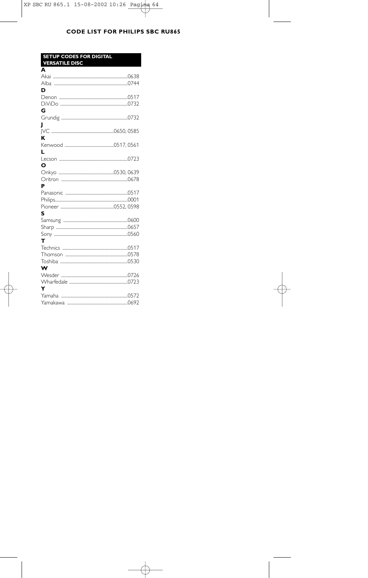| <b>SETUP CODES FOR DIGITAL</b><br><b>VERSATILE DISC</b> |  |
|---------------------------------------------------------|--|
| A                                                       |  |
|                                                         |  |
|                                                         |  |
| D                                                       |  |
|                                                         |  |
|                                                         |  |
| G                                                       |  |
|                                                         |  |
| I                                                       |  |
| ĸ                                                       |  |
|                                                         |  |
| ı.                                                      |  |
|                                                         |  |
| ი                                                       |  |
|                                                         |  |
|                                                         |  |
| P                                                       |  |
|                                                         |  |
|                                                         |  |
|                                                         |  |
| S                                                       |  |
|                                                         |  |
|                                                         |  |
|                                                         |  |
| т                                                       |  |
|                                                         |  |
|                                                         |  |
| w                                                       |  |
|                                                         |  |
|                                                         |  |
| Y                                                       |  |
|                                                         |  |
|                                                         |  |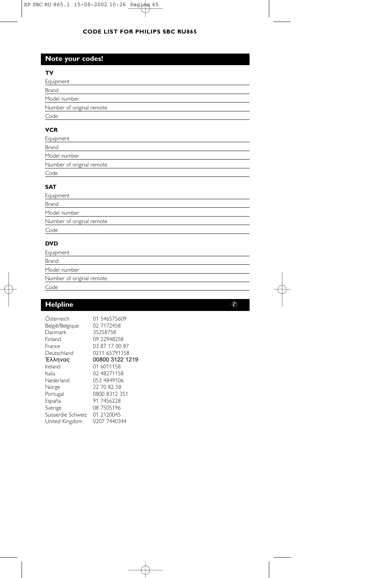# **Note your codes!**

## **TV**

| Equipment                 |  |  |
|---------------------------|--|--|
| Brand                     |  |  |
| Model number              |  |  |
| Number of original remote |  |  |
| Code                      |  |  |
|                           |  |  |

# **VCR**

| Equipment                 |  |  |
|---------------------------|--|--|
| Brand                     |  |  |
| Model number              |  |  |
| Number of original remote |  |  |
| Code                      |  |  |
|                           |  |  |

## **SAT**

| Equipment                 |  |
|---------------------------|--|
| Brand                     |  |
| Model number              |  |
| Number of original remote |  |
| Code                      |  |
|                           |  |

# **DVD**

| Equipment                 |
|---------------------------|
| Brand                     |
| Model number              |
| Number of original remote |
| Code                      |

# **Helpline**  $\oslash$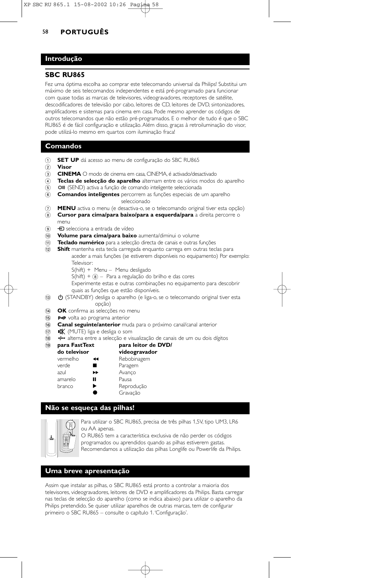## **Introdução**

#### **SBC RU865**

Fez uma óptima escolha ao comprar este telecomando universal da Philips! Substitui um máximo de seis telecomandos independentes e está pré-programado para funcionar com quase todas as marcas de televisores, videogravadores, receptores de satélite, descodificadores de televisão por cabo, leitores de CD, leitores de DVD, sintonizadores, amplificadores e sistemas para cinema em casa. Pode mesmo aprender os códigos de outros telecomandos que não estão pré-programados. E o melhor de tudo é que o SBC RU865 é de fácil configuração e utilização. Além disso, graças à retroiluminação do visor, pode utilizá-lo mesmo em quartos com iluminação fraca!

## **Comandos**

- 1 **SET UP** dá acesso ao menu de configuração do SBC RU865
- 2 **Visor**
- 
- 3 **CINEMA** O modo de cinema em casa, CINEMA, é activado/desactivado<br>4 **Teclas de selecção do aparelho** alternam entre os vários modos Teclas de selecção do aparelho alternam entre os vários modos do aparelho
- 6 **OII** (SEND) activa a função de comando inteligente seleccionada
- 6 **Comandos inteligentes** percorrem as funções especiais de um aparelho seleccionado
- 7 **MENU** activa o menu (e desactiva-o, se o telecomando original tiver esta opção)
- 8 **Cursor para cima/para baixo/para a esquerda/para** a direita percorre o menu
- $\circledcirc$   $\bullet$  selecciona a entrada de vídeo
- 0 **Volume para cima/para baixo** aumenta/diminui o volume
- ! **Teclado numérico** para a selecção directa de canais e outras funções
- @ **Shift** mantenha esta tecla carregada enquanto carrega em outras teclas para aceder a mais funções (se estiverem disponíveis no equipamento) Por exemplo: Televisor:
	- S(hift) + Menu Menu desligado
	- $S(hif) +  $\circledast$  Para a regularção do brilho e das cores$
	- Experimente estas e outras combinações no equipamento para descobrir quais as funções que estão disponíveis.
- **(3) C (STANDBY)** desliga o aparelho (e liga-o, se o telecomando original tiver esta opção)
- (14) **OK** confirma as selecções no menu
- (15) P-P volta ao programa anterior
- ^ **Canal seguinte/anterior** muda para o próximo canal/canal anterior
- $\overrightarrow{17}$   $\mathbf{N}$  (MUTE) liga e desliga o som
- (8)  *3* alterna entre a selecção e visualização de canais de um ou dois dígitos<br>(9) **para FastText de para leitor de DVD/**
- ( **para FastText para leitor de DVD/**

| do televisor |    | videogravador |
|--------------|----|---------------|
| vermelho     | ◀◀ | Rebobinagem   |
| verde        |    | Paragem       |
| azul         | ▶▶ | Avanco        |
| amarelo      | п  | Pausa         |
| branco       | ▶  | Reprodução    |
|              |    | Gravação      |

## **Não se esqueça das pilhas!**



Para utilizar o SBC RU865, precisa de três pilhas 1,5V, tipo UM3, LR6 ou AA apenas.

O RU865 tem a característica exclusiva de não perder os códigos programados ou aprendidos quando as pilhas estiverem gastas. Recomendamos a utilização das pilhas Longlife ou Powerlife da Philips.

## **Uma breve apresentação**

Assim que instalar as pilhas, o SBC RU865 está pronto a controlar a maioria dos televisores, videogravadores, leitores de DVD e amplificadores da Philips. Basta carregar nas teclas de selecção do aparelho (como se indica abaixo) para utilizar o aparelho da Philips pretendido. Se quiser utilizar aparelhos de outras marcas, tem de configurar primeiro o SBC RU865 – consulte o capítulo 1.'Configuração'.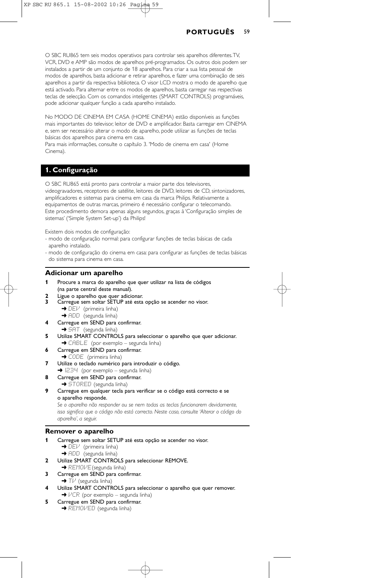O SBC RU865 tem seis modos operativos para controlar seis aparelhos diferentes.TV, VCR, DVD e AMP são modos de aparelhos pré-programados. Os outros dois podem ser instalados a partir de um conjunto de 18 aparelhos. Para criar a sua lista pessoal de modos de aparelhos, basta adicionar e retirar aparelhos, e fazer uma combinação de seis aparelhos a partir da respectiva biblioteca. O visor LCD mostra o modo de aparelho que está activado. Para alternar entre os modos de aparelhos, basta carregar nas respectivas teclas de selecção. Com os comandos inteligentes (SMART CONTROLS) programáveis, pode adicionar qualquer função a cada aparelho instalado.

No MODO DE CINEMA EM CASA (HOME CINEMA) estão disponíveis as funções mais importantes do televisor, leitor de DVD e amplificador. Basta carregar em CINEMA e, sem ser necessário alterar o modo de aparelho, pode utilizar as funções de teclas básicas dos aparelhos para cinema em casa.

Para mais informações, consulte o capítulo 3. 'Modo de cinema em casa' (Home Cinema).

## **1. Configuração**

O SBC RU865 está pronto para controlar a maior parte dos televisores, videogravadores, receptores de satélite, leitores de DVD, leitores de CD, sintonizadores, amplificadores e sistemas para cinema em casa da marca Philips. Relativamente a equipamentos de outras marcas, primeiro é necessário configurar o telecomando. Este procedimento demora apenas alguns segundos, graças à 'Configuração simples de sistemas' ('Simple System Set-up') da Philips!

Existem dois modos de configuração:

- modo de configuração normal: para configurar funções de teclas básicas de cada aparelho instalado.
- modo de configuração do cinema em casa: para configurar as funções de teclas básicas do sistema para cinema em casa.

#### **Adicionar um aparelho**

- **1** Procure a marca do aparelho que quer utilizar na lista de códigos (na parte central deste manual).
- **2** Ligue o aparelho que quer adicionar.
- **3** Carregue sem soltar SETUP até esta opção se acender no visor.  $\rightarrow$  DEV (primeira linha) → ADD (segunda linha)
- **4** Carregue em SEND para confirmar. → SAT (segunda linha)
- **5** Utilize SMART CONTROLS para seleccionar o aparelho que quer adicionar. → CABLE (por exemplo – segunda linha)
- **6** Carregue em SEND para confirmar. → CODE (primeira linha)
- **7** Utilize o teclado numérico para introduzir o código.
- $\rightarrow$  1234 (por exemplo segunda linha)
- **8** Carregue em SEND para confirmar. **→** STORED (segunda linha)
- **9** Carregue em qualquer tecla para verificar se o código está correcto e se o aparelho responde.

*Se o aparelho não responder ou se nem todas as teclas funcionarem devidamente, isso significa que o código não está correcto. Neste caso, consulte 'Alterar o código do aparelho', a seguir.*

#### **Remover o aparelho**

- **1** Carregue sem soltar SETUP até esta opção se acender no visor.  $\rightarrow$  DEV (primeira linha)
	- → ADD (segunda linha)
- **2** Utilize SMART CONTROLS para seleccionar REMOVE.
- **→ REMOVE** (segunda linha)
- **3** Carregue em SEND para confirmar.
- → TI<sup>J</sup> (segunda linha)
- **4** Utilize SMART CONTROLS para seleccionar o aparelho que quer remover.  $\rightarrow$   $VCR$  (por exemplo – segunda linha)
- **5** Carregue em SEND para confirmar. → REMOVED (segunda linha)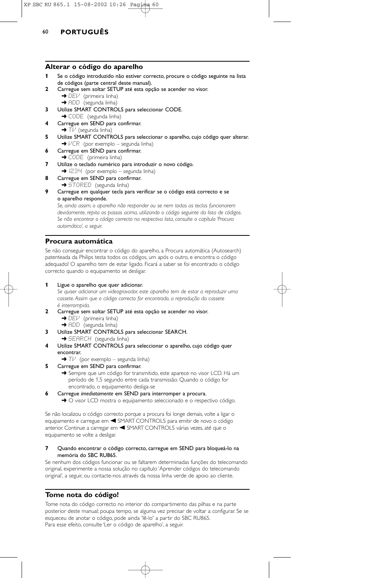#### **Alterar o código do aparelho**

- **1** Se o código introduzido não estiver correcto, procure o código seguinte na lista de códigos (parte central deste manual).
- **2** Carregue sem soltar SETUP até esta opção se acender no visor.
	- → DEV (primeira linha)
	- → ADD (segunda linha)
- **3** Utilize SMART CONTROLS para seleccionar CODE. **→** CODE (segunda linha)
- **4** Carregue em SEND para confirmar.  $\blacktriangleright$  T $\nvdash$  (segunda linha)
- **5** Utilize SMART CONTROLS para seleccionar o aparelho, cujo código quer alterar.  $\rightarrow$   $VCR$  (por exemplo – segunda linha)
- **6** Carregue em SEND para confirmar. → CODE (primeira linha)
- **7** Utilize o teclado numérico para introduzir o novo código.  $\rightarrow$  1234 (por exemplo – segunda linha)
- **8** Carregue em SEND para confirmar.
- → STORED (segunda linha)
- **9** Carregue em qualquer tecla para verificar se o código está correcto e se o aparelho responde.

*Se, ainda assim, o aparelho não responder ou se nem todas as teclas funcionarem devidamente, repita os passos acima, utilizando o código seguinte da lista de códigos. Se não encontrar o código correcto na respectiva lista, consulte o capítulo 'Procura automática', a seguir.*

## **Procura automática**

Se não conseguir encontrar o código do aparelho, a Procura automática (Autosearch) patenteada da Philips testa todos os códigos, um após o outro, e encontra o código adequado! O aparelho tem de estar ligado. Ficará a saber se foi encontrado o código correcto quando o equipamento se desligar.

#### **1** Ligue o aparelho que quer adicionar.

*Se quiser adicionar um videogravador, este aparelho tem de estar a reproduzir uma cassete. Assim que o código correcto for encontrado, a reprodução da cassete é interrompida.*

- **2** Carregue sem soltar SETUP até esta opção se acender no visor.  $\rightarrow$  DEV (primeira linha)
	- → ADD (segunda linha)
- **3** Utilize SMART CONTROLS para seleccionar SEARCH. **→ SEARCH** (segunda linha)
- **4** Utilize SMART CONTROLS para seleccionar o aparelho, cujo código quer encontrar.
	- $\rightarrow$  T $\nu$  (por exemplo segunda linha)
- **5** Carregue em SEND para confirmar.
	- → Sempre que um código for transmitido, este aparece no visor LCD. Há um período de 1,5 segundo entre cada transmissão. Quando o código for encontrado, o equipamento desliga-se
- **6** Carregue *imediatamente* em SEND para interromper a procura.
	- → O visor LCD mostra o equipamento seleccionado e o respectivo código.

Se não localizou o código correcto porque a procura foi longe demais, volte a ligar o equipamento e carregue em < SMART CONTROLS para emitir de novo o código anterior. Continue a carregar em < SMART CONTROLS várias vezes, até que o equipamento se volte a desligar.

#### **7** Quando encontrar o código correcto, carregue em SEND para bloqueá-lo na memória do SBC RU865.

Se nenhum dos códigos funcionar ou se faltarem determinadas funções do telecomando original, experimente a nossa solução no capítulo 'Aprender códigos do telecomando original', a seguir, ou contacte-nos através da nossa linha verde de apoio ao cliente.

## **Tome nota do código!**

Tome nota do código correcto no interior do compartimento das pilhas e na parte posterior deste manual; poupa tempo, se alguma vez precisar de voltar a configurar. Se se esqueceu de anotar o código, pode ainda 'lê-lo' a partir do SBC RU865. Para esse efeito, consulte 'Ler o código de aparelho', a seguir.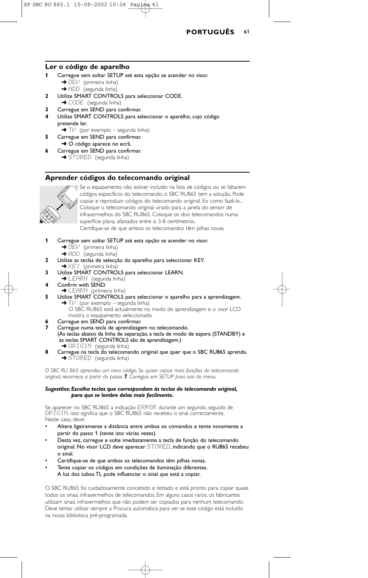

#### **Ler o código de aparelho**

- **1** Carregue sem soltar SETUP até esta opção se acender no visor.  $\rightarrow$  DEV (primeira linha)
	- ➜ ADD (segunda linha)
- **2** Utilize SMART CONTROLS para seleccionar CODE. → CODE (segunda linha)
- **3** Carregue em SEND para confirmar.
- **4** Utilize SMART CONTROLS para seleccionar o aparelho, cujo código pretende ler.
- $\rightarrow$  T $\nu$  (por exemplo segunda linha) **5** Carregue em SEND para confirmar.
- → O código aparece no ecrã.
- **6** Carregue em SEND para confirmar. → STORED (segunda linha)

## **Aprender códigos do telecomando original**



Se o equipamento não estiver incluído na lista de códigos ou se faltarem códigos específicos do telecomando, o SBC RU865 tem a solução. Pode copiar e reproduzir códigos do telecomando original. Eis como fazê-lo... Coloque o telecomando original virado para a janela do sensor de infravermelhos do SBC RU865. Coloque os dois telecomandos numa superfície plana, afastados entre si 3-8 centímetros. Certifique-se de que ambos os telecomandos têm pilhas novas.

- **1** Carregue sem soltar SETUP até esta opção se acender no visor. → DEI<sup>J</sup> (primeira linha)
	- → ADD (segunda linha)
- **2** Utilize as teclas de selecção do aparelho para seleccionar KEY. → KEY (primeira linha)
- **3** Utilize SMART CONTROLS para seleccionar LEARN.
- → LEARN (segunda linha)
- **4** Confirm with SEND.
- **→ LEARN** (primeira linha)
- **5** Utilize SMART CONTROLS para seleccionar o aparelho para a aprendizagem.  $\rightarrow$  T $\nu$  (por exemplo – segunda linha) O SBC RU865 está actualmente no modo de aprendizagem e o visor LCD
- mostra o equipamento seleccionado.
- **6** Carregue em SEND para confirmar.
- **7** Carregue numa tecla de aprendizagem no telecomando.
- (As teclas abaixo da linha de separação, a tecla de modo de espera (STANDBY) e as teclas SMART CONTROLS são de aprendizagem.) → ORIGIN (segunda linha)
- **8** Carregue na tecla do telecomando original que quer que o SBC RU865 aprenda. **→ STORED** (segunda linha)

*O SBC RU 865 aprendeu um novo código. Se quiser copiar mais funções do telecomando original, recomece a partir do passo 7. Carregue em SETUP para sair do menu.*

#### *Sugestões: Escolha teclas que correspondam às teclas do telecomando original, para que se lembre delas mais facilmente.*

Se aparecer no SBC RU865 a indicação ERROR durante um segundo, seguido de ORIGIN, isso significa que o SBC RU865 não recebeu o sinal correctamente. Neste caso, deve:

- Altere ligeiramente a distância entre ambos os comandos e tente novamente a partir do passo 1 (tente isto várias vezes).
- Desta vez, carregue e solte imediatamente a tecla de função do telecomando original. No visor LCD deve aparecer STORED, indicando que o RU865 recebeu o sinal.
- Certifique-se de que ambos os telecomandos têm pilhas novas.
- Tente copiar os códigos em condições de iluminação diferentes.
- A luz dos tubos TL pode influenciar o sinal que está a copiar.

O SBC RU865 foi cuidadosamente concebido e testado e está pronto para copiar quase todos os sinais infravermelhos de telecomandos. Em alguns casos raros, os fabricantes utilizam sinais infravermelhos que não podem ser copiados para nenhum telecomando. Deve tentar utilizar sempre a Procura automática para ver se esse código está incluído na nossa biblioteca pré-programada.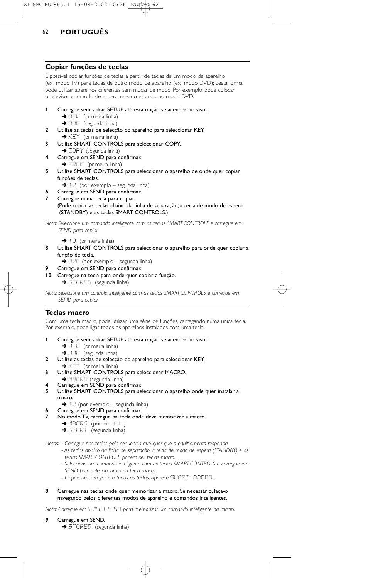## XP SBC RU 865.1 15-08-2002 10:26 Pagina 62

# 62 **PORTUGUÊS**

## **Copiar funções de teclas**

É possível copiar funções de teclas a partir de teclas de um modo de aparelho (ex.: modo TV) para teclas de outro modo de aparelho (ex.: modo DVD); desta forma, pode utilizar aparelhos diferentes sem mudar de modo. Por exemplo: pode colocar o televisor em modo de espera, mesmo estando no modo DVD.

- **1** Carregue sem soltar SETUP até esta opção se acender no visor.  $\rightarrow$  DEV (primeira linha)
	- → ADD (segunda linha)
- **2** Utilize as teclas de selecção do aparelho para seleccionar KEY.  $\rightarrow$  KEY (primeira linha)
- **3** Utilize SMART CONTROLS para seleccionar COPY.
- → COPY (segunda linha) **4** Carregue em SEND para confirmar. → FROM (primeira linha)
- **5** Utilize SMART CONTROLS para seleccionar o aparelho de onde quer copiar funções de teclas.
	- $\rightarrow$  T $\nu$  (por exemplo segunda linha)
- **6** Carregue em SEND para confirmar.
- Carregue numa tecla para copiar. (Pode copiar as teclas abaixo da linha de separação, a tecla de modo de espera (STANDBY) e as teclas SMART CONTROLS.)

*Nota: Seleccione um comando inteligente com as teclas SMART CONTROLS e carregue em SEND para copiar.*

→ TO (primeira linha)

- **8** Utilize SMART CONTROLS para seleccionar o aparelho para onde quer copiar a função de tecla.
	- $\rightarrow$  DIMD (por exemplo segunda linha)
- **9** Carregue em SEND para confirmar.
- **10** Carregue na tecla para onde quer copiar a função. **→** STORED (segunda linha)

*Nota: Seleccione um controlo inteligente com as teclas SMART CONTROLS e carregue em SEND para copiar.*

#### **Teclas macro**

Com uma tecla macro, pode utilizar uma série de funções, carregando numa única tecla. Por exemplo, pode ligar todos os aparelhos instalados com uma tecla.

- **1** Carregue sem soltar SETUP até esta opção se acender no visor. → DEI<sup>J</sup> (primeira linha)
	- → ADD (segunda linha)
- **2** Utilize as teclas de selecção do aparelho para seleccionar KEY.
- → KEY (primeira linha)
- **3** Utilize SMART CONTROLS para seleccionar MACRO.
- → MACRO (segunda linha)
- **4** Carregue em SEND para confirmar.<br>**5** Utilize SMART CONTROLS para se
- Utilize SMART CONTROLS para seleccionar o aparelho onde quer instalar a macro.
	- $\blacktriangleright$  T $\vee$  (por exemplo segunda linha)
- Carregue em SEND para confirmar.
- **7** No modo TV, carregue na tecla onde deve memorizar a macro.
	- **→ MACRO** (primeira linha)
	- → START (segunda linha)

*Notas: - Carregue nas teclas pela sequência que quer que o equipamento responda.*

- *As teclas abaixo da linha de separação, a tecla de modo de espera (STANDBY) e as teclas SMART CONTROLS podem ser teclas macro.*
- *Seleccione um comando inteligente com as teclas SMART CONTROLS e carregue em SEND para seleccionar como tecla macro.*
- Depois de carregar em todas as teclas, aparece SMART ADDED.
- **8** Carregue nas teclas onde quer memorizar a macro. Se necessário, faça-o navegando pelos diferentes modos de aparelho e comandos inteligentes.

*Nota: Carregue em SHIFT + SEND para memorizar um comando inteligente na macro.*

- **9** Carregue em SEND.
	- → STORED (segunda linha)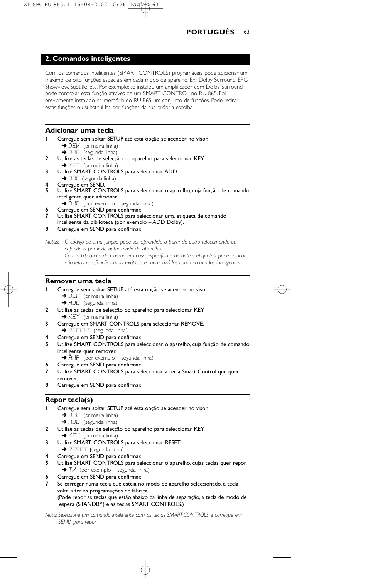## **2. Comandos inteligentes**

Com os comandos inteligentes (SMART CONTROLS) programáveis, pode adicionar um máximo de oito funções especiais em cada modo de aparelho. Ex.: Dolby Surround, EPG, Showview, Subtitle, etc. Por exemplo: se instalou um amplificador com Dolby Surround, pode controlar essa função através de um SMART CONTROL no RU 865. Foi previamente instalado na memória do RU 865 um conjunto de funções. Pode retirar estas funções ou substitui-las por funções da sua própria escolha.

## **Adicionar uma tecla**

- **1** Carregue sem soltar SETUP até esta opção se acender no visor.  $\rightarrow$  DEV (primeira linha)
	- → ADD (segunda linha)
- **2** Utilize as teclas de selecção do aparelho para seleccionar KEY. ◆ KEY (primeira linha)
- **3** Utilize SMART CONTROLS para seleccionar ADD.
- → ADD (segunda linha)
- **4** Carregue em SEND.
- **5** Utilize SMART CONTROLS para seleccionar o aparelho, cuja função de comando inteligente quer adicionar.
	- → AMP (por exemplo segunda linha)
	- **6** Carregue em SEND para confirmar.
- **7** Utilize SMART CONTROLS para seleccionar uma etiqueta de comando
- inteligente da biblioteca (por exemplo ADD Dolby).
- **8** Carregue em SEND para confirmar.

*Notas: - O código de uma função pode ser aprendida a partir de outro telecomando ou copiada a partir de outro modo de aparelho.*

*- Com a biblioteca de cinema em casa específico e de outras etiquetas, pode colocar etiquetas nas funções mais exóticas e memorizá-las como comandos inteligentes.*

## **Remover uma tecla**

- **1** Carregue sem soltar SETUP até esta opção se acender no visor.
	- → DEV (primeira linha)
		- → ADD (segunda linha)
- **2** Utilize as teclas de selecção do aparelho para seleccionar KEY.
- $\rightarrow$  KEY (primeira linha)
- **3** Carregue em SMART CONTROLS para seleccionar REMOVE. → REMOVE (segunda linha)
- **4** Carregue em SEND para confirmar.
- **5** Utilize SMART CONTROLS para seleccionar o aparelho, cuja função de comando inteligente quer remover.
	- → FIMP (por exemplo segunda linha)
- **6** Carregue em SEND para confirmar.
- Utilize SMART CONTROLS para seleccionar a tecla Smart Control que quer remover.
- **8** Carregue em SEND para confirmar.

## **Repor tecla(s)**

- **1** Carregue sem soltar SETUP até esta opção se acender no visor. → DEI<sup>J</sup> (primeira linha) → ADD (segunda linha)
- **2** Utilize as teclas de selecção do aparelho para seleccionar KEY.
- **→ KEY** (primeira linha) **3** Utilize SMART CONTROLS para seleccionar RESET.
- → RESET (segunda linha) **4** Carregue em SEND para confirmar.
- 
- **5** Utilize SMART CONTROLS para seleccionar o aparelho, cujas teclas quer repor.  $\rightarrow$  T $\nu$  (por exemplo – segunda linha)
- **6** Carregue em SEND para confirmar.
- **7** Se carregar numa tecla que esteja no modo de aparelho seleccionado, a tecla volta a ter as programações de fábrica. (Pode repor as teclas que estão abaixo da linha de separação, a tecla de modo de espera (STANDBY) e as teclas SMART CONTROLS.)
- *Nota: Seleccione um comando inteligente com as teclas SMART CONTROLS e carregue em SEND para repor.*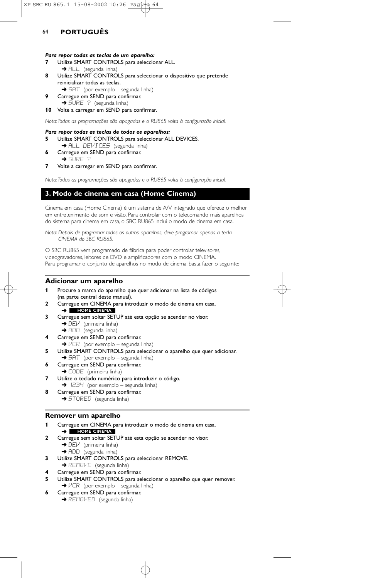#### *Para repor todas as teclas de um aparelho:*

- **7** Utilize SMART CONTROLS para seleccionar ALL. → ALL (segunda linha)
- **8** Utilize SMART CONTROLS para seleccionar o dispositivo que pretende reinicializar todas as teclas.
	- → 5HT (por exemplo segunda linha)
- **9** Carregue em SEND para confirmar. → ŠURE ? (segunda linha)
- **10** Volte a carregar em SEND para confirmar.

*Nota:Todas as programações são apagadas e o RU865 volta à configuração inicial.*

#### *Para repor todas as teclas de todos os aparelhos:*

- **5** Utilize SMART CONTROLS para seleccionar ALL DEVICES.
- → ALL DEVICES (segunda linha) **6** Carregue em SEND para confirmar.
- ➜ SURE ?
- **7** Volte a carregar em SEND para confirmar.

*Nota:Todas as programações são apagadas e o RU865 volta à configuração inicial.*

## **3. Modo de cinema em casa (Home Cinema)**

Cinema em casa (Home Cinema) é um sistema de A/V integrado que oferece o melhor em entretenimento de som e visão. Para controlar com o telecomando mais aparelhos do sistema para cinema em casa, o SBC RU865 inclui o modo de cinema em casa.

*Nota: Depois de programar todos os outros aparelhos, deve programar apenas a tecla CINEMA do SBC RU865.*

O SBC RU865 vem programado de fábrica para poder controlar televisores, videogravadores, leitores de DVD e amplificadores com o modo CINEMA. Para programar o conjunto de aparelhos no modo de cinema, basta fazer o seguinte:

#### **Adicionar um aparelho**

- **1** Procure a marca do aparelho que quer adicionar na lista de códigos (na parte central deste manual).
- **2** Carregue em CINEMA para introduzir o modo de cinema em casa. ➜ **HOME CINEMA**
- **3** Carregue sem soltar SETUP até esta opção se acender no visor. → DEI<sup>J</sup> (primeira linha)
	- ➜ ADD (segunda linha)
- **4** Carregue em SEND para confirmar.
- $\rightarrow$   $VCR$  (por exemplo segunda linha)
- **5** Utilize SMART CONTROLS para seleccionar o aparelho que quer adicionar. → SAT (por exemplo – segunda linha)
- **6** Carregue em SEND para confirmar.
- → CODE (primeira linha)
- **7** Utilize o teclado numérico para introduzir o código. → 1234 (por exemplo – segunda linha)
- **8** Carregue em SEND para confirmar. → STORED (segunda linha)

## **Remover um aparelho**

- **1** Carregue em CINEMA para introduzir o modo de cinema em casa.
	- ➜ **HOME CINEMA**
- **2** Carregue sem soltar SETUP até esta opção se acender no visor.  $\rightarrow$  DEV (primeira linha)
	- → ADD (segunda linha)
- **3** Utilize SMART CONTROLS para seleccionar REMOVE.
- → REMOVE (segunda linha)
- **4** Carregue em SEND para confirmar.
- **5** Utilize SMART CONTROLS para seleccionar o aparelho que quer remover.  $\rightarrow$   $VCR$  (por exemplo – segunda linha)
- **6** Carregue em SEND para confirmar. → REMOVED (segunda linha)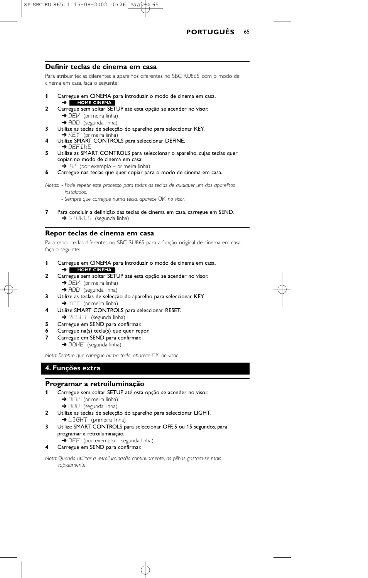

#### **Definir teclas de cinema em casa**

Para atribuir teclas diferentes a aparelhos diferentes no SBC RU865, com o modo de cinema em casa, faça o seguinte:

- **1** Carregue em CINEMA para introduzir o modo de cinema em casa. ➜ **HOME CINEMA**
- **2** Carregue sem soltar SETUP até esta opção se acender no visor.  $\rightarrow$  DE $\nu$  (primeira linha)
- → ADD (segunda linha) **3** Utilize as teclas de selecção do aparelho para seleccionar KEY.<br>→ KEY (primeira linha)
- **4** Utilize SMART CONTROLS para seleccionar DEFINE.  $\rightarrow$  define
- **5** Utilize as SMART CONTROLS para seleccionar o aparelho, cujas teclas quer copiar, no modo de cinema em casa.
- $\rightarrow$  T $\nu$  (por exemplo primeira linha) **6** Carregue nas teclas que quer copiar para o modo de cinema em casa.
- 
- *Notas: Pode repetir este processo para todas as teclas de qualquer um dos aparelhos instalados.*
	- *Sempre que carregue numa tecla, aparece* OK *no visor.*
- **7** Para concluir a definição das teclas de cinema em casa, carregue em SEND. → STORED (segunda linha)

## **Repor teclas de cinema em casa**

Para repor teclas diferentes no SBC RU865 para a função original de cinema em casa, faça o seguinte:

- **1** Carregue em CINEMA para introduzir o modo de cinema em casa. ➜ **HOME CINEMA**
- **2** Carregue sem soltar SETUP até esta opção se acender no visor.  $\rightarrow$  DEV (primeira linha) → ADD (segunda linha)
- **3** Utilize as teclas de selecção do aparelho para seleccionar KEY. ◆ KEY (primeira linha)
- **4** Utilize SMART CONTROLS para seleccionar RESET. → RESET (segunda linha)
- **5** Carregue em SEND para confirmar.
- **6** Carregue na(s) tecla(s) que quer repor.
- **7** Carregue em SEND para confirmar.
	- → DONE (segunda linha)

*Nota: Sempre que carregue numa tecla, aparece*  $OK$  *no visor.* 

# **4. Funções extra**

## **Programar a retroiluminação**

- **1** Carregue sem soltar SETUP até esta opção se acender no visor.  $\rightarrow$  DE $\nu$  (primeira linha)
	- → ADD (segunda linha)
- **2** Utilize as teclas de selecção do aparelho para seleccionar LIGHT.  $\rightarrow$  LIGHT (primeira linha)
- **3** Utilize SMART CONTROLS para seleccionar OFF, 5 ou 15 segundos, para programar a retroiluminação.
	- → OFF (por exemplo segunda linha)
- **4** Carregue em SEND para confirmar.

*Nota: Quando utilizar a retroiluminação continuamente, as pilhas gastam-se mais rapidamente.*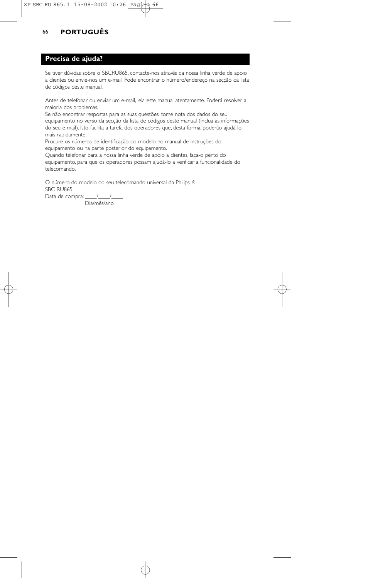# 66 **PORTUGUÊS**

## **Precisa de ajuda?**

Se tiver dúvidas sobre o SBCRU865, contacte-nos através da nossa linha verde de apoio a clientes ou envie-nos um e-mail! Pode encontrar o número/endereço na secção da lista de códigos deste manual.

Antes de telefonar ou enviar um e-mail, leia este manual atentamente. Poderá resolver a maioria dos problemas.

Se não encontrar respostas para as suas questões, tome nota dos dados do seu equipamento no verso da secção da lista de códigos deste manual (inclua as informações do seu e-mail). Isto facilita a tarefa dos operadores que, desta forma, poderão ajudá-lo mais rapidamente.

Procure os números de identificação do modelo no manual de instruções do equipamento ou na parte posterior do equipamento.

Quando telefonar para a nossa linha verde de apoio a clientes, faça-o perto do equipamento, para que os operadores possam ajudá-lo a verificar a funcionalidade do telecomando.

O número do modelo do seu telecomando universal da Philips é: SBC RU865 Data de compra: \_\_\_\_\_/\_\_\_\_\_/\_\_

Dia/mês/ano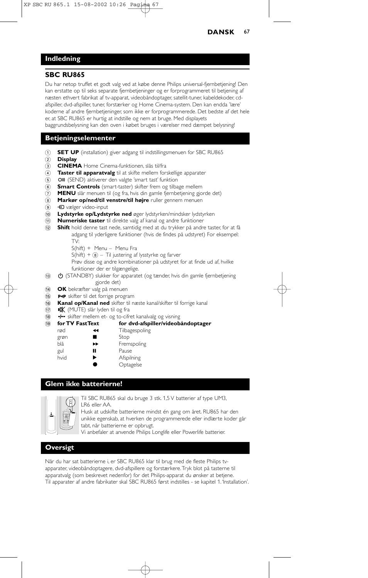## **Indledning**

### **SBC RU865**

Du har netop truffet et godt valg ved at købe denne Philips universal-fjernbetjening! Den kan erstatte op til seks separate fjernbetjeninger og er forprogrammeret til betjening af næsten ethvert fabrikat af tv-apparat, videobåndoptager, satellit-tuner, kabeldekoder, cdafspiller, dvd-afspiller, tuner, forstærker og Home Cinema-system. Den kan endda 'lære' koderne af andre fjernbetjeninger, som ikke er forprogrammerede. Det bedste af det hele er, at SBC RU865 er hurtig at indstille og nem at bruge. Med displayets baggrundsbelysning kan den oven i købet bruges i værelser med dæmpet belysning!

## **Betjeningselementer**

- 1 **SET UP** (installation) giver adgang til indstillingsmenuen for SBC RU865
- 2 **Display**
- 3 **CINEMA** Home Cinema-funktionen, slås til/fra
- 4 **Taster til apparatvalg** til at skifte mellem forskellige apparater
- 5 OII (SEND) aktiverer den valgte 'smart tast' funktion
- 6 **Smart Controls** (smart-taster) skifter frem og tilbage mellem
- 7 **MENU** slår menuen til (og fra, hvis din gamle fjernbetjening gjorde det)
- 8 **Markør op/ned/til venstre/til højre** ruller gennem menuen
- 9 **+D** vælger video-input
- 0 **Lydstyrke op/Lydstyrke ned** øger lydstyrken/mindsker lydstyrken
- ! **Numeriske taster** til direkte valg af kanal og andre funktioner
- @ **Shift** hold denne tast nede, samtidig med at du trykker på andre taster, for at få adgang til yderligere funktioner (hvis de findes på udstyret) For eksempel: TV:
	- S(hift) + Menu Menu Fra
	- $S(hift) +  $(8 1)$  justering af lysstyrke og farver$
	- Prøv disse og andre kombinationer på udstyret for at finde ud af, hvilke funktioner der er tilgængelige.
	-
- **(3) C** (STANDBY) slukker for apparatet (og tænder, hvis din gamle fjernbetjening gjorde det)
- \$ **OK** bekræfter valg på menuen
- **15 P+P** skifter til det forrige program
- ^ **Kanal op/Kanal ned** skifter til næste kanal/skifter til forrige kanal
- 17) **X** (MUTE) slår lyden til og fra
- 
- 1.3 skifter mellem et- og to-cifret kanalvalg og visning<br>19 for TV FastText for dvd-afspiller/videob ( **for TV FastText for dvd-afspiller/videobåndoptager**
	- rød 5 Tilbagespoling
	- grøn **II** Stop blå **Fremspoling**
	- gul **II** Pause
	- hvid **Afspilning** 
		- **Optagelse**
		-

## **Glem ikke batterierne!**



Til SBC RU865 skal du bruge 3 stk. 1,5 V batterier af type UM3, LR6 eller AA.

Husk at udskifte batterierne mindst én gang om året. RU865 har den unikke egenskab, at hverken de programmerede eller indlærte koder går tabt, når batterierne er opbrugt.

Vi anbefaler at anvende Philips Longlife eller Powerlife batterier.

# **Oversigt**

Når du har sat batterierne i, er SBC RU865 klar til brug med de fleste Philips tvapparater, videobåndoptagere, dvd-afspillere og forstærkere.Tryk blot på tasterne til apparatvalg (som beskrevet nedenfor) for det Philips-apparat du ønsker at betjene. Til apparater af andre fabrikater skal SBC RU865 først indstilles - se kapitel 1.'Installation'.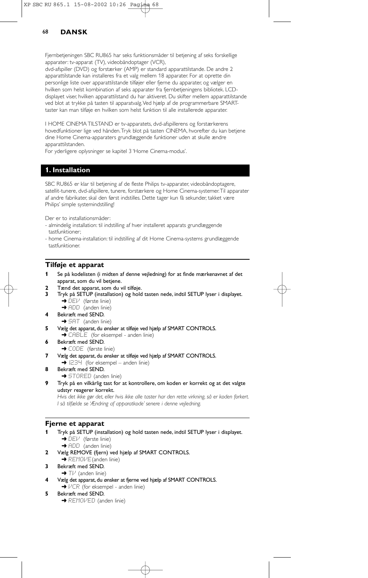Fjernbetjeningen SBC RU865 har seks funktionsmåder til betjening af seks forskellige apparater: tv-apparat (TV), videobåndoptager (VCR),

dvd-afspiller (DVD) og forstærker (AMP) er standard apparattilstande. De andre 2 apparattilstande kan installeres fra et valg mellem 18 apparater. For at oprette din personlige liste over apparattilstande tilføjer eller fjerne du apparater, og vælger en hvilken som helst kombination af seks apparater fra fjernbetjeningens bibliotek. LCDdisplayet viser, hvilken apparattilstand du har aktiveret. Du skifter mellem apparattilstande ved blot at trykke på tasten til apparatvalg.Ved hjælp af de programmerbare SMARTtaster kan man tilføje en hvilken som helst funktion til alle installerede apparater.

I HOME CINEMA TILSTAND er tv-apparatets, dvd-afspillerens og forstærkerens hovedfunktioner lige ved hånden.Tryk blot på tasten CINEMA, hvorefter du kan betjene dine Home Cinema-apparaters grundlæggende funktioner uden at skulle ændre apparattilstanden.

For yderligere oplysninger se kapitel 3 'Home Cinema-modus'.

## **1. Installation**

SBC RU865 er klar til betjening af de fleste Philips tv-apparater, videobåndoptagere, satellit-tunere, dvd-afspillere, tunere, forstærkere og Home Cinema-systemer.Til apparater af andre fabrikater, skal den først indstilles. Dette tager kun få sekunder, takket være Philips' simple systemindstilling!

Der er to installationsmåder:

- almindelig installation: til indstilling af hver installeret apparats grundlæggende tastfunktioner;
- home Cinema-installation: til indstilling af dit Home Cinema-systems grundlæggende tastfunktioner.

### **Tilføje et apparat**

- **1** Se på kodelisten (i midten af denne vejledning) for at finde mærkenavnet af det apparat, som du vil betjene.
- **2** Tænd det apparat, som du vil tilføje.<br>**3** Tryk på SETUP (installation) og hold
- **3** Tryk på SETUP (installation) og hold tasten nede, indtil SETUP lyser i displayet. ➜ DEV (første linie)
	- → ADD (anden linie)
- **4** Bekræft med SEND.
- $\rightarrow$  SAT (anden linie)
- **5** Vælg det apparat, du ønsker at tilføje ved hjælp af SMART CONTROLS. → CABLE (for eksempel - anden linie)
- **6** Bekræft med SEND.
- **→ CODE** (første linie)
- **7** Vælg det apparat, du ønsker at tilføje ved hjælp af SMART CONTROLS.  $\rightarrow$   $1234$  (for eksempel – anden linie)
- **8** Bekræft med SEND.
	- **→ STORED** (anden linie)
- **9** Tryk på en vilkårlig tast for at kontrollere, om koden er korrekt og at det valgte udstyr reagerer korrekt.

*Hvis det ikke gør det, eller hvis ikke alle taster har den rette virkning, så er koden forkert. I så tilfælde se 'Ændring af apparatkode' senere i denne vejledning.*

### **Fjerne et apparat**

- **1** Tryk på SETUP (installation) og hold tasten nede, indtil SETUP lyser i displayet. **→** DEV (første linie)
	- → ADD (anden linie)
- **2** Vælg REMOVE (fjern) ved hjælp af SMART CONTROLS.
- $\rightarrow$  REMOVE (anden linie)
- **3** Bekræft med SEND.  $\rightarrow$  TV (anden linie)
	- **4** Vælg det apparat, du ønsker at fjerne ved hjælp af SMART CONTROLS.
- $\rightarrow$   $VCR$  (for eksempel anden linie)
- **5** Bekræft med SEND.
	- **→ REMOVED** (anden linie)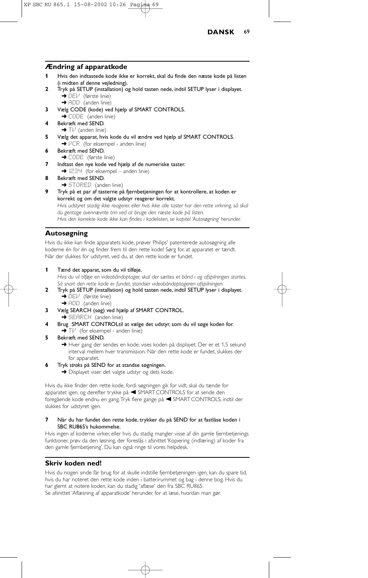

### **Ændring af apparatkode**

- **1** Hvis den indtastede kode ikke er korrekt, skal du finde den næste kode på listen (i midten af denne vejledning).
- **2** Tryk på SETUP (installation) og hold tasten nede, indtil SETUP lyser i displayet. ➜ DEV (første linie)
	- → ADD (anden linie)
- **3** Vælg CODE (kode) ved hjælp af SMART CONTROLS.
- **→ CODE** (anden linie)
- **4** Bekræft med SEND.  $\rightarrow$  T $\nu$  (anden linie)
- **5** Vælg det apparat, hvis kode du vil ændre ved hjælp af SMART CONTROLS.  $\rightarrow$   $VCR$  (for eksempel - anden linie)
- **6** Bekræft med SEND. → CODE (første linie)
- **7** Indtast den nye kode ved hjælp af de numeriske taster.
- $\rightarrow$   $1234$  (for eksempel anden linie)
- **8** Bekræft med SEND.
	- **→ STORED** (anden linie)
- **9** Tryk på et par af tasterne på fjernbetjeningen for at kontrollere, at koden er korrekt og om det valgte udstyr reagerer korrekt.

*Hvis udstyret stadig ikke reagerer, eller hvis ikke alle taster har den rette virkning, så skal du gentage ovennævnte trin ved at bruge den næste kode på listen. Hvis den korrekte kode ikke kan findes i kodelisten, se kapitel 'Autosøgning' herunder.*

## **Autosøgning**

Hvis du ikke kan finde apparatets kode, prøver Philips' patenterede autosøgning alle koderne én for én og finder frem til den rette kode! Sørg for, at apparatet er tændt. Når der slukkes for udstyret, ved du, at den rette kode er fundet.

**1** Tænd det apparat, som du vil tilføje.

*Hvis du vil tilføje en videobåndoptager, skal der sættes et bånd i og afspilningen startes. Så snart den rette kode er fundet, standser videobåndoptageren afspilningen.*

- **2** Tryk på SETUP (installation) og hold tasten nede, indtil SETUP lyser i displayet. → DEV (første linie)
	- ➜ ADD (anden linie)
- **3** Vælg SEARCH (søg) ved hjælp af SMART CONTROL.
- **→ SEARCH** (anden linie)
- **4** Brug SMART CONTROLtil at vælge det udstyr, som du vil søge koden for.
- $\rightarrow$  T $\mu$ <sup>t</sup> (for eksempel anden linie)
- **5** Bekræft med SEND.

→ Hver gang der sendes en kode, vises koden på displayet. Der er et 1,5 sekund interval mellem hver transmission. Når den rette kode er fundet, slukkes der for apparatet.

- **6** Tryk *straks* på SEND for at standse søgningen.
	- → Displayet viser det valgte udstyr og dets kode.

Hvis du ikke finder den rette kode, fordi søgningen gik for vidt, skal du tænde for apparatet igen, og derefter trykke på < SMART CONTROLS for at sende den foregående kode endnu en gang. Tryk flere gange på < SMART CONTROLS, indtil der slukkes for udstyret igen.

#### **7** Når du har fundet den rette kode, trykker du på SEND for at fastlåse koden i SBC RU865's hukommelse.

Hvis ingen af koderne virker, eller hvis du stadig mangler visse af din gamle fjernbetjenings funktioner, prøv da den løsning, der foreslås i afsnittet 'Kopiering (indlæring) af koder fra den gamle fjernbetjening'. Du kan også ringe til vores helpdesk.

## **Skriv koden ned!**

Hvis du nogen sinde får brug for at skulle indstille fjernbetjeningen igen, kan du spare tid, hvis du har noteret den rette kode inden i batterirummet og bag i denne bog. Hvis du har glemt at notere koden, kan du stadig 'aflæse' den fra SBC RU865. Se afsnittet 'Aflæsning af apparatkode' herunder, for at læse, hvordan man gør.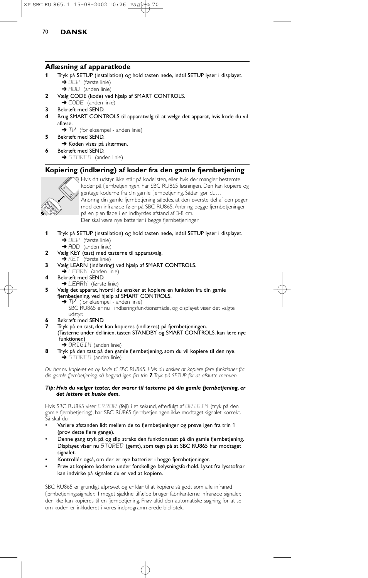### **Aflæsning af apparatkode**

- **1** Tryk på SETUP (installation) og hold tasten nede, indtil SETUP lyser i displayet. **→** DEI<sup>I</sup> (første linie)
	- **→** ADD (anden linie)
- **2** Vælg CODE (kode) ved hjælp af SMART CONTROLS.
- → CODE (anden linie)
- **3** Bekræft med SEND.
- **4** Brug SMART CONTROLS til apparatvalg til at vælge det apparat, hvis kode du vil aflæse.
- $\rightarrow$  T $\nu$ <sup>'</sup> (for eksempel anden linie) **5** Bekræft med SEND.
- **→ Koden vises på skærmen.**
- **6** Bekræft med SEND. **→ STORED** (anden linie)

## **Kopiering (indlæring) af koder fra den gamle fjernbetjening**



Hvis dit udstyr ikke står på kodelisten, eller hvis der mangler bestemte koder på fjernbetjeningen, har SBC RU865 løsningen. Den kan kopiere og gentage koderne fra din gamle fjernbetjening. Sådan gør du… Anbring din gamle fjernbetjening således, at den øverste del af den peger mod den infrarøde føler på SBC RU865. Anbring begge fjernbetjeninger på en plan flade i en indbyrdes afstand af 3-8 cm. Der skal være nye batterier i begge fjernbetjeninger

- **1** Tryk på SETUP (installation) og hold tasten nede, indtil SETUP lyser i displayet. **→** DEV (første linie)
	- → ADD (anden linie)
- **2** Vælg KEY (tast) med tasterne til apparatvalg.
	- $\rightarrow$  KEY (første linie)
- **3** Vælg LEARN (indlæring) ved hjælp af SMART CONTROLS.
- **→ LEARN** (anden linie)
- **4** Bekræft med SEND.
	- → LEARN (første linie)
- **5** Vælg det apparat, hvortil du ønsker at kopiere en funktion fra din gamle fjernbetjening, ved hjælp af SMART CONTROLS.
	- $\rightarrow$  T $\nu$ <sup></sup> (for eksempel anden linie)
	- SBC RU865 er nu i indlæringsfunktionsmåde, og displayet viser det valgte udstyr.
- **6** Bekræft med SEND.
- **7** Tryk på en tast, der kan kopieres (indlæres) på fjernbetjeningen.
- (Tasterne under dellinien, tasten STANDBY og SMART CONTROLS. kan lære nye funktioner.)
	- → ORIGIN (anden linie)
- **8** Tryk på den tast på den gamle fjernbetjening, som du vil kopiere til den nye.  $\rightarrow$  STORED (anden linie)

*Du har nu kopieret en ny kode til SBC RU865. Hvis du ønsker at kopiere flere funktioner fra din gamle fjernbetjening, så begynd igen fra trin 7.Tryk på SETUP for at afslutte menuen.*

#### *Tip: Hvis du vælger taster, der svarer til tasterne på din gamle fjernbetjening, er det lettere at huske dem.*

Hvis SBC RU865 viser ERROR (fejl) i et sekund, efterfulgt af ORIGIN (tryk på den gamle fjernbetjening), har SBC RU865-fjernbetjeningen ikke modtaget signalet korrekt. Så skal du:

- Variere afstanden lidt mellem de to fjernbetjeninger og prøve igen fra trin 1 (prøv dette flere gange).
- Denne gang tryk på og slip straks den funktionstast på din gamle fjernbetjening. Displayet viser nu STORED (gemt), som tegn på at SBC RU865 har modtaget signalet.
- Kontrollér også, om der er nye batterier i begge fjernbetjeninger.
- Prøv at kopiere koderne under forskellige belysningsforhold. Lyset fra lysstofrør kan indvirke på signalet du er ved at kopiere.

SBC RU865 er grundigt afprøvet og er klar til at kopiere så godt som alle infrarød fjernbetjeningssignaler. I meget sjældne tilfælde bruger fabrikanterne infrarøde signaler, der ikke kan kopieres til en fjernbetjening. Prøv altid den automatiske søgning for at se, om koden er inkluderet i vores indprogrammerede bibliotek.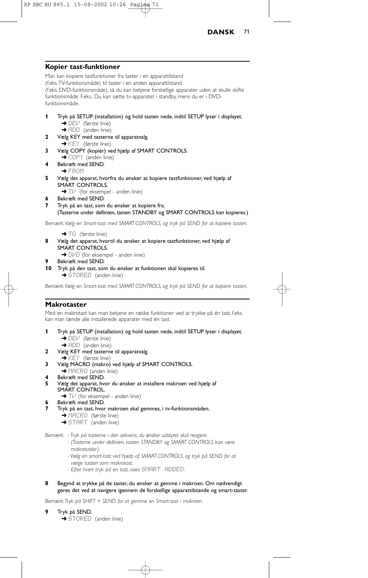

### **Kopier tast-funktioner**

Man kan kopiere tastfunktioner fra taster i en apparattilstand (f.eks.TV-funktionsmåde) til taster i en anden apparattilstand (f.eks. DVD-funktionsmåde), så du kan betjene forskellige apparater uden at skulle skifte funktionsmåde. F.eks.: Du kan sætte tv-apparatet i standby, mens du er i DVDfunktionsmåde. **1** Tryk på SETUP (installation) og hold tasten nede, indtil SETUP lyser i displayet. → DEV (første linie) → ADD (anden linie) **2** Vælg KEY med tasterne til apparatvalg.  $\rightarrow$  KEY (første linie) **3** Vælg COPY (kopiér) ved hjælp af SMART CONTROLS. → COPY (anden linie) **4** Bekræft med SEND. → FROM **5** Vælg det apparat, hvorfra du ønsker at kopiere tastfunktioner, ved hjælp af SMART CONTROLS.  $\rightarrow$  T $\nu$  (for eksempel - anden linie) **6** Bekræft med SEND.

**7** Tryk på en tast, som du ønsker at kopiere fra.

(Tasterne under dellinien, tasten STANDBY og SMART CONTROLS kan kopieres.)

*Bemærk:Vælg en Smart-tast med SMART CONTROLS, og tryk på SEND for at kopiere tasten.*

- → TO (første linie)
- **8** Vælg det apparat, hvortil du ønsker at kopiere tastfunktioner, ved hjælp af SMART CONTROLS. → DI/D (for eksempel - anden linie)
- **9** Bekræft med SEND.
- **10** Tryk på den tast, som du ønsker at funktionen skal kopieres til.  $\rightarrow$  STORED (anden linie)

*Bemærk:Vælg en Smart-tast med SMART CONTROLS, og tryk på SEND for at kopiere tasten.*

#### **Makrotaster**

Med en makrotast kan man betjene en række funktioner ved at trykke på én tast, f.eks. kan man tænde alle installerede apparater med én tast.

- **1** Tryk på SETUP (installation) og hold tasten nede, indtil SETUP lyser i displayet. → DEV (første linie)
	- → ADD (anden linie)
- **2** Vælg KEY med tasterne til apparatvalg.
- → KEY (første linie)
- **3** Vælg MACRO (makro) ved hjælp af SMART CONTROLS.
- **→ MACRO** (anden linie)
- **4** Bekræft med SEND.
- **5** Vælg det apparat, hvor du ønsker at installere makroen ved hjælp af SMART CONTROL.
	- $\blacktriangleright$  TV (for eksempel anden linie)
	- **6** Bekræft med SEND.
- **7** Tryk på en tast, hvor makroen skal gemmes, i tv-funktionsmåden.
	- **→ MACRO** (første linie)
	- → START (anden linie)

*Bemærk: - Tryk på tasterne i den sekvens, du ønsker udstyret skal reagere.*

- *(Tasterne under dellinien, tasten STANDBY og SMART CONTROLS kan være makrotaster.)*
- *Vælg en smart-tast ved hjælp af SMART CONTROLS, og tryk på SEND for at vælge tasten som makrotast.*
- *Efter hvert tryk på en tast, vises* SMART ADDED*.*
- **8** Begynd at trykke på de taster, du ønsker at gemme i makroen. Om nødvendigt gøres det ved at navigere igennem de forskellige apparattilstande og smart-taster.

*Bemærk:Tryk på SHIFT + SEND for at gemme en Smart-tast i makroen.*

- **9** Tryk på SEND.
	- $\rightarrow$  STORED (anden linie)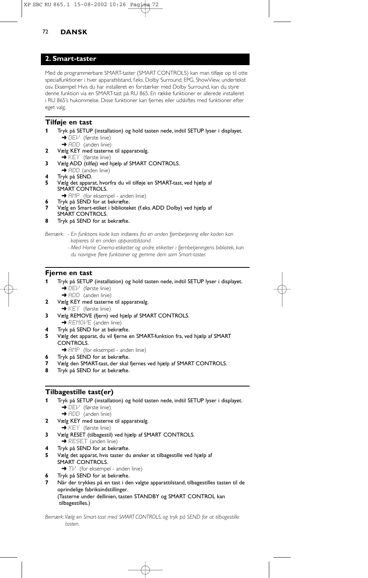## **2. Smart-taster**

Med de programmerbare SMART-taster (SMART CONTROLS) kan man tilføje op til otte specialfunktioner i hver apparattilstand, f.eks. Dolby Surround, EPG, ShowView, undertekst osv. Eksempel: Hvis du har installeret en forstærker med Dolby Surround, kan du styre denne funktion via en SMART-tast på RU 865. En række funktioner er allerede installeret i RU 865's hukommelse. Disse funktioner kan fiernes eller udskiftes med funktioner efter eget valg.

## **Tilføje en tast**

- **1** Tryk på SETUP (installation) og hold tasten nede, indtil SETUP lyser i displayet.  $\rightarrow$  DEV (første linie)
	- → ADD (anden linie)
- **2** Vælg KEY med tasterne til apparatvalg. ➜ KEY (første linie)
- **3** Vælg ADD (tilføj) ved hjælp af SMART CONTROLS.
- $\rightarrow$  ADD (anden linie)
- **4** Tryk på SEND.
- **5** Vælg det apparat, hvorfra du vil tilføje en SMART-tast, ved hjælp af SMART CONTROLS.
	- → AMP (for eksempel anden linie) **6** Tryk på SEND for at bekræfte.
- **7** Vælg en Smart-etiket i biblioteket (f.eks.ADD Dolby) ved hjælp af SMART CONTROLS.
- **8** Tryk på SEND for at bekræfte.

*Bemærk: - En funktions kode kan indlæres fra en anden fjernbetjening eller koden kan kopieres til en anden apparattilstand.*

> *- Med Home Cinema-etiketter og andre etiketter i fjernbetjeningens bibliotek, kan du navngive flere funktioner og gemme dem som Smart-taster.*

## **Fjerne en tast**

- **1** Tryk på SETUP (installation) og hold tasten nede, indtil SETUP lyser i displayet. **→ DEV** (første linie)
	- → ADD (anden linie)
- **2** Vælg KEY med tasterne til apparatvalg. **→ KEY** (første linie)
- **3** Vælg REMOVE (fjern) ved hjælp af SMART CONTROLS. → REMOVE (anden linie)
- **4** Tryk på SEND for at bekræfte.
- **5** Vælg det apparat, du vil fjerne en SMART-funktion fra, ved hjælp af SMART CONTROLS.
- → AMP (for eksempel anden linie)
- **6** Tryk på SEND for at bekræfte.
- **7** Vælg den SMART-tast, der skal fjernes ved hjælp af SMART CONTROLS.
- **8** Tryk på SEND for at bekræfte.

## **Tilbagestille tast(er)**

- **1** Tryk på SETUP (installation) og hold tasten nede, indtil SETUP lyser i displayet.  $\rightarrow$  DEV (første linie)
	- → ADD (anden linie)
- **2** Vælg KEY med tasterne til apparatvalg.
	- **→ KEY** (første linie)
- **3** Vælg RESET (tilbagestil) ved hjælp af SMART CONTROLS. **→ RESET** (anden linie)
- **4** Tryk på SEND for at bekræfte.
- **5** Vælg det apparat, hvis taster du ønsker at tilbagestille ved hjælp af SMART CONTROLS.
	- $\rightarrow$  T $\nu$  (for eksempel anden linie)
	- **6** Tryk på SEND for at bekræfte.
- **7** Når der trykkes på en tast i den valgte apparattilstand, tilbagestilles tasten til de oprindelige fabriksindstillinger. (Tasterne under dellinien, tasten STANDBY og SMART CONTROL kan tilbagestilles.)

*Bemærk:Vælg en Smart-tast med SMART CONTROLS, og tryk på SEND for at tilbagestille tasten.*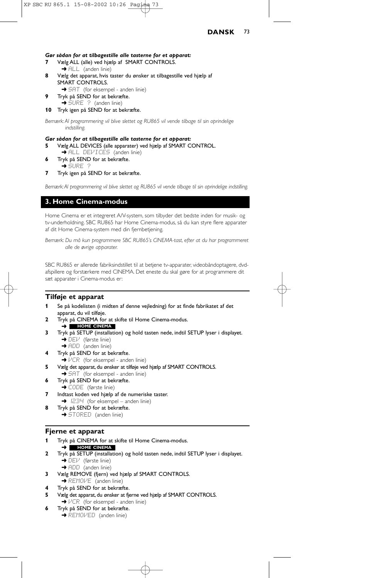#### *Gør sådan for at tilbagestille alle tasterne for et apparat:*

- **7** Vælg ALL (alle) ved hjælp af SMART CONTROLS. → ALL (anden linie)
- **8** Vælg det apparat, hvis taster du ønsker at tilbagestille ved hjælp af SMART CONTROLS.
	- → 5AT (for eksempel anden linie)
- **9** Tryk på SEND for at bekræfte. → SURE ? (anden linie)
- **10** Tryk igen på SEND for at bekræfte.

*Bemærk: Al programmering vil blive slettet og RU865 vil vende tilbage til sin oprindelige indstilling.*

#### *Gør sådan for at tilbagestille alle tasterne for et apparat:*

- **5** Vælg ALL DEVICES (alle apparater) ved hjælp af SMART CONTROL.
- ➜ ALL DEVICES (anden linie)
- **6** Tryk på SEND for at bekræfte.  $\rightarrow$  SURE  $\rightarrow$

**7** Tryk igen på SEND for at bekræfte.

*Bemærk:Al programmering vil blive slettet og RU865 vil vende tilbage til sin oprindelige indstilling.*

## **3. Home Cinema-modus**

Home Cinema er et integreret A/V-system, som tilbyder det bedste inden for musik- og tv-underholdning. SBC RU865 har Home Cinema-modus, så du kan styre flere apparater af dit Home Cinema-system med din fjernbetjening.

*Bemærk: Du må kun programmere SBC RU865's CINEMA-tast, efter at du har programmeret alle de øvrige apparater.*

SBC RU865 er allerede fabriksindstillet til at betjene tv-apparater, videobåndoptagere, dvdafspillere og forstærkere med CINEMA. Det eneste du skal gøre for at programmere dit sæt apparater i Cinema-modus er:

## **Tilføje et apparat**

- **1** Se på kodelisten (i midten af denne vejledning) for at finde fabrikatet af det apparat, du vil tilføje.
- **2** Tryk på CINEMA for at skifte til Home Cinema-modus.
- ➜ **HOME CINEMA**
- **3** Tryk på SETUP (installation) og hold tasten nede, indtil SETUP lyser i displayet. **→ DEV** (første linie)
	- → ADD (anden linie)
- **4** Tryk på SEND for at bekræfte.
- $\rightarrow$   $VCR$  (for eksempel anden linie)
- **5** Vælg det apparat, du ønsker at tilføje ved hjælp af SMART CONTROLS.
- **→ SAT** (for eksempel anden linie)
- **6** Tryk på SEND for at bekræfte. **→ CODE** (første linie)
- **7** Indtast koden ved hjælp af de numeriske taster.  $\rightarrow$   $I234$  (for eksempel – anden linie)
- **8** Tryk på SEND for at bekræfte.
- ➜ STORED (anden linie)

#### **Fjerne et apparat**

- **1** Tryk på CINEMA for at skifte til Home Cinema-modus. ➜ **HOME CINEMA**
- **2** Tryk på SETUP (installation) og hold tasten nede, indtil SETUP lyser i displayet. **→** DEV (første linie)
	- **→** ADD (anden linie)
- **3** Vælg REMOVE (fjern) ved hjælp af SMART CONTROLS. → REMOVE (anden linie)
- **4** Tryk på SEND for at bekræfte.
- **5** Vælg det apparat, du ønsker at fjerne ved hjælp af SMART CONTROLS. **→ VCR** (for eksempel - anden linie)
- **6** Tryk på SEND for at bekræfte. **→ REMOVED** (anden linie)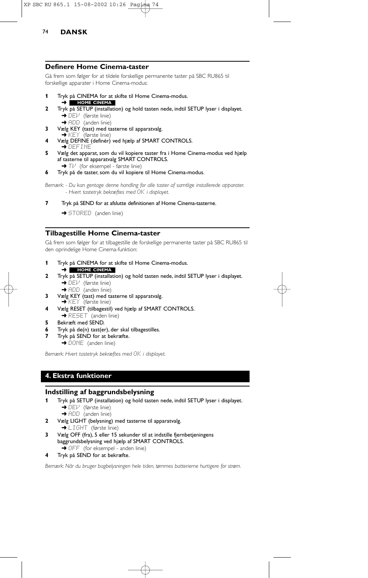### **Definere Home Cinema-taster**

Gå frem som følger for at tildele forskellige permanente taster på SBC RU865 til forskellige apparater i Home Cinema-modus:

- **1** Tryk på CINEMA for at skifte til Home Cinema-modus.
- ➜ **HOME CINEMA**
- **2** Tryk på SETUP (installation) og hold tasten nede, indtil SETUP lyser i displayet. ➜ DEV (første linie)
	- → ADD (anden linie)
- **3** Vælg KEY (tast) med tasterne til apparatvalg.<br>→ KEY (første linie)
- **4** Vælg DEFINE (definér) ved hjælp af SMART CONTROLS.  $\rightarrow$  define
- **5** Vælg det apparat, som du vil kopiere taster fra i Home Cinema-modus ved hjælp af tasterne til apparatvalg SMART CONTROLS. → Tl<sup>,</sup> (for eksempel - første linie)
- **6** Tryk på de taster, som du vil kopiere til Home Cinema-modus.

*Bemærk: - Du kan gentage denne handling for alle taster af samtlige installerede apparater. - Hvert tastetryk bekræftes med* OK *i displayet.*

- **7** Tryk på SEND for at afslutte definitionen af Home Cinema-tasterne.
	- → STORED (anden linie)

# **Tilbagestille Home Cinema-taster**

Gå frem som følger for at tilbagestille de forskellige permanente taster på SBC RU865 til den oprindelige Home Cinema-funktion:

- **1** Tryk på CINEMA for at skifte til Home Cinema-modus. ➜ **HOME CINEMA**
- **2** Tryk på SETUP (installation) og hold tasten nede, indtil SETUP lyser i displayet. **→ DEV** (første linie)

→ ADD (anden linie)

- **3** Vælg KEY (tast) med tasterne til apparatvalg. **→ KEY** (første linie)
- **4** Vælg RESET (tilbagestil) ved hjælp af SMART CONTROLS. **→ RESET** (anden linie)
- **5** Bekræft med SEND.
- **6** Tryk på de(n) tast(er), der skal tilbagestilles.
- **7** Tryk på SEND for at bekræfte. → DONE (anden linie)

*Bemærk: Hvert tastetryk bekræftes med* OK *i displayet.*

# **4. Ekstra funktioner**

## **Indstilling af baggrundsbelysning**

- **1** Tryk på SETUP (installation) og hold tasten nede, indtil SETUP lyser i displayet.
	- $\rightarrow$  DEM (første linie)
	- → ADD (anden linie)
- **2** Vælg LIGHT (belysning) med tasterne til apparatvalg.
	- → LIGHT (første linie)
- **3** Vælg OFF (fra), 5 eller 15 sekunder til at indstille fjernbetjeningens baggrundsbelysning ved hjælp af SMART CONTROLS. → OFF (for eksempel - anden linie)
- **4** Tryk på SEND for at bekræfte.

*Bemærk: Når du bruger bagbelysningen hele tiden, tømmes batterierne hurtigere for strøm.*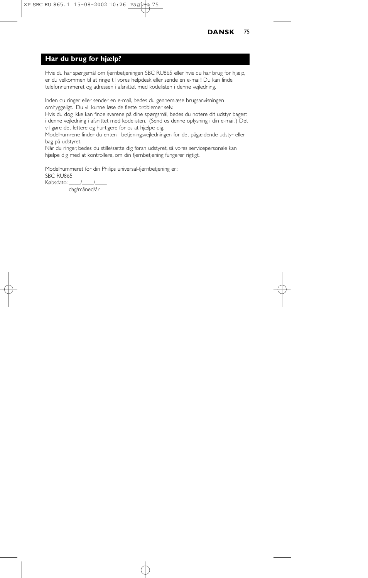# **Har du brug for hjælp?**

Hvis du har spørgsmål om fjernbetjeningen SBC RU865 eller hvis du har brug for hjælp, er du velkommen til at ringe til vores helpdesk eller sende en e-mail! Du kan finde telefonnummeret og adressen i afsnittet med kodelisten i denne vejledning.

Inden du ringer eller sender en e-mail, bedes du gennemlæse brugsanvisningen omhyggeligt. Du vil kunne løse de fleste problemer selv.

Hvis du dog ikke kan finde svarene på dine spørgsmål, bedes du notere dit udstyr bagest i denne vejledning i afsnittet med kodelisten. (Send os denne oplysning i din e-mail.) Det vil gøre det lettere og hurtigere for os at hjælpe dig.

Modelnumrene finder du enten i betjeningsvejledningen for det pågældende udstyr eller bag på udstyret.

Når du ringer, bedes du stille/sætte dig foran udstyret, så vores servicepersonale kan hjælpe dig med at kontrollere, om din fjernbetjening fungerer rigtigt.

Modelnummeret for din Philips universal-fjernbetjening er: SBC RU865 Købsdato: //

dag/måned/år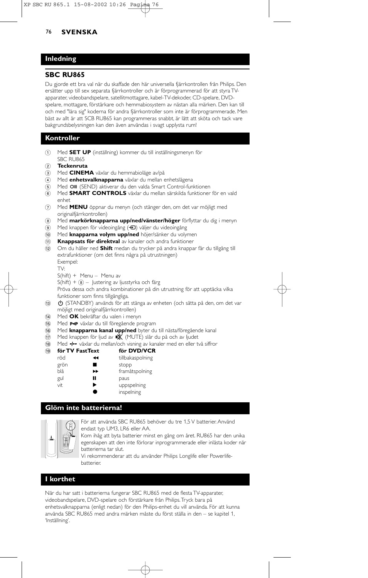## **Inledning**

## **SBC RU865**

Du gjorde ett bra val när du skaffade den här universella fjärrkontrollen från Philips. Den ersätter upp till sex separata fjärrkontroller och är förprogrammerad för att styra TVapparater, videobandspelare, satellitmottagare, kabel-TV-dekoder, CD-spelare, DVDspelare, mottagare, förstärkare och hemmabiosystem av nästan alla märken. Den kan till och med "lära sig" koderna för andra fjärrkontroller som inte är förprogrammerade. Men bäst av allt är att SCB RU865 kan programmeras snabbt, är lätt att sköta och tack vare bakgrundsbelysningen kan den även användas i svagt upplysta rum!

## **Kontroller**

- 1 Med **SET UP** (inställning) kommer du till inställningsmenyn för SBC RU865
- 2 **Teckenruta**
- 3 Med **CINEMA** växlar du hemmabioläge av/på
- 4 Med **enhetsvalknapparna** växlar du mellan enhetslägena
- 5 Med OIII (SEND) aktiverar du den valda Smart Control-funktionen
- 6 Med **SMART CONTROLS** växlar du mellan särskilda funktioner för en vald enhet
- 7 Med **MENU** öppnar du menyn (och stänger den, om det var möjligt med originalfjärrkontrollen)
- 8 Med **markörknapparna upp/ned/vänster/höger** förflyttar du dig i menyn
- 9 Med knappen för videoingång (+) väljer du videoingång
- 0 Med **knapparna volym upp/ned** höjer/sänker du volymen
- ! **Knappsats för direktval** av kanaler och andra funktioner
- @ Om du håller ned **Shift** medan du trycker på andra knappar får du tillgång till extrafunktioner (om det finns några på utrustningen) Exempel:
	- TV:
	- S(hift) + Menu Menu av
	- $S(hif) +  $\circledast$$  Justering av ljusstyrka och färg

Pröva dessa och andra kombinationer på din utrustning för att upptäcka vilka funktioner som finns tillgängliga.

(i) (STANDBY) används för att stänga av enheten (och sätta på den, om det var möjligt med originalfjärrkontrollen)

- \$ Med **OK** bekräftar du valen i menyn
- (i5) Med P+P växlar du till föregående program
- ^ Med **knapparna kanal upp/ned** byter du till nästa/föregående kanal
- **17** Med knappen för ljud av  **(X** (MUTE) slår du på och av ljudet
- 18 Med -- växlar du mellan/och visning av kanaler med en eller två siffror

| (19) | för TV FastText |   | för DVD/VCR      |  |
|------|-----------------|---|------------------|--|
|      | röd             | ↤ | tillbakaspolning |  |
|      | grön            |   | stopp            |  |
|      | blå             | ▸ | framåtspolning   |  |
|      | gul             | П | paus             |  |
|      | vit             | ▶ | uppspelning      |  |
|      |                 |   | inspelning       |  |

## **Glöm inte batterierna!**



För att använda SBC RU865 behöver du tre 1,5 V batterier. Använd endast typ UM3, LR6 eller AA.

Kom ihåg att byta batterier minst en gång om året. RU865 har den unika egenskapen att den inte förlorar inprogrammerade eller inlästa koder när batterierna tar slut.

Vi rekommenderar att du använder Philips Longlife eller Powerlifebatterier.

## **I korthet**

När du har satt i batterierna fungerar SBC RU865 med de flesta TV-apparater, videobandspelare, DVD-spelare och förstärkare från Philips.Tryck bara på enhetsvalknapparna (enligt nedan) för den Philips-enhet du vill använda. För att kunna använda SBC RU865 med andra märken måste du först ställa in den – se kapitel 1, 'Inställning'.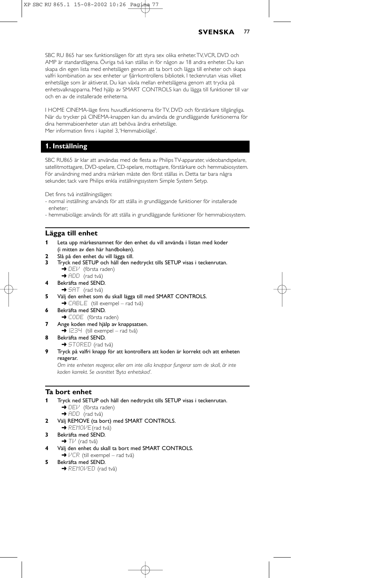SBC RU 865 har sex funktionslägen för att styra sex olika enheter.TV,VCR, DVD och AMP är standardlägena. Övriga två kan ställas in för någon av 18 andra enheter. Du kan skapa din egen lista med enhetslägen genom att ta bort och lägga till enheter och skapa valfri kombination av sex enheter ur fjärrkontrollens bibliotek. I teckenrutan visas vilket enhetsläge som är aktiverat. Du kan växla mellan enhetslägena genom att trycka på enhetsvalknapparna. Med hjälp av SMART CONTROLS kan du lägga till funktioner till var och en av de installerade enheterna.

I HOME CINEMA-läge finns huvudfunktionerna för TV, DVD och förstärkare tillgängliga. När du trycker på CINEMA-knappen kan du använda de grundläggande funktionerna för dina hemmabioenheter utan att behöva ändra enhetsläge. Mer information finns i kapitel 3,'Hemmabioläge'.

## **1. Inställning**

SBC RU865 är klar att användas med de flesta av Philips TV-apparater, videobandspelare, satellitmottagare, DVD-spelare, CD-spelare, mottagare, förstärkare och hemmabiosystem. För användning med andra märken måste den först ställas in. Detta tar bara några sekunder, tack vare Philips enkla inställningssystem Simple System Setyp.

Det finns två inställningslägen:

- normal inställning: används för att ställa in grundläggande funktioner för installerade enheter;
- hemmabioläge: används för att ställa in grundläggande funktioner för hemmabiosystem.

#### **Lägga till enhet**

- **1** Leta upp märkesnamnet för den enhet du vill använda i listan med koder (i mitten av den här handboken).
- **2** Slå på den enhet du vill lägga till.
- **3** Tryck ned SETUP och håll den nedtryckt tills SETUP visas i teckenrutan. → DEI<sup>J</sup> (första raden)
	- $\rightarrow$  ADD (rad två)
- **4** Bekräfta med SEND.
	- $\rightarrow$  5AT (rad två)
- **5** Välj den enhet som du skall lägga till med SMART CONTROLS. → CABLE (till exempel – rad två)
- **6** Bekräfta med SEND.
- **→ CODE** (första raden)
- **7** Ange koden med hjälp av knappsatsen.
	- $\rightarrow$   $1234$  (till exempel rad två)
- **8** Bekräfta med SEND. → STORED (rad två)
- **9** Tryck på valfri knapp för att kontrollera att koden är korrekt och att enheten reagerar.

*Om inte enheten reagerar, eller om inte alla knappar fungerar som de skall, är inte koden korrekt. Se avsnittet 'Byta enhetskod'.*

#### **Ta bort enhet**

- **1** Tryck ned SETUP och håll den nedtryckt tills SETUP visas i teckenrutan. → DEI<sup>J</sup> (första raden)
	- → ADD (rad två)
- **2** Välj REMOVE (ta bort) med SMART CONTROLS.
- **→ REMOVE**(rad två)
- **3** Bekräfta med SEND.  $\rightarrow$  TV (rad två)
- **4** Välj den enhet du skall ta bort med SMART CONTROLS.  $\rightarrow$   $V\bar{C}$ R (till exempel – rad två)
- **5** Bekräfta med SEND.
	- $\rightarrow$  REMOVED (rad två)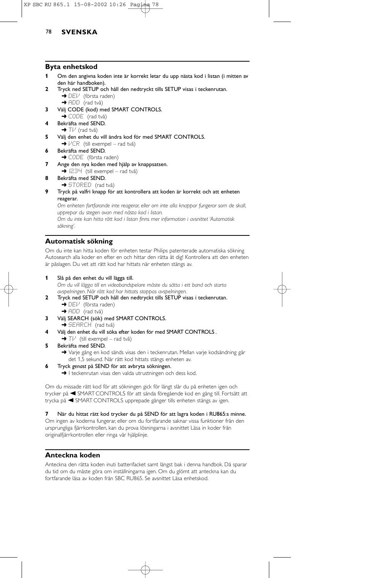## **Byta enhetskod**

- **1** Om den angivna koden inte är korrekt letar du upp nästa kod i listan (i mitten av den här handboken).
- **2** Tryck ned SETUP och håll den nedtryckt tills SETUP visas i teckenrutan.  $\rightarrow$  DE $V$  (första raden)
	- $\rightarrow$  ADD (rad två)
- **3** Välj CODE (kod) med SMART CONTROLS.
- $\rightarrow$  CODE (rad två)
- **4** Bekräfta med SEND.  $\rightarrow$  TIM (rad två)
- **5** Välj den enhet du vill ändra kod för med SMART CONTROLS.  $\rightarrow$   $VCR$  (till exempel – rad två)
- **6** Bekräfta med SEND. → CODE (första raden)
- **7** Ange den nya koden med hjälp av knappsatsen.
- $\rightarrow$  1234 (till exempel rad två)
- **8** Bekräfta med SEND.
	- **→ STORED** (rad två)
- **9** Tryck på valfri knapp för att kontrollera att koden är korrekt och att enheten reagerar.

*Om enheten fortfarande inte reagerar, eller om inte alla knappar fungerar som de skall, upprepar du stegen ovan med nästa kod i listan. Om du inte kan hitta rätt kod i listan finns mer information i avsnittet 'Automatisk*

*sökning'.*

## **Automatisk sökning**

Om du inte kan hitta koden för enheten testar Philips patenterade automatiska sökning Autosearch alla koder en efter en och hittar den rätta åt dig! Kontrollera att den enheten är påslagen. Du vet att rätt kod har hittats när enheten stängs av.

**1** Slå på den enhet du vill lägga till.

*Om du vill lägga till en videobandspelare måste du sätta i ett band och starta avspelningen. När rätt kod har hittats stoppas avspelningen.*

- **2** Tryck ned SETUP och håll den nedtryckt tills SETUP visas i teckenrutan.  $\rightarrow$  DEV (första raden)
	- $\rightarrow$  ADD (rad två)
- **3** Välj SEARCH (sök) med SMART CONTROLS. → SEARCH (rad två)
- **4** Välj den enhet du vill söka efter koden för med SMART CONTROLS .  $\blacktriangleright$  T $\mathcal{V}$  (till exempel – rad två)
- **5** Bekräfta med SEND.

→ Varje gång en kod sänds visas den i teckenrutan. Mellan varje kodsändning går det 1,5 sekund. När rätt kod hittats stängs enheten av.

- **6** Tryck *genast* på SEND för att avbryta sökningen.
	- → I teckenrutan visas den valda utrustningen och dess kod.

Om du missade rätt kod för att sökningen gick för långt slår du på enheten igen och trycker på A SMART CONTROLS för att sända föregående kod en gång till. Fortsätt att trycka på < SMART CONTROLS upprepade gånger tills enheten stängs av igen.

**7** När du hittat rätt kod trycker du på SEND för att lagra koden i RU865:s minne. Om ingen av koderna fungerar, eller om du fortfarande saknar vissa funktioner från den ursprungliga fjärrkontrollen, kan du prova lösningarna i avsnittet Läsa in koder från originalfjärrkontrollen eller ringa vår hjälplinje.

## **Anteckna koden**

Anteckna den rätta koden inuti batterifacket samt längst bak i denna handbok. Då sparar du tid om du måste göra om inställningarna igen. Om du glömt att anteckna kan du fortfarande läsa av koden från SBC RU865. Se avsnittet Läsa enhetskod.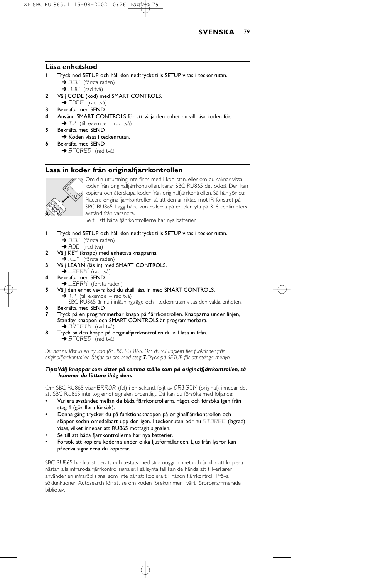

### **Läsa enhetskod**

- **1** Tryck ned SETUP och håll den nedtryckt tills SETUP visas i teckenrutan. **→** DEV (första raden)
	- → ADD (rad två)
- **2** Välj CODE (kod) med SMART CONTROLS.
- → CODE (rad två)
- **3** Bekräfta med SEND.
- **4** Använd SMART CONTROLS för att välja den enhet du vill läsa koden för.  $\rightarrow$  T $\nu$ <sup>'</sup> (till exempel – rad två)
- **5** Bekräfta med SEND.
- **→** Koden visas i teckenrutan. **6** Bekräfta med SEND.

**→ STORED** (rad två)

## **Läsa in koder från originalfjärrkontrollen**



Om din utrustning inte finns med i kodlistan, eller om du saknar vissa koder från originalfjärrkontrollen, klarar SBC RU865 det också. Den kan kopiera och återskapa koder från originalfjärrkontrollen. Så här gör du: Placera originalfjärrkontrollen så att den är riktad mot IR-fönstret på SBC RU865. Lägg båda kontrollerna på en plan yta på 3–8 centimeters avstånd från varandra.

Se till att båda fjärrkontrollerna har nya batterier.

- **1** Tryck ned SETUP och håll den nedtryckt tills SETUP visas i teckenrutan. → DEV (första raden)
	- $\rightarrow$  ADD (rad två)
- **2** Välj KEY (knapp) med enhetsvalknapparna.<br>→ KEY (första raden)
- 
- **3** Välj LEARN (läs in) med SMART CONTROLS.
- $\rightarrow$  LEARN (rad två) **4** Bekräfta med SEND.
- → LEARN (första raden)
- **5** Välj den enhet vavrs kod du skall läsa in med SMART CONTROLS.  $T\nvdash'$  (till exempel – rad två)

SBC RU865 är nu i inläsningsläge och i teckenrutan visas den valda enheten. **6** Bekräfta med SEND.

- **7** Tryck på en programmerbar knapp på fjärrkontrollen. Knapparna under linjen, Standby-knappen och SMART CONTROLS är programmerbara.<br>→ ORIGIN (rad två)
- **8** Tryck på den knapp på originalfjärrkontrollen du vill läsa in från.  $\rightarrow$  STORED (rad två)

*Du har nu läst in en ny kod för SBC RU 865. Om du vill kopiera fler funktioner från originalfjärrkontrollen börjar du om med steg 7.Tryck på SETUP för att stänga menyn.*

#### *Tips:Välj knappar som sitter på samma ställe som på originalfjärrkontrollen, så kommer du lättare ihåg dem.*

Om SBC RU865 visar ERROR (fel) i en sekund, följt av ORIGIN (original), innebär det att SBC RU865 inte tog emot signalen ordentligt. Då kan du försöka med följande:

- Variera avståndet mellan de båda fjärrkontrollerna något och försöka igen från steg 1 (gör flera försök).
- Denna gång trycker du på funktionsknappen på originalfjärrkontrollen och släpper sedan omedelbart upp den igen. I teckenrutan bör nu STORED (lagrad) visas, vilket innebär att RU865 mottagit signalen.
- Se till att båda fjärrkontrollerna har nya batterier.
- Försök att kopiera koderna under olika ljusförhållanden. Ljus från lysrör kan påverka signalerna du kopierar.

SBC RU865 har konstruerats och testats med stor noggrannhet och är klar att kopiera nästan alla infraröda fjärrkontrollsignaler. I sällsynta fall kan de hända att tillverkaren använder en infraröd signal som inte går att kopiera till någon fjärrkontroll. Pröva sökfunktionen Autosearch för att se om koden förekommer i vårt förprogrammerade bibliotek.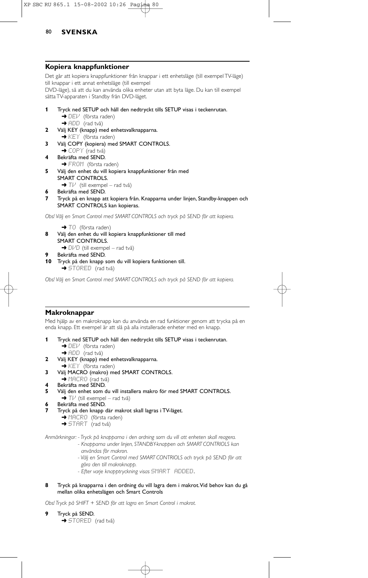#### **Kopiera knappfunktioner**

Det går att kopiera knappfunktioner från knappar i ett enhetsläge (till exempel TV-läge) till knappar i ett annat enhetsläge (till exempel DVD-läge), så att du kan använda olika enheter utan att byta läge. Du kan till exempel sätta TV-apparaten i Standby från DVD-läget.

- **1** Tryck ned SETUP och håll den nedtryckt tills SETUP visas i teckenrutan. **→** DEI<sup>J</sup> (första raden) → ADD (rad två)
- **2** Välj KEY (knapp) med enhetsvalknapparna.
	- $\rightarrow$  KEY (första raden)
- **3** Välj COPY (kopiera) med SMART CONTROLS.
- ◆ COPY (rad två) **4** Bekräfta med SEND.
	- → FROM (första raden)
- **5** Välj den enhet du vill kopiera knappfunktioner från med SMART CONTROLS.  $\rightarrow$  T $\overline{V}$  (till exempel – rad två)
- **6** Bekräfta med SEND.
- **7** Tryck på en knapp att kopiera från. Knapparna under linjen, Standby-knappen och SMART CONTROLS kan kopieras.

*Obs! Välj en Smart Control med SMART CONTROLS och tryck på SEND för att kopiera.*

- → TO (första raden)
- **8** Välj den enhet du vill kopiera knappfunktioner till med
	- SMART CONTROLS.
		- → DIPI (till exempel rad två)
- **9** Bekräfta med SEND.
- **10** Tryck på den knapp som du vill kopiera funktionen till.
	- $\rightarrow$  STORED (rad två)

*Obs! Välj en Smart Control med SMART CONTROLS och tryck på SEND för att kopiera.*

#### **Makroknappar**

Med hjälp av en makroknapp kan du använda en rad funktioner genom att trycka på en enda knapp. Ett exempel är att slå på alla installerade enheter med en knapp.

- **1** Tryck ned SETUP och håll den nedtryckt tills SETUP visas i teckenrutan. → DEV (första raden)
	- → ADD (rad två)
- **2** Välj KEY (knapp) med enhetsvalknapparna.
- **→ KEY** (första raden)
- **3** Välj MACRO (makro) med SMART CONTROLS.
- → MACRO (rad två)
- **4** Bekräfta med SEND.<br>**5** Väli den enhet som d
- **5** Välj den enhet som du vill installera makro för med SMART CONTROLS.
- $\rightarrow$  T $\nu$ <sup>t</sup> (till exempel rad två)
- **6** Bekräfta med SEND. **7** Tryck på den knapp där makrot skall lagras i TV-läget.
	- → MACRO (första raden)
	-
	- → START (rad två)

*Anmärkningar: - Tryck på knapparna i den ordning som du vill att enheten skall reagera. - Knapparna under linjen, STANDBY-knappen och SMART CONTRIOLS kan användas för makron.*

- *Välj en Smart Control med SMART CONTRIOLS och tryck på SEND för att göra den till makroknapp.*
- *Efter varje knapptryckning visas* SMART ADDED.
- **8** Tryck på knapparna i den ordning du vill lagra dem i makrot.Vid behov kan du gå mellan olika enhetslägen och Smart Controls

*Obs! Tryck på SHIFT + SEND för att lagra en Smart Control i makrot.*

**9** Tryck på SEND.  $\rightarrow$  STORED (rad två)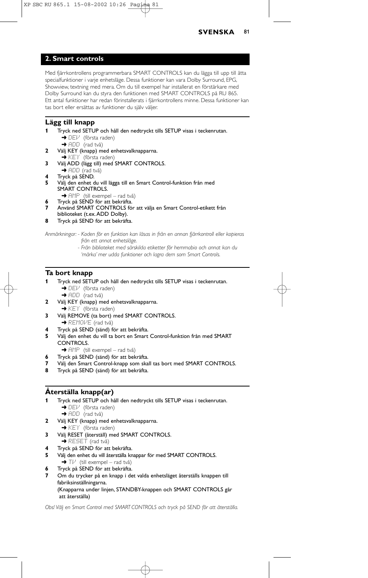

## **2. Smart controls**

Med fjärrkontrollens programmerbara SMART CONTROLS kan du lägga till upp till åtta specialfunktioner i varje enhetsläge. Dessa funktioner kan vara Dolby Surround, EPG, Showview, textning med mera. Om du till exempel har installerat en förstärkare med Dolby Surround kan du styra den funktionen med SMART CONTROLS på RU 865. Ett antal funktioner har redan förinstallerats i fjärrkontrollens minne. Dessa funktioner kan tas bort eller ersättas av funktioner du själv väljer.

## **Lägg till knapp**

- **1** Tryck ned SETUP och håll den nedtryckt tills SETUP visas i teckenrutan.  $\rightarrow$  DEV (första raden)
	- $\rightarrow$  ADD (rad två)
- **2** Välj KEY (knapp) med enhetsvalknapparna. ➜ KEY (första raden)
- **3** Välj ADD (lägg till) med SMART CONTROLS.
- $\rightarrow$  ADD (rad två)
- **4** Tryck på SEND.
- **5** Välj den enhet du vill lägga till en Smart Control-funktion från med SMART CONTROLS.
	- → AMP (till exempel rad två) **6** Tryck på SEND för att bekräfta.
- **7** Använd SMART CONTROLS för att välja en Smart Control-etikett från biblioteket (t.ex.ADD Dolby).
- **8** Tryck på SEND för att bekräfta.

*Anmärkningar: - Koden för en funktion kan läsas in från en annan fjärrkontroll eller kopieras från ett annat enhetsläge.*

> *- Från biblioteket med särskilda etiketter för hemmabio och annat kan du 'märka' mer udda funktioner och lagra dem som Smart Controls.*

### **Ta bort knapp**

- **1** Tryck ned SETUP och håll den nedtryckt tills SETUP visas i teckenrutan. ➜ DEV (första raden)
	- → ADD (rad två)
- **2** Välj KEY (knapp) med enhetsvalknapparna. **→ KEY** (första raden)
- **3** Välj REMOVE (ta bort) med SMART CONTROLS. → REMOI<sub>E</sub> (rad två)
- **4** Tryck på SEND (sänd) för att bekräfta.
- **5** Välj den enhet du vill ta bort en Smart Control-funktion från med SMART CONTROLS.
- → AMP (till exempel rad två)
- **6** Tryck på SEND (sänd) för att bekräfta.
- **7** Välj den Smart Control-knapp som skall tas bort med SMART CONTROLS.
- **8** Tryck på SEND (sänd) för att bekräfta.

## **Återställa knapp(ar)**

- **1** Tryck ned SETUP och håll den nedtryckt tills SETUP visas i teckenrutan. ➜ DEV (första raden)
	- → ADD (rad två)
- **2** Välj KEY (knapp) med enhetsvalknapparna.
	- $\rightarrow$  KEY (första raden)
- **3** Välj RESET (återställ) med SMART CONTROLS.  $\rightarrow$  RESET (rad två)
- **4** Tryck på SEND för att bekräfta.
- **5** Välj den enhet du vill återställa knappar för med SMART CONTROLS.  $\rightarrow$  T $\nu$ <sup>'</sup> (till exempel – rad två)
- **6** Tryck på SEND för att bekräfta.
- **7** Om du trycker på en knapp i det valda enhetsläget återställs knappen till fabriksinställningarna. (Knapparna under linjen, STANDBY-knappen och SMART CONTROLS går att återställa)

*Obs! Välj en Smart Control med SMART CONTROLS och tryck på SEND för att återställa.*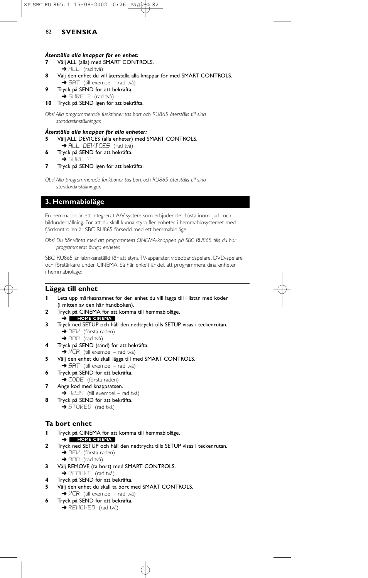#### *Återställa alla knappar för en enhet:*

- **7** Välj ALL (alla) med SMART CONTROLS.
- → ALL (rad två)
- **8** Välj den enhet du vill återställa alla knappar för med SMART CONTROLS.
- $\rightarrow$  5AT (till exempel rad två)
- **9** Tryck på SEND för att bekräfta.
- $\rightarrow$  SURE ? (rad två)
- **10** Tryck på SEND igen för att bekräfta.

*Obs! Alla programmerade funktioner tas bort och RU865 återställs till sina standardinställningar.*

#### *Återställa alla knappar för alla enheter:*

- **5** Välj ALL DEVICES (alla enheter) med SMART CONTROLS.  $\rightarrow$  ALL DEVICES (rad två)
- **6** Tryck på SEND för att bekräfta. ➜ SURE ?
- **7** Tryck på SEND igen för att bekräfta.

*Obs! Alla programmerade funktioner tas bort och RU865 återställs till sina standardinställningar.*

## **3. Hemmabioläge**

En hemmabio är ett integrerat A/V-system som erbjuder det bästa inom ljud- och bildunderhållning. För att du skall kunna styra fler enheter i hemmabiosystemet med fjärrkontrollen är SBC RU865 försedd med ett hemmabioläge.

*Obs! Du bör vänta med att programmera CINEMA-knappen på SBC RU865 tills du har programmerat övriga enheter.*

SBC RU865 är fabriksinställd för att styra TV-apparater, videobandspelare, DVD-spelare och förstärkare under CINEMA. Så här enkelt är det att programmera dina enheter i hemmabioläge:

## **Lägga till enhet**

- **1** Leta upp märkesnamnet för den enhet du vill lägga till i listan med koder (i mitten av den här handboken).
- **2** Tryck på CINEMA för att komma till hemmabioläge.
- ➜ **HOME CINEMA**
- **3** Tryck ned SETUP och håll den nedtryckt tills SETUP visas i teckenrutan. **→** DEV (första raden)
- → ADD (rad två) **4** Tryck på SEND (sänd) för att bekräfta.
	- $\rightarrow$   $VCR$  (till exempel rad två)
- **5** Välj den enhet du skall lägga till med SMART CONTROLS.
- → SAT (till exempel rad två)
- **6** Tryck på SEND för att bekräfta.
- **→ CODE** (första raden)
- **7** Ange kod med knappsatsen.  $\rightarrow$  1234 (till exempel – rad två)
- **8** Tryck på SEND för att bekräfta.
	- **→ STORED** (rad två)

## **Ta bort enhet**

- **1** Tryck på CINEMA för att komma till hemmabioläge. ➜ **HOME CINEMA**
- **2** Tryck ned SETUP och håll den nedtryckt tills SETUP visas i teckenrutan. → DEV (första raden)
- → ADD (rad två) **3** Välj REMOVE (ta bort) med SMART CONTROLS.
- **→ REMOVE** (rad två)
- **4** Tryck på SEND för att bekräfta.
- **5** Välj den enhet du skall ta bort med SMART CONTROLS.  $\rightarrow$   $VCR$  (till exempel – rad två)
- **6** Tryck på SEND för att bekräfta.
	- **→ REMOVED** (rad två)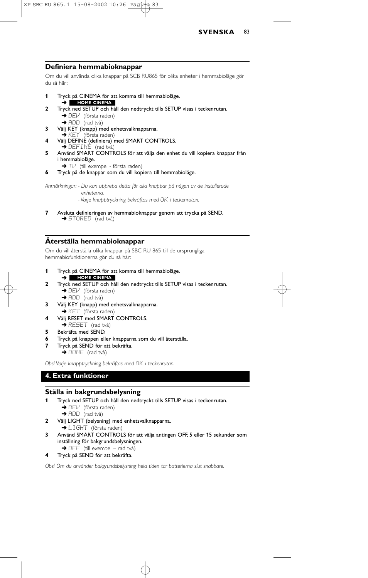

### **Definiera hemmabioknappar**

Om du vill använda olika knappar på SCB RU865 för olika enheter i hemmabioläge gör du så här:

- **1** Tryck på CINEMA för att komma till hemmabioläge.
- ➜ **HOME CINEMA 2** Tryck ned SETUP och håll den nedtryckt tills SETUP visas i teckenrutan. → DEV (första raden)
- → ADD (rad två) **3** Välj KEY (knapp) med enhetsvalknapparna. ➜ KEY (första raden)
- **4** Välj DEFINE (definiera) med SMART CONTROLS. ➜ DEFINE (rad två)
- **5** Använd SMART CONTROLS för att välja den enhet du vill kopiera knappar från i hemmabioläge.
	- **→ T** $\vee$  (till exempel första raden)
- **6** Tryck på de knappar som du vill kopiera till hemmabioläge.

*Anmärkningar: - Du kan upprepa detta för alla knappar på någon av de installerade enheterna.*

- *Varje knapptryckning bekräftas med* OK *i teckenrutan.*
- **7** Avsluta definieringen av hemmabioknappar genom att trycka på SEND.  $\rightarrow$  STORED (rad två)

## **Återställa hemmabioknappar**

Om du vill återställa olika knappar på SBC RU 865 till de ursprungliga hemmabiofunktionerna gör du så här:

- **1** Tryck på CINEMA för att komma till hemmabioläge. ➜ **HOME CINEMA**
- **2** Tryck ned SETUP och håll den nedtryckt tills SETUP visas i teckenrutan. → DEI<sup>J</sup> (första raden)
	- → ADD (rad två)
- **3** Välj KEY (knapp) med enhetsvalknapparna. → KEY (första raden)
- **4** Välj RESET med SMART CONTROLS. → RESET (rad två)
- **5** Bekräfta med SEND.
- **6** Tryck på knappen eller knapparna som du vill återställa.
- **7** Tryck på SEND för att bekräfta. → DONE (rad två)

*Obs! Varje knapptryckning bekräftas med* OK *i teckenrutan.*

# **4. Extra funktioner**

## **Ställa in bakgrundsbelysning**

- **1** Tryck ned SETUP och håll den nedtryckt tills SETUP visas i teckenrutan.
	- $\rightarrow$  DEV (första raden)
	- → ADD (rad två)
- **2** Välj LIGHT (belysning) med enhetsvalknapparna.
	- → LIGHT (första raden)
- **3** Använd SMART CONTROLS för att välja antingen OFF, 5 eller 15 sekunder som inställning för bakgrundsbelysningen. → OFF (till exempel – rad två)
- **4** Tryck på SEND för att bekräfta.

*Obs! Om du använder bakgrundsbelysning hela tiden tar batterierna slut snabbare.*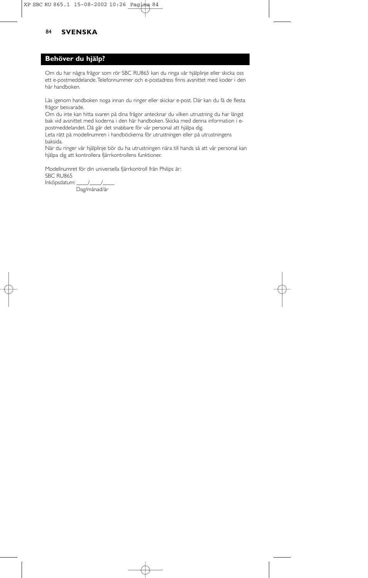## **Behöver du hjälp?**

Om du har några frågor som rör SBC RU865 kan du ringa vår hjälplinje eller skicka oss ett e-postmeddelande.Telefonnummer och e-postadress finns avsnittet med koder i den här handboken.

Läs igenom handboken noga innan du ringer eller skickar e-post. Där kan du få de flesta frågor besvarade.

Om du inte kan hitta svaren på dina frågor antecknar du vilken utrustning du har längst bak vid avsnittet med koderna i den här handboken. Skicka med denna information i epostmeddelandet. Då går det snabbare för vår personal att hjälpa dig.

Leta rätt på modellnumren i handböckerna för utrustningen eller på utrustningens baksida.

När du ringer vår hjälplinje bör du ha utrustningen nära till hands så att vår personal kan hjälpa dig att kontrollera fjärrkontrollens funktioner.

Modellnumret för din universella fjärrkontroll från Philips är: SBC RU865 Inköpsdatum: \_\_\_\_/\_\_\_\_/\_\_\_\_

Dag/månad/år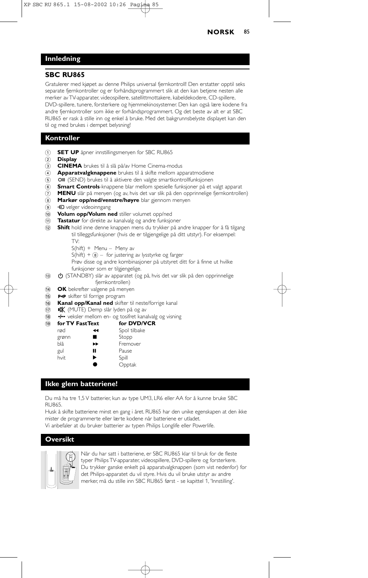## **NORSK** 85

## **Innledning**

### **SBC RU865**

Gratulerer med kjøpet av denne Philips universal fjernkontroll! Den erstatter opptil seks separate fjernkontroller og er forhåndsprogrammert slik at den kan betjene nesten alle merker av TV-apparater, videospillere, satellittmottakere, kabeldekodere, CD-spillere, DVD-spillere, tunere, forsterkere og hjemmekinosystemer. Den kan også lære kodene fra andre fjernkontroller som ikke er forhåndsprogrammert. Og det beste av alt er at SBC RU865 er rask å stille inn og enkel å bruke. Med det bakgrunnsbelyste displayet kan den til og med brukes i dempet belysning!

## **Kontroller**

- 1 **SET UP** åpner innstillingsmenyen for SBC RU865
- 2 **Display**
- 3 **CINEMA** brukes til å slå på/av Home Cinema-modus
- 4 **Apparatvalgknappene** brukes til å skifte mellom apparatmodiene
- (5) OII (SEND) brukes til å aktivere den valgte smartkontrollfunksjonen
- 6 **Smart Controls**-knappene blar mellom spesielle funksjoner på et valgt apparat
- 7 **MENU** slår på menyen (og av, hvis det var slik på den opprinnelige fjernkontrollen)
- 8 **Markør opp/ned/venstre/høyre** blar gjennom menyen
- **9 +D** velger videoinngang
- 0 **Volum opp/Volum ned** stiller volumet opp/ned
- ! **Tastatur** for direkte av kanalvalg og andre funksjoner
- @ **Shift** hold inne denne knappen mens du trykker på andre knapper for å få tilgang til tilleggsfunksjoner (hvis de er tilgjengelige på ditt utstyr). For eksempel:
	- TV:
	- S(hift) + Menu Meny av
	- $S(hift) +  $\circled{s}$  for justering av lysstyrke og farger$
	- Prøv disse og andre kombinasjoner på utstyret ditt for å finne ut hvilke funksjoner som er tilgjengelige.
- **(3) C** (STANDBY) slår av apparatet (og på, hvis det var slik på den opprinnelige
- fjernkontrollen)
- \$ **OK** bekrefter valgene på menyen
- 15 P-P skifter til forrige program
- $\hat{r}$  **Kanal opp/Kanal ned** skifter til neste/forrige kanal
- (17) **IK** (MUTE) Demp slår lyden på og av
- 18 - veksler mellom en- og tosifret kanalvalg og visning

| (19) | for TV FastText |    | for DVD/VCR  |  |
|------|-----------------|----|--------------|--|
|      | rød             | ◀◀ | Spol tilbake |  |
|      | grønn           |    | Stopp        |  |
|      | blå             | ▸  | Fremover     |  |
|      | gul             | п  | Pause        |  |
|      | hvit            | ▶  | Spill        |  |
|      |                 |    | Opptak       |  |

#### **Ikke glem batteriene!**

Du må ha tre 1,5 V batterier, kun av type UM3, LR6 eller AA for å kunne bruke SBC RU865.

Husk å skifte batteriene minst en gang i året. RU865 har den unike egenskapen at den ikke mister de programmerte eller lærte kodene når batteriene er utladet. Vi anbefaler at du bruker batterier av typen Philips Longlife eller Powerlife.

#### **Oversikt**



Når du har satt i batteriene, er SBC RU865 klar til bruk for de fleste typer Philips TV-apparater, videospillere, DVD-spillere og forsterkere. Du trykker ganske enkelt på apparatvalgknappen (som vist nedenfor) for det Philips-apparatet du vil styre. Hvis du vil bruke utstyr av andre merker, må du stille inn SBC RU865 først - se kapittel 1, 'Innstilling'.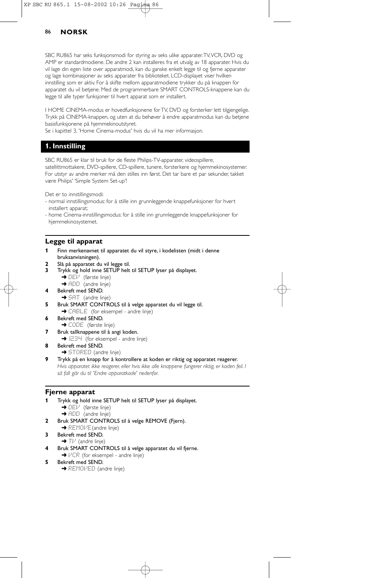## 86 **NORSK**

SBC RU865 har seks funksjonsmodi for styring av seks ulike apparater.TV,VCR, DVD og AMP er standardmodiene. De andre 2 kan installeres fra et utvalg av 18 apparater. Hvis du vil lage din egen liste over apparatmodi, kan du ganske enkelt legge til og fjerne apparater og lage kombinasjoner av seks apparater fra biblioteket. LCD-displayet viser hvilken innstilling som er aktiv. For å skifte mellom apparatmodiene trykker du på knappen for apparatet du vil betjene. Med de programmerbare SMART CONTROLS-knappene kan du legge til alle typer funksjoner til hvert apparat som er installert.

I HOME CINEMA-modus er hovedfunksjonene for TV, DVD og forsterker lett tilgjengelige. Trykk på CINEMA-knappen, og uten at du behøver å endre apparatmodus kan du betjene basisfunksjonene på hjemmekinoutstyret.

Se i kapittel 3, 'Home Cinema-modus' hvis du vil ha mer informasjon.

# **1. Innstilling**

SBC RU865 er klar til bruk for de fleste Philips-TV-apparater, videospillere,

satellittmottakere, DVD-spillere, CD-spillere, tunere, forsterkere og hjemmekinosystemer. For utstyr av andre merker må den stilles inn først. Det tar bare et par sekunder, takket være Philips' 'Simple System Set-up'!

Det er to innstillingsmodi:

- normal innstillingsmodus: for å stille inn grunnleggende knappefunksjoner for hvert installert apparat;
- home Cinema-innstillingsmodus: for å stille inn grunnleggende knappefunksjoner for hjemmekinosystemet.

#### **Legge til apparat**

- **1** Finn merkenavnet til apparatet du vil styre, i kodelisten (midt i denne bruksanvisningen).
- **2** Slå på apparatet du vil legge til.
- **3** Trykk og hold inne SETUP helt til SETUP lyser på displayet.
	- **→ DEV** (første linje)
	- → ADD (andre linje)
- **4** Bekreft med SEND.
- → SAT (andre linje)
- **5** Bruk SMART CONTROLS til å velge apparatet du vil legge til. → CABLE (for eksempel - andre linje)
- **6** Bekreft med SEND. **→ CODE** (første linje)
- **7** Bruk tallknappene til å angi koden. → 1234 (for eksempel - andre linje)
- **8** Bekreft med SEND. **→ STORED** (andre linje)
- **9** Trykk på en knapp for å kontrollere at koden er riktig og apparatet reagerer. *Hvis apparatet ikke reagerer, eller hvis ikke alle knappene fungerer riktig, er koden feil. I så fall går du til 'Endre apparatkode' nedenfor.*

#### **Fjerne apparat**

- **1** Trykk og hold inne SETUP helt til SETUP lyser på displayet. → DEV (første linje) → ADD (andre linje)
- **2** Bruk SMART CONTROLS til å velge REMOVE (Fjern).
- → REMOVE (andre linje)
- **3** Bekreft med SEND.  $\rightarrow$  T $\nu$  (andre linje)
- **4** Bruk SMART CONTROLS til å velge apparatet du vil fjerne.  $\rightarrow$   $VCR$  (for eksempel - andre linje)
- **5** Bekreft med SEND.
	- **→ REMOVED** (andre linje)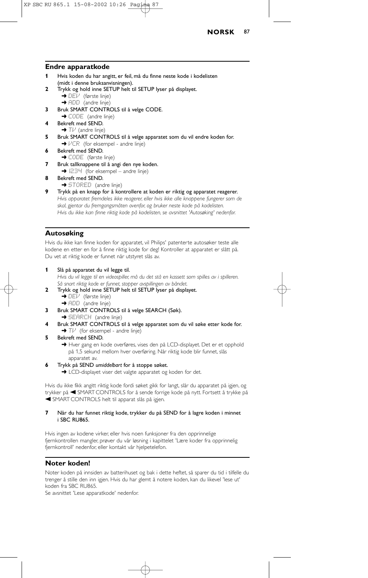

#### **Endre apparatkode**

- **1** Hvis koden du har angitt, er feil, må du finne neste kode i kodelisten (midt i denne bruksanvisningen).
- **2** Trykk og hold inne SETUP helt til SETUP lyser på displayet. ➜ DEV (første linje)
	- → ADD (andre linje)
- **3** Bruk SMART CONTROLS til å velge CODE.
- ➜ CODE (andre linje)
- **4** Bekreft med SEND.  $\rightarrow$  TV (andre linje)
- **5** Bruk SMART CONTROLS til å velge apparatet som du vil endre koden for.  $\rightarrow$   $VCR$  (for eksempel - andre linje)
- **6** Bekreft med SEND. → CODE (første linje)
- **7** Bruk tallknappene til å angi den nye koden.
- $\rightarrow$   $1234$  (for eksempel andre linje)
- **8** Bekreft med SEND.
	- **→ STORED** (andre linje)
- **9** Trykk på en knapp for å kontrollere at koden er riktig og apparatet reagerer. *Hvis apparatet fremdeles ikke reagerer, eller hvis ikke alle knappene fungerer som de skal, gjentar du fremgangsmåten ovenfor, og bruker neste kode på kodelisten. Hvis du ikke kan finne riktig kode på kodelisten, se avsnittet 'Autosøking' nedenfor.*

### **Autosøking**

Hvis du ikke kan finne koden for apparatet, vil Philips' patenterte autosøker teste alle kodene en etter en for å finne riktig kode for deg! Kontroller at apparatet er slått på. Du vet at riktig kode er funnet når utstyret slås av.

- **1** Slå på apparatet du vil legge til. *Hvis du vil legge til en videospiller, må du det stå en kassett som spilles av i spilleren. Så snart riktig kode er funnet, stopper avspillingen av båndet.*
- **2** Trykk og hold inne SETUP helt til SETUP lyser på displayet.  $\rightarrow$  DE $\bar{V}$  (første linje)
	- → ADD (andre linje)
- **3** Bruk SMART CONTROLS til å velge SEARCH (Søk). **→ SEARCH** (andre linje)
- **4** Bruk SMART CONTROLS til å velge apparatet som du vil søke etter kode for.
- $\rightarrow$  T $\nu$ <sup></sup> (for eksempel andre linje)
- **5** Bekreft med SEND.

→ Hver gang en kode overføres, vises den på LCD-displayet. Det er et opphold på 1,5 sekund mellom hver overføring. Når riktig kode blir funnet, slås apparatet av.

- **6** Trykk på SEND *umiddelbart* for å stoppe søket.
	- → LCD-displayet viser det valgte apparatet og koden for det.

Hvis du ikke fikk angitt riktig kode fordi søket gikk for langt, slår du apparatet på igjen, og trykker på < SMART CONTROLS for å sende forrige kode på nytt. Fortsett å trykke på A SMART CONTROLS helt til apparat slås på igjen.

**7** Når du har funnet riktig kode, trykker du på SEND for å lagre koden i minnet i SBC RU865.

Hvis ingen av kodene virker, eller hvis noen funksjoner fra den opprinnelige fjernkontrollen mangler, prøver du vår løsning i kapittelet 'Lære koder fra opprinnelig fjernkontroll' nedenfor, eller kontakt vår hjelpetelefon.

## **Noter koden!**

Noter koden på innsiden av batterihuset og bak i dette heftet, så sparer du tid i tilfelle du trenger å stille den inn igjen. Hvis du har glemt å notere koden, kan du likevel 'lese ut' koden fra SBC RU865.

Se avsnittet 'Lese apparatkode' nedenfor.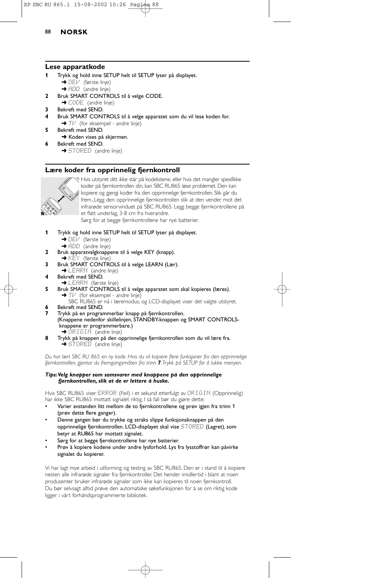## 88 **NORSK**

### **Lese apparatkode**

- **1** Trykk og hold inne SETUP helt til SETUP lyser på displayet.
	- → DEI<sup>J</sup> (første linje)
- **→** ADD (andre linje) **2** Bruk SMART CONTROLS til å velge CODE.
- → CODE (andre linje)
- **3** Bekreft med SEND.
- **4** Bruk SMART CONTROLS til å velge apparatet som du vil lese koden for.  $\rightarrow$  T $\mu$ <sup></sup> (for eksempel - andre linje)
- **5** Bekreft med SEND.
- **→** Koden vises på skjermen. **6** Bekreft med SEND.

→ STORED (andre linje)

### **Lære koder fra opprinnelig fjernkontroll**



Hvis utstyret ditt ikke står på kodelistene, eller hvis det mangler spesifikke koder på fjernkontrollen din, kan SBC RU865 løse problemet. Den kan kopiere og gjengi koder fra den opprinnelige fjernkontrollen. Slik går du frem...Legg den opprinnelige fjernkontrollen slik at den vender mot det infrarøde sensorvinduet på SBC RU865. Legg begge fjernkontrollene på et flatt underlag, 3-8 cm fra hverandre. Sørg for at begge fjernkontrollene har nye batterier.

- **1** Trykk og hold inne SETUP helt til SETUP lyser på displayet. → DEI<sup>J</sup> (første linje)
	- → ADD (andre linje)
- 
- **2** Bruk apparatvalgknappene til å velge KEY (knapp).<br>→ KEY (første linje)
- **3** Bruk SMART CONTROLS til å velge LEARN (Lær).
- → LEARN (andre linje)
- **4** Bekreft med SEND.
- → LEARN (første linje)
- **5** Bruk SMART CONTROLS til å velge apparatet som skal kopieres (læres).  $\rightarrow$  T $\overline{V}$  (for eksempel - andre linje)

SBC RU865 er nå i læremodus, og LCD-displayet viser det valgte utstyret. **6** Bekreft med SEND.<br>**7** Trykk på en prograr

- **7** Trykk på en programmerbar knapp på fjernkontrollen. (Knappene nedenfor skillelinjen, STANDBY-knappen og SMART CONTROLSknappene er programmerbare.) ➜ ORIGIN (andre linje)
- **8** Trykk på knappen på den opprinnelige fjernkontrollen som du vil lære fra. **→ STORED** (andre linje)

*Du har lært SBC RU 865 en ny kode. Hvis du vil kopiere flere funksjoner fra den opprinnelige fjernkontrollen, gjentar du fremgangsmåten fra trinn 7.Trykk på SETUP for å lukke menyen.*

#### *Tips:Velg knapper som samsvarer med knappene på den opprinnelige fjernkontrollen, slik at de er lettere å huske.*

Hvis SBC RU865 viser ERROR (Feil) i et sekund etterfulgt av ORIGIN (Opprinnelig) har ikke SBC RU865 mottatt signalet riktig. I så fall bør du gjøre dette:

- Varier avstanden litt mellom de to fjernkontrollene og prøv igjen fra trinn 1 (prøv dette flere ganger).
- Denne gangen bør du trykke og straks slippe funksjonsknappen på den opprinnelige fjernkontrollen. LCD-displayet skal vise STORED (Lagret), som betyr at RU865 har mottatt signalet.
- Sørg for at begge fjernkontrollene har nye batterier.
- Prøv å kopiere kodene under andre lysforhold. Lys fra lysstoffrør kan påvirke signalet du kopierer.

Vi har lagt mye arbeid i utforming og testing av SBC RU865. Den er i stand til å kopiere nesten alle infrarøde signaler fra fjernkontroller. Det hender imidlertid i blant at noen produsenter bruker infrarøde signaler som ikke kan kopieres til noen fjernkontroll. Du bør selvsagt alltid prøve den automatiske søkefunksjonen for å se om riktig kode ligger i vårt forhåndsprogrammerte bibliotek.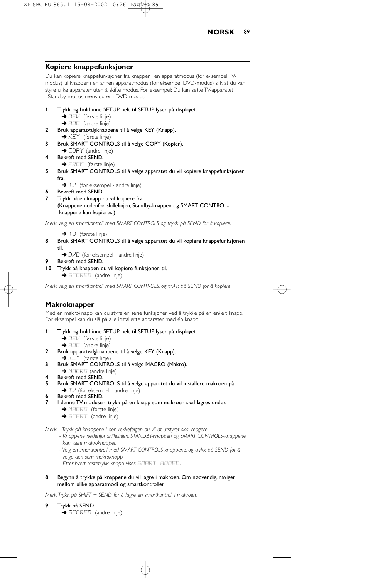

## **Kopiere knappefunksjoner**

Du kan kopiere knappefunksjoner fra knapper i en apparatmodus (for eksempel TVmodus) til knapper i en annen apparatmodus (for eksempel DVD-modus) slik at du kan styre ulike apparater uten å skifte modus. For eksempel: Du kan sette TV-apparatet i Standby-modus mens du er i DVD-modus.

- **1** Trykk og hold inne SETUP helt til SETUP lyser på displayet. **→** DEV (første linje)
	- $\rightarrow$  ADD (andre linje)
- **2** Bruk apparatvalgknappene til å velge KEY (Knapp).  $\rightarrow$  KEY (første linje)
- **3** Bruk SMART CONTROLS til å velge COPY (Kopier).
- → COPY (andre linje) **4** Bekreft med SEND.
	- → FROM (første linje)
- **5** Bruk SMART CONTROLS til å velge apparatet du vil kopiere knappefunksjoner fra.
	- $\rightarrow$  T $\mu$ <sup></sup> (for eksempel andre linje)
- **6** Bekreft med SEND.
- **7** Trykk på en knapp du vil kopiere fra. (Knappene nedenfor skillelinjen, Standby-knappen og SMART CONTROLknappene kan kopieres.)

*Merk:Velg en smartkontroll med SMART CONTROLS og trykk på SEND for å kopiere.*

- → TO (første linje)
- **8** Bruk SMART CONTROLS til å velge apparatet du vil kopiere knappefunksjonen til.
	- → DI/D (for eksempel andre linje)
- **9** Bekreft med SEND.
- **10** Trykk på knappen du vil kopiere funksjonen til. **→ STORED** (andre linje)

*Merk:Velg en smartkontroll med SMART CONTROLS, og trykk på SEND for å kopiere.*

## **Makroknapper**

Med en makroknapp kan du styre en serie funksjoner ved å trykke på en enkelt knapp. For eksempel kan du slå på alle installerte apparater med én knapp.

- **1** Trykk og hold inne SETUP helt til SETUP lyser på displayet.
	- → DEV (første linje)
	- → ADD (andre linje)
- **2** Bruk apparatvalgknappene til å velge KEY (Knapp).
- → KEY (første linje) **3** Bruk SMART CONTROLS til å velge MACRO (Makro).
- → MACRO (andre linje)
- **4** Bekreft med SEND.
- **5** Bruk SMART CONTROLS til å velge apparatet du vil installere makroen på.
- $\rightarrow$  T $\nu$ <sup></sup> (for eksempel andre linje)
- **6** Bekreft med SEND.
	- **7** I denne TV-modusen, trykk på en knapp som makroen skal lagres under.
		- **→ MACRO** (første linje)
		- → **START** (andre linje)

*Merk: - Trykk på knappene i den rekkefølgen du vil at utstyret skal reagere*

- *Knappene nedenfor skillelinjen, STANDBY-knappen og SMART CONTROLS-knappene kan være makroknapper.*
- *Velg en smartkontroll med SMART CONTROLS-knappene, og trykk på SEND for å*
- *velge den som makroknapp.*
- *Etter hvert tastetrykk knapp vises* SMART ADDED*.*
- **8** Begynn å trykke på knappene du vil lagre i makroen. Om nødvendig, naviger mellom ulike apparatmodi og smartkontroller

*Merk:Trykk på SHIFT + SEND for å lagre en smartkontroll i makroen.*

- **9** Trykk på SEND.
	- ➜ STORED (andre linje)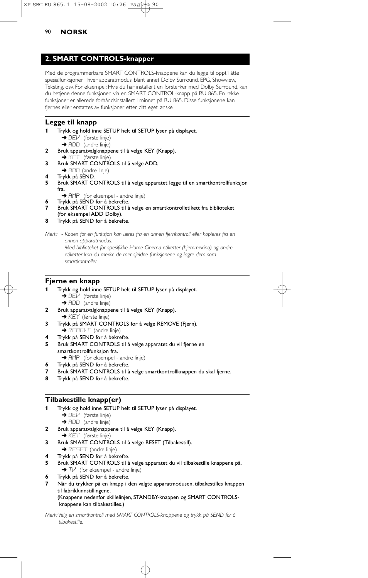## 90 **NORSK**

# **2. SMART CONTROLS-knapper**

Med de programmerbare SMART CONTROLS-knappene kan du legge til opptil åtte spesialfunksjoner i hver apparatmodus, blant annet Dolby Surround, EPG, Showview, Teksting, osv. For eksempel: Hvis du har installert en forsterker med Dolby Surround, kan du betjene denne funksjonen via en SMART CONTROL-knapp på RU 865. En rekke funksjoner er allerede forhåndsinstallert i minnet på RU 865. Disse funksjonene kan fjernes eller erstattes av funksjoner etter ditt eget ønske

## **Legge til knapp**

- **1** Trykk og hold inne SETUP helt til SETUP lyser på displayet. ➜ DEV (første linje)
	- → ADD (andre linje)
- **2** Bruk apparatvalgknappene til å velge KEY (Knapp). → KEY (første linje)
- **3** Bruk SMART CONTROLS til å velge ADD. → ADD (andre linje)
- 
- **4** Trykk på SEND. **5** Bruk SMART CONTROLS til å velge apparatet legge til en smartkontrollfunksjon fra.
	- → AMP (for eksempel andre linje)
	- **6** Trykk på SEND for å bekrefte.
- **7** Bruk SMART CONTROLS til å velge en smartkontrolletikett fra biblioteket (for eksempel ADD Dolby).
- **8** Trykk på SEND for å bekrefte.

*Merk: - Koden for en funksjon kan læres fra en annen fjernkontroll eller kopieres fra en annen apparatmodus.*

*- Med biblioteket for spesifikke Home Cinema-etiketter (hjemmekino) og andre etiketter kan du merke de mer sjeldne funksjonene og lagre dem som smartkontroller.*

## **Fjerne en knapp**

- **1** Trykk og hold inne SETUP helt til SETUP lyser på displayet.
	- → DEV (første linje) → ADD (andre linje)
- **2** Bruk apparatvalgknappene til å velge KEY (Knapp).
- **→ KEY** (første linje)
- **3** Trykk på SMART CONTROLS for å velge REMOVE (Fjern). ➜ REMOVE (andre linje)
- **4** Trykk på SEND for å bekrefte.
- **5** Bruk SMART CONTROLS til å velge apparatet du vil fjerne en smartkontrollfunksjon fra. → AMP (for eksempel - andre linje)
- **6** Trykk på SEND for å bekrefte.
- **7** Bruk SMART CONTROLS til å velge smartkontrollknappen du skal fjerne.
- **8** Trykk på SEND for å bekrefte.

## **Tilbakestille knapp(er)**

- **1** Trykk og hold inne SETUP helt til SETUP lyser på displayet. → DEI<sup>J</sup> (første linje) → ADD (andre linje)
- **2** Bruk apparatvalgknappene til å velge KEY (Knapp).
- → KEY (første linje)
- **3** Bruk SMART CONTROLS til å velge RESET (Tilbakestill). → RESET (andre linje)
- **4** Trykk på SEND for å bekrefte.
- **5** Bruk SMART CONTROLS til å velge apparatet du vil tilbakestille knappene på.  $\rightarrow$  T $\nu$ <sup></sup> (for eksempel - andre linje)
- **6** Trykk på SEND for å bekrefte.
- **7** Når du trykker på en knapp i den valgte apparatmodusen, tilbakestilles knappen til fabrikkinnstillingene. (Knappene nedenfor skillelinjen, STANDBY-knappen og SMART CONTROLSknappene kan tilbakestilles.)
- *Merk:Velg en smartkontroll med SMART CONTROLS-knappene og trykk på SEND for å tilbakestille.*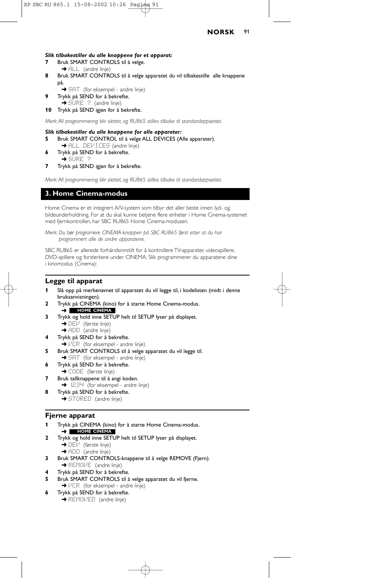#### *Slik tilbakestiller du alle knappene for et apparat:*

- **7** Bruk SMART CONTROLS til å velge. → ALL (andre linje)
- **8** Bruk SMART CONTROLS til å velge apparatet du vil tilbakestille alle knappene på.
	- → SAT (for eksempel andre linje)
- **9** Trykk på SEND for å bekrefte.  $\rightarrow$  SURE  $\rightarrow$  (andre linje)
- **10** Trykk på SEND igjen for å bekrefte.

*Merk: All programmering blir slettet, og RU865 stilles tilbake til standardoppsettet.*

#### *Slik tilbakestiller du alle knappene for alle apparater:*

- **5** Bruk SMART CONTROL til å velge ALL DEVICES (Alle apparater).
- → ALL DEVICES (andre linje) **6** Trykk på SEND for å bekrefte.
- ➜ SURE ? **7** Trykk på SEND igjen for å bekrefte.

*Merk: All programmering blir slettet, og RU865 stilles tilbake til standardoppsettet.*

## **3. Home Cinema-modus**

Home Cinema er et integrert A/V-system som tilbyr det aller beste innen lyd- og bildeunderholdning. For at du skal kunne betjene flere enheter i Home Cinema-systemet med fjernkontrollen, har SBC RU865 Home Cinema-modusen.

*Merk: Du bør programere CINEMA-knappen på SBC RU865 først etter at du har programmert alle de andre apparatene.*

SBC RU865 er allerede forhåndsinnstilt for å kontrollere TV-apparater, videospillere, DVD-spillere og forsterkere under CINEMA. Slik programmerer du apparatene dine i kinomodus (Cinema):

### **Legge til apparat**

- **1** Slå opp på merkenavnet til apparatet du vil legge til, i kodelisten (midt i denne bruksanvisningen).
- **2** Trykk på CINEMA (kino) for å starte Home Cinema-modus. ➜ **HOME CINEMA**
- **3** Trykk og hold inne SETUP helt til SETUP lyser på displayet. → DEV (første linje)
	- $\rightarrow$  ADD (andre linje)
- **4** Trykk på SEND for å bekrefte.
	- $\rightarrow$   $VCR$  (for eksempel andre linje)
- **5** Bruk SMART CONTROLS til å velge apparatet du vil legge til. → 5AT (for eksempel - andre linje)
- **6** Trykk på SEND for å bekrefte.
	- **→ CODE** (første linje)
- **7** Bruk tallknappene til å angi koden. → I234 (for eksempel - andre linje)
- **8** Trykk på SEND for å bekrefte. → STORED (andre linje)

#### **Fjerne apparat**

- **1** Trykk på CINEMA (kino) for å starte Home Cinema-modus. ➜ **HOME CINEMA**
- **2** Trykk og hold inne SETUP helt til SETUP lyser på displayet. → DEV (første linje)
	- → ADD (andre linje)
- **3** Bruk SMART CONTROLS-knappene til å velge REMOVE (Fjern). **→ REMOVE** (andre linje)
- **4** Trykk på SEND for å bekrefte.
- **5** Bruk SMART CONTROLS til å velge apparatet du vil fjerne. →  $VCR$  (for eksempel - andre linje)
- **6** Trykk på SEND for å bekrefte.
	- **→ REMOVED** (andre linje)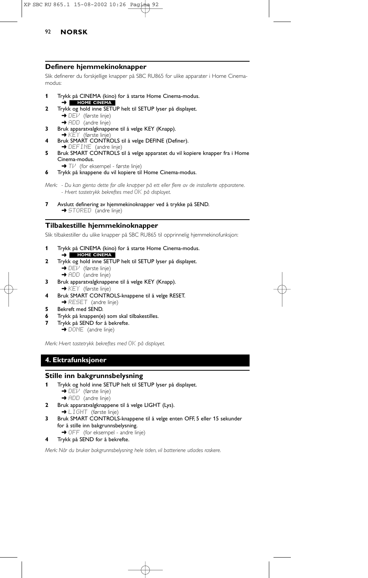# 92 **NORSK**

### **Definere hjemmekinoknapper**

Slik definerer du forskjellige knapper på SBC RU865 for ulike apparater i Home Cinemamodus:

- **1** Trykk på CINEMA (kino) for å starte Home Cinema-modus. ➜ **HOME CINEMA**
- **2** Trykk og hold inne SETUP helt til SETUP lyser på displayet. → DEV (første linje)
	- → ADD (andre linje)
- **3** Bruk apparatvalgknappene til å velge KEY (Knapp).<br>→ KEY (første linje)
- **4** Bruk SMART CONTROLS til å velge DEFINE (Definer). → DEFINE (andre linje)
- **5** Bruk SMART CONTROLS til å velge apparatet du vil kopiere knapper fra i Home Cinema-modus.
- → Tl<sup>,</sup> (for eksempel første linje)
- **6** Trykk på knappene du vil kopiere til Home Cinema-modus.
- *Merk: Du kan gjenta dette for alle knapper på ett eller flere av de installerte apparatene. - Hvert tastetrykk bekreftes med* OK *på displayet.*
- **7** Avslutt definering av hjemmekinoknapper ved å trykke på SEND. → STORED (andre linje)

## **Tilbakestille hjemmekinoknapper**

Slik tilbakestiller du ulike knapper på SBC RU865 til opprinnelig hjemmekinofunksjon:

- **1** Trykk på CINEMA (kino) for å starte Home Cinema-modus. ➜ **HOME CINEMA**
- **2** Trykk og hold inne SETUP helt til SETUP lyser på displayet.  $\rightarrow$  DE $\overline{V}$  (første linje)
	- → ADD (andre linje)
- **3** Bruk apparatvalgknappene til å velge KEY (Knapp). → KEY (første linje)
- **4** Bruk SMART CONTROLS-knappene til å velge RESET. **→ RESET** (andre linje)
- **5** Bekreft med SEND.
- **6** Trykk på knappen(e) som skal tilbakestilles.
- **7** Trykk på SEND for å bekrefte.
	- ➜ DONE (andre linje)

*Merk: Hvert tastetrykk bekreftes med* OK *på displayet.*

# **4. Ektrafunksjoner**

## **Stille inn bakgrunnsbelysning**

- **1** Trykk og hold inne SETUP helt til SETUP lyser på displayet. → DEV (første linje) → ADD (andre linje)
- **2** Bruk apparatvalgknappene til å velge LIGHT (Lys). → LIGHT (første linje)
- **3** Bruk SMART CONTROLS-knappene til å velge enten OFF, 5 eller 15 sekunder for å stille inn bakgrunnsbelysning. → OFF (for eksempel - andre linje)
- **4** Trykk på SEND for å bekrefte.

*Merk: Når du bruker bakgrunnsbelysning hele tiden, vil batteriene utlades raskere.*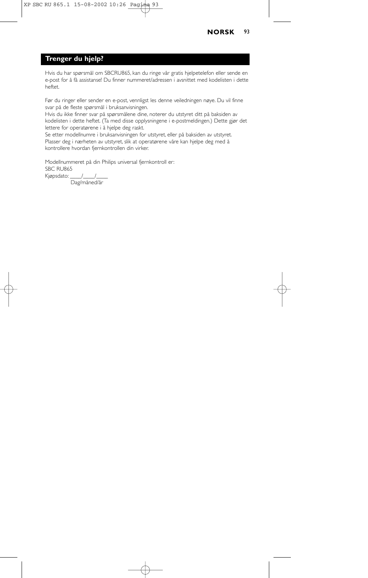## **NORSK** 93

# **Trenger du hjelp?**

Hvis du har spørsmål om SBCRU865, kan du ringe vår gratis hjelpetelefon eller sende en e-post for å få assistanse! Du finner nummeret/adressen i avsnittet med kodelisten i dette heftet.

Før du ringer eller sender en e-post, vennligst les denne veiledningen nøye. Du vil finne svar på de fleste spørsmål i bruksanvisningen.

Hvis du ikke finner svar på spørsmålene dine, noterer du utstyret ditt på baksiden av kodelisten i dette heftet. (Ta med disse opplysningene i e-postmeldingen.) Dette gjør det lettere for operatørene i å hjelpe deg raskt.

Se etter modellnumre i bruksanvisningen for utstyret, eller på baksiden av utstyret. Plasser deg i nærheten av utstyret, slik at operatørene våre kan hjelpe deg med å kontrollere hvordan fjernkontrollen din virker.

Modellnummeret på din Philips universal fjernkontroll er: SBC RU865 Kjøpsdato:

Dag/måned/år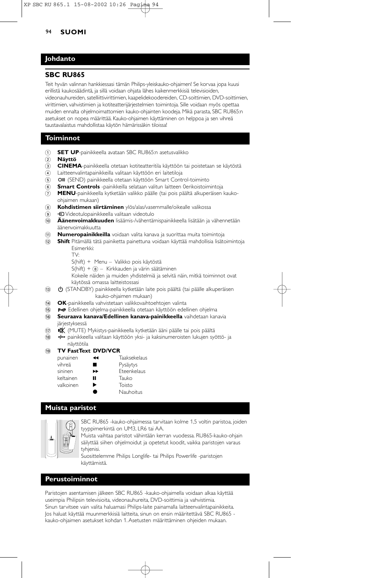#### 94 **SUOMI**

## **Johdanto**

### **SBC RU865**

Teit hyvän valinnan hankkiessasi tämän Philips-yleiskauko-ohjaimen! Se korvaa jopa kuusi erillistä kaukosäädintä, ja sillä voidaan ohjata lähes kaikenmerkkisiä televisioiden, videonauhureiden, satelliittivirittimien, kaapelidekoodereiden, CD-soittimien, DVD-soittimien, virittimien, vahvistimien ja kotiteatterijärjestelmien toimintoja. Sille voidaan myös opettaa muiden ennalta ohjelmoimattomien kauko-ohjainten koodeja. Mikä parasta, SBC RU865:n asetukset on nopea määrittää. Kauko-ohjaimen käyttäminen on helppoa ja sen vihreä taustavalaistus mahdollistaa käytön hämärissäkin tiloissa!

## **Toiminnot**

- 1 **SET UP**-painikkeella avataan SBC RU865:n asetusvalikko
- 2 **Näyttö**
- 3 **CINEMA**-painikkeella otetaan kotiteatteritila käyttöön tai poistetaan se käytöstä
- 4 Laitteenvalintapainikkeilla valitaan käyttöön eri laitetiloja
- (5) OII (SEND) painikkeella otetaan käyttöön Smart Control-toiminto
- 6 **Smart Controls** -painikkeilla selataan valitun laitteen 0erikoistoimintoja
- 7 **MENU**-painikkeella kytketään valikko päälle (tai pois päältä alkuperäisen kaukoohjaimen mukaan)
- 8 **Kohdistimen siirtäminen** ylös/alas/vasemmalle/oikealle valikossa
- $\Theta$   $\Theta$  Videotulopainikkeella valitaan videotulo
- 0 **Äänenvoimakkuuden** lisäämis-/vähentämispainikkeella lisätään ja vähennetään äänenvoimakkuutta
- ! **Numeropainikkeilla** voidaan valita kanava ja suorittaa muita toimintoja
- @ **Shift** Pitämällä tätä painiketta painettuna voidaan käyttää mahdollisia lisätoimintoja Esimerkki:
	- TV:
	- S(hift) + Menu Valikko pois käytöstä
	- $S(hift) +  $\circledast$  Kirkkauden ja värin säätäminen$
	- Kokeile näiden ja muiden yhdistelmiä ja selvitä näin, mitkä toiminnot ovat käytössä omassa laitteistossasi
- (3) (STANDBY) painikkeella kytketään laite pois päältä (tai päälle alkuperäisen kauko-ohjaimen mukaan)
- **OK**-painikkeella vahvistetaan valikkovaihtoehtojen valinta
- (6) P<P Edellinen ohjelma-painikkeella otetaan käyttöön edellinen ohjelma
- **<sup>6</sup> Seuraava kanava/Edellinen kanava-painikkeella** vaihdetaan kanavia järjestyksessä
- (iii) WK (MUTE) Mykistys-painikkeella kytketään ääni päälle tai pois päältä
- <sup>(8</sup> +++ painikkeella valitaan käyttöön yksi- ja kaksinumeroisten lukujen syöttö- ja näyttötila

#### ( **TV FastText DVD/VCR**

| punainen  | ы | <b>Taaksekelaus</b> |
|-----------|---|---------------------|
| vihreä    |   | Pysäytys            |
| sininen   | ▸ | Fteenkelaus         |
| keltainen | П | Tauko               |
| valkoinen | ▶ | Toisto              |
|           |   | <b>Nauhoitus</b>    |

## **Muista paristot**



SBC RU865 -kauko-ohjaimessa tarvitaan kolme 1,5 voltin paristoa, joiden tyyppimerkintä on UM3, LR6 tai AA.

Muista vaihtaa paristot vähintään kerran vuodessa. RU865-kauko-ohjain säilyttää siihen ohjelmoidut ja opetetut koodit, vaikka paristojen varaus tyhjenisi.

Suosittelemme Philips Longlife- tai Philips Powerlife -paristojen käyttämistä.

### **Perustoiminnot**

Paristojen asentamisen jälkeen SBC RU865 -kauko-ohjaimella voidaan alkaa käyttää useimpia Philipsin televisioita, videonauhureita, DVD-soittimia ja vahvistimia. Sinun tarvitsee vain valita haluamasi Philips-laite painamalla laitteenvalintapainikkeita. Jos haluat käyttää muunmerkkisiä laitteita, sinun on ensin määritettävä SBC RU865 kauko-ohjaimen asetukset kohdan 1. Asetusten määrittäminen ohjeiden mukaan.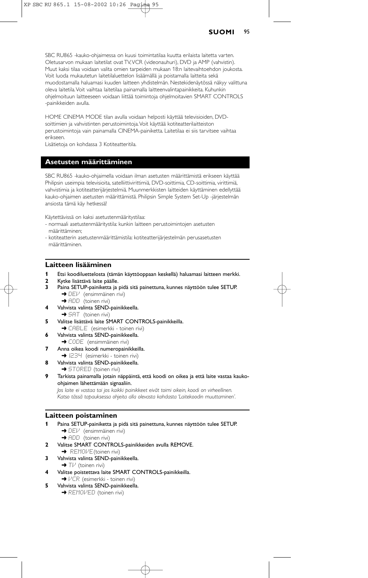#### **SUOMI** 95

SBC RU865 -kauko-ohjaimessa on kuusi toimintatilaa kuutta erilaista laitetta varten. Oletusarvon mukaan laitetilat ovat TV,VCR (videonauhuri), DVD ja AMP (vahvistin). Muut kaksi tilaa voidaan valita omien tarpeiden mukaan 18:n laitevaihtoehdon joukosta. Voit luoda mukautetun laitetilaluettelon lisäämällä ja poistamalla laitteita sekä muodostamalla haluamasi kuuden laitteen yhdistelmän. Nestekidenäytössä näkyy valittuna oleva laitetila.Voit vaihtaa laitetilaa painamalla laitteenvalintapainikkeita. Kuhunkin ohjelmoituun laitteeseen voidaan liittää toimintoja ohjelmoitavien SMART CONTROLS -painikkeiden avulla.

HOME CINEMA MODE tilan avulla voidaan helposti käyttää televisioiden, DVDsoittimien ja vahvistinten perustoimintoja.Voit käyttää kotiteatterilaitteiston perustoimintoja vain painamalla CINEMA-painiketta. Laitetilaa ei siis tarvitsee vaihtaa erikseen.

Lisätietoja on kohdassa 3 Kotiteatteritila.

## **Asetusten määrittäminen**

SBC RU865 -kauko-ohjaimella voidaan ilman asetusten määrittämistä erikseen käyttää Philipsin useimpia televisioita, satelliittivirittimiä, DVD-soittimia, CD-soittimia, virittimiä, vahvistimia ja kotiteatterijärjestelmiä. Muunmerkkisten laitteiden käyttäminen edellyttää kauko-ohjaimen asetusten määrittämistä. Philipsin Simple System Set-Up -järjestelmän ansiosta tämä käy hetkessä!

Käytettävissä on kaksi asetustenmääritystilaa:

- normaali asetustenmääritystila: kunkin laitteen perustoimintojen asetusten määrittäminen;
- kotiteatterin asetustenmäärittämistila: kotiteatterijärjestelmän perusasetusten määrittäminen.

## **Laitteen lisääminen**

- **1** Etsi koodiluettelosta (tämän käyttöoppaan keskellä) haluamasi laitteen merkki.
- **2** Kytke lisättävä laite päälle.
	- **3** Paina SETUP-painiketta ja pidä sitä painettuna, kunnes näyttöön tulee SETUP. → DEI<sup>J</sup> (ensimmäinen rivi)
		- $\rightarrow$  ADD (toinen rivi)
- **4** Vahvista valinta SEND-painikkeella. **→ SAT** (toinen rivi)
- **5** Valitse lisättävä laite SMART CONTROLS-painikkeilla.
- → CABLE (esimerkki toinen rivi) **6** Vahvista valinta SEND-painikkeella.
- → CODE (ensimmäinen rivi)
- **7** Anna oikea koodi numeropainikkeilla.
- → 1234 (esimerkki toinen rivi)
- **8** Vahvista valinta SEND-painikkeella.
- → STORED (toinen rivi)
- **9** Tarkista painamalla jotain näppäintä, että koodi on oikea ja että laite vastaa kaukoohjaimen lähettämään signaaliin.

*Jos laite ei vastaa tai jos kaikki painikkeet eivät toimi oikein, koodi on virheellinen. Katso tässä tapauksessa ohjeita alla olevasta kohdasta 'Laitekoodin muuttaminen'.*

#### **Laitteen poistaminen**

- **1** Paina SETUP-painiketta ja pidä sitä painettuna, kunnes näyttöön tulee SETUP. **→** DEI<sup>J</sup> (ensimmäinen rivi) **→ ADD** (toinen rivi)
- **2** Valitse SMART CONTROLS-painikkeiden avulla REMOVE.
	- **→** REMOME(toinen rivi)
- **3** Vahvista valinta SEND-painikkeella.
- $\rightarrow$  Tl<sup>,*i*</sup> (toinen rivi)
- **4** Valitse poistettava laite SMART CONTROLS-painikkeilla. →  $VCR$  (esimerkki - toinen rivi)
- **5** Vahvista valinta SEND-painikkeella.
	- **→ REMOVED** (toinen rivi)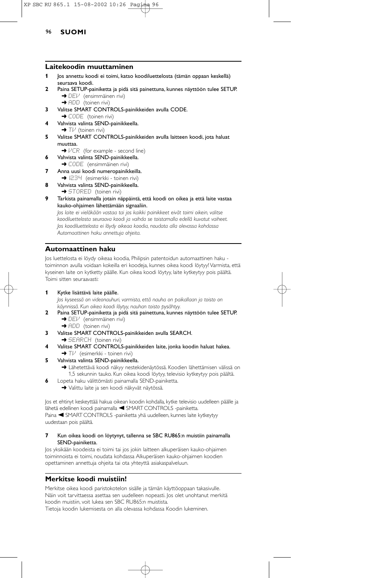# XP SBC RU 865.1 15-08-2002 10:26 Pagina 96

## 96 **SUOMI**

#### **Laitekoodin muuttaminen**

- **1** Jos annettu koodi ei toimi, katso koodiluettelosta (tämän oppaan keskellä) seuraava koodi.
- **2** Paina SETUP-painiketta ja pidä sitä painettuna, kunnes näyttöön tulee SETUP. → DEI<sup>J</sup> (ensimmäinen rivi)
	- ➜ ADD (toinen rivi)
- **3** Valitse SMART CONTROLS-painikkeiden avulla CODE.
- **→ CODE** (toinen rivi) **4** Vahvista valinta SEND-painikkeella.
- $\rightarrow$  T $\vee$  (toinen rivi) **5** Valitse SMART CONTROLS-painikkeiden avulla laitteen koodi, jota haluat muuttaa.
	- → VCR (for example second line)
- **6** Vahvista valinta SEND-painikkeella.
- → CODE (ensimmäinen rivi) **7** Anna uusi koodi numeropainikkeilla.
- → I234 (esimerkki toinen rivi)
- **8** Vahvista valinta SEND-painikkeella.
- **→ STORED** (toinen rivi)
- **9** Tarkista painamalla jotain näppäintä, että koodi on oikea ja että laite vastaa kauko-ohjaimen lähettämään signaaliin.

*Jos laite ei vieläkään vastaa tai jos kaikki painikkeet eivät toimi oikein, valitse koodiluettelosta seuraava koodi ja vaihda se toistamalla edellä kuvatut vaiheet. Jos koodiluettelosta ei löydy oikeaa koodia, noudata alla olevassa kohdassa Automaattinen haku annettuja ohjeita.*

## **Automaattinen haku**

Jos luettelosta ei löydy oikeaa koodia, Philipsin patentoidun automaattinen haku toiminnon avulla voidaan kokeilla eri koodeja, kunnes oikea koodi löytyy! Varmista, että kyseinen laite on kytketty päälle. Kun oikea koodi löytyy, laite kytkeytyy pois päältä. Toimi sitten seuraavasti:

**1** Kytke lisättävä laite päälle.

*Jos kyseessä on videonauhuri, varmista, että nauha on paikallaan ja toisto on käynnissä. Kun oikea koodi löytyy, nauhan toisto pysähtyy.*

- **2** Paina SETUP-painiketta ja pidä sitä painettuna, kunnes näyttöön tulee SETUP. **→** DEI<sup>J</sup> (ensimmäinen rivi)
	- $\rightarrow$  ADD (toinen rivi)
- **3** Valitse SMART CONTROLS-painikkeiden avulla SEARCH. **→ SEARCH** (toinen rivi)
- **4** Valitse SMART CONTROLS-painikkeiden laite, jonka koodin haluat hakea.
- → TI<sup>J</sup> (esimerkki toinen rivi)
- **5** Vahvista valinta SEND-painikkeella.
	- ➜ Lähetettävä koodi näkyy nestekidenäytössä. Koodien lähettämisen välissä on 1,5 sekunnin tauko. Kun oikea koodi löytyy, televisio kytkeytyy pois päältä.
- **6** Lopeta haku välittömästi painamalla SEND-painiketta.
	- ➜ Valittu laite ja sen koodi näkyvät näytössä.

Jos et ehtinyt keskeyttää hakua oikean koodin kohdalla, kytke televisio uudelleen päälle ja lähetä edellinen koodi painamalla < SMART CONTROLS -painiketta. Paina < SMART CONTROLS -painiketta yhä uudelleen, kunnes laite kytkeytyy uudestaan pois päältä.

#### **7** Kun oikea koodi on löytynyt, tallenna se SBC RU865:n muistiin painamalla SEND-painiketta.

Jos yksikään koodeista ei toimi tai jos jokin laitteen alkuperäisen kauko-ohjaimen toiminnoista ei toimi, noudata kohdassa Alkuperäisen kauko-ohjaimen koodien opettaminen annettuja ohjeita tai ota yhteyttä asiakaspalveluun.

## **Merkitse koodi muistiin!**

Merkitse oikea koodi paristokotelon sisälle ja tämän käyttöoppaan takasivulle. Näin voit tarvittaessa asettaa sen uudelleen nopeasti. Jos olet unohtanut merkitä koodin muistiin, voit lukea sen SBC RU865:n muistista. Tietoja koodin lukemisesta on alla olevassa kohdassa Koodin lukeminen.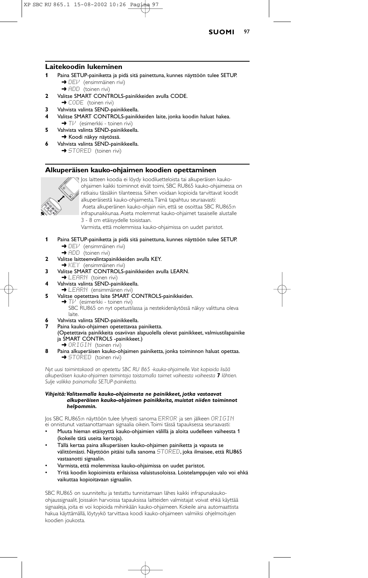

### **Laitekoodin lukeminen**

- **1** Paina SETUP-painiketta ja pidä sitä painettuna, kunnes näyttöön tulee SETUP. → DEI<sup>J</sup> (ensimmäinen rivi)
	- $\rightarrow$  ADD (toinen rivi)
- **2** Valitse SMART CONTROLS-painikkeiden avulla CODE. → CODE (toinen rivi)
- **3** Vahvista valinta SEND-painikkeella.
- **4** Valitse SMART CONTROLS-painikkeiden laite, jonka koodin haluat hakea. → Tl<sup>,</sup> (esimerkki - toinen rivi)
- **5** Vahvista valinta SEND-painikkeella. **→** Koodi näkyy näytössä.
- **6** Vahvista valinta SEND-painikkeella. **→ STORED** (toinen rivi)

### **Alkuperäisen kauko-ohjaimen koodien opettaminen**



Jos laitteen koodia ei löydy koodiluetteloista tai alkuperäisen kaukoohjaimen kaikki toiminnot eivät toimi, SBC RU865 kauko-ohjaimessa on ratkaisu tässäkin tilanteessa. Siihen voidaan kopioida tarvittavat koodit alkuperäisestä kauko-ohjaimesta.Tämä tapahtuu seuraavasti: Aseta alkuperäinen kauko-ohjain niin, että se osoittaa SBC RU865:n infrapunaikkunaa. Aseta molemmat kauko-ohjaimet tasaiselle alustalle 3 - 8 cm etäisyydelle toisistaan.

Varmista, että molemmissa kauko-ohjaimissa on uudet paristot.

- **1** Paina SETUP-painiketta ja pidä sitä painettuna, kunnes näyttöön tulee SETUP. → DEI<sup>J</sup> (ensimmäinen rivi)
	- ➜ ADD (toinen rivi)
- **2** Valitse laitteenvalintapainikkeiden avulla KEY. ➜ KEY (ensimmäinen rivi)
- **3** Valitse SMART CONTROLS-painikkeiden avulla LEARN.
- **→ LEARN** (toinen rivi)
- **4** Vahvista valinta SEND-painikkeella.
- $\blacktriangleright$  LEARN (ensimmäinen rivi)
- **5** Valitse opetettava laite SMART CONTROLS-painikkeiden.  $\rightarrow$  T $\nu$ <sup>'</sup> (esimerkki - toinen rivi) SBC RU865 on nyt opetustilassa ja nestekidenäytössä näkyy valittuna oleva laite.
- **6** Vahvista valinta SEND-painikkeella.
- **7** Paina kauko-ohjaimen opetettavaa painiketta. (Opetettavia painikkeita osaviivan alapuolella olevat painikkeet, valmiustilapainike ja SMART CONTROLS -painikkeet.) → ORIGIN (toinen rivi)
- **8** Paina alkuperäisen kauko-ohjaimen painiketta, jonka toiminnon haluat opettaa.  $\rightarrow$  STORED (toinen rivi)

*Nyt uusi toimintokoodi on opetettu SBC RU 865 -kauko-ohjaimelle.Voit kopioida lisää alkuperäisen kauko-ohjaimen toimintoja toistamalla toimet vaiheesta vaiheesta 7 lähtien. Sulje valikko painamalla SETUP-painiketta.*

#### *Vihjeitä:Valitsemalla kauko-ohjaimesta ne painikkeet, jotka vastaavat alkuperäisen kauko-ohjaimen painikkeita, muistat niiden toiminnot helpommin.*

Jos SBC RU865:n näyttöön tulee lyhyesti sanoma ERROR ja sen jälkeen ORIGIN ei onnistunut vastaanottamaan signaalia oikein.Toimi tässä tapauksessa seuraavasti:

- Muuta hieman etäisyyttä kauko-ohjaimien välillä ja aloita uudelleen vaiheesta 1 (kokeile tätä useita kertoja).
- Tällä kertaa paina alkuperäisen kauko-ohjaimen painiketta ja vapauta se välittömästi. Näyttöön pitäisi tulla sanoma STORED, joka ilmaisee, että RU865 vastaanotti signaalin.
- Varmista, että molemmissa kauko-ohjaimissa on uudet paristot.
- Yritä koodin kopioimista erilaisissa valaistusoloissa. Loistelamppujen valo voi ehkä vaikuttaa kopioitavaan signaaliin.

SBC RU865 on suunniteltu ja testattu tunnistamaan lähes kaikki infrapunakaukoohjaussignaalit. Joissakin harvoissa tapauksissa laitteiden valmistajat voivat ehkä käyttää signaaleja, joita ei voi kopioida mihinkään kauko-ohjaimeen. Kokeile aina automaattista hakua käyttämällä, löytyykö tarvittava koodi kauko-ohjaimeen valmiiksi ohjelmoitujen koodien joukosta.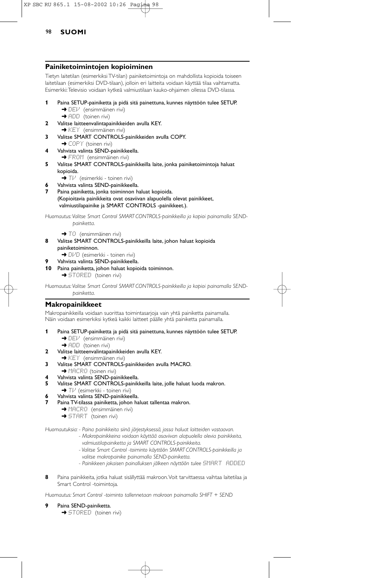## 98 **SUOMI**

#### **Painiketoimintojen kopioiminen**

Tietyn laitetilan (esimerkiksi TV-tilan) painiketoimintoja on mahdollista kopioida toiseen laitetilaan (esimerkiksi DVD-tilaan), jolloin eri laitteita voidaan käyttää tilaa vaihtamatta. Esimerkki:Televisio voidaan kytkeä valmiustilaan kauko-ohjaimen ollessa DVD-tilassa.

- **1** Paina SETUP-painiketta ja pidä sitä painettuna, kunnes näyttöön tulee SETUP. → DEI<sup>J</sup> (ensimmäinen rivi)
	- → ADD (toinen rivi)
- **2** Valitse laitteenvalintapainikkeiden avulla KEY.
- $\rightarrow$  KEY (ensimmäinen rivi)
- **3** Valitse SMART CONTROLS-painikkeiden avulla COPY. **→ COPY** (toinen rivi)
- **4** Vahvista valinta SEND-painikkeella. → FROM (ensimmäinen rivi)
- **5** Valitse SMART CONTROLS-painikkeilla laite, jonka painiketoimintoja haluat kopioida.
	- → Tl<sup>,</sup> (esimerkki toinen rivi)
- **6** Vahvista valinta SEND-painikkeella.
- **7** Paina painiketta, jonka toiminnon haluat kopioida. (Kopioitavia painikkeita ovat osaviivan alapuolella olevat painikkeet, valmiustilapainike ja SMART CONTROLS -painikkeet.).

Huomautus: Valitse Smart Control SMART CONTROLS-painikkeilla ja kopioi painamalla SEND*painiketta.*

- → TO (ensimmäinen rivi)
- **8** Valitse SMART CONTROLS-painikkeilla laite, johon haluat kopioida painiketoiminnon. → DI/D (esimerkki - toinen rivi)
	- **9** Vahvista valinta SEND-painikkeella.
- **10** Paina painiketta, johon haluat kopioida toiminnon.

**→ STORED** (toinen rivi)

Huomautus: Valitse Smart Control SMART CONTROLS-painikkeilla ja kopioi painamalla SEND*painiketta.*

## **Makropainikkeet**

Makropainikkeilla voidaan suorittaa toimintasarjoja vain yhtä painiketta painamalla. Näin voidaan esimerkiksi kytkeä kaikki laitteet päälle yhtä painiketta painamalla.

- **1** Paina SETUP-painiketta ja pidä sitä painettuna, kunnes näyttöön tulee SETUP. → DEI<sup>J</sup> (ensimmäinen rivi)
	- **→** ADD (toinen rivi)
- **2** Valitse laitteenvalintapainikkeiden avulla KEY.
- **→ KEY** (ensimmäinen rivi)
- **3** Valitse SMART CONTROLS-painikkeiden avulla MACRO.
- → MACRO (toinen rivi)
- **4** Vahvista valinta SEND-painikkeella.
- **5** Valitse SMART CONTROLS-painikkeilla laite, jolle haluat luoda makron.
- $\rightarrow$  T $\nu$ <sup>'</sup> (esimerkki toinen rivi)
- **6** Vahvista valinta SEND-painikkeella.
- **7** Paina TV-tilassa painiketta, johon haluat tallentaa makron.
	- **→ MACRO** (ensimmäinen rivi)
	- **→ START** (toinen rivi)

*Huomautuksia: - Paina painikkeita siinä järjestyksessä, jossa haluat laitteiden vastaavan.*

- *Makropainikkeina voidaan käyttää osaviivan alapuolella olevia painikkeita, valmiustilapainiketta ja SMART CONTROLS-painikkeita.*
- *Valitse Smart Control -toiminto käyttöön SMART CONTROLS-painikkeilla ja valitse makropainike painamalla SEND-painiketta.*
- *Painikkeen jokaisen painalluksen jälkeen näyttöön tulee* SMART ADDED
- **8** Paina painikkeita, jotka haluat sisällyttää makroon.Voit tarvittaessa vaihtaa laitetilaa ja Smart Control -toimintoja.

*Huomautus: Smart Control -toiminto tallennetaan makroon painamalla SHIFT + SEND*

- **9** Paina SEND-painiketta.
	- → STORED (toinen rivi)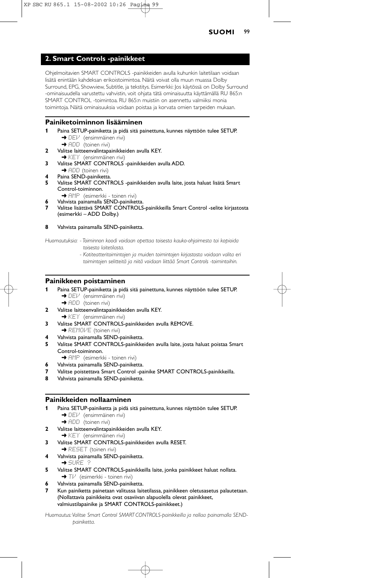## **2. Smart Controls -painikkeet**

Ohjelmoitavien SMART CONTROLS -painikkeiden avulla kuhunkin laitetilaan voidaan lisätä enintään kahdeksan erikoistoimintoa. Näitä voivat olla muun muassa Dolby Surround, EPG, Showview, Subtitle, ja tekstitys. Esimerkki: Jos käytössä on Dolby Surround -ominaisuudella varustettu vahvistin, voit ohjata tätä ominaisuutta käyttämällä RU 865:n SMART CONTROL -toimintoa. RU 865:n muistiin on asennettu valmiiksi monia toimintoja. Näitä ominaisuuksia voidaan poistaa ja korvata omien tarpeiden mukaan.

#### **Painiketoiminnon lisääminen**

- **1** Paina SETUP-painiketta ja pidä sitä painettuna, kunnes näyttöön tulee SETUP. → DEI<sup>J</sup> (ensimmäinen rivi)
- **→** ADD (toinen rivi) **2** Valitse laitteenvalintapainikkeiden avulla KEY.
	- **→ KEY** (ensimmäinen rivi)
- **3** Valitse SMART CONTROLS -painikkeiden avulla ADD.  $\rightarrow$  ADD (toinen rivi)
- Paina SEND-painiketta.
- **5** Valitse SMART CONTROLS -painikkeiden avulla laite, josta haluat lisätä Smart Control-toiminnon.
	- → AMP (esimerkki toinen rivi) **6** Vahvista painamalla SEND-painiketta.
	-
- **7** Valitse lisättävä SMART CONTROLS-painikkeilla Smart Control -selite kirjastosta (esimerkki – ADD Dolby.)

#### **8** Vahvista painamalla SEND-painiketta.

*Huomautuksia: - Toiminnon koodi voidaan opettaa toisesta kauko-ohjaimesta tai kopioida toisesta laitetilasta.*

> *- Kotiteatteritoimintojen ja muiden toimintojen kirjastosta voidaan valita eri toimintojen selitteitä ja niitä voidaan liittää Smart Controls -toimintoihin.*

## **Painikkeen poistaminen**

**1** Paina SETUP-painiketta ja pidä sitä painettuna, kunnes näyttöön tulee SETUP. → DEI<sup>J</sup> (ensimmäinen rivi)

➜ ADD (toinen rivi)

- **2** Valitse laitteenvalintapainikkeiden avulla KEY.
- $\rightarrow$  KEY (ensimmäinen rivi)
- **3** Valitse SMART CONTROLS-painikkeiden avulla REMOVE.
- **→ REMOVE** (toinen rivi)
- **4** Vahvista painamalla SEND-painiketta.
- **5** Valitse SMART CONTROLS-painikkeiden avulla laite, josta haluat poistaa Smart Control-toiminnon.
- → AMP (esimerkki toinen rivi)
- **6** Vahvista painamalla SEND-painiketta.
- **7** Valitse poistettava Smart Control -painike SMART CONTROLS-painikkeilla.
- **8** Vahvista painamalla SEND-painiketta.

#### **Painikkeiden nollaaminen**

- **1** Paina SETUP-painiketta ja pidä sitä painettuna, kunnes näyttöön tulee SETUP. → DEI<sup>J</sup> (ensimmäinen rivi)
	- → ADD (toinen rivi)
- **2** Valitse laitteenvalintapainikkeiden avulla KEY.
- **→ KEY** (ensimmäinen rivi) **3** Valitse SMART CONTROLS-painikkeiden avulla RESET.
- **→ RESET** (toinen rivi)
- **4** Vahvista painamalla SEND-painiketta.
- ➜ SURE ?
- **5** Valitse SMART CONTROLS-painikkeilla laite, jonka painikkeet haluat nollata. → Tl<sup>,</sup> (esimerkki - toinen rivi)
- **6** Vahvista painamalla SEND-painiketta.
- **7** Kun painiketta painetaan valitussa laitetilassa, painikkeen oletusasetus palautetaan. (Nollattavia painikkeita ovat osaviivan alapuolella olevat painikkeet, valmiustilapainike ja SMART CONTROLS-painikkeet.)

Huomautus: Valitse Smart Control SMART CONTROLS-painikkeilla ja nollaa painamalla SEND*painiketta.*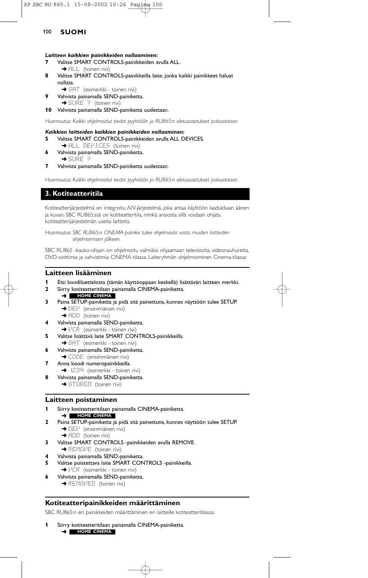## 100 **SUOMI**

#### *Laitteen kaikkien painikkeiden nollaaminen:*

- **7** Valitse SMART CONTROLS-painikkeiden avulla ALL. **→** ALL (toinen rivi)
- **8** Valitse SMART CONTROLS-painikkeilla laite, jonka kaikki painikkeet haluat nollata.
	- → SAT (esimerkki toinen rivi)
- **9** Vahvista painamalla SEND-painiketta. → SURE ? (toinen rivi)
- **10** Vahvista painamalla SEND-painiketta uudestaan.

*Huomautus: Kaikki ohjelmoidut tiedot pyyhitään ja RU865:n oletusasetukset palautetaan.*

#### *Kaikkien laitteiden kaikkien painikkeiden nollaaminen:*

- **5** Valitse SMART CONTROLS-painikkeiden avulla ALL DEVICES.
- → ALL DEVICES (toinen rivi) **6** Vahvista painamalla SEND-painiketta. ➜ SURE ?
- **7** Vahvista painamalla SEND-painiketta uudestaan.

*Huomautus: Kaikki ohjelmoidut tiedot pyyhitään ja RU865:n oletusasetukset palautetaan.*

## **3. Kotiteatteritila**

Kotiteatterijärjestelmä on integroitu A/V-järjestelmä, joka antaa käyttöön laadukkaan äänen ja kuvan. SBC RU865:ssä on kotiteatteritila, minkä ansiosta sillä voidaan ohjata kotiteatterijärjestelmän useita laitteita.

*Huomautus: SBC RU865:n CINEMA-painike tulee ohjelmoida vasta muiden laitteiden ohjelmoimisen jälkeen.*

SBC RU865 -kauko-ohjain on ohjelmoitu valmiiksi ohjaamaan televisioita, videonauhureita, DVD-soittimia ja vahvistimia CINEMA-tilassa. Laiteryhmän ohjelmoiminen Cinema-tilassa:

### **Laitteen lisääminen**

- **1** Etsi koodiluettelosta (tämän käyttöoppaan keskellä) lisättävän laitteen merkki.
- **2** Siirry kotiteatteritilaan painamalla CINEMA-painiketta. ➜ **HOME CINEMA**
- **3** Paina SETUP-painiketta ja pidä sitä painettuna, kunnes näyttöön tulee SETUP. → DEI<sup>J</sup> (ensimmäinen rivi)
	- → ADD (toinen rivi)
- **4** Vahvista painamalla SEND-painiketta. →  $VCR$  (esimerkki - toinen rivi)
- **5** Valitse lisättävä laite SMART CONTROLS-painikkeilla.
- → SAT (esimerkki toinen rivi)
- **6** Vahvista painamalla SEND-painiketta.
- ➜ CODE (ensimmäinen rivi) **7** Anna koodi numeropainikkeilla.
- **→** 1234 (esimerkki toinen rivi)
- **8** Vahvista painamalla SEND-painiketta. **→ STORED** (toinen rivi)

## **Laitteen poistaminen**

- **1** Siirry kotiteatteritilaan painamalla CINEMA-painiketta.
- ➜ **HOME CINEMA**
- **2** Paina SETUP-painiketta ja pidä sitä painettuna, kunnes näyttöön tulee SETUP. **→** DEI<sup>J</sup> (ensimmäinen rivi)
	- → ADD (toinen rivi)
- **3** Valitse SMART CONTROLS -painikkeiden avulla REMOVE. **→ REMOVE** (toinen rivi)
- **4** Vahvista painamalla SEND-painiketta.
- **5** Valitse poistettava laite SMART CONTROLS -painikkeilla.
- → VCR (esimerkki toinen rivi)
- **6** Vahvista painamalla SEND-painiketta. **→ REMOVED** (toinen rivi)
	-

## **Kotiteatteripainikkeiden määrittäminen**

SBC RU865:n eri painikkeiden määrittäminen eri laitteille kotiteatteritilassa:

**1** Siirry kotiteatteritilaan painamalla CINEMA-painiketta. ➜ **HOME CINEMA**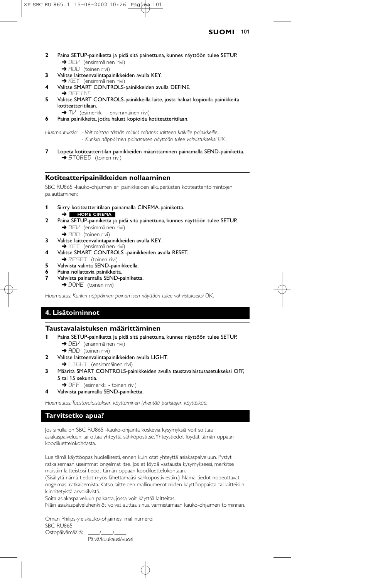#### **SUOMI** 101

- **2** Paina SETUP-painiketta ja pidä sitä painettuna, kunnes näyttöön tulee SETUP. → DEI<sup>J</sup> (ensimmäinen rivi)
	- → ADD (toinen rivi)
- **3** Valitse laitteenvalintapainikkeiden avulla KEY.
- **→ KEY** (ensimmäinen rivi)
- **4** Valitse SMART CONTROLS-painikkeiden avulla DEFINE. **→ DEFINE**
- **5** Valitse SMART CONTROLS-painikkeilla laite, josta haluat kopioida painikkeita kotiteatteritilaan.
	- → Tl<sup>J</sup> (esimerkki ensimmäinen rivi)
- **6** Paina painikkeita, jotka haluat kopioida kotiteatteritilaan.

*Huomautuksia: - Voit toistaa tämän minkä tahansa laitteen kaikille painikkeille. - Kunkin näppäimen painamisen näyttöön tulee vahvistukseksi* OK*.*

**7** Lopeta kotiteatteritilan painikkeiden määrittäminen painamalla SEND-painiketta.  $\rightarrow$  STORED (toinen rivi)

## **Kotiteatteripainikkeiden nollaaminen**

SBC RU865 -kauko-ohjaimen eri painikkeiden alkuperäisten kotiteatteritoimintojen palauttaminen:

- **1** Siirry kotiteatteritilaan painamalla CINEMA-painiketta. ➜ **HOME CINEMA**
- **2** Paina SETUP-painiketta ja pidä sitä painettuna, kunnes näyttöön tulee SETUP. → DEV (ensimmäinen rivi)
	- $\rightarrow$  ADD (toinen rivi)
- **3** Valitse laitteenvalintapainikkeiden avulla KEY. ➜ KEY (ensimmäinen rivi)
- **4** Valitse SMART CONTROLS -painikkeiden avulla RESET.
- **→ RESET** (toinen rivi)
- **5** Vahvista valinta SEND-painikkeella.
- **6** Paina nollattavia painikkeita.
- **7** Vahvista painamalla SEND-painiketta.
- → DONE (toinen rivi)

*Huomautus: Kunkin näppäimen painamisen näyttöön tulee vahvistukseksi* OK*.*

# **4. Lisätoiminnot**

## **Taustavalaistuksen määrittäminen**

- **1** Paina SETUP-painiketta ja pidä sitä painettuna, kunnes näyttöön tulee SETUP. → DEI<sup>J</sup> (ensimmäinen rivi)
	- → ADD (toinen rivi)
- **2** Valitse laitteenvalintapainikkeiden avulla LIGHT.
	- → LIGHT (ensimmäinen rivi)
- **3** Määritä SMART CONTROLS-painikkeiden avulla taustavalaistusasetukseksi OFF, 5 tai 15 sekuntia.
- **→ OFF** (esimerkki toinen rivi)
- **4** Vahvista painamalla SEND-painiketta.

*Huomautus:Taustavalaistuksen käyttäminen lyhentää paristojen käyttöikää.*

## **Tarvitsetko apua?**

Jos sinulla on SBC RU865 -kauko-ohjainta koskevia kysymyksiä voit soittaa asiakaspalveluun tai ottaa yhteyttä sähköpostitse.Yhteystiedot löydät tämän oppaan koodiluettelokohdasta.

Lue tämä käyttöopas huolellisesti, ennen kuin otat yhteyttä asiakaspalveluun. Pystyt ratkaisemaan useimmat ongelmat itse. Jos et löydä vastausta kysymykseesi, merkitse muistiin laitteistosi tiedot tämän oppaan koodiluettelokohtaan.

(Sisällytä nämä tiedot myös lähettämääsi sähköpostiviestiin.) Nämä tiedot nopeuttavat ongelmasi ratkaisemista. Katso laitteiden mallinumerot niiden käyttöoppaista tai laitteisiin kiinnitetyistä arvokilvistä.

Soita asiakaspalveluun paikasta, jossa voit käyttää laitteitasi. Näin asiakaspalveluhenkilöt voivat auttaa sinua varmistamaan kauko-ohjaimen toiminnan.

Oman Philips-yleiskauko-ohjaimesi mallinumero: SBC RU865 Ostopäivämäärä: \_\_\_\_/\_\_\_\_/\_\_\_\_

Päivä/kuukausi/vuosi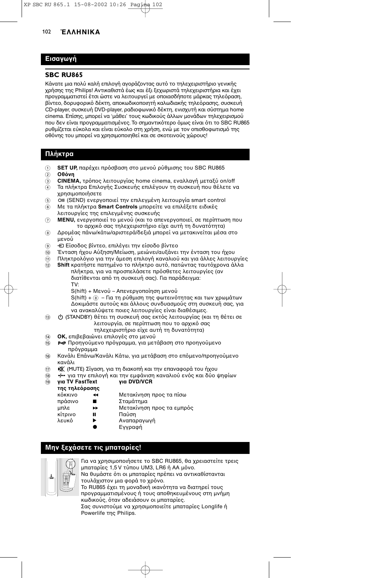# **Εισαγωγή**

#### **SBC RU865**

Κάνατε μια πολύ καλή επιλογή αγοράζοντας αυτό το τηλεχειριστήριο γενικής χρήσης της Philips! Αντικαθιστά έως και έξι ξεχωριστά τηλεχειριστήρια και έχει προγραμματιστεί έτσι ώστε να λειτουργεί με οποιασδήποτε μάρκας τηλεόραση, βίντεο, δορυφορικό δέκτη, αποκωδικοποιητή καλωδιακής τηλεόρασης, συσκευή CD-player, συσκευή DVD-player, ραδιοφωνικό δέκτη, ενισχυτή και σύστημα home cinema. Επίσης, μπορεί να 'μάθει' τους κωδικούς άλλων μονάδων τηλεχειρισμού που δεν είναι προγραμματισμένες. Το σημαντικότερο όμως είναι ότι το SBC RU865 ρυθμίζεται εύκολα και είναι εύκολο στη χρήση, ενώ με τον οπισθοφωτισμό της οθόνης του μπορεί να χρησιμοποιηθεί και σε σκοτεινούς χώρους!

## **Πλήκτρα**

- 1 **SET UP**, παρέχει πρόσβαση στο μενού ρύθμισης του SBC RU865
- $\ddot{2}$  **Οθόνη**
- 3 **CINEMA**, τρόπος λειτουργίας home cinema, εναλλαγή μεταξύ on/off
- (4) Τα πλήκτρα Επιλογής Συσκευής επιλέγουν τη συσκευή που θέλετε να χρησιμοποιήσετε
- 5 6) OM (SEND) ενεργοποιεί την επιλεγμένη λειτουργία smart control
- 6 Με τα πλήκτρα **Smart Controls** μπορείτε να επιλέξετε ειδικές λειτυργίες της επιλεγµένης συσκευής
- 7 **MENU,** ενεργοποιεί το μενού (και το απενεργοποιεί, σε περίπτωση που το αρχικό σας τηλεχειριστήριο είχε αυτή τη δυνατότητα)
- 8 Δρομέας πάνω/κάτω/αριστερά/δεξιά μπορεί να μετακινείται μέσα στο μενού
- 9 **+** Είσοδος βίντεο, επιλέγει την είσοδο βίντεο
- $\bar{\textbf{0}}$  Ένταση ήχου Αύξηση/Μείωση, μειώνει/αυξάνει την ένταση του ήχου
- $\widehat{\mathfrak{m}}$  Πληκτρολόγιο για την άμεση επιλογή καναλιού και για άλλες λειτουργίες @ Shift κρατήστε πατημένο το πλήκτρο αυτό, πατώντας ταυτόχρονα άλλα
	- πλήκτρα, για να προσπελάσετε πρόσθετες λειτουργίες (αν διατίθενται από τη συσκευή σας). Για παράδειγμα: TV: S(hift) + Μενού – Απενεργοποίηση μενού

 $S(hift) + \textcircled{\scriptsize 8}$  – Για τη ρύθμιση της φωτεινότητας και των χρωμάτων ∆κιµάστε αυτύς και άλλυς συνδυασµύς στη συσκευή σας, για να ανακαλύψετε ποιες λειτουργίες είναι διαθέσιμες.

- (iii) B (STANDBY) θέτει τη συσκευή σας εκτός λειτουργίας (και τη θέτει σε λειτουργία, σε περίπτωση που το αρχικό σας τηλεχειριστήριο είχε αυτή τη δυνατότητα)
- 14 **ΟΚ**, επιβεβαιώνει επιλογές στο μενού
- (6) Ρ<Ρ Προηγούμενο πρόγραμμα, για μετάβαση στο προηγούμενο πρόνοαμμα
- @ Κανάλι Επάνω/Κανάλι Κάτω, για μετάβαση στο επόμενο/προηγούμενο κανάλι
- $\textcircled{\tiny{\textcircled{\tiny{\textcirc}}}}$  (MUTE) Σίγαση, για τη διακοπή και την επαναφορά του ήχου
- ື® <del>-/--</del> για την επιλογή και την εμφάνιση καναλιού ενός και δύο ψηφίων<br>⑩ **για TV FastText για DVD/VCR**

#### **(9) για TV FastText**

- **της τηλερασης**
	- κόκκινο 44 Μετακίνηση προς τα πίσω πράσινο ■ Σταμάτημα μπλε → Mετακίνηση προς τα εμπρός
	- κίτρινο **II** Παύση
	- λευκό  $\rightarrow$  Αναπαραγωγή
		- Εγγραφή

# **Μην ξεχάσετε τις μπαταρίες!**



Για να χρησιμοποιήσετε το SBC RU865, θα χρειαστείτε τρεις μπαταρίες 1,5 V τύπου UM3, LR6 ή AA μόνο. .<br>Να θυμάστε ότι οι μπαταρίες πρέπει να αντικαθίστανται τουλάχιστον μια φορά το χρόνο. Το RU865 έχει τη μοναδική ικανότητα να διατηρεί τους προγραμματισμένους ή τους αποθηκευμένους στη μνήμη κωδικούς, όταν αδειάσουν οι μπαταρίες. Σας συνιστούμε να χρησιμοποιείτε μπαταρίες Longlife ή Powerlife της Philips.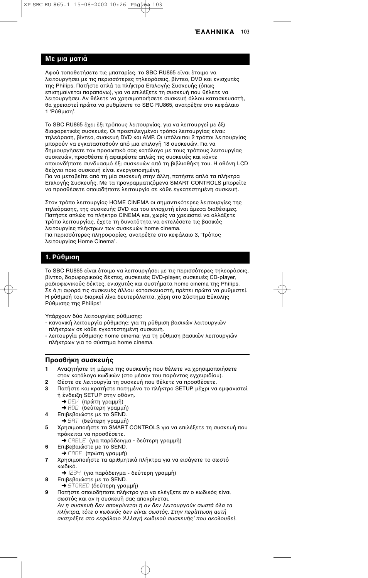## **Με µια µατιά**

Αφού τοποθετήσετε τις μπαταρίες, το SBC RU865 είναι έτοιμο να λειτουργήσει με τις περισσότερες τηλεοράσεις, βίντεο, DVD και ενισχυτές της Philips. Πατήστε απλά τα πλήκτρα Επιλογής Συσκευής (όπως επισημαίνεται παραπάνω), για να επιλέξετε τη συσκευή που θέλετε να λειτουργήσει. Αν θέλετε να χρησιμοποιήσετε συσκευή άλλου κατασκευαστή, θα χρειαστεί πρώτα να ρυθμίσετε το SBC RU865, ανατρέξτε στο κεφάλαιο 1 'Ρύθµιση'.

Το SBC RU865 έχει έξι τρόπους λειτουργίας, για να λειτουργεί με έξι διαφορετικές συσκευές. Οι προεπιλεγμένοι τρόποι λειτουργίας είναι: τηλεόραση, βίντεο, συσκευή DVD και AMP. Οι υπόλοιποι 2 τρόποι λειτουργίας μπορούν να εγκατασταθούν από μια επιλογή 18 συσκευών. Για να .<br>δημιουργήσετε τον προσωπικό σας κατάλογο με τους τρόπους λειτουργίας συσκευών, προσθέστε ή αφαιρέστε απλώς τις συσκευές και κάντε οποιονδήποτε συνδυασμό έξι συσκευών από τη βιβλιοθήκη του. Η οθόνη LCD δείχνει ποια συσκευή είναι ενεργοποιημένη.

Για να μεταβείτε από τη μία συσκευή στην άλλη, πατήστε απλά τα πλήκτρα Επιλογής Συσκευής. Με τα προγραμματιζόμενα SMART CONTROLS μπορείτε να προσθέσετε οποιαδήποτε λειτουργία σε κάθε εγκατεστημένη συσκευή.

Στον τρόπο λειτουργίας HOME CINEMA οι σημαντικότερες λειτουργίες της τηλεόρασης, της συσκευής DVD και του ενισχυτή είναι άμεσα διαθέσιμες. Πατήστε απλώς το πλήκτρο CINEMA και, χωρίς να χρειαστεί να αλλάξετε τρόπο λειτουργίας, έχετε τη δυνατότητα να εκτελέσετε τις βασικές λειτουργίες πλήκτρων των συσκευών home cinema. Για περισσότερες πληροφορίες, ανατρέξτε στο κεφάλαιο 3, 'Τρόπος λειτυργίας Home Cinema'.

# **1. Ρύθµιση**

Το SBC RU865 είναι έτοιμο να λειτουργήσει με τις περισσότερες τηλεοράσεις, βίντεο, δορυφορικούς δέκτες, συσκευές DVD-player, συσκευές CD-player, ραδιοφωνικούς δέκτες, ενισχυτές και συστήματα home cinema της Philips. Σε ό,τι αφορά τις συσκευές άλλου κατασκευαστή, πρέπει πρώτα να ρυθμιστεί. Η ρύθμισή του διαρκεί λίγα δευτερόλεπτα, χάρη στο Σύστημα Εύκολης Ρύθµισης της Philips!

Υπάρχουν δύο λειτουργίες ρύθμισης:

- κανονική λειτουργία ρύθμισης: για τη ρύθμιση βασικών λειτουργιών πλήκτρων σε κάθε εγκατεστηµένη συσκευή.
- λειτυργία ρύθµισης home cinema: για τη ρύθµιση 0ασικών λειτυργιών πλήκτρων για το σύστημα home cinema.

# **Προσθήκη συσκευής**

- **1** Αναζητήστε τη μάρκα της συσκευής που θέλετε να χρησιμοποιήσετε στον κατάλογο κωδικών (στο μέσον του παρόντος εγχειριδίου).
- **2** Θέστε σε λειτυργία τη συσκευή πυ θέλετε να πρσθέσετε.
- **3** Πατήστε και κρατήστε πατημένο το πλήκτρο SETUP, μέχρι να εμφανιστεί ή ένδειξη SETUP στην οθόνη.
	- ➜ DEV (πρώτη γραµµή)
	- ➜ ADD (δεύτερη γραµµή)
- **4** Επιβεβαιώστε με το SEND.
	- ➜ SAT (δεύτερη γραµµή)
- 5 Χρησιμοποιήστε τα SMART CONTROLS για να επιλέξετε τη συσκευή που πρόκειται να προσθέσετε.
	- ➜ CABLE (για παράδειγµα δεύτερη γραµµή)
- **6** Επιβεβαιώστε με το SEND. ➜ CODE (πρώτη γραµµή)
- **7** Χρησιμοποιήστε τα αριθμητικά πλήκτρα για να εισάγετε το σωστό κωδικό.
	- ➜1234 (για παράδειγµα δεύτερη γραµµή)
- **8** Επιβεβαιώστε με το SEND.
	- ➜ STORED (δεύτερη γραµµή)
- **9** Πατήστε οποιοδήποτε πλήκτρο για να ελέγξετε αν ο κωδικός είναι σωστός και αν η συσκευή σας αποκρίνεται. Αν η συσκευή δεν αποκρίνεται ή αν δεν λειτουργούν σωστά όλα τα πλήκτρα, τότε ο κωδικός δεν είναι σωστός. Στην περίπτωση αυτή ανατρέξτε στο κεφάλαιο Άλλαγή κωδικού συσκευής' που ακολουθεί.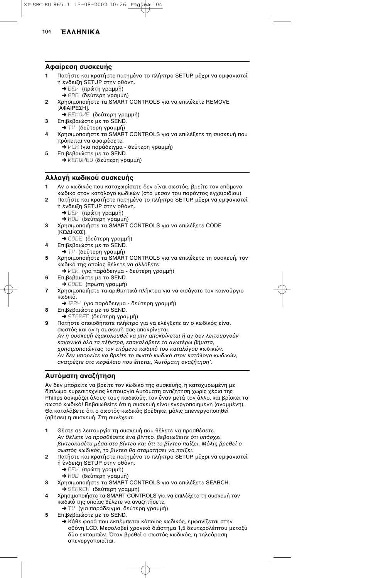## **ΑPαίρεση συσκευής**

- **1** Πατήστε και κρατήστε πατημένο το πλήκτρο SETUP, μέχρι να εμφανιστεί ή ένδειξη SETUP στην οθόνη.
	- ➜ DEV (πρώτη γραµµή)
	- ➜ ADD (δεύτερη γραµµή)
- 2 Χρησιμοποιήστε τα SMART CONTROLS για να επιλέξετε REMOVE [ΑΦΑΙΡΕΣΗ]. **→ REMOVE (δεύτερη γραμμή)**
- **3** Επιβεβαιώστε με το SEND. ➜ TV (δεύτερη γραµµή)
- **4** Χρησιμοποιήστε τα SMART CONTROLS για να επιλέξετε τη συσκευή που πρόκειται να αφαιρέσετε.
- ➜ VCR (για παράδειγµα δεύτερη γραµµή)
- **5** Επιβεβαιώστε με το SEND. ➜ REMOVED (δεύτερη γραµµή)

# **Αλλαγή κωδικού συσκευής**

- Αν ο κωδικός που καταχωρίσατε δεν είναι σωστός, βρείτε τον επόμενο κωδικό στον κατάλογο κωδικών (στο μέσον του παρόντος εγχειριδίου).
- **2** Πατήστε και κρατήστε πατημένο το πλήκτρο SETUP, μέχρι να εμφανιστεί ή ένδειξη SETUP στην οθόνη.
	- ➜ DEV (πρώτη γραµµή) ➜ ADD (δεύτερη γραµµή)
- **3** Χρησιμοποιήστε τα SMART CONTROLS για να επιλέξετε CODE [ΚΩΔΙΚΟΣ].
- ➜ CODE (δεύτερη γραµµή) **4** Επιβεβαιώστε με το SEND.
- ➜ TV (δεύτερη γραµµή)
- **5** Χρησιμοποιήστε τα SMART CONTROLS για να επιλέξετε τη συσκευή, τον κωδικό της οποίας θέλετε να αλλάξετε.
	- ➜ VCR (για παράδειγµα δεύτερη γραµµή)
- **6** Επιβεβαιώστε με το SEND. ➜ CODE (πρώτη γραµµή)
- **7** Χρησιμοποιήστε τα αριθμητικά πλήκτρα για να εισάγετε τον καινούργιο κωδικό.
	- ➜1234 (για παράδειγµα δεύτερη γραµµή)
- **8** Επιβεβαιώστε με το SEND. ➜ STORED (δεύτερη γραµµή)
- **9** Πατήστε οποιοδήποτε πλήκτρο για να ελέγξετε αν ο κωδικός είναι σωστός και αν η συσκευή σας αποκρίνεται. Αν η συσκευή εξακολουθεί να μην αποκρίνεται ή αν δεν λειτουργούν κανονικά όλα τα πλήκτρα, επαναλάβετε τα ανωτέρω βήματα, χρησιμοποιώντας τον επόμενο κωδικό του καταλόγου κωδικών. Αν δεν μπορείτε να βρείτε το σωστό κωδικό στον κατάλογο κωδικών, ανατρέξτε στο κεφάλαιο που έπεται, 'Αυτόματη αναζήτηση'.

# **Αυτµατη αναRήτηση**

Αν δεν μπορείτε να βρείτε τον κωδικό της συσκευής, η κατοχυρωμένη με ...<br>δίπλωμα ευρεσιτεχνίας λειτουργία Αυτόματη αναζήτηση χωρίς χέρια της Philips δοκιμάζει όλους τους κωδικούς, τον έναν μετά τον άλλο, και βρίσκει το σωστό κωδικό! Βεβαιωθείτε ότι η συσκευή είναι ενεργοποιημένη (αναμμένη). Θα καταλάβετε ότι ο σωστός κωδικός βρέθηκε, μόλις απενεργοποιηθεί (σβήσει) η συσκευή. Στη συνέχεια:

- 1 Θέστε σε λειτουργία τη συσκευή που θέλετε να προσθέσετε. Αν θέλετε να προσθέσετε ένα βίντεο, βεβαιωθείτε ότι υπάρχει βιντεοκασέτα μέσα στο βίντεο και ότι το βίντεο παίζει. Μόλις βρεθεί ο σωστός κωδικός, το βίντεο θα σταματήσει να παίζει.
- **2** Πατήστε και κρατήστε πατημένο το πλήκτρο SETUP, μέχρι να εμφανιστεί ή ένδειξη SETUP στην οθόνη.
	- ➜ DEV (πρώτη γραµµή)
	- ➜ ADD (δεύτερη γραµµή)
- 3 Χρησιμοποιήστε τα SMART CONTROLS για να επιλέξετε SEARCH. ➜ SEARCH (δεύτερη γραµµή)
- 4 Χρησιμοποιήστε τα SMART CONTROLS για να επιλέξετε τη συσκευή τον κωδικό της οποίας θέλετε να αναζητήσετε.
- ➜ TV (για παράδειγµα, δεύτερη γραµµή) **5** Επιβεβαιώστε με το SEND.
	- → Κάθε φορά που εκπέμπεται κάποιος κωδικός, εμφανίζεται στην οθόνη LCD. Μεσολαβεί χρονικό διάστημα 1,5 δευτερολέπτου μεταξύ δύο εκπομπών. Όταν βρεθεί ο σωστός κωδικός, η τηλεόραση απενεργοποιείται.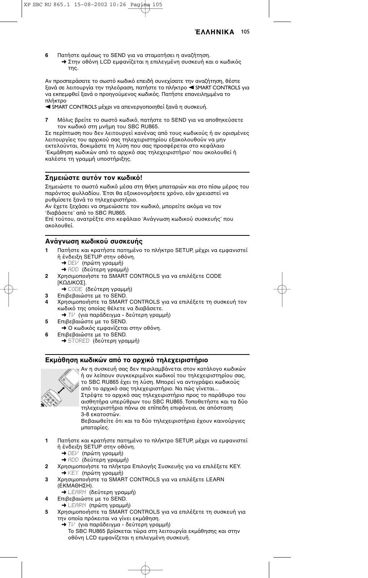**6** Πατήστε αμέσως το SEND για να σταματήσει η αναζήτηση. → Στην οθόνη LCD εμφανίζεται η επιλεγμένη συσκευή και ο κωδικός της.

Αν προσπεράσατε το σωστό κωδικό επειδή συνεχίσατε την αναζήτηση, θέστε ξανά σε λειτουργία την τηλεόραση, πατήστε το πλήκτρο <SMART CONTROLS για να εκπεμφθεί ξανά ο προηγούμενος κωδικός. Πατήστε επανειλημμένα το πλήκτρο

**4 SMART CONTROLS μέχρι να απενεργοποιηθεί ξανά η συσκευή.** 

**7** Μόλις βρείτε το σωστό κωδικό, πατήστε το SEND για να αποθηκεύσετε τον κωδικό στη μνήμη του SBC RU865.

Σε περίπτωση που δεν λειτουργεί κανένας από τους κωδικούς ή αν ορισμένες λειτουργίες του αρχικού σας τηλεχειριστηρίου εξακολουθούν να μην εκτελούνται, δοκιμάστε τη λύση που σας προσφέρεται στο κεφάλαιο 'Εκμάθηση κωδικών από το αρχικό σας τηλεχειριστήριο' που ακολουθεί ή καλέστε τη γραμμή υποστήριξης.

## Σημειώστε αυτόν τον κωδικό!

Σημειώστε το σωστό κωδικό μέσα στη θήκη μπαταριών και στο πίσω μέρος του παρόντος φυλλαδίου. Έτσι θα εξοικονομήσετε χρόνο, εάν χρειαστεί να ρυθμίσετε ξανά το τηλεχειριστήριο.

Αν έχετε ξεχάσει να σημειώσετε τον κωδικό, μπορείτε ακόμα να τον 'διαβάσετε' από το SBC RU865.

Επί τούτου, ανατρέξτε στο κεφάλαιο Άνάγνωση κωδικού συσκευής' που ακολουθεί.

#### Ανάγνωση κωδικού συσκευής

- Πατήστε και κρατήστε πατημένο το πλήκτρο SETUP, μέχρι να εμφανιστεί ή ένδειξη SETUP στην οθόνη.
	- ➜ DEV (πρώτη γραµµή)
	- ➜ ADD (δεύτερη γραµµή)
- 2 Χρησιμοποιήστε τα SMART CONTROLS για να επιλέξετε CODE [ΚΩ∆ΙΚaΣ].
	- ➜ CODE (δεύτερη γραµµή)
- **3** Επιβεβαιώστε με το SEND.
- **4** Χρησιμοποιήστε τα SMART CONTROLS για να επιλέξετε τη συσκευή τον κωδικό της οποίας θέλετε να διαβάσετε.
- ➜ TV (για παράδειγµα δεύτερη γραµµή) **5** Επιβεβαιώστε με το SEND.
- → Ο κωδικός εμφανίζεται στην οθόνη. **6** Επιβεβαιώστε με το SEND.
	- ➜ STORED (δεύτερη γραµµή)

## Εκμάθηση κωδικών από το αρχικό τηλεχειριστήριο



Αν η συσκευή σας δεν περιλαμβάνεται στον κατάλογο κωδικών ή αν λείπουν συγκεκριμένοι κωδικοί του τηλεχειριστηρίου σας, το SBC RU865 έχει τη λύση. Μπορεί να αντιγράψει κωδικούς από το αρχικό σας τηλεχειριστήριο. Να πώς γίνεται... Στρέψτε το αρχικό σας τηλεχειριστήριο προς το παράθυρο του αισθητήρα υπερύθρων του SBC RU865. Τοποθετήστε και τα δύο τηλεχειριστήρια πάνω σε επίπεδη επιφάνεια, σε απόσταση

3-8 εκατστών. Βεβαιωθείτε ότι και τα δύο τηλεχειριστήρια έχουν καινούργιες µπαταρίες.

- **1** Πατήστε και κρατήστε πατημένο το πλήκτρο SETUP, μέχρι να εμφανιστεί ή ένδειξη SETUP στην οθόνη.
	- ➜ DEV (πρώτη γραµµή)
	- **→** ADD (δεύτερη γραμμή)
- **2** Χρησιμοποιήστε τα πλήκτρα Επιλογής Συσκευής για να επιλέξετε KEY. ➜ KEY (πρώτη γραµµή)
- 3 Χρησιμοποιήστε τα SMART CONTROLS για να επιλέξετε LEARN (ΕΚΜΑΘΗΣΗ).
	- ➜ LEARN (δεύτερη γραµµή)
- **4** Επιβεβαιώστε με το SEND.
	- ➜ LEARN (πρώτη γραµµή)
- 5 Χρησιμοποιήστε τα SMART CONTROLS για να επιλέξετε τη συσκευή για την οποία πρόκειται να γίνει εκμάθηση.
	- ➜ TV (για παράδειγµα δεύτερη γραµµή) Το SBC RU865 βρίσκεται τώρα στη λειτουργία εκμάθησης και στην οθόνη LCD εμφανίζεται η επιλεγμένη συσκευή.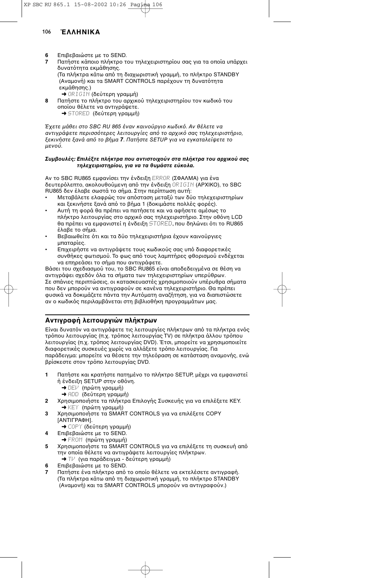- **6** Επιβεβαιώστε με το SEND.
- **7** Πατήστε κάποιο πλήκτρο του τηλεχειριστηρίου σας για τα οποία υπάρχει δυνατότητα εκμάθησης.

(Τα πλήκτρα κάτω από τη διαχωριστική γραμμή, το πλήκτρο STANDBY (Αναμονή) και τα SMART CONTROLS παρέχουν τη δυνατότητα εκµάθησης.)

- ➜ ORIGIN (δεύτερη γραµµή)
- **8** Πατήστε το πλήκτρο του αρχικού τηλεχειριστηρίου τον κωδικό του οποίου θέλετε να αντιγράψετε. ➜ STORED (δεύτερη γραµµή)

Έχετε μάθει στο SBC RU 865 έναν καινούργιο κωδικό. Αν θέλετε να αντιγράψετε περισσότερες λειτουργίες από το αρχικό σας τηλεχειριστήριο, ξεκινήστε ξανά από το βήμα 7. Πατήστε SETUP για να εγκαταλείψετε το µεν
ύ.

#### Συμβουλές: Επιλέξτε πλήκτρα που αντιστοιχούν στα πλήκτρα του αρχικού σας *τηλεειριστηρίυ, για να τα θυµάστε εύκλα.*

Αν το SBC RU865 εμφανίσει την ένδειξη ERROR (ΣΦΑΛΜΑ) για ένα δευτερόλεπτο, ακολουθούμενη από την ένδειξη **ORIGIN (ΑΡΧΙΚΟ), το SBC** RU865 δεν έλαβε σωστά το σήμα. Στην περίπτωση αυτή:

- Μεταβάλετε ελαφρώς τον απόσταση μεταξύ των δύο τηλεχειριστηρίων και ξεκινήστε ξανά από το βήμα 1 (δοκιμάστε πολλές φορές).
- Αυτή τη φορά θα πρέπει να πατήσετε και να αφήσετε αμέσως το πλήκτρο λειτουργίας στο αρχικό σας τηλεχειριστήριο. Στην οθόνη LCD θα πρέπει να εμφανιστεί η ένδειξη STORED, που δηλώνει ότι το RU865 έλαβε το σήμα.
- Βεβαιωθείτε ότι και τα δύο τηλεχειριστήρια έχουν καινούργιες µπαταρίες.
- Επιχειρήστε να αντιγράψετε τους κωδικούς σας υπό διαφορετικές συνθήκες φωτισμού. Το φως από τους λαμπτήρες φθορισμού ενδέχεται να επηρεάσει το σήμα που αντιγράφετε.

Βάσει του σχεδιασμού του, το SBC RU865 είναι αποδεδειγμένα σε θέση να αντιγράψει σχεδόν όλα τα σήματα των τηλεχειριστηρίων υπερύθρων. Σε σπάνιες περιπτώσεις, οι κατασκευαστές χρησιμοποιούν υπέρυθρα σήματα που δεν μπορούν να αντιγραφούν σε κανένα τηλεχειριστήριο. Θα πρέπει φυσικά να δοκιμάζετε πάντα την Αυτόματη αναζήτηση, για να διαπιστώσετε αν ο κωδικός περιλαμβάνεται στη βιβλιοθήκη προγραμμάτων μας.

# Αντιγραφή λειτουργιών πλήκτρων

Είναι δυνατόν να αντιγράψετε τις λειτουργίες πλήκτρων από τα πλήκτρα ενός τρόπου λειτουργίας (π.χ. τρόπος λειτουργίας TV) σε πλήκτρα άλλου τρόπου λειτουργίας (π.χ. τρόπος λειτουργίας DVD). Έτσι, μπορείτε να χρησιμοποιείτε διαφορετικές συσκευές χωρίς να αλλάξετε τρόπο λειτουργίας. Για παράδειγμα: μπορείτε να θέσετε την τηλεόραση σε κατάσταση αναμονής, ενώ βρίσκεστε στον τρόπο λειτουργίας DVD.

- **1** Πατήστε και κρατήστε πατημένο το πλήκτρο SETUP, μέχρι να εμφανιστεί ή ένδειξη SETUP στην οθόνη.
	- ➜ DEV (πρώτη γραµµή)
	- ➜ ADD (δεύτερη γραµµή)
- **2** Χρησιμοποιήστε τα πλήκτρα Επιλογής Συσκευής για να επιλέξετε KEY. ➜ KEY (πρώτη γραµµή)
- 3 Χρησιμοποιήστε τα SMART CONTROLS για να επιλέξετε COPY [ΑΝΤΙΓΡΑΦΗ].
	- ➜ COPY (δεύτερη γραµµή)
- **4** Επιβεβαιώστε με το SEND.
- → FROM (πρώτη γραμμή)
- **5** Χρησιμοποιήστε τα SMART CONTROLS για να επιλέξετε τη συσκευή από την οποία θέλετε να αντιγράψετε λειτουργίες πλήκτρων. ➜ TV (για παράδειγµα - δεύτερη γραµµή)
- **6** Επιβεβαιώστε με το SEND.
- Πατήστε ένα πλήκτρο από το οποίο θέλετε να εκτελέσετε αντιγραφή. (Τα πλήκτρα κάτω από τη διαχωριστική γραμμή, το πλήκτρο STANDBY (Αναμονή) και τα SMART CONTROLS μπορούν να αντιγραφούν.)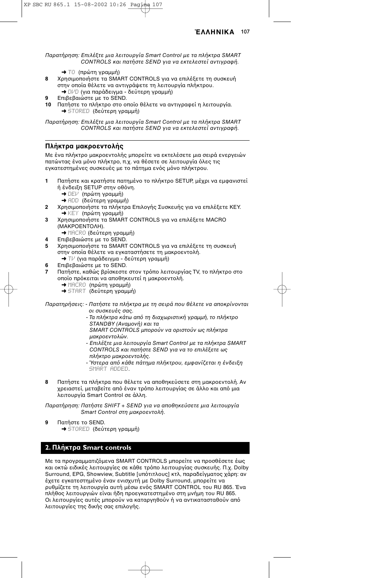Παρατήρηση: Επιλέξτε μια λειτουργία Smart Control με τα πλήκτρα SMART CONTROLS και πατήστε SEND για να εκτελεστεί αντιγραή.

- **→** T<sub>O</sub> (πρώτη γραμμή)
- 8 Χρησιμοποιήστε τα SMART CONTROLS για να επιλέξετε τη συσκευή στην οποία θέλετε να αντιγράψετε τη λειτουργία πλήκτρου. ➜ DVD (για παράδειγµα - δεύτερη γραµµή)
- **9** Επιβεβαιώστε με το SEND.
- **10** Πατήστε το πλήκτρο στο οποίο θέλετε να αντινραφεί η λειτουρνία. ➜ STORED (δεύτερη γραµµή)

Παρατήρηση: Επιλέτε µια λειτ
υργία Smart Control µε τα πλήκτρα SMART CONTROLS και πατήστε SEND για να εκτελεστεί αντιγραή.

# **Πλήκτρα μακροεντολής**

Με ένα πλήκτρο μακροεντολής μπορείτε να εκτελέσετε μια σειρά ενεργειών πατώντας ένα μόνο πλήκτρο, π.χ. να θέσετε σε λειτουργία όλες τις εγκατεστημένες συσκευές με το πάτημα ενός μόνο πλήκτρου.

- **1** Πατήστε και κρατήστε πατημένο το πλήκτρο SETUP, μέχρι να εμφανιστεί ή ένδειξη SETUP στην οθόνη.
	- ➜ DEV (πρώτη γραµµή)
	- ➜ ADD (δεύτερη γραµµή)
- **2** Χρησιμοποιήστε τα πλήκτρα Επιλογής Συσκευής για να επιλέξετε KEY. ➜ KEY (πρώτη γραµµή)
- **3** Χρησιμοποιήστε τα SMART CONTROLS για να επιλέξετε MACRO (ΜΑΚΡΟΕΝΤΟΛΗ).
	- ➜ MACRO (δεύτερη γραµµή)
- **4** Επιβεβαιώστε με το SEND.
- 5 Χρησιμοποιήστε τα SMART CONTROLS για να επιλέξετε τη συσκευή στην οποία θέλετε να εγκαταστήσετε τη μακροεντολή. ➜ TV (για παράδειγµα - δεύτερη γραµµή)
- **6** Επιβεβαιώστε με το SEND.
- **7** Πατήστε, καθώς βρίσκεστε στον τρόπο λειτουργίας TV, το πλήκτρο στο οποίο πρόκειται να αποθηκευτεί η μακροεντολή.
	- ➜ MACRO (πρώτη γραµµή) ➜ START (δεύτερη γραµµή)

Παρατηρήσεις: - Πατήστε τα πλήκτρα με τη σειρά που θέλετε να αποκρίνονται ι συσκευές σας.

- Τα πλήκτρα κάτω από τη διαχωριστική γραμμή, το πλήκτρο STANDBY (Αναμονή) και τα
- SMART CONTROLS μπορούν να οριστούν ως πλήκτρα µακρ
εντ
λών.
- Επιλέξτε μια λειτουργία Smart Control με τα πλήκτρα SMART CONTROLS και πατήστε SEND για να τ
 επιλέετε ως πλήκτρ
 µακρ
εντ
λής.
- Ύστερα από κάθε πάτημα πλήκτρου, εμφανίζεται η ένδειξη SMART ADDED.
- 8 Πατήστε τα πλήκτρα που θέλετε να αποθηκεύσετε στη μακροεντολή. Αν χρειαστεί, μεταβείτε από έναν τρόπο λειτουργίας σε άλλο και από μια λειτουργία Smart Control σε άλλη.

Παρατήρηση: Πατήστε SHIFT + SEND για να απ
θηκεύσετε µια λειτ
υργία Smart Control στη μακροεντολή.

**9** Πατήστε το SEND. ➜ STORED (δεύτερη γραµµή)

# **2. Πλήκτρα Smart controls**

Με τα προγραμματιζόμενα SMART CONTROLS μπορείτε να προσθέσετε έως και οκτώ ειδικές λειτουργίες σε κάθε τρόπο λειτουργίας συσκευής. Π.χ. Dolby Surround, EPG, Showview, Subtitle [υπότιτλους] κτλ, παραδείγματος χάρη: αν έχετε εγκατεστημένο έναν ενισχυτή με Dolby Surround, μπορείτε να ρυθμίζετε τη λειτουργία αυτή μέσω ενός SMART CONTROL του RU 865. Ένα πλήθος λειτουργιών είναι ήδη προεγκατεστημένο στη μνήμη του RU 865. Οι λειτουργίες αυτές μπορούν να καταργηθούν ή να αντικατασταθούν από λειτουργίες της δικής σας επιλογής.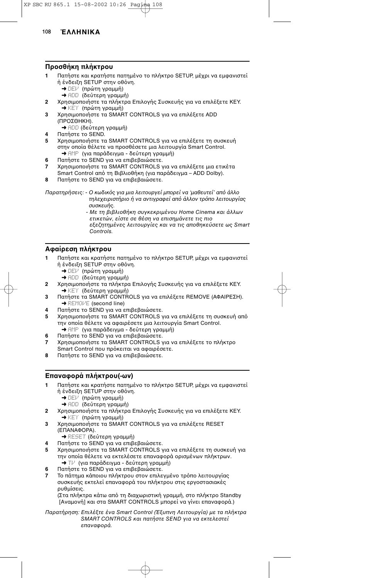#### **Προσθήκη πλήκτρου**

- **1** Πατήστε και κρατήστε πατημένο το πλήκτρο SETUP, μέχρι να εμφανιστεί ή ένδειξη SETUP στην οθόνη.
	- ➜ DEV (πρώτη γραµµή)
	- ➜ ADD (δεύτερη γραµµή)
- **2** Χρησιμοποιήστε τα πλήκτρα Επιλογής Συσκευής για να επιλέξετε KEY. ➜ KEY (πρώτη γραµµή)
- **3** Χρησιμοποιήστε τα SMART CONTROLS για να επιλέξετε ADD (ΠΡΟΣΘΗΚΗ).
	- ➜ ADD (δεύτερη γραµµή)
- **4** Πατήστε το SEND.<br>**5** Χρησιμοποιήστε το
- Χρησιμοποιήστε τα SMART CONTROLS για να επιλέξετε τη συσκευή στην οποία θέλετε να προσθέσετε μια λειτουργία Smart Control. ➜ AMP (για παράδειγµα - δεύτερη γραµµή)
- **6** Πατήστε το SEND για να επιβεβαιώσετε.
- 7 Χρησιμοποιήστε τα SMART CONTROLS για να επιλέξετε μια ετικέτα Smart Control από τη Βιβλιοθήκη (για παράδειγμα - ADD Dolby).
- **8** Πατήστε το SEND για να επιβεβαιώσετε.

Παρατηρήσεις: - Ο κωδικός για μια λειτουργεί μπορεί να 'μαθευτεί' από άλλο τηλεχειριστήριο ή να αντιγραφεί από άλλον τρόπο λειτουργίας συσκευής.

- Με τη βιβλιοθήκη συγκεκριμένου Home Cinema και άλλων ετικετών, είστε σε θέση να επισηµάνετε τις πι

εξεζητημένες λειτουργίες και να τις αποθηκεύσετε ως Smart Controls.

## **Αφαίρεση πλήκτρου**

- Πατήστε και κρατήστε πατημένο το πλήκτρο SETUP, μέχρι να εμφανιστεί ή ένδειξη SETUP στην οθόνη.
	- ➜ DEV (πρώτη γραµµή)
	- ➜ ADD (δεύτερη γραµµή)
- **2** Χρησιμοποιήστε τα πλήκτρα Επιλογής Συσκευής για να επιλέξετε KEY. ➜ KEY (δεύτερη γραµµή)
- **3** Πατήστε τα SMART CONTROLS για να επιλέξετε REMOVE (ΑΦΑΙΡΕΣΗ). **→ REMOVE** (second line)
- **4** Πατήστε το SEND για να επιβεβαιώσετε.<br>**5** Δεροσυμοποιήστε τα SMART CONTROLS ν
- Χρησιμοποιήστε τα SMART CONTROLS για να επιλέξετε τη συσκευή από την οποία θέλετε να αφαιρέσετε μια λειτουργία Smart Control. ➜ AMP (για παράδειγµα - δεύτερη γραµµή)
- **6** Πατήστε το SEND για να επιβεβαιώσετε.
- **7** Χρησιμοποιήστε τα SMART CONTROLS για να επιλέξετε το πλήκτρο
- Smart Control που πρόκειται να αφαιρέσετε.
- **8** Πατήστε το SEND για να επιβεβαιώσετε.

## **Επαναφορά πλήκτρου(-ων)**

- Πατήστε και κρατήστε πατημένο το πλήκτρο SETUP, μέχρι να εμφανιστεί ή ένδειξη SETUP στην οθόνη.
	- ➜ DEV (πρώτη γραµµή)
	- ➜ ADD (δεύτερη γραµµή)
- **2** Χρησιμοποιήστε τα πλήκτρα Επιλογής Συσκευής για να επιλέξετε KEY. ➜ KEY (πρώτη γραµµή)
- **3** Χρησιμοποιήστε τα SMART CONTROLS για να επιλέξετε RESET (ΕΠΑΝΑΦΟΡΑ).
	- ➜ RESET (δεύτερη γραµµή)
	- **Πατήστε το SEND για να επιβεβαιώσετε.**
- 5 Χρησιμοποιήστε τα SMART CONTROLS για να επιλέξετε τη συσκευή για την οποία θέλετε να εκτελέσετε επαναφορά ορισμένων πλήκτρων. ➜ TV (για παράδειγµα - δεύτερη γραµµή)
- **6** Πατήστε το SEND για να επιβεβαιώσετε.
- Το πάτημα κάποιου πλήκτρου στον επιλεγμένο τρόπο λειτουργίας συσκευής εκτελεί επαναφορά του πλήκτρου στις εργοστασιακές ρυθµίσεις.

(Στα πλήκτρα κάτω από τη διαχωριστική γραμμή, στο πλήκτρο Standby [Αναμονή] και στα SMART CONTROLS μπορεί να γίνει επαναφορά.)

Παρατήρηση: Επιλέξτε ένα Smart Control (Έξυπνη Λειτουργία) με τα πλήκτρα SMART CONTROLS και πατήστε SEND για να εκτελεστεί επανα
ρά.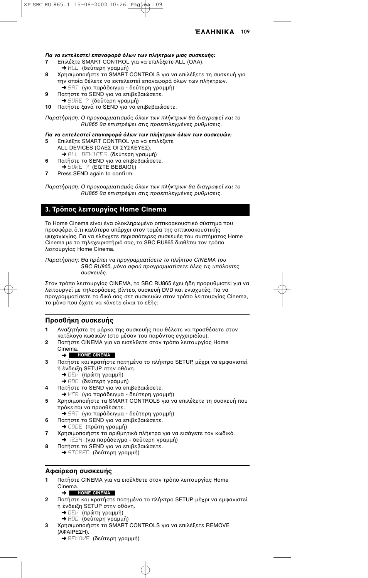#### *Για να εκτελεστεί επανα"ρά #λων των πλήκτρων µιας συσκευής:*

- **7** Επιλέξτε SMART CONTROL για να επιλέξετε ALL (ΟΛΑ). ➜ ALL (δεύτερη γραµµή)
- 8 Χρησιμοποιήστε τα SMART CONTROLS για να επιλέξετε τη συσκευή για την οποία θέλετε να εκτελεστεί επαναφορά όλων των πλήκτρων. ➜ SAT (για παράδειγµα - δεύτερη γραµµή)
- **9** Πατήστε το SEND για να επιβεβαιώσετε.
- ➜ SURE ? (δεύτερη γραµµή)

10 Πατήστε ξανά το SEND για να επιβεβαιώσετε.

Παρατήρηση: Ο προγραμματισμός όλων των πλήκτρων θα διαγραφεί και το RU865 θα επιστρέψει στις πρ
επιλεγµένες ρυθµίσεις.

## Για να εκτελεστεί επαναφορά όλων των πλήκτρων όλων των συσκευών:

- 5 Επιλέξτε SMART CONTROL για να επιλέξετε ALL DEVICES (ΟΛΕΣ ΟΙ ΣΥΣΚΕΥΕΣ). ➜ ALL DEVICES (δεύτερη γραµµή)
- **6** Πατήστε το SEND για να επιβεβαιώσετε.
- $\rightarrow$  SURE ? (ΕΙΣΤΕ ΒΕΒΑΙΟΙ;)
- **7** Press SEND again to confirm.

Παρατήρηση: Ο προγραμματισμός όλων των πλήκτρων θα διαγραφεί και το RU865 θα επιστρέψει στις πρ
επιλεγµένες ρυθµίσεις.

## **3. Τρόπος λειτουργίας Home Cinema**

Το Home Cinema είναι ένα ολοκληρωμένο οπτικοακουστικό σύστημα που προσφέρει ό,τι καλύτερο υπάρχει στον τομέα της οπτικοακουστικής ψυχαγωγίας. Για να ελέγχετε περισσότερες συσκευές του συστήματος Home Cinema με το τηλεχειριστήριο σας, το SBC RU865 διαθέτει τον τροπο λειτυργίας Home Cinema.

Παρατήρηση: Θα πρέπει να προγραμματίσετε το πλήκτρο CINEMA του SBC RU865, μόνο αφού προγραμματίσετε όλες τις υπόλοιπες συσκευές.

Στον τρόπο λειτουργίας CINEMA, το SBC RU865 έχει ήδη προρυθμιστεί για να λειτουργεί με τηλεοράσεις, βίντεο, συσκευή DVD και ενισχυτές. Για να προγραμματίσετε το δικό σας σετ συσκευών στον τρόπο λειτουργίας Cinema, το μόνο που έχετε να κάνετε είναι το εξής:

## **Προσθήκη συσκευής**

- Αναζητήστε τη μάρκα της συσκευής που θέλετε να προσθέσετε στον κατάλογο κωδικών (στο μέσον του παρόντος εγχειριδίου).
- **2** Πατήστε CINEMA για να εισέλθετε στον τρόπο λειτουργίας Home Cinema.

#### ➜ **HOME CINEMA**

- **3** Πατήστε και κρατήστε πατημένο το πλήκτρο SETUP, μέχρι να εμφανιστεί ή ένδειξη SETUP στην οθόνη.
	- ➜ DEV (πρώτη γραµµή)
	- ➜ ADD (δεύτερη γραµµή)
- **4** Πατήστε το SEND για να επιβεβαιώσετε.
- ➜ VCR (για παράδειγµα δεύτερη γραµµή)
- 5 Χρησιμοποιήστε τα SMART CONTROLS για να επιλέξετε τη συσκευή που πρόκειται να προσθέσετε.
	- ➜ SAT (για παράδειγµα δεύτερη γραµµή)
- **6** Πατήστε το SEND για να επιβεβαιώσετε.
- ➜ CODE (πρώτη γραµµή)
- **7** Χρησιμοποιήστε τα αριθμητικά πλήκτρα για να εισάγετε τον κωδικό. ➜ 1234 (για παράδειγµα - δεύτερη γραµµή)
- **8** Πατήστε το SEND για να επιβεβαιώσετε.
- ➜ STORED (δεύτερη γραµµή)

#### **ΑPαίρεση συσκευής**

**1** Πατήστε CINEMA για να εισέλθετε στον τρόπο λειτουργίας Home Cinema.

#### ➜ **HOME CINEMA**

- **2** Πατήστε και κρατήστε πατημένο το πλήκτρο SETUP, μέχρι να εμφανιστεί ή ένδειξη SETUP στην οθόνη.
	- ➜ DEV (πρώτη γραµµή)
	- ➜ ADD (δεύτερη γραµµή)
- 3 Χρησιμοποιήστε τα SMART CONTROLS για να επιλέξετε REMOVE (ΑΦΑΙΡΕΣΗ).
	- **→ REMOVE (δεύτερη γραμμή)**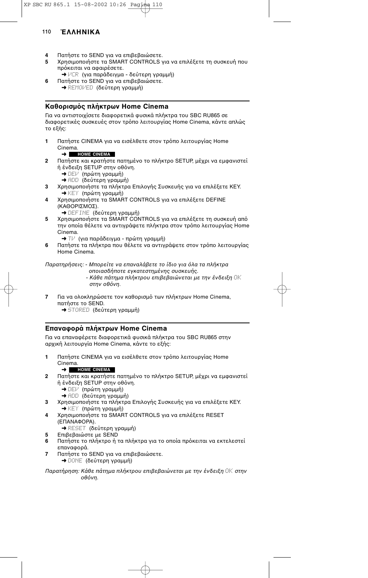- **4** Πατήστε το SEND για να επιβεβαιώσετε.<br>**5 Σ** Χοησιμοποιήστε τα SMART CONTROLS ν
- Χρησιμοποιήστε τα SMART CONTROLS για να επιλέξετε τη συσκευή που πρόκειται να αφαιρέσετε.
- ➜ VCR (για παράδειγµα δεύτερη γραµµή) **6** Πατήστε το SEND για να επιβεβαιώσετε.
- ➜ REMOVED (δεύτερη γραµµή)

# Καθορισμός πλήκτρων Home Cinema

Για να αντιστοιχίσετε διαφορετικά φυσικά πλήκτρα του SBC RU865 σε διαφορετικές συσκευές στον τρόπο λειτουργίας Home Cinema, κάντε απλώς το εξής:

1 Πατήστε CINEMA για να εισέλθετε στον τρόπο λειτουργίας Home Cinema.

#### ➜ **HOME CINEMA**

- **2** Πατήστε και κρατήστε πατημένο το πλήκτρο SETUP, μέχρι να εμφανιστεί ή ένδειξη SETUP στην οθόνη.
	- ➜ DEV (πρώτη γραµµή)
	- ➜ ADD (δεύτερη γραµµή)
- **3** Χρησιμοποιήστε τα πλήκτρα Επιλογής Συσκευής για να επιλέξετε KEY. ➜ KEY (πρώτη γραµµή)
- 4 Χρησιμοποιήστε τα SMART CONTROLS για να επιλέξετε DEFINE (ΚΑΘΟΡΙΣΜΟΣ).
	- ➜ DEFINE (δεύτερη γραµµή)
- **5** Χρησιμοποιήστε τα SMART CONTROLS για να επιλέξετε τη συσκευή από την οποία θέλετε να αντιγράψετε πλήκτρα στον τρόπο λειτουργίας Home Cinema.
	- ➜ TV (για παράδειγµα πρώτη γραµµή)
- **6** Πατήστε τα πλήκτρα που θέλετε να αντιγράψετε στον τρόπο λειτουργίας Home Cinema.

Παρατηρήσεις: - Μπορείτε να επαναλάβετε το ίδιο για όλα τα πλήκτρα

- π
ιασδήπ
τε εγκατεστηµένης συσκευής. - Κάθε πάτημα πλήκτρου επιβεβαιώνεται με την ένδειξη OK στην οθόνη.
- **7** Για να ολοκληρώσετε τον καθορισμό των πλήκτρων Home Cinema, πατήστε το SEND.
	- ➜ STORED (δεύτερη γραµµή)

## **Επαναφορά πλήκτρων Home Cinema**

Για να επαναφέρετε διαφορετικά φυσικά πλήκτρα του SBC RU865 στην αρχική λειτουργία Home Cinema, κάντε το εξής:

1 Πατήστε CINEMA για να εισέλθετε στον τρόπο λειτουργίας Home Cinema.

#### ➜ **HOME CINEMA**

- **2** Πατήστε και κρατήστε πατημένο το πλήκτρο SETUP, μέχρι να εμφανιστεί ή ένδειξη SETUP στην οθόνη.
	- ➜ DEV (πρώτη γραµµή)
	- ➜ ADD (δεύτερη γραµµή)
- **3** Χρησιμοποιήστε τα πλήκτρα Επιλογής Συσκευής για να επιλέξετε KEY. ➜ KEY (πρώτη γραµµή)
- 4 Χρησιμοποιήστε τα SMART CONTROLS για να επιλέξετε RESET (ΕΠΑΝΑΦΟΡΑ).
	- ➜ RESET (δεύτερη γραµµή)
- **5** Επιβεβαιώστε με SEND
- **6** Πατήστε το πλήκτρο ή τα πλήκτρα για το οποία πρόκειται να εκτελεστεί επαναφορά.
- **7** Πατήστε το SEND για να επιβεβαιώσετε. ➜ DONE (δεύτερη γραµµή)

Παρατήρηση: Κάθε πάτημα πλήκτρου επιβεβαιώνεται με την ένδειξη *OK* στην οθόνη.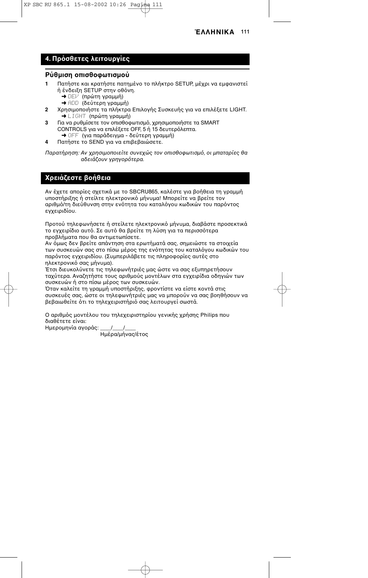# **4.** Πρόσθετες λειτουργίες

#### **Ρύθμιση οπισθοφωτισμού**

- **1** Πατήστε και κρατήστε πατημένο το πλήκτρο SETUP, μέχρι να εμφανιστεί ή ένδειξη SETUP στην οθόνη.
	- ➜ DEV (πρώτη γραµµή)
	- ➜ ADD (δεύτερη γραµµή)
- **2** Χρησιμοποιήστε τα πλήκτρα Επιλογής Συσκευής για να επιλέξετε LIGHT. ➜ LIGHT (πρώτη γραµµή)
- **3** Για να ρυθμίσετε τον οπισθοφωτισμό, χρησιμοποιήστε τα SMART CONTROLS για να επιλέξετε OFF, 5 ή 15 δευτερόλεπτα. ➜ OFF (για παράδειγµα - δεύτερη γραµµή)
	-
- **4** Πατήστε το SEND για να επιβεβαιώσετε.

Παρατήρηση: Αν χρησιμοποιείτε συνεχώς τον οπισθοφωτισμό, οι μπαταρίες θα αδειάζουν γρηγορότερα.

# **Χρειάζεστε βοήθεια**

Αν έχετε απορίες σχετικά με το SBCRU865, καλέστε για βοήθεια τη γραμμή υποστήριξης ή στείλτε ηλεκτρονικό μήνυμα! Μπορείτε να βρείτε τον αριθμό/τη διεύθυνση στην ενότητα του καταλόγου κωδικών του παρόντος εγχειριδίου.

Προτού τηλεφωνήσετε ή στείλετε ηλεκτρονικό μήνυμα, διαβάστε προσεκτικά το εγχειρίδιο αυτό. Σε αυτό θα βρείτε τη λύση για τα περισσότερα προβλήματα που θα αντιμετωπίσετε.

Αν όμως δεν βρείτε απάντηση στα ερωτήματά σας, σημειώστε τα στοιχεία των συσκευών σας στο πίσω μέρος της ενότητας του καταλόγου κωδικών του παρόντος εγχειριδίου. (Συμπεριλάβετε τις πληροφορίες αυτές στο ηλεκτρονικό σας μήνυμα).

Έτσι διευκολύνετε τις τηλεφωνήτριές μας ώστε να σας εξυπηρετήσουν ταχύτερα. Αναζητήστε τους αριθμούς μοντέλων στα εγχειρίδια οδηγιών των συσκευών ή στο πίσω μέρος των συσκευών.

Όταν καλείτε τη γραμμή υποστήριξης, φροντίστε να είστε κοντά στις συσκευές σας, ώστε οι τηλεφωνήτριές μας να μπορούν να σας βοηθήσουν να βεβαιωθείτε ότι το τηλεχειριστήριό σας λειτουργεί σωστά.

Ο αριθμός μοντέλου του τηλεχειριστηρίου γενικής χρήσης Philips που διαθέτετε είναι: Ημερομηνία αγοράς: \_\_\_\_/\_\_\_\_/

Ημέρα/μήνας/έτος